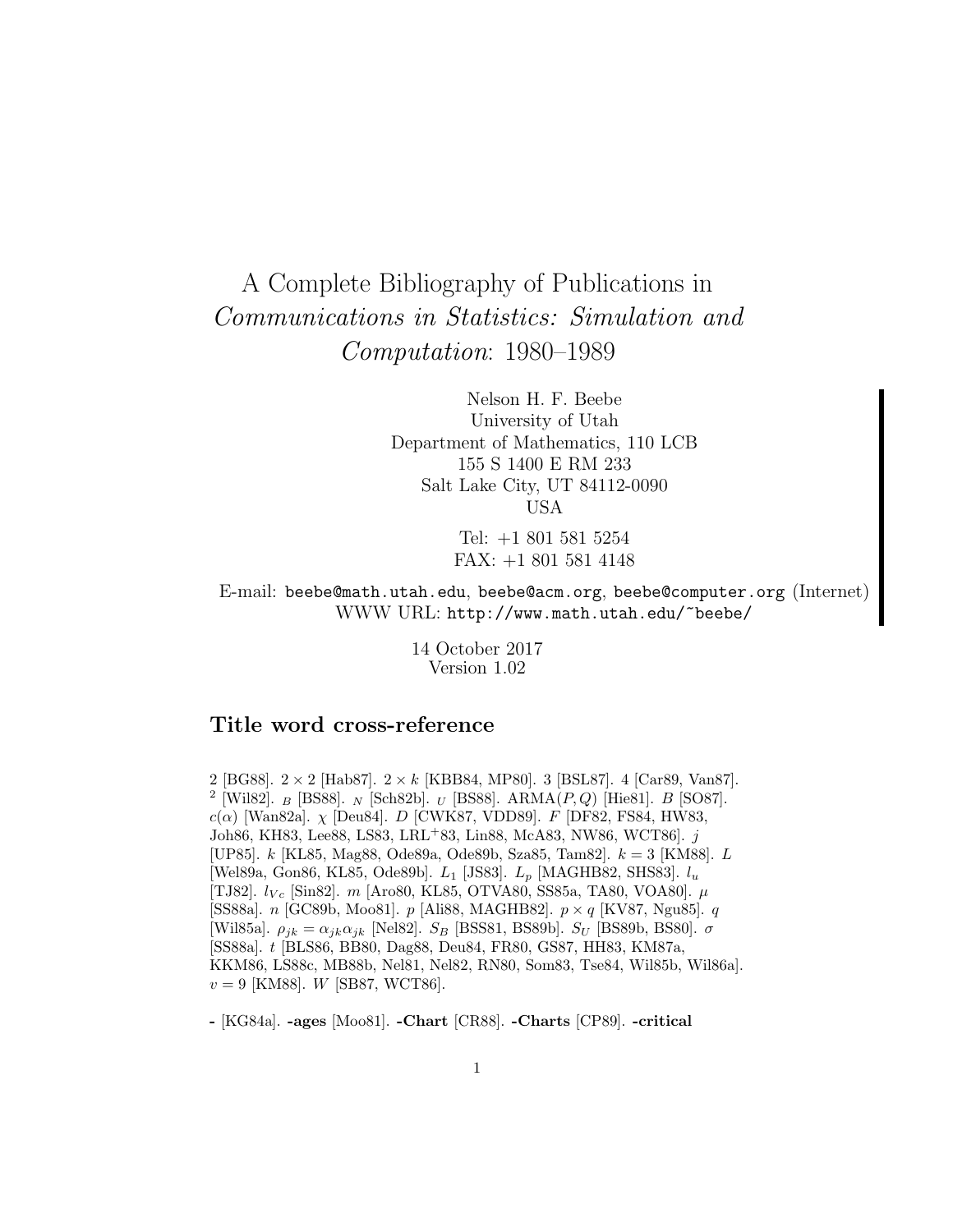# A Complete Bibliography of Publications in Communications in Statistics: Simulation and Computation: 1980–1989

Nelson H. F. Beebe University of Utah Department of Mathematics, 110 LCB 155 S 1400 E RM 233 Salt Lake City, UT 84112-0090 USA

> Tel: +1 801 581 5254 FAX: +1 801 581 4148

E-mail: beebe@math.utah.edu, beebe@acm.org, beebe@computer.org (Internet) WWW URL: http://www.math.utah.edu/~beebe/

> 14 October 2017 Version 1.02

# **Title word cross-reference**

2 [BG88].  $2 \times 2$  [Hab87].  $2 \times k$  [KBB84, MP80]. 3 [BSL87]. 4 [Car89, Van87].  $^2$  [Wil82].  $_B$  [BS88].  $_N$  [Sch82b].  $_U$  [BS88]. ARMA( $P,Q$ ) [Hie81].  $B$  [SO87].  $c(\alpha)$  [Wan82a].  $\chi$  [Deu84]. D [CWK87, VDD89]. F [DF82, FS84, HW83, Joh86, KH83, Lee88, LS83, LRL<sup>+</sup>83, Lin88, McA83, NW86, WCT86]. j [UP85]. k [KL85, Mag88, Ode89a, Ode89b, Sza85, Tam82]. k = 3 [KM88]. L [Wel89a, Gon86, KL85, Ode89b].  $L_1$  [JS83].  $L_p$  [MAGHB82, SHS83].  $l_u$ [TJ82].  $l_{V_c}$  [Sin82]. m [Aro80, KL85, OTVA80, SS85a, TA80, VOA80].  $\mu$ [SS88a]. *n* [GC89b, Moo81]. *p* [Ali88, MAGHB82].  $p \times q$  [KV87, Ngu85]. *q* [Wil85a].  $\rho_{jk} = \alpha_{jk}\alpha_{jk}$  [Nel82].  $S_B$  [BSS81, BS89b].  $S_U$  [BS89b, BS80].  $\sigma$ [SS88a]. t [BLS86, BB80, Dag88, Deu84, FR80, GS87, HH83, KM87a, KKM86, LS88c, MB88b, Nel81, Nel82, RN80, Som83, Tse84, Wil85b, Wil86a].  $v = 9$  [KM88]. W [SB87, WCT86].

**-** [KG84a]. **-ages** [Moo81]. **-Chart** [CR88]. **-Charts** [CP89]. **-critical**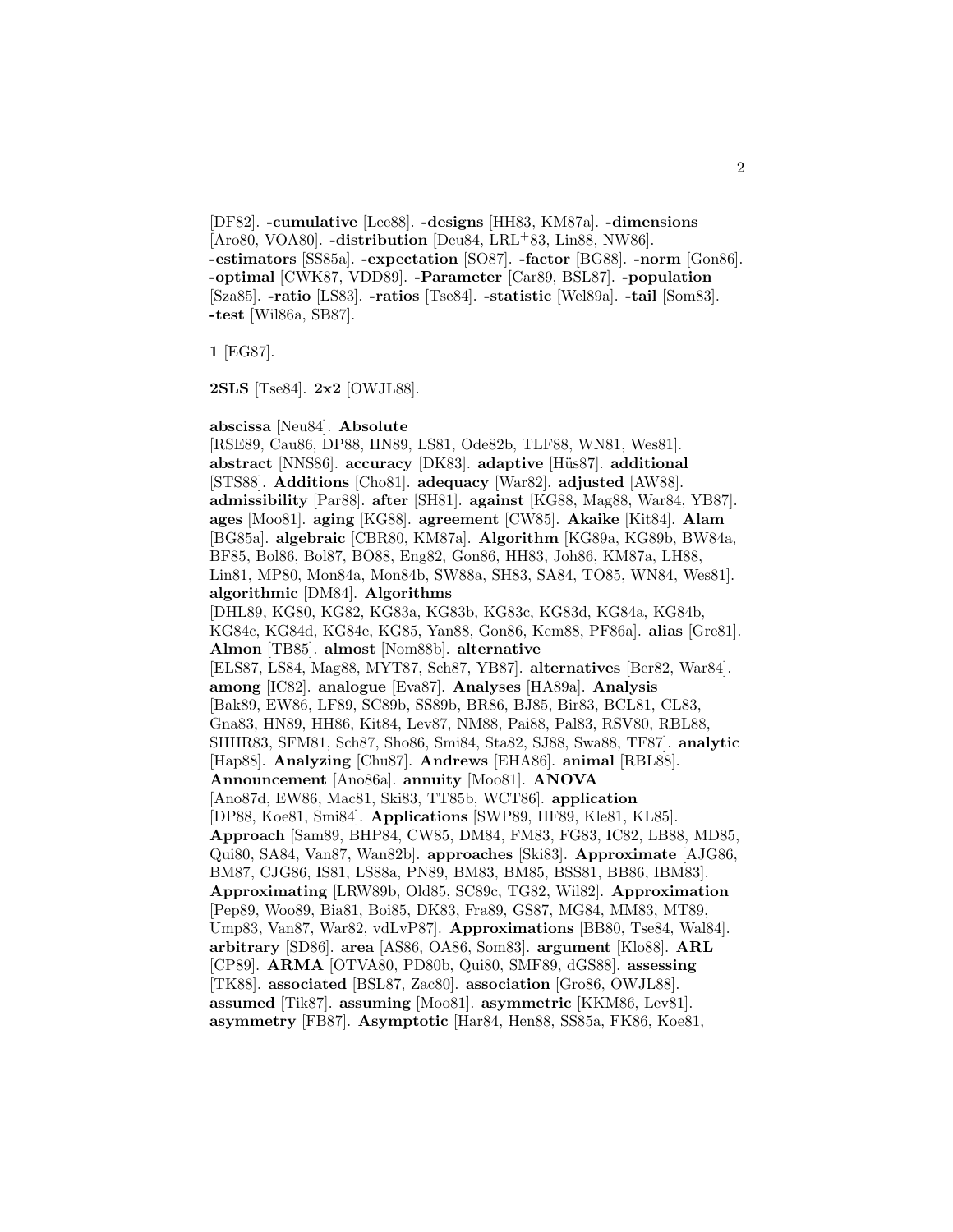[DF82]. **-cumulative** [Lee88]. **-designs** [HH83, KM87a]. **-dimensions** [Aro80, VOA80]. **-distribution** [Deu84, LRL+83, Lin88, NW86]. **-estimators** [SS85a]. **-expectation** [SO87]. **-factor** [BG88]. **-norm** [Gon86]. **-optimal** [CWK87, VDD89]. **-Parameter** [Car89, BSL87]. **-population** [Sza85]. **-ratio** [LS83]. **-ratios** [Tse84]. **-statistic** [Wel89a]. **-tail** [Som83]. **-test** [Wil86a, SB87].

**1** [EG87].

**2SLS** [Tse84]. **2x2** [OWJL88].

**abscissa** [Neu84]. **Absolute**

[RSE89, Cau86, DP88, HN89, LS81, Ode82b, TLF88, WN81, Wes81]. **abstract** [NNS86]. **accuracy** [DK83]. **adaptive** [Hüs87]. **additional** [STS88]. **Additions** [Cho81]. **adequacy** [War82]. **adjusted** [AW88]. **admissibility** [Par88]. **after** [SH81]. **against** [KG88, Mag88, War84, YB87]. **ages** [Moo81]. **aging** [KG88]. **agreement** [CW85]. **Akaike** [Kit84]. **Alam** [BG85a]. **algebraic** [CBR80, KM87a]. **Algorithm** [KG89a, KG89b, BW84a, BF85, Bol86, Bol87, BO88, Eng82, Gon86, HH83, Joh86, KM87a, LH88, Lin81, MP80, Mon84a, Mon84b, SW88a, SH83, SA84, TO85, WN84, Wes81]. **algorithmic** [DM84]. **Algorithms** [DHL89, KG80, KG82, KG83a, KG83b, KG83c, KG83d, KG84a, KG84b, KG84c, KG84d, KG84e, KG85, Yan88, Gon86, Kem88, PF86a]. **alias** [Gre81]. **Almon** [TB85]. **almost** [Nom88b]. **alternative** [ELS87, LS84, Mag88, MYT87, Sch87, YB87]. **alternatives** [Ber82, War84]. **among** [IC82]. **analogue** [Eva87]. **Analyses** [HA89a]. **Analysis** [Bak89, EW86, LF89, SC89b, SS89b, BR86, BJ85, Bir83, BCL81, CL83, Gna83, HN89, HH86, Kit84, Lev87, NM88, Pai88, Pal83, RSV80, RBL88, SHHR83, SFM81, Sch87, Sho86, Smi84, Sta82, SJ88, Swa88, TF87]. **analytic** [Hap88]. **Analyzing** [Chu87]. **Andrews** [EHA86]. **animal** [RBL88]. **Announcement** [Ano86a]. **annuity** [Moo81]. **ANOVA** [Ano87d, EW86, Mac81, Ski83, TT85b, WCT86]. **application** [DP88, Koe81, Smi84]. **Applications** [SWP89, HF89, Kle81, KL85]. **Approach** [Sam89, BHP84, CW85, DM84, FM83, FG83, IC82, LB88, MD85, Qui80, SA84, Van87, Wan82b]. **approaches** [Ski83]. **Approximate** [AJG86, BM87, CJG86, IS81, LS88a, PN89, BM83, BM85, BSS81, BB86, IBM83]. **Approximating** [LRW89b, Old85, SC89c, TG82, Wil82]. **Approximation** [Pep89, Woo89, Bia81, Boi85, DK83, Fra89, GS87, MG84, MM83, MT89, Ump83, Van87, War82, vdLvP87]. **Approximations** [BB80, Tse84, Wal84]. **arbitrary** [SD86]. **area** [AS86, OA86, Som83]. **argument** [Klo88]. **ARL** [CP89]. **ARMA** [OTVA80, PD80b, Qui80, SMF89, dGS88]. **assessing** [TK88]. **associated** [BSL87, Zac80]. **association** [Gro86, OWJL88]. **assumed** [Tik87]. **assuming** [Moo81]. **asymmetric** [KKM86, Lev81]. **asymmetry** [FB87]. **Asymptotic** [Har84, Hen88, SS85a, FK86, Koe81,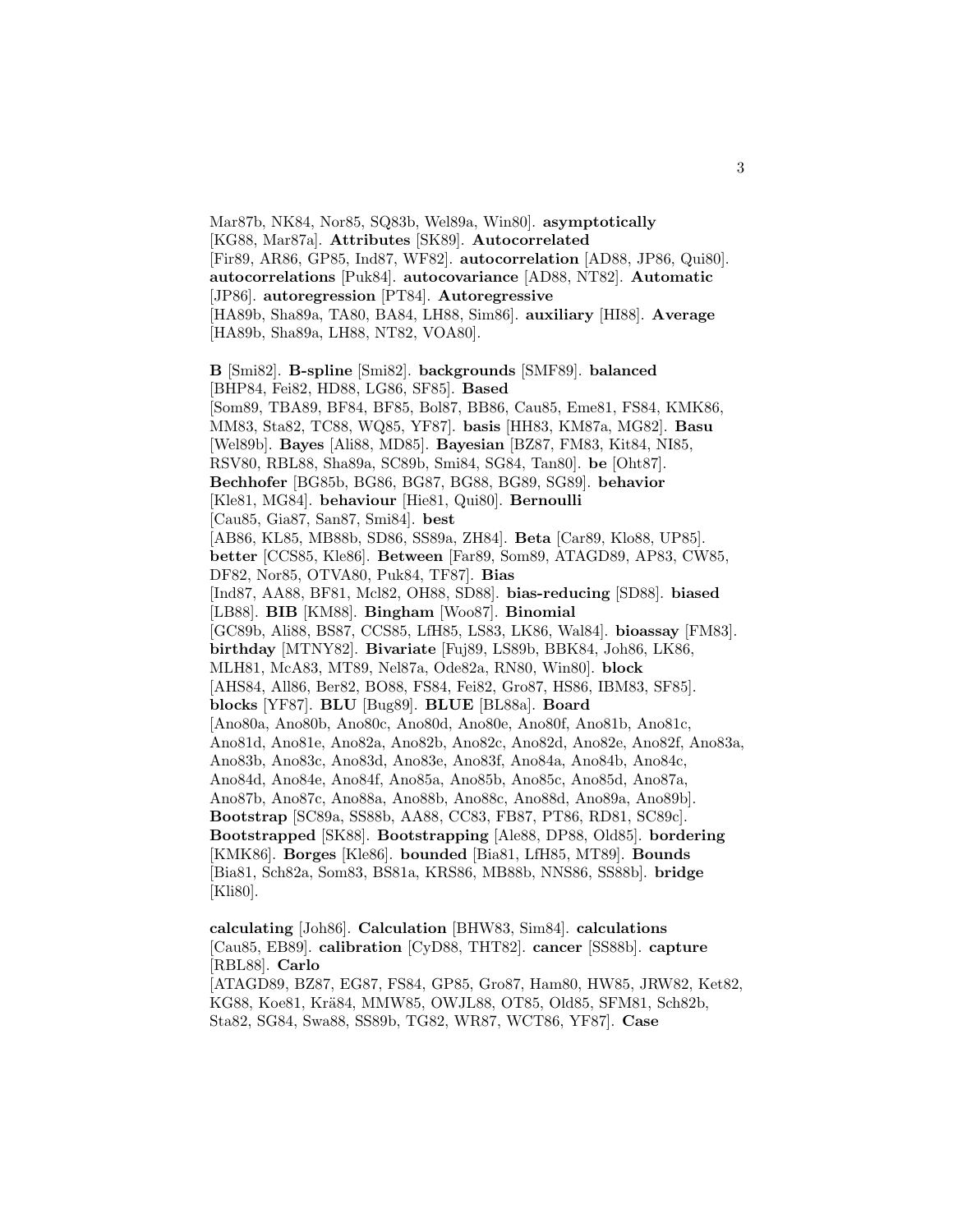Mar87b, NK84, Nor85, SQ83b, Wel89a, Win80]. **asymptotically** [KG88, Mar87a]. **Attributes** [SK89]. **Autocorrelated** [Fir89, AR86, GP85, Ind87, WF82]. **autocorrelation** [AD88, JP86, Qui80]. **autocorrelations** [Puk84]. **autocovariance** [AD88, NT82]. **Automatic** [JP86]. **autoregression** [PT84]. **Autoregressive** [HA89b, Sha89a, TA80, BA84, LH88, Sim86]. **auxiliary** [HI88]. **Average** [HA89b, Sha89a, LH88, NT82, VOA80]. **B** [Smi82]. **B-spline** [Smi82]. **backgrounds** [SMF89]. **balanced** [BHP84, Fei82, HD88, LG86, SF85]. **Based** [Som89, TBA89, BF84, BF85, Bol87, BB86, Cau85, Eme81, FS84, KMK86, MM83, Sta82, TC88, WQ85, YF87]. **basis** [HH83, KM87a, MG82]. **Basu** [Wel89b]. **Bayes** [Ali88, MD85]. **Bayesian** [BZ87, FM83, Kit84, NI85, RSV80, RBL88, Sha89a, SC89b, Smi84, SG84, Tan80]. **be** [Oht87]. **Bechhofer** [BG85b, BG86, BG87, BG88, BG89, SG89]. **behavior** [Kle81, MG84]. **behaviour** [Hie81, Qui80]. **Bernoulli** [Cau85, Gia87, San87, Smi84]. **best** [AB86, KL85, MB88b, SD86, SS89a, ZH84]. **Beta** [Car89, Klo88, UP85]. **better** [CCS85, Kle86]. **Between** [Far89, Som89, ATAGD89, AP83, CW85, DF82, Nor85, OTVA80, Puk84, TF87]. **Bias** [Ind87, AA88, BF81, Mcl82, OH88, SD88]. **bias-reducing** [SD88]. **biased** [LB88]. **BIB** [KM88]. **Bingham** [Woo87]. **Binomial** [GC89b, Ali88, BS87, CCS85, LfH85, LS83, LK86, Wal84]. **bioassay** [FM83]. **birthday** [MTNY82]. **Bivariate** [Fuj89, LS89b, BBK84, Joh86, LK86, MLH81, McA83, MT89, Nel87a, Ode82a, RN80, Win80]. **block** [AHS84, All86, Ber82, BO88, FS84, Fei82, Gro87, HS86, IBM83, SF85]. **blocks** [YF87]. **BLU** [Bug89]. **BLUE** [BL88a]. **Board** [Ano80a, Ano80b, Ano80c, Ano80d, Ano80e, Ano80f, Ano81b, Ano81c, Ano81d, Ano81e, Ano82a, Ano82b, Ano82c, Ano82d, Ano82e, Ano82f, Ano83a, Ano83b, Ano83c, Ano83d, Ano83e, Ano83f, Ano84a, Ano84b, Ano84c, Ano84d, Ano84e, Ano84f, Ano85a, Ano85b, Ano85c, Ano85d, Ano87a, Ano87b, Ano87c, Ano88a, Ano88b, Ano88c, Ano88d, Ano89a, Ano89b]. **Bootstrap** [SC89a, SS88b, AA88, CC83, FB87, PT86, RD81, SC89c].

**Bootstrapped** [SK88]. **Bootstrapping** [Ale88, DP88, Old85]. **bordering** [KMK86]. **Borges** [Kle86]. **bounded** [Bia81, LfH85, MT89]. **Bounds** [Bia81, Sch82a, Som83, BS81a, KRS86, MB88b, NNS86, SS88b]. **bridge** [Kli80].

**calculating** [Joh86]. **Calculation** [BHW83, Sim84]. **calculations** [Cau85, EB89]. **calibration** [CyD88, THT82]. **cancer** [SS88b]. **capture** [RBL88]. **Carlo** [ATAGD89, BZ87, EG87, FS84, GP85, Gro87, Ham80, HW85, JRW82, Ket82, KG88, Koe81, Krä84, MMW85, OWJL88, OT85, Old85, SFM81, Sch82b, Sta82, SG84, Swa88, SS89b, TG82, WR87, WCT86, YF87]. **Case**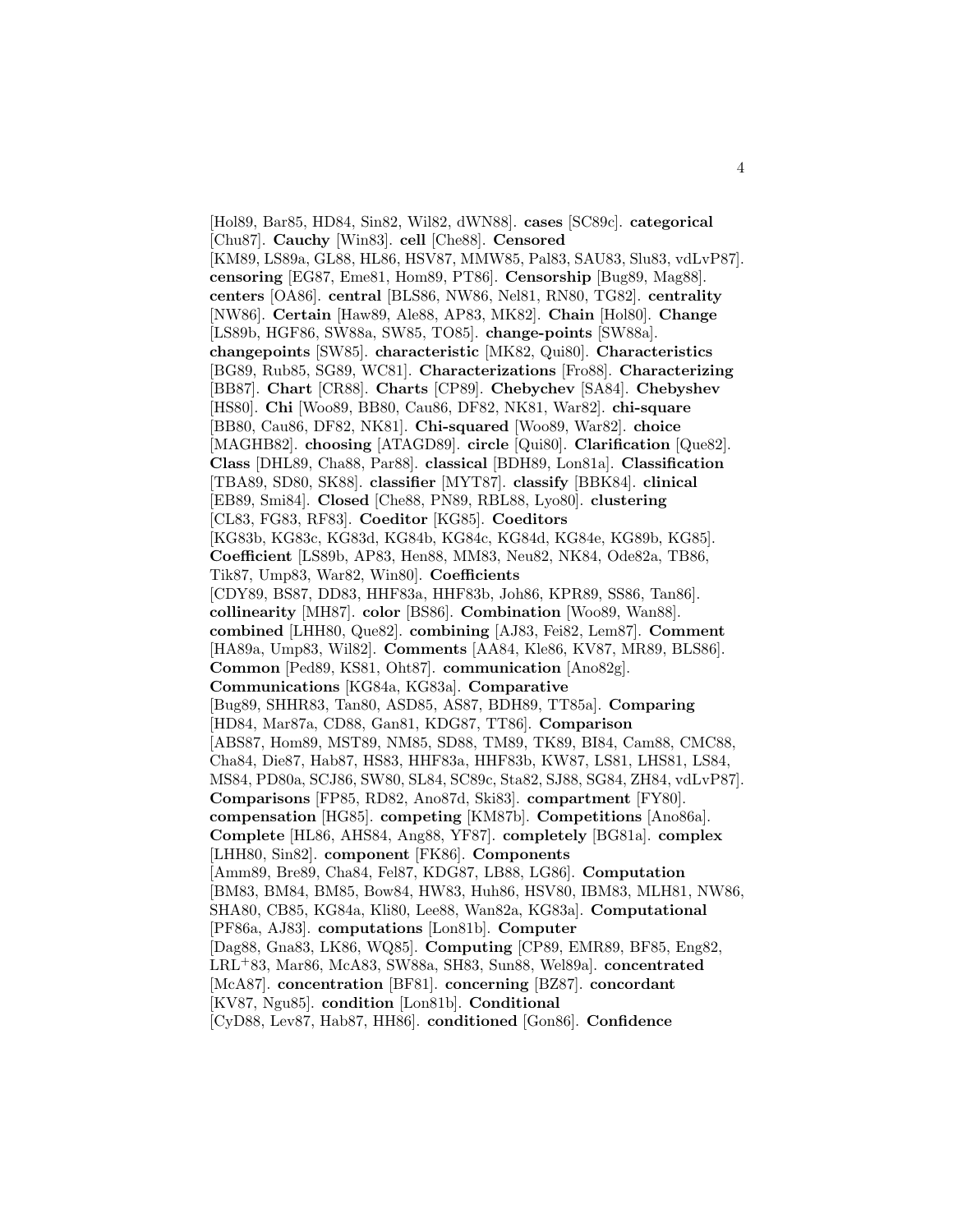[Hol89, Bar85, HD84, Sin82, Wil82, dWN88]. **cases** [SC89c]. **categorical** [Chu87]. **Cauchy** [Win83]. **cell** [Che88]. **Censored** [KM89, LS89a, GL88, HL86, HSV87, MMW85, Pal83, SAU83, Slu83, vdLvP87]. **censoring** [EG87, Eme81, Hom89, PT86]. **Censorship** [Bug89, Mag88]. **centers** [OA86]. **central** [BLS86, NW86, Nel81, RN80, TG82]. **centrality** [NW86]. **Certain** [Haw89, Ale88, AP83, MK82]. **Chain** [Hol80]. **Change** [LS89b, HGF86, SW88a, SW85, TO85]. **change-points** [SW88a]. **changepoints** [SW85]. **characteristic** [MK82, Qui80]. **Characteristics** [BG89, Rub85, SG89, WC81]. **Characterizations** [Fro88]. **Characterizing** [BB87]. **Chart** [CR88]. **Charts** [CP89]. **Chebychev** [SA84]. **Chebyshev** [HS80]. **Chi** [Woo89, BB80, Cau86, DF82, NK81, War82]. **chi-square** [BB80, Cau86, DF82, NK81]. **Chi-squared** [Woo89, War82]. **choice** [MAGHB82]. **choosing** [ATAGD89]. **circle** [Qui80]. **Clarification** [Que82]. **Class** [DHL89, Cha88, Par88]. **classical** [BDH89, Lon81a]. **Classification** [TBA89, SD80, SK88]. **classifier** [MYT87]. **classify** [BBK84]. **clinical** [EB89, Smi84]. **Closed** [Che88, PN89, RBL88, Lyo80]. **clustering** [CL83, FG83, RF83]. **Coeditor** [KG85]. **Coeditors** [KG83b, KG83c, KG83d, KG84b, KG84c, KG84d, KG84e, KG89b, KG85]. **Coefficient** [LS89b, AP83, Hen88, MM83, Neu82, NK84, Ode82a, TB86, Tik87, Ump83, War82, Win80]. **Coefficients** [CDY89, BS87, DD83, HHF83a, HHF83b, Joh86, KPR89, SS86, Tan86]. **collinearity** [MH87]. **color** [BS86]. **Combination** [Woo89, Wan88]. **combined** [LHH80, Que82]. **combining** [AJ83, Fei82, Lem87]. **Comment** [HA89a, Ump83, Wil82]. **Comments** [AA84, Kle86, KV87, MR89, BLS86]. **Common** [Ped89, KS81, Oht87]. **communication** [Ano82g]. **Communications** [KG84a, KG83a]. **Comparative** [Bug89, SHHR83, Tan80, ASD85, AS87, BDH89, TT85a]. **Comparing** [HD84, Mar87a, CD88, Gan81, KDG87, TT86]. **Comparison** [ABS87, Hom89, MST89, NM85, SD88, TM89, TK89, BI84, Cam88, CMC88, Cha84, Die87, Hab87, HS83, HHF83a, HHF83b, KW87, LS81, LHS81, LS84, MS84, PD80a, SCJ86, SW80, SL84, SC89c, Sta82, SJ88, SG84, ZH84, vdLvP87]. **Comparisons** [FP85, RD82, Ano87d, Ski83]. **compartment** [FY80]. **compensation** [HG85]. **competing** [KM87b]. **Competitions** [Ano86a]. **Complete** [HL86, AHS84, Ang88, YF87]. **completely** [BG81a]. **complex** [LHH80, Sin82]. **component** [FK86]. **Components** [Amm89, Bre89, Cha84, Fel87, KDG87, LB88, LG86]. **Computation** [BM83, BM84, BM85, Bow84, HW83, Huh86, HSV80, IBM83, MLH81, NW86, SHA80, CB85, KG84a, Kli80, Lee88, Wan82a, KG83a]. **Computational** [PF86a, AJ83]. **computations** [Lon81b]. **Computer** [Dag88, Gna83, LK86, WQ85]. **Computing** [CP89, EMR89, BF85, Eng82, LRL<sup>+</sup>83, Mar86, McA83, SW88a, SH83, Sun88, Wel89a]. **concentrated** [McA87]. **concentration** [BF81]. **concerning** [BZ87]. **concordant** [KV87, Ngu85]. **condition** [Lon81b]. **Conditional** [CyD88, Lev87, Hab87, HH86]. **conditioned** [Gon86]. **Confidence**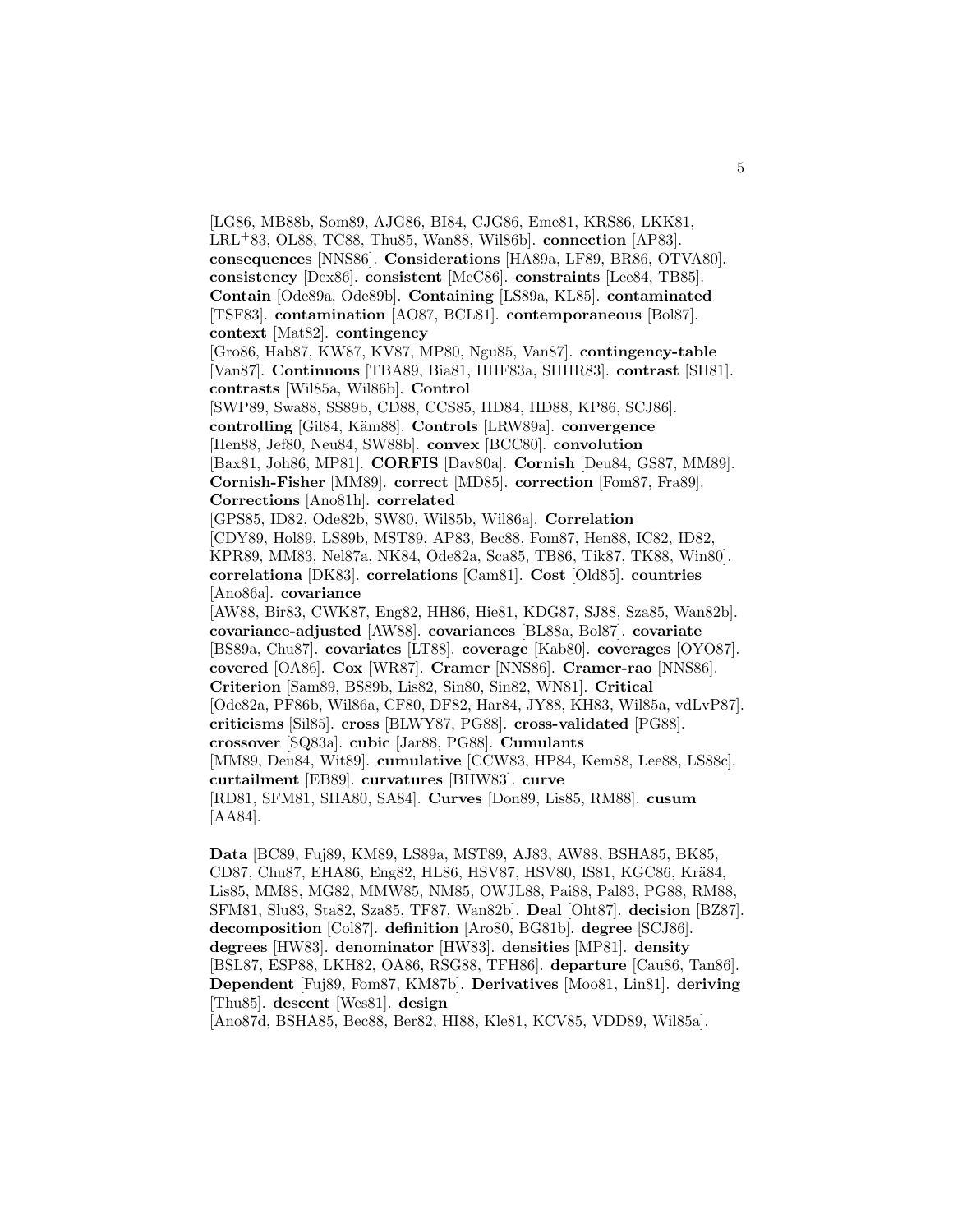[LG86, MB88b, Som89, AJG86, BI84, CJG86, Eme81, KRS86, LKK81, LRL<sup>+</sup>83, OL88, TC88, Thu85, Wan88, Wil86b]. **connection** [AP83]. **consequences** [NNS86]. **Considerations** [HA89a, LF89, BR86, OTVA80]. **consistency** [Dex86]. **consistent** [McC86]. **constraints** [Lee84, TB85]. **Contain** [Ode89a, Ode89b]. **Containing** [LS89a, KL85]. **contaminated** [TSF83]. **contamination** [AO87, BCL81]. **contemporaneous** [Bol87]. **context** [Mat82]. **contingency** [Gro86, Hab87, KW87, KV87, MP80, Ngu85, Van87]. **contingency-table** [Van87]. **Continuous** [TBA89, Bia81, HHF83a, SHHR83]. **contrast** [SH81]. **contrasts** [Wil85a, Wil86b]. **Control** [SWP89, Swa88, SS89b, CD88, CCS85, HD84, HD88, KP86, SCJ86]. **controlling** [Gil84, K¨am88]. **Controls** [LRW89a]. **convergence** [Hen88, Jef80, Neu84, SW88b]. **convex** [BCC80]. **convolution** [Bax81, Joh86, MP81]. **CORFIS** [Dav80a]. **Cornish** [Deu84, GS87, MM89]. **Cornish-Fisher** [MM89]. **correct** [MD85]. **correction** [Fom87, Fra89]. **Corrections** [Ano81h]. **correlated** [GPS85, ID82, Ode82b, SW80, Wil85b, Wil86a]. **Correlation** [CDY89, Hol89, LS89b, MST89, AP83, Bec88, Fom87, Hen88, IC82, ID82, KPR89, MM83, Nel87a, NK84, Ode82a, Sca85, TB86, Tik87, TK88, Win80]. **correlationa** [DK83]. **correlations** [Cam81]. **Cost** [Old85]. **countries** [Ano86a]. **covariance** [AW88, Bir83, CWK87, Eng82, HH86, Hie81, KDG87, SJ88, Sza85, Wan82b]. **covariance-adjusted** [AW88]. **covariances** [BL88a, Bol87]. **covariate** [BS89a, Chu87]. **covariates** [LT88]. **coverage** [Kab80]. **coverages** [OYO87]. **covered** [OA86]. **Cox** [WR87]. **Cramer** [NNS86]. **Cramer-rao** [NNS86]. **Criterion** [Sam89, BS89b, Lis82, Sin80, Sin82, WN81]. **Critical** [Ode82a, PF86b, Wil86a, CF80, DF82, Har84, JY88, KH83, Wil85a, vdLvP87]. **criticisms** [Sil85]. **cross** [BLWY87, PG88]. **cross-validated** [PG88]. **crossover** [SQ83a]. **cubic** [Jar88, PG88]. **Cumulants** [MM89, Deu84, Wit89]. **cumulative** [CCW83, HP84, Kem88, Lee88, LS88c]. **curtailment** [EB89]. **curvatures** [BHW83]. **curve** [RD81, SFM81, SHA80, SA84]. **Curves** [Don89, Lis85, RM88]. **cusum** [AA84].

**Data** [BC89, Fuj89, KM89, LS89a, MST89, AJ83, AW88, BSHA85, BK85, CD87, Chu87, EHA86, Eng82, HL86, HSV87, HSV80, IS81, KGC86, Krä84, Lis85, MM88, MG82, MMW85, NM85, OWJL88, Pai88, Pal83, PG88, RM88, SFM81, Slu83, Sta82, Sza85, TF87, Wan82b]. **Deal** [Oht87]. **decision** [BZ87]. **decomposition** [Col87]. **definition** [Aro80, BG81b]. **degree** [SCJ86]. **degrees** [HW83]. **denominator** [HW83]. **densities** [MP81]. **density** [BSL87, ESP88, LKH82, OA86, RSG88, TFH86]. **departure** [Cau86, Tan86]. **Dependent** [Fuj89, Fom87, KM87b]. **Derivatives** [Moo81, Lin81]. **deriving** [Thu85]. **descent** [Wes81]. **design**

[Ano87d, BSHA85, Bec88, Ber82, HI88, Kle81, KCV85, VDD89, Wil85a].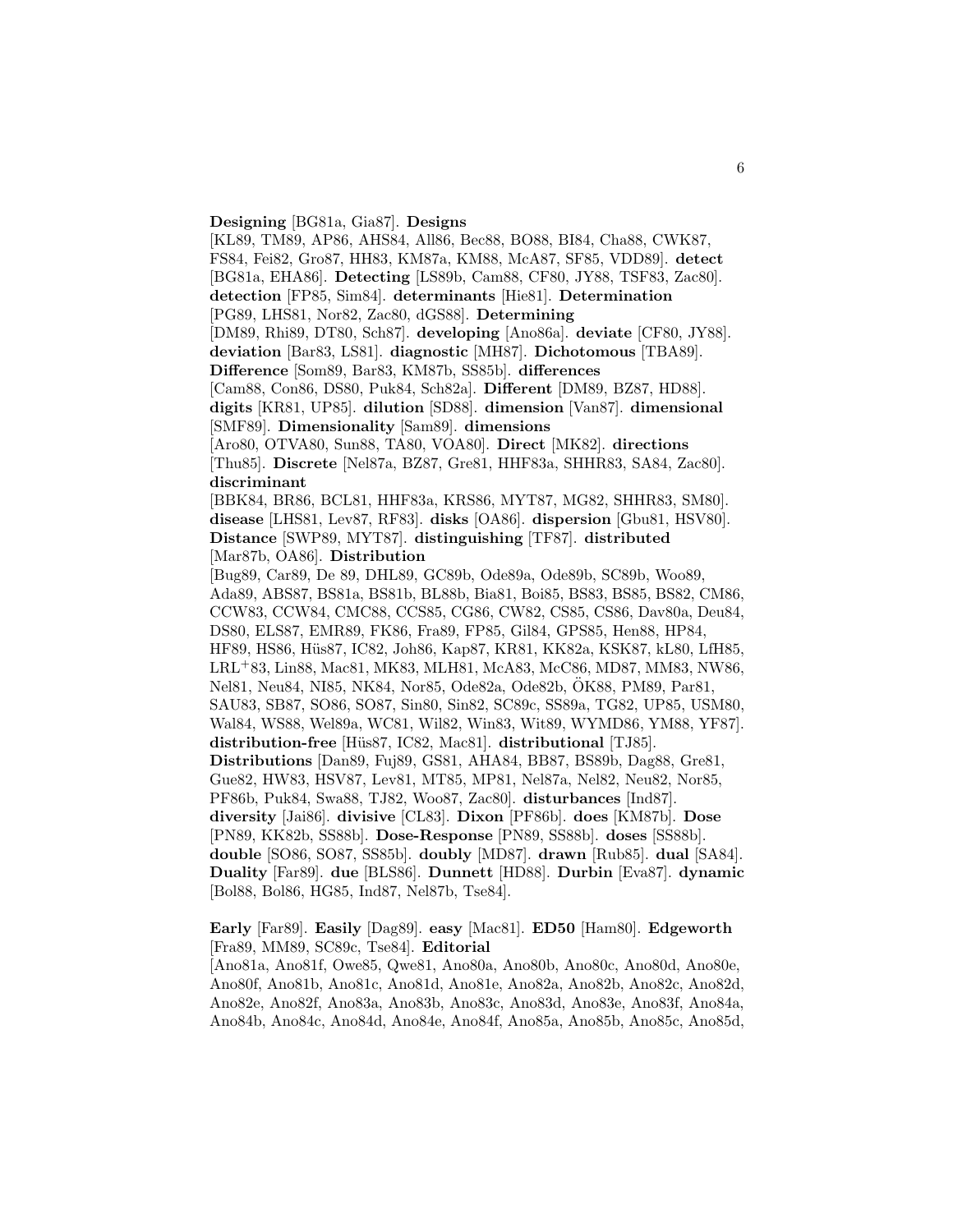**Designing** [BG81a, Gia87]. **Designs**

[KL89, TM89, AP86, AHS84, All86, Bec88, BO88, BI84, Cha88, CWK87, FS84, Fei82, Gro87, HH83, KM87a, KM88, McA87, SF85, VDD89]. **detect** [BG81a, EHA86]. **Detecting** [LS89b, Cam88, CF80, JY88, TSF83, Zac80]. **detection** [FP85, Sim84]. **determinants** [Hie81]. **Determination** [PG89, LHS81, Nor82, Zac80, dGS88]. **Determining** [DM89, Rhi89, DT80, Sch87]. **developing** [Ano86a]. **deviate** [CF80, JY88]. **deviation** [Bar83, LS81]. **diagnostic** [MH87]. **Dichotomous** [TBA89]. **Difference** [Som89, Bar83, KM87b, SS85b]. **differences** [Cam88, Con86, DS80, Puk84, Sch82a]. **Different** [DM89, BZ87, HD88]. **digits** [KR81, UP85]. **dilution** [SD88]. **dimension** [Van87]. **dimensional** [SMF89]. **Dimensionality** [Sam89]. **dimensions** [Aro80, OTVA80, Sun88, TA80, VOA80]. **Direct** [MK82]. **directions** [Thu85]. **Discrete** [Nel87a, BZ87, Gre81, HHF83a, SHHR83, SA84, Zac80]. **discriminant** [BBK84, BR86, BCL81, HHF83a, KRS86, MYT87, MG82, SHHR83, SM80]. **disease** [LHS81, Lev87, RF83]. **disks** [OA86]. **dispersion** [Gbu81, HSV80]. **Distance** [SWP89, MYT87]. **distinguishing** [TF87]. **distributed** [Mar87b, OA86]. **Distribution** [Bug89, Car89, De 89, DHL89, GC89b, Ode89a, Ode89b, SC89b, Woo89, Ada89, ABS87, BS81a, BS81b, BL88b, Bia81, Boi85, BS83, BS85, BS82, CM86, CCW83, CCW84, CMC88, CCS85, CG86, CW82, CS85, CS86, Dav80a, Deu84, DS80, ELS87, EMR89, FK86, Fra89, FP85, Gil84, GPS85, Hen88, HP84, HF89, HS86, Hüs87, IC82, Joh86, Kap87, KR81, KK82a, KSK87, kL80, LfH85, LRL<sup>+</sup>83, Lin88, Mac81, MK83, MLH81, McA83, McC86, MD87, MM83, NW86, Nel81, Neu84, NI85, NK84, Nor85, Ode82a, Ode82b, OK88, PM89, Par81, ¨ SAU83, SB87, SO86, SO87, Sin80, Sin82, SC89c, SS89a, TG82, UP85, USM80, Wal84, WS88, Wel89a, WC81, Wil82, Win83, Wit89, WYMD86, YM88, YF87]. **distribution-free** [H¨us87, IC82, Mac81]. **distributional** [TJ85]. **Distributions** [Dan89, Fuj89, GS81, AHA84, BB87, BS89b, Dag88, Gre81, Gue82, HW83, HSV87, Lev81, MT85, MP81, Nel87a, Nel82, Neu82, Nor85, PF86b, Puk84, Swa88, TJ82, Woo87, Zac80]. **disturbances** [Ind87]. **diversity** [Jai86]. **divisive** [CL83]. **Dixon** [PF86b]. **does** [KM87b]. **Dose** [PN89, KK82b, SS88b]. **Dose-Response** [PN89, SS88b]. **doses** [SS88b]. **double** [SO86, SO87, SS85b]. **doubly** [MD87]. **drawn** [Rub85]. **dual** [SA84]. **Duality** [Far89]. **due** [BLS86]. **Dunnett** [HD88]. **Durbin** [Eva87]. **dynamic** [Bol88, Bol86, HG85, Ind87, Nel87b, Tse84].

**Early** [Far89]. **Easily** [Dag89]. **easy** [Mac81]. **ED50** [Ham80]. **Edgeworth** [Fra89, MM89, SC89c, Tse84]. **Editorial**

[Ano81a, Ano81f, Owe85, Qwe81, Ano80a, Ano80b, Ano80c, Ano80d, Ano80e, Ano80f, Ano81b, Ano81c, Ano81d, Ano81e, Ano82a, Ano82b, Ano82c, Ano82d, Ano82e, Ano82f, Ano83a, Ano83b, Ano83c, Ano83d, Ano83e, Ano83f, Ano84a, Ano84b, Ano84c, Ano84d, Ano84e, Ano84f, Ano85a, Ano85b, Ano85c, Ano85d,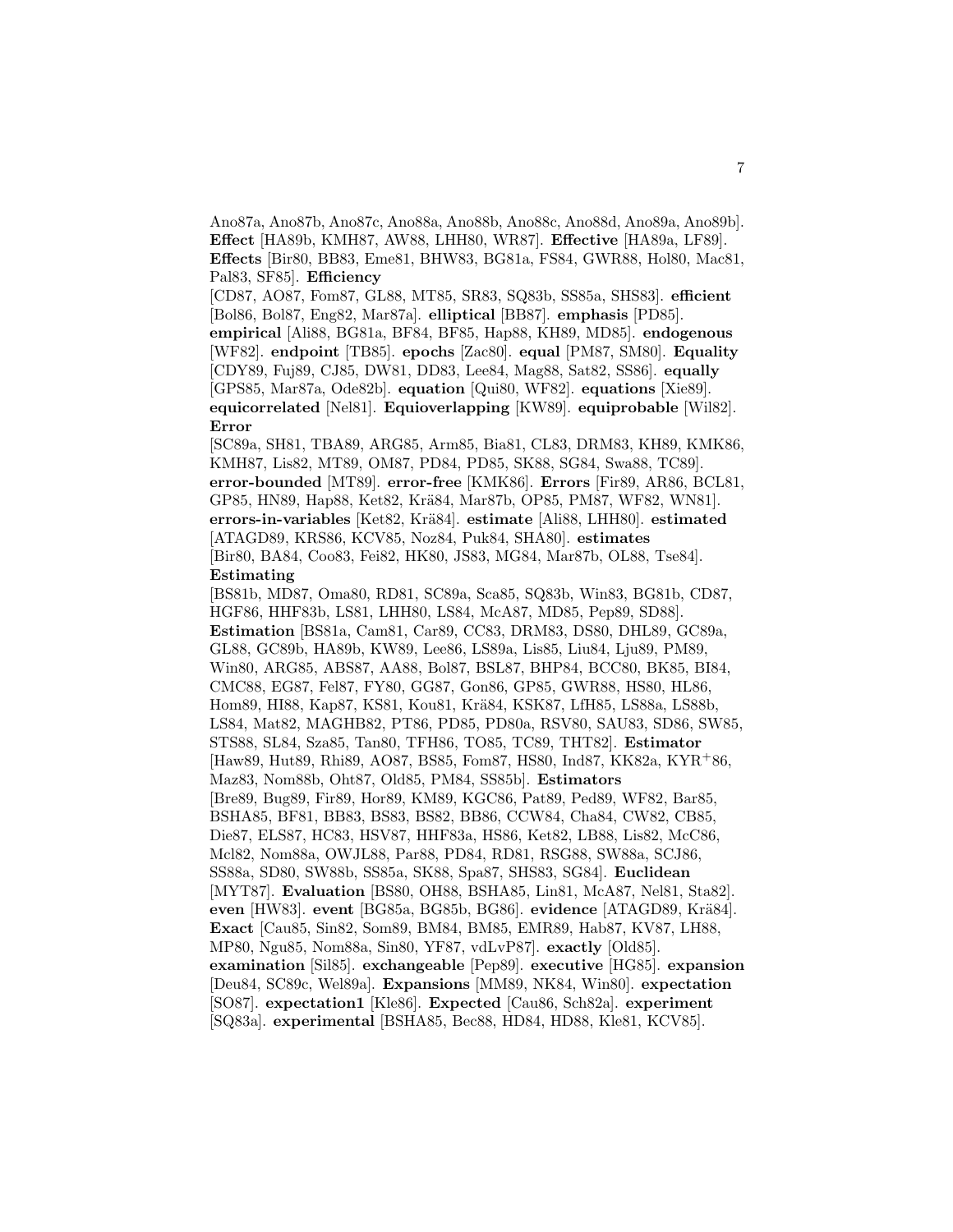Ano87a, Ano87b, Ano87c, Ano88a, Ano88b, Ano88c, Ano88d, Ano89a, Ano89b]. **Effect** [HA89b, KMH87, AW88, LHH80, WR87]. **Effective** [HA89a, LF89]. **Effects** [Bir80, BB83, Eme81, BHW83, BG81a, FS84, GWR88, Hol80, Mac81, Pal83, SF85]. **Efficiency**

[CD87, AO87, Fom87, GL88, MT85, SR83, SQ83b, SS85a, SHS83]. **efficient** [Bol86, Bol87, Eng82, Mar87a]. **elliptical** [BB87]. **emphasis** [PD85]. **empirical** [Ali88, BG81a, BF84, BF85, Hap88, KH89, MD85]. **endogenous** [WF82]. **endpoint** [TB85]. **epochs** [Zac80]. **equal** [PM87, SM80]. **Equality** [CDY89, Fuj89, CJ85, DW81, DD83, Lee84, Mag88, Sat82, SS86]. **equally** [GPS85, Mar87a, Ode82b]. **equation** [Qui80, WF82]. **equations** [Xie89]. **equicorrelated** [Nel81]. **Equioverlapping** [KW89]. **equiprobable** [Wil82]. **Error**

[SC89a, SH81, TBA89, ARG85, Arm85, Bia81, CL83, DRM83, KH89, KMK86, KMH87, Lis82, MT89, OM87, PD84, PD85, SK88, SG84, Swa88, TC89]. **error-bounded** [MT89]. **error-free** [KMK86]. **Errors** [Fir89, AR86, BCL81, GP85, HN89, Hap88, Ket82, Krä84, Mar87b, OP85, PM87, WF82, WN81. **errors-in-variables** [Ket82, Kr¨a84]. **estimate** [Ali88, LHH80]. **estimated** [ATAGD89, KRS86, KCV85, Noz84, Puk84, SHA80]. **estimates** [Bir80, BA84, Coo83, Fei82, HK80, JS83, MG84, Mar87b, OL88, Tse84]. **Estimating**

[BS81b, MD87, Oma80, RD81, SC89a, Sca85, SQ83b, Win83, BG81b, CD87, HGF86, HHF83b, LS81, LHH80, LS84, McA87, MD85, Pep89, SD88]. **Estimation** [BS81a, Cam81, Car89, CC83, DRM83, DS80, DHL89, GC89a, GL88, GC89b, HA89b, KW89, Lee86, LS89a, Lis85, Liu84, Lju89, PM89, Win80, ARG85, ABS87, AA88, Bol87, BSL87, BHP84, BCC80, BK85, BI84, CMC88, EG87, Fel87, FY80, GG87, Gon86, GP85, GWR88, HS80, HL86, Hom89, HI88, Kap87, KS81, Kou81, Krä84, KSK87, LfH85, LS88a, LS88b, LS84, Mat82, MAGHB82, PT86, PD85, PD80a, RSV80, SAU83, SD86, SW85, STS88, SL84, Sza85, Tan80, TFH86, TO85, TC89, THT82]. **Estimator** [Haw89, Hut89, Rhi89, AO87, BS85, Fom87, HS80, Ind87, KK82a, KYR<sup>+</sup>86, Maz83, Nom88b, Oht87, Old85, PM84, SS85b]. **Estimators** [Bre89, Bug89, Fir89, Hor89, KM89, KGC86, Pat89, Ped89, WF82, Bar85, BSHA85, BF81, BB83, BS83, BS82, BB86, CCW84, Cha84, CW82, CB85, Die87, ELS87, HC83, HSV87, HHF83a, HS86, Ket82, LB88, Lis82, McC86, Mcl82, Nom88a, OWJL88, Par88, PD84, RD81, RSG88, SW88a, SCJ86, SS88a, SD80, SW88b, SS85a, SK88, Spa87, SHS83, SG84]. **Euclidean** [MYT87]. **Evaluation** [BS80, OH88, BSHA85, Lin81, McA87, Nel81, Sta82]. **even** [HW83]. **event** [BG85a, BG85b, BG86]. **evidence** [ATAGD89, Krä84]. **Exact** [Cau85, Sin82, Som89, BM84, BM85, EMR89, Hab87, KV87, LH88, MP80, Ngu85, Nom88a, Sin80, YF87, vdLvP87]. **exactly** [Old85]. **examination** [Sil85]. **exchangeable** [Pep89]. **executive** [HG85]. **expansion** [Deu84, SC89c, Wel89a]. **Expansions** [MM89, NK84, Win80]. **expectation** [SO87]. **expectation1** [Kle86]. **Expected** [Cau86, Sch82a]. **experiment** [SQ83a]. **experimental** [BSHA85, Bec88, HD84, HD88, Kle81, KCV85].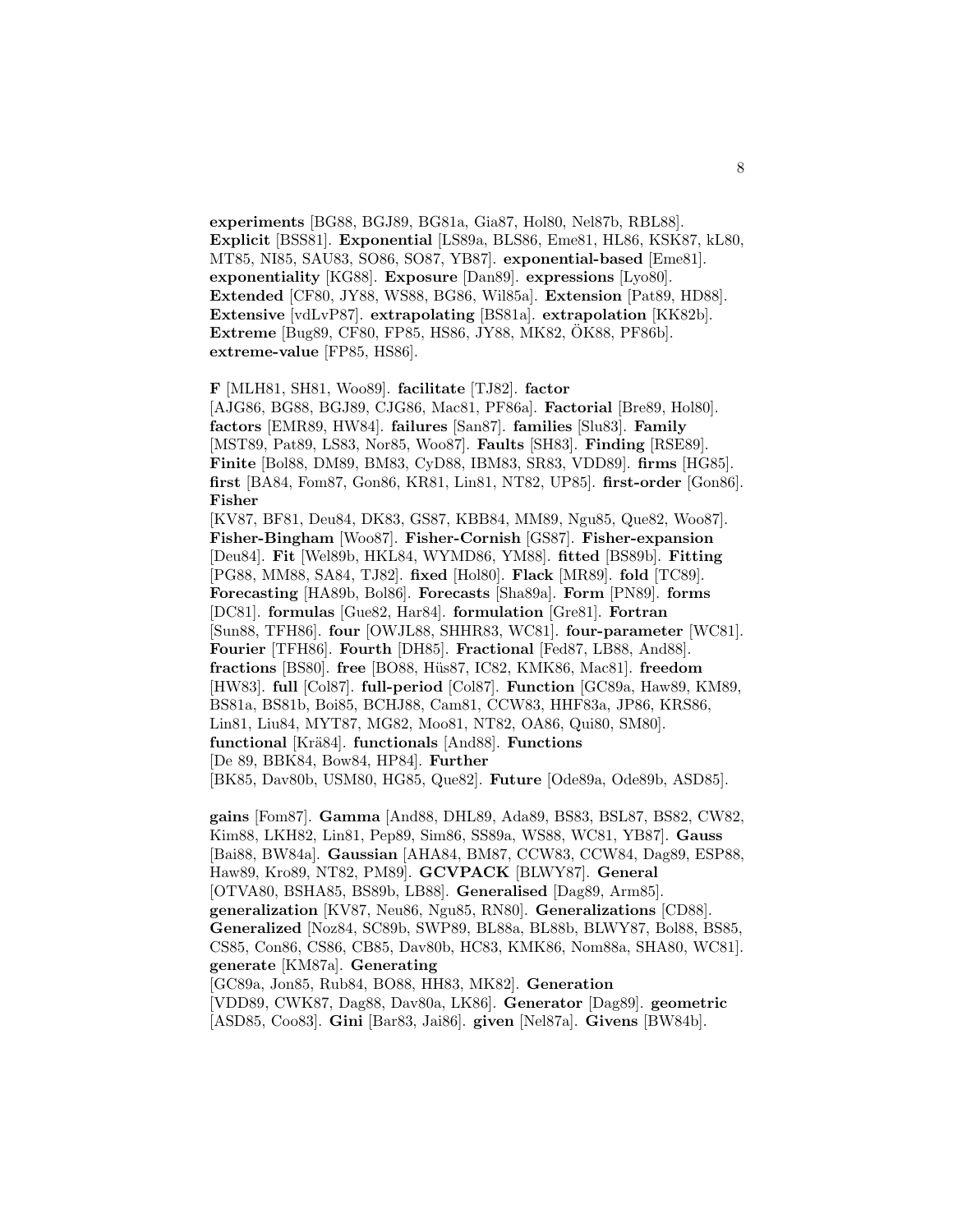**experiments** [BG88, BGJ89, BG81a, Gia87, Hol80, Nel87b, RBL88]. **Explicit** [BSS81]. **Exponential** [LS89a, BLS86, Eme81, HL86, KSK87, kL80, MT85, NI85, SAU83, SO86, SO87, YB87]. **exponential-based** [Eme81]. **exponentiality** [KG88]. **Exposure** [Dan89]. **expressions** [Lyo80]. **Extended** [CF80, JY88, WS88, BG86, Wil85a]. **Extension** [Pat89, HD88]. **Extensive** [vdLvP87]. **extrapolating** [BS81a]. **extrapolation** [KK82b]. **Extreme** [Bug89, CF80, FP85, HS86, JY88, MK82, OK88, PF86b]. ¨ **extreme-value** [FP85, HS86].

**F** [MLH81, SH81, Woo89]. **facilitate** [TJ82]. **factor**

[AJG86, BG88, BGJ89, CJG86, Mac81, PF86a]. **Factorial** [Bre89, Hol80]. **factors** [EMR89, HW84]. **failures** [San87]. **families** [Slu83]. **Family** [MST89, Pat89, LS83, Nor85, Woo87]. **Faults** [SH83]. **Finding** [RSE89]. **Finite** [Bol88, DM89, BM83, CyD88, IBM83, SR83, VDD89]. **firms** [HG85]. **first** [BA84, Fom87, Gon86, KR81, Lin81, NT82, UP85]. **first-order** [Gon86]. **Fisher**

[KV87, BF81, Deu84, DK83, GS87, KBB84, MM89, Ngu85, Que82, Woo87]. **Fisher-Bingham** [Woo87]. **Fisher-Cornish** [GS87]. **Fisher-expansion** [Deu84]. **Fit** [Wel89b, HKL84, WYMD86, YM88]. **fitted** [BS89b]. **Fitting** [PG88, MM88, SA84, TJ82]. **fixed** [Hol80]. **Flack** [MR89]. **fold** [TC89]. **Forecasting** [HA89b, Bol86]. **Forecasts** [Sha89a]. **Form** [PN89]. **forms** [DC81]. **formulas** [Gue82, Har84]. **formulation** [Gre81]. **Fortran** [Sun88, TFH86]. **four** [OWJL88, SHHR83, WC81]. **four-parameter** [WC81]. **Fourier** [TFH86]. **Fourth** [DH85]. **Fractional** [Fed87, LB88, And88]. **fractions** [BS80]. **free** [BO88, H¨us87, IC82, KMK86, Mac81]. **freedom** [HW83]. **full** [Col87]. **full-period** [Col87]. **Function** [GC89a, Haw89, KM89, BS81a, BS81b, Boi85, BCHJ88, Cam81, CCW83, HHF83a, JP86, KRS86, Lin81, Liu84, MYT87, MG82, Moo81, NT82, OA86, Qui80, SM80]. **functional** [Kr¨a84]. **functionals** [And88]. **Functions** [De 89, BBK84, Bow84, HP84]. **Further**

[BK85, Dav80b, USM80, HG85, Que82]. **Future** [Ode89a, Ode89b, ASD85].

**gains** [Fom87]. **Gamma** [And88, DHL89, Ada89, BS83, BSL87, BS82, CW82, Kim88, LKH82, Lin81, Pep89, Sim86, SS89a, WS88, WC81, YB87]. **Gauss** [Bai88, BW84a]. **Gaussian** [AHA84, BM87, CCW83, CCW84, Dag89, ESP88, Haw89, Kro89, NT82, PM89]. **GCVPACK** [BLWY87]. **General** [OTVA80, BSHA85, BS89b, LB88]. **Generalised** [Dag89, Arm85]. **generalization** [KV87, Neu86, Ngu85, RN80]. **Generalizations** [CD88]. **Generalized** [Noz84, SC89b, SWP89, BL88a, BL88b, BLWY87, Bol88, BS85, CS85, Con86, CS86, CB85, Dav80b, HC83, KMK86, Nom88a, SHA80, WC81]. **generate** [KM87a]. **Generating**

[GC89a, Jon85, Rub84, BO88, HH83, MK82]. **Generation** [VDD89, CWK87, Dag88, Dav80a, LK86]. **Generator** [Dag89]. **geometric** [ASD85, Coo83]. **Gini** [Bar83, Jai86]. **given** [Nel87a]. **Givens** [BW84b].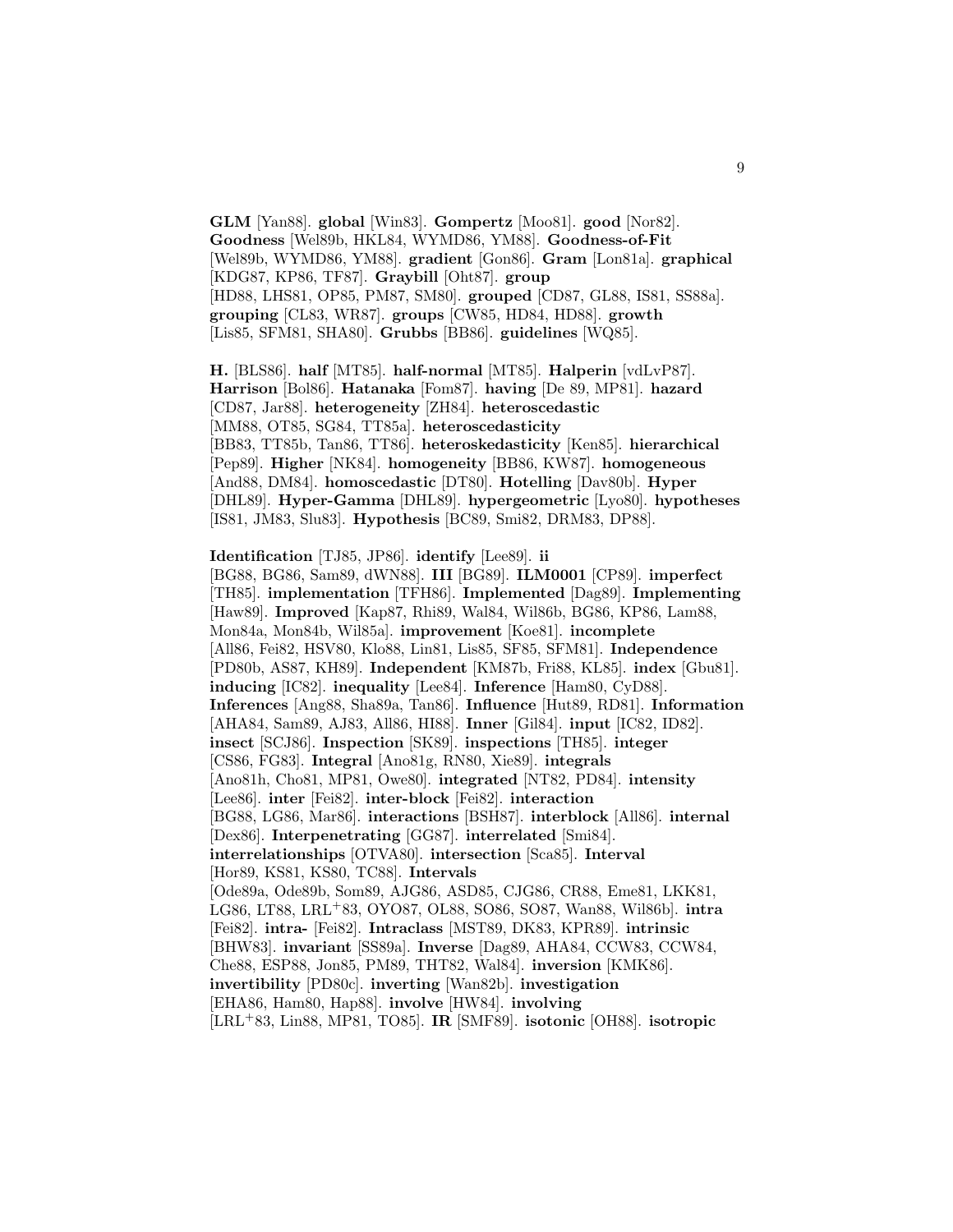**GLM** [Yan88]. **global** [Win83]. **Gompertz** [Moo81]. **good** [Nor82]. **Goodness** [Wel89b, HKL84, WYMD86, YM88]. **Goodness-of-Fit** [Wel89b, WYMD86, YM88]. **gradient** [Gon86]. **Gram** [Lon81a]. **graphical** [KDG87, KP86, TF87]. **Graybill** [Oht87]. **group** [HD88, LHS81, OP85, PM87, SM80]. **grouped** [CD87, GL88, IS81, SS88a]. **grouping** [CL83, WR87]. **groups** [CW85, HD84, HD88]. **growth** [Lis85, SFM81, SHA80]. **Grubbs** [BB86]. **guidelines** [WQ85].

**H.** [BLS86]. **half** [MT85]. **half-normal** [MT85]. **Halperin** [vdLvP87]. **Harrison** [Bol86]. **Hatanaka** [Fom87]. **having** [De 89, MP81]. **hazard** [CD87, Jar88]. **heterogeneity** [ZH84]. **heteroscedastic** [MM88, OT85, SG84, TT85a]. **heteroscedasticity** [BB83, TT85b, Tan86, TT86]. **heteroskedasticity** [Ken85]. **hierarchical** [Pep89]. **Higher** [NK84]. **homogeneity** [BB86, KW87]. **homogeneous** [And88, DM84]. **homoscedastic** [DT80]. **Hotelling** [Dav80b]. **Hyper** [DHL89]. **Hyper-Gamma** [DHL89]. **hypergeometric** [Lyo80]. **hypotheses** [IS81, JM83, Slu83]. **Hypothesis** [BC89, Smi82, DRM83, DP88].

#### **Identification** [TJ85, JP86]. **identify** [Lee89]. **ii**

[BG88, BG86, Sam89, dWN88]. **III** [BG89]. **ILM0001** [CP89]. **imperfect** [TH85]. **implementation** [TFH86]. **Implemented** [Dag89]. **Implementing** [Haw89]. **Improved** [Kap87, Rhi89, Wal84, Wil86b, BG86, KP86, Lam88, Mon84a, Mon84b, Wil85a]. **improvement** [Koe81]. **incomplete** [All86, Fei82, HSV80, Klo88, Lin81, Lis85, SF85, SFM81]. **Independence** [PD80b, AS87, KH89]. **Independent** [KM87b, Fri88, KL85]. **index** [Gbu81]. **inducing** [IC82]. **inequality** [Lee84]. **Inference** [Ham80, CyD88]. **Inferences** [Ang88, Sha89a, Tan86]. **Influence** [Hut89, RD81]. **Information** [AHA84, Sam89, AJ83, All86, HI88]. **Inner** [Gil84]. **input** [IC82, ID82]. **insect** [SCJ86]. **Inspection** [SK89]. **inspections** [TH85]. **integer** [CS86, FG83]. **Integral** [Ano81g, RN80, Xie89]. **integrals** [Ano81h, Cho81, MP81, Owe80]. **integrated** [NT82, PD84]. **intensity** [Lee86]. **inter** [Fei82]. **inter-block** [Fei82]. **interaction** [BG88, LG86, Mar86]. **interactions** [BSH87]. **interblock** [All86]. **internal** [Dex86]. **Interpenetrating** [GG87]. **interrelated** [Smi84]. **interrelationships** [OTVA80]. **intersection** [Sca85]. **Interval** [Hor89, KS81, KS80, TC88]. **Intervals** [Ode89a, Ode89b, Som89, AJG86, ASD85, CJG86, CR88, Eme81, LKK81, LG86, LT88, LRL<sup>+</sup>83, OYO87, OL88, SO86, SO87, Wan88, Wil86b]. **intra** [Fei82]. **intra-** [Fei82]. **Intraclass** [MST89, DK83, KPR89]. **intrinsic** [BHW83]. **invariant** [SS89a]. **Inverse** [Dag89, AHA84, CCW83, CCW84, Che88, ESP88, Jon85, PM89, THT82, Wal84]. **inversion** [KMK86]. **invertibility** [PD80c]. **inverting** [Wan82b]. **investigation** [EHA86, Ham80, Hap88]. **involve** [HW84]. **involving** [LRL<sup>+</sup>83, Lin88, MP81, TO85]. **IR** [SMF89]. **isotonic** [OH88]. **isotropic**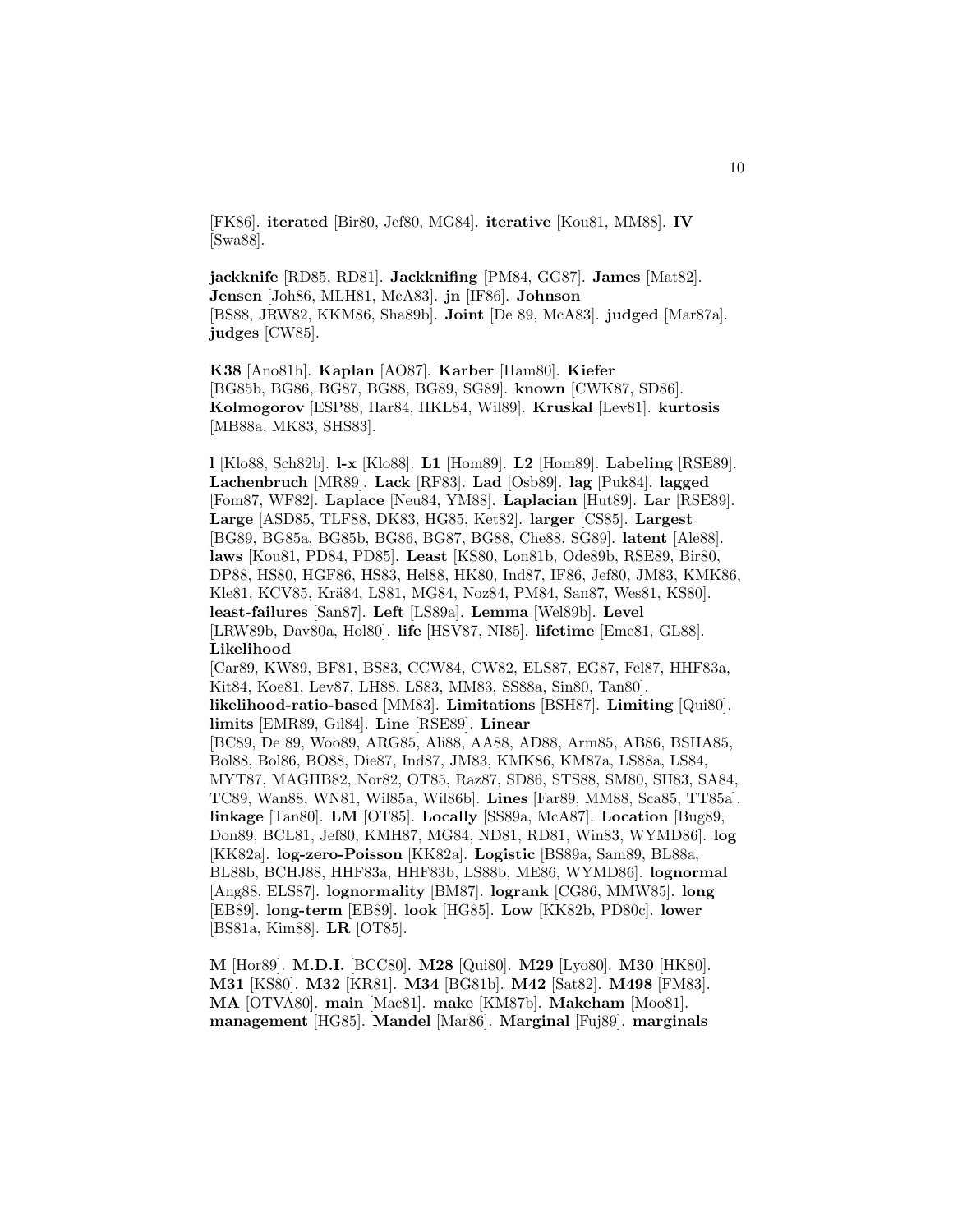[FK86]. **iterated** [Bir80, Jef80, MG84]. **iterative** [Kou81, MM88]. **IV** [Swa88].

**jackknife** [RD85, RD81]. **Jackknifing** [PM84, GG87]. **James** [Mat82]. **Jensen** [Joh86, MLH81, McA83]. **jn** [IF86]. **Johnson** [BS88, JRW82, KKM86, Sha89b]. **Joint** [De 89, McA83]. **judged** [Mar87a]. **judges** [CW85].

**K38** [Ano81h]. **Kaplan** [AO87]. **Karber** [Ham80]. **Kiefer** [BG85b, BG86, BG87, BG88, BG89, SG89]. **known** [CWK87, SD86]. **Kolmogorov** [ESP88, Har84, HKL84, Wil89]. **Kruskal** [Lev81]. **kurtosis** [MB88a, MK83, SHS83].

**l** [Klo88, Sch82b]. **l-x** [Klo88]. **L1** [Hom89]. **L2** [Hom89]. **Labeling** [RSE89]. **Lachenbruch** [MR89]. **Lack** [RF83]. **Lad** [Osb89]. **lag** [Puk84]. **lagged** [Fom87, WF82]. **Laplace** [Neu84, YM88]. **Laplacian** [Hut89]. **Lar** [RSE89]. **Large** [ASD85, TLF88, DK83, HG85, Ket82]. **larger** [CS85]. **Largest** [BG89, BG85a, BG85b, BG86, BG87, BG88, Che88, SG89]. **latent** [Ale88]. **laws** [Kou81, PD84, PD85]. **Least** [KS80, Lon81b, Ode89b, RSE89, Bir80, DP88, HS80, HGF86, HS83, Hel88, HK80, Ind87, IF86, Jef80, JM83, KMK86, Kle81, KCV85, Krä84, LS81, MG84, Noz84, PM84, San87, Wes81, KS80]. **least-failures** [San87]. **Left** [LS89a]. **Lemma** [Wel89b]. **Level** [LRW89b, Dav80a, Hol80]. **life** [HSV87, NI85]. **lifetime** [Eme81, GL88]. **Likelihood** [Car89, KW89, BF81, BS83, CCW84, CW82, ELS87, EG87, Fel87, HHF83a, Kit84, Koe81, Lev87, LH88, LS83, MM83, SS88a, Sin80, Tan80]. **likelihood-ratio-based** [MM83]. **Limitations** [BSH87]. **Limiting** [Qui80]. **limits** [EMR89, Gil84]. **Line** [RSE89]. **Linear** [BC89, De 89, Woo89, ARG85, Ali88, AA88, AD88, Arm85, AB86, BSHA85, Bol88, Bol86, BO88, Die87, Ind87, JM83, KMK86, KM87a, LS88a, LS84, MYT87, MAGHB82, Nor82, OT85, Raz87, SD86, STS88, SM80, SH83, SA84, TC89, Wan88, WN81, Wil85a, Wil86b]. **Lines** [Far89, MM88, Sca85, TT85a]. **linkage** [Tan80]. **LM** [OT85]. **Locally** [SS89a, McA87]. **Location** [Bug89, Don89, BCL81, Jef80, KMH87, MG84, ND81, RD81, Win83, WYMD86]. **log** [KK82a]. **log-zero-Poisson** [KK82a]. **Logistic** [BS89a, Sam89, BL88a, BL88b, BCHJ88, HHF83a, HHF83b, LS88b, ME86, WYMD86]. **lognormal** [Ang88, ELS87]. **lognormality** [BM87]. **logrank** [CG86, MMW85]. **long** [EB89]. **long-term** [EB89]. **look** [HG85]. **Low** [KK82b, PD80c]. **lower** [BS81a, Kim88]. **LR** [OT85].

**M** [Hor89]. **M.D.I.** [BCC80]. **M28** [Qui80]. **M29** [Lyo80]. **M30** [HK80]. **M31** [KS80]. **M32** [KR81]. **M34** [BG81b]. **M42** [Sat82]. **M498** [FM83]. **MA** [OTVA80]. **main** [Mac81]. **make** [KM87b]. **Makeham** [Moo81]. **management** [HG85]. **Mandel** [Mar86]. **Marginal** [Fuj89]. **marginals**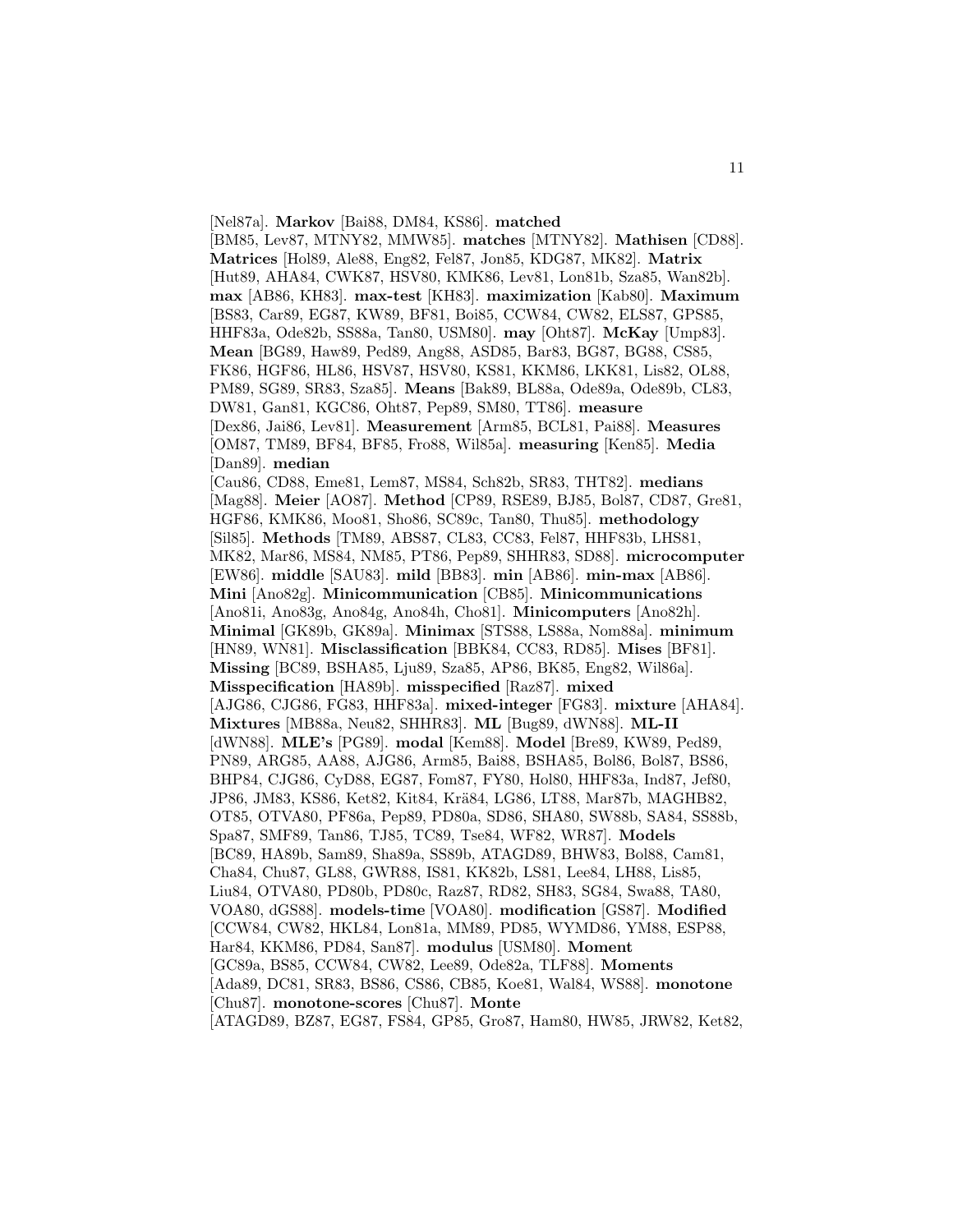[Nel87a]. **Markov** [Bai88, DM84, KS86]. **matched** [BM85, Lev87, MTNY82, MMW85]. **matches** [MTNY82]. **Mathisen** [CD88]. **Matrices** [Hol89, Ale88, Eng82, Fel87, Jon85, KDG87, MK82]. **Matrix** [Hut89, AHA84, CWK87, HSV80, KMK86, Lev81, Lon81b, Sza85, Wan82b]. **max** [AB86, KH83]. **max-test** [KH83]. **maximization** [Kab80]. **Maximum** [BS83, Car89, EG87, KW89, BF81, Boi85, CCW84, CW82, ELS87, GPS85, HHF83a, Ode82b, SS88a, Tan80, USM80]. **may** [Oht87]. **McKay** [Ump83]. **Mean** [BG89, Haw89, Ped89, Ang88, ASD85, Bar83, BG87, BG88, CS85, FK86, HGF86, HL86, HSV87, HSV80, KS81, KKM86, LKK81, Lis82, OL88, PM89, SG89, SR83, Sza85]. **Means** [Bak89, BL88a, Ode89a, Ode89b, CL83, DW81, Gan81, KGC86, Oht87, Pep89, SM80, TT86]. **measure** [Dex86, Jai86, Lev81]. **Measurement** [Arm85, BCL81, Pai88]. **Measures** [OM87, TM89, BF84, BF85, Fro88, Wil85a]. **measuring** [Ken85]. **Media** [Dan89]. **median** [Cau86, CD88, Eme81, Lem87, MS84, Sch82b, SR83, THT82]. **medians** [Mag88]. **Meier** [AO87]. **Method** [CP89, RSE89, BJ85, Bol87, CD87, Gre81, HGF86, KMK86, Moo81, Sho86, SC89c, Tan80, Thu85]. **methodology** [Sil85]. **Methods** [TM89, ABS87, CL83, CC83, Fel87, HHF83b, LHS81, MK82, Mar86, MS84, NM85, PT86, Pep89, SHHR83, SD88]. **microcomputer** [EW86]. **middle** [SAU83]. **mild** [BB83]. **min** [AB86]. **min-max** [AB86]. **Mini** [Ano82g]. **Minicommunication** [CB85]. **Minicommunications** [Ano81i, Ano83g, Ano84g, Ano84h, Cho81]. **Minicomputers** [Ano82h]. **Minimal** [GK89b, GK89a]. **Minimax** [STS88, LS88a, Nom88a]. **minimum** [HN89, WN81]. **Misclassification** [BBK84, CC83, RD85]. **Mises** [BF81]. **Missing** [BC89, BSHA85, Lju89, Sza85, AP86, BK85, Eng82, Wil86a]. **Misspecification** [HA89b]. **misspecified** [Raz87]. **mixed** [AJG86, CJG86, FG83, HHF83a]. **mixed-integer** [FG83]. **mixture** [AHA84]. **Mixtures** [MB88a, Neu82, SHHR83]. **ML** [Bug89, dWN88]. **ML-II** [dWN88]. **MLE's** [PG89]. **modal** [Kem88]. **Model** [Bre89, KW89, Ped89, PN89, ARG85, AA88, AJG86, Arm85, Bai88, BSHA85, Bol86, Bol87, BS86, BHP84, CJG86, CyD88, EG87, Fom87, FY80, Hol80, HHF83a, Ind87, Jef80, JP86, JM83, KS86, Ket82, Kit84, Krä84, LG86, LT88, Mar87b, MAGHB82, OT85, OTVA80, PF86a, Pep89, PD80a, SD86, SHA80, SW88b, SA84, SS88b, Spa87, SMF89, Tan86, TJ85, TC89, Tse84, WF82, WR87]. **Models** [BC89, HA89b, Sam89, Sha89a, SS89b, ATAGD89, BHW83, Bol88, Cam81, Cha84, Chu87, GL88, GWR88, IS81, KK82b, LS81, Lee84, LH88, Lis85, Liu84, OTVA80, PD80b, PD80c, Raz87, RD82, SH83, SG84, Swa88, TA80, VOA80, dGS88]. **models-time** [VOA80]. **modification** [GS87]. **Modified** [CCW84, CW82, HKL84, Lon81a, MM89, PD85, WYMD86, YM88, ESP88, Har84, KKM86, PD84, San87]. **modulus** [USM80]. **Moment** [GC89a, BS85, CCW84, CW82, Lee89, Ode82a, TLF88]. **Moments** [Ada89, DC81, SR83, BS86, CS86, CB85, Koe81, Wal84, WS88]. **monotone** [Chu87]. **monotone-scores** [Chu87]. **Monte** [ATAGD89, BZ87, EG87, FS84, GP85, Gro87, Ham80, HW85, JRW82, Ket82,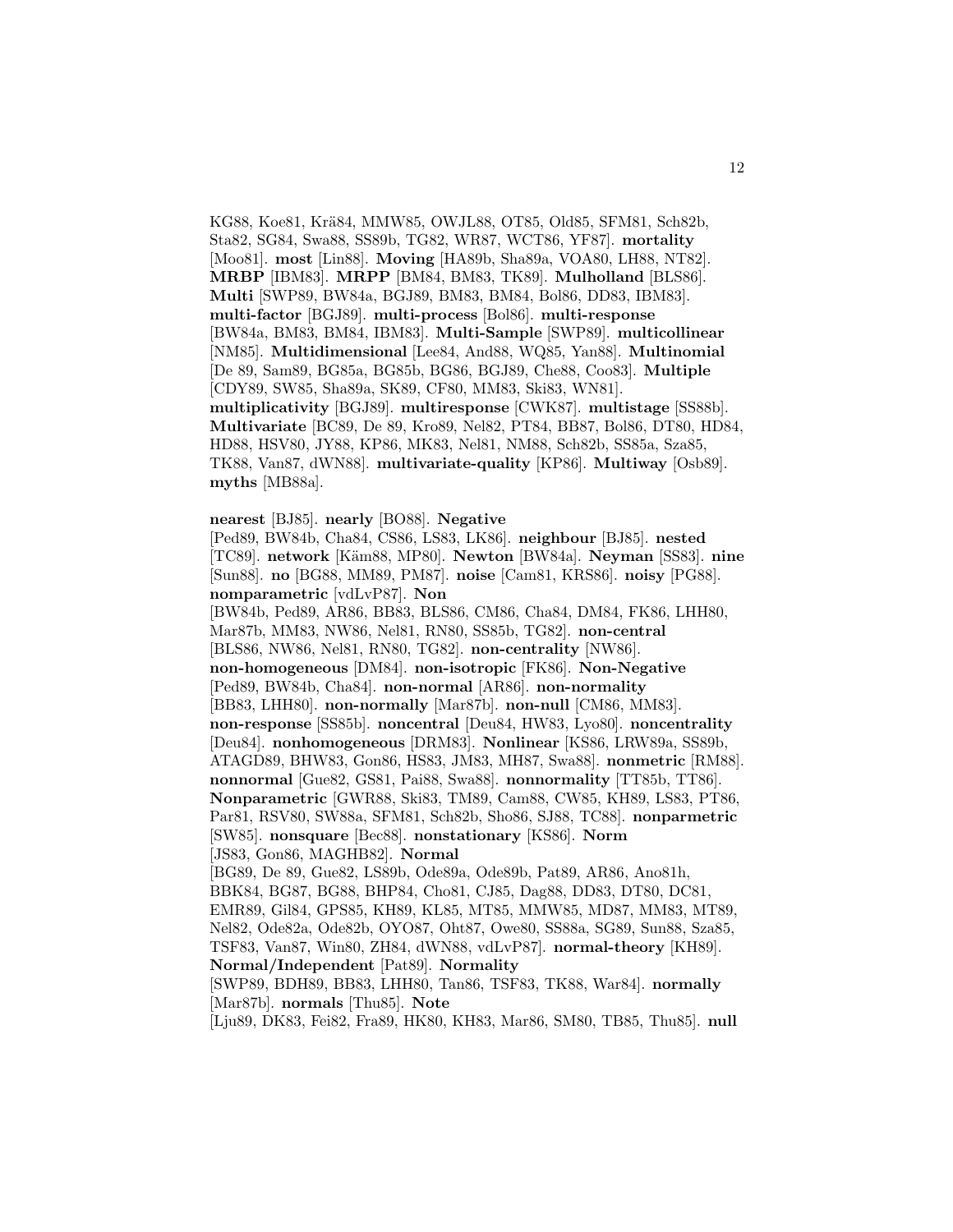KG88, Koe81, Krä84, MMW85, OWJL88, OT85, Old85, SFM81, Sch82b, Sta82, SG84, Swa88, SS89b, TG82, WR87, WCT86, YF87]. **mortality** [Moo81]. **most** [Lin88]. **Moving** [HA89b, Sha89a, VOA80, LH88, NT82]. **MRBP** [IBM83]. **MRPP** [BM84, BM83, TK89]. **Mulholland** [BLS86]. **Multi** [SWP89, BW84a, BGJ89, BM83, BM84, Bol86, DD83, IBM83]. **multi-factor** [BGJ89]. **multi-process** [Bol86]. **multi-response** [BW84a, BM83, BM84, IBM83]. **Multi-Sample** [SWP89]. **multicollinear** [NM85]. **Multidimensional** [Lee84, And88, WQ85, Yan88]. **Multinomial** [De 89, Sam89, BG85a, BG85b, BG86, BGJ89, Che88, Coo83]. **Multiple** [CDY89, SW85, Sha89a, SK89, CF80, MM83, Ski83, WN81]. **multiplicativity** [BGJ89]. **multiresponse** [CWK87]. **multistage** [SS88b]. **Multivariate** [BC89, De 89, Kro89, Nel82, PT84, BB87, Bol86, DT80, HD84, HD88, HSV80, JY88, KP86, MK83, Nel81, NM88, Sch82b, SS85a, Sza85, TK88, Van87, dWN88]. **multivariate-quality** [KP86]. **Multiway** [Osb89]. **myths** [MB88a].

**nearest** [BJ85]. **nearly** [BO88]. **Negative**

[Ped89, BW84b, Cha84, CS86, LS83, LK86]. **neighbour** [BJ85]. **nested** [TC89]. **network** [K¨am88, MP80]. **Newton** [BW84a]. **Neyman** [SS83]. **nine** [Sun88]. **no** [BG88, MM89, PM87]. **noise** [Cam81, KRS86]. **noisy** [PG88]. **nomparametric** [vdLvP87]. **Non**

[BW84b, Ped89, AR86, BB83, BLS86, CM86, Cha84, DM84, FK86, LHH80, Mar87b, MM83, NW86, Nel81, RN80, SS85b, TG82]. **non-central** [BLS86, NW86, Nel81, RN80, TG82]. **non-centrality** [NW86]. **non-homogeneous** [DM84]. **non-isotropic** [FK86]. **Non-Negative** [Ped89, BW84b, Cha84]. **non-normal** [AR86]. **non-normality** [BB83, LHH80]. **non-normally** [Mar87b]. **non-null** [CM86, MM83]. **non-response** [SS85b]. **noncentral** [Deu84, HW83, Lyo80]. **noncentrality** [Deu84]. **nonhomogeneous** [DRM83]. **Nonlinear** [KS86, LRW89a, SS89b, ATAGD89, BHW83, Gon86, HS83, JM83, MH87, Swa88]. **nonmetric** [RM88]. **nonnormal** [Gue82, GS81, Pai88, Swa88]. **nonnormality** [TT85b, TT86]. **Nonparametric** [GWR88, Ski83, TM89, Cam88, CW85, KH89, LS83, PT86, Par81, RSV80, SW88a, SFM81, Sch82b, Sho86, SJ88, TC88]. **nonparmetric** [SW85]. **nonsquare** [Bec88]. **nonstationary** [KS86]. **Norm** [JS83, Gon86, MAGHB82]. **Normal** [BG89, De 89, Gue82, LS89b, Ode89a, Ode89b, Pat89, AR86, Ano81h, BBK84, BG87, BG88, BHP84, Cho81, CJ85, Dag88, DD83, DT80, DC81, EMR89, Gil84, GPS85, KH89, KL85, MT85, MMW85, MD87, MM83, MT89, Nel82, Ode82a, Ode82b, OYO87, Oht87, Owe80, SS88a, SG89, Sun88, Sza85, TSF83, Van87, Win80, ZH84, dWN88, vdLvP87]. **normal-theory** [KH89]. **Normal/Independent** [Pat89]. **Normality**

[SWP89, BDH89, BB83, LHH80, Tan86, TSF83, TK88, War84]. **normally** [Mar87b]. **normals** [Thu85]. **Note**

[Lju89, DK83, Fei82, Fra89, HK80, KH83, Mar86, SM80, TB85, Thu85]. **null**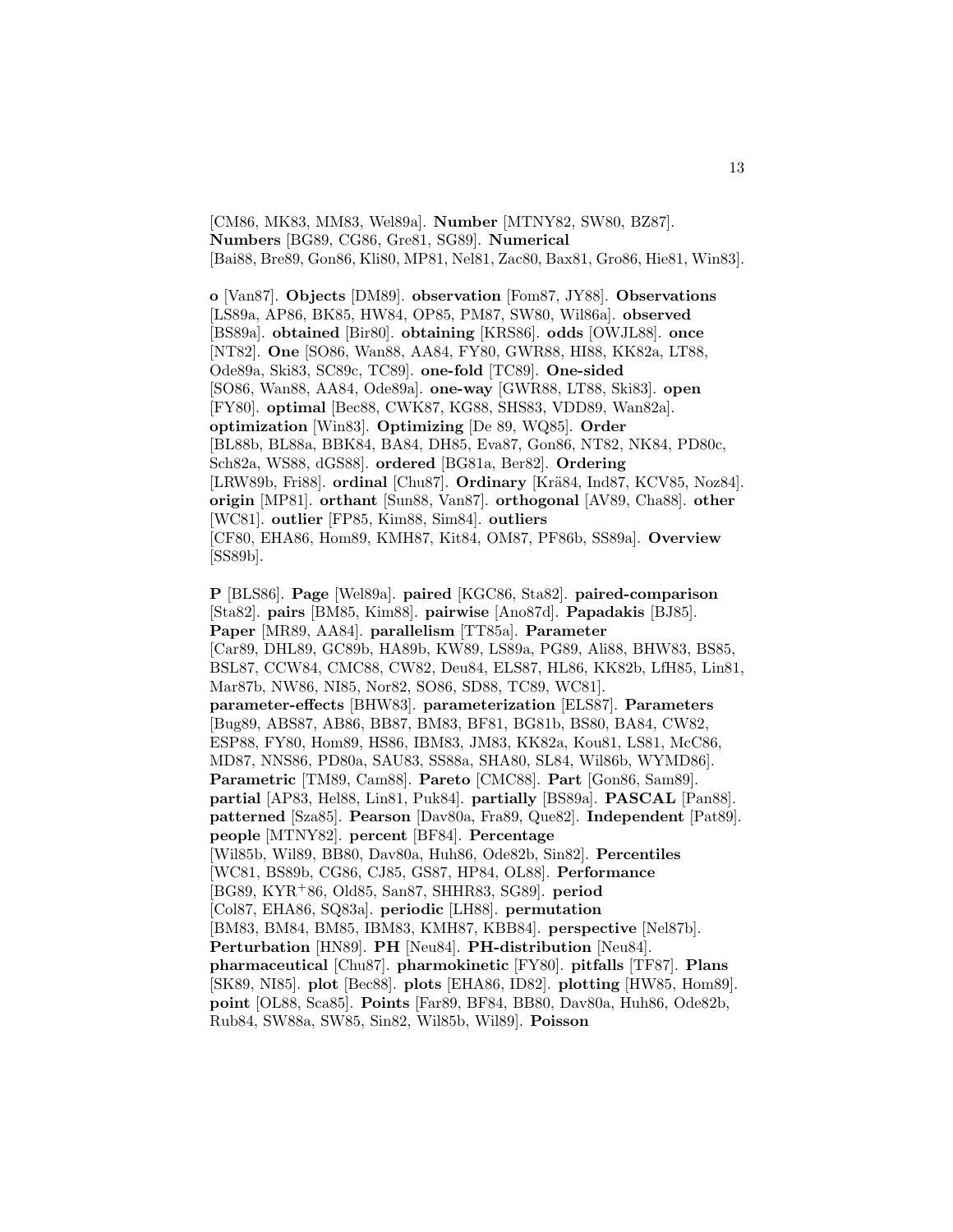[CM86, MK83, MM83, Wel89a]. **Number** [MTNY82, SW80, BZ87]. **Numbers** [BG89, CG86, Gre81, SG89]. **Numerical** [Bai88, Bre89, Gon86, Kli80, MP81, Nel81, Zac80, Bax81, Gro86, Hie81, Win83].

**o** [Van87]. **Objects** [DM89]. **observation** [Fom87, JY88]. **Observations** [LS89a, AP86, BK85, HW84, OP85, PM87, SW80, Wil86a]. **observed** [BS89a]. **obtained** [Bir80]. **obtaining** [KRS86]. **odds** [OWJL88]. **once** [NT82]. **One** [SO86, Wan88, AA84, FY80, GWR88, HI88, KK82a, LT88, Ode89a, Ski83, SC89c, TC89]. **one-fold** [TC89]. **One-sided** [SO86, Wan88, AA84, Ode89a]. **one-way** [GWR88, LT88, Ski83]. **open** [FY80]. **optimal** [Bec88, CWK87, KG88, SHS83, VDD89, Wan82a]. **optimization** [Win83]. **Optimizing** [De 89, WQ85]. **Order** [BL88b, BL88a, BBK84, BA84, DH85, Eva87, Gon86, NT82, NK84, PD80c, Sch82a, WS88, dGS88]. **ordered** [BG81a, Ber82]. **Ordering** [LRW89b, Fri88]. **ordinal** [Chu87]. **Ordinary** [Krä84, Ind87, KCV85, Noz84]. **origin** [MP81]. **orthant** [Sun88, Van87]. **orthogonal** [AV89, Cha88]. **other** [WC81]. **outlier** [FP85, Kim88, Sim84]. **outliers** [CF80, EHA86, Hom89, KMH87, Kit84, OM87, PF86b, SS89a]. **Overview** [SS89b].

**P** [BLS86]. **Page** [Wel89a]. **paired** [KGC86, Sta82]. **paired-comparison** [Sta82]. **pairs** [BM85, Kim88]. **pairwise** [Ano87d]. **Papadakis** [BJ85]. **Paper** [MR89, AA84]. **parallelism** [TT85a]. **Parameter** [Car89, DHL89, GC89b, HA89b, KW89, LS89a, PG89, Ali88, BHW83, BS85, BSL87, CCW84, CMC88, CW82, Deu84, ELS87, HL86, KK82b, LfH85, Lin81, Mar87b, NW86, NI85, Nor82, SO86, SD88, TC89, WC81]. **parameter-effects** [BHW83]. **parameterization** [ELS87]. **Parameters** [Bug89, ABS87, AB86, BB87, BM83, BF81, BG81b, BS80, BA84, CW82, ESP88, FY80, Hom89, HS86, IBM83, JM83, KK82a, Kou81, LS81, McC86, MD87, NNS86, PD80a, SAU83, SS88a, SHA80, SL84, Wil86b, WYMD86]. **Parametric** [TM89, Cam88]. **Pareto** [CMC88]. **Part** [Gon86, Sam89]. **partial** [AP83, Hel88, Lin81, Puk84]. **partially** [BS89a]. **PASCAL** [Pan88]. **patterned** [Sza85]. **Pearson** [Dav80a, Fra89, Que82]. **Independent** [Pat89]. **people** [MTNY82]. **percent** [BF84]. **Percentage** [Wil85b, Wil89, BB80, Dav80a, Huh86, Ode82b, Sin82]. **Percentiles** [WC81, BS89b, CG86, CJ85, GS87, HP84, OL88]. **Performance** [BG89, KYR<sup>+</sup>86, Old85, San87, SHHR83, SG89]. **period** [Col87, EHA86, SQ83a]. **periodic** [LH88]. **permutation** [BM83, BM84, BM85, IBM83, KMH87, KBB84]. **perspective** [Nel87b]. **Perturbation** [HN89]. **PH** [Neu84]. **PH-distribution** [Neu84]. **pharmaceutical** [Chu87]. **pharmokinetic** [FY80]. **pitfalls** [TF87]. **Plans** [SK89, NI85]. **plot** [Bec88]. **plots** [EHA86, ID82]. **plotting** [HW85, Hom89]. **point** [OL88, Sca85]. **Points** [Far89, BF84, BB80, Dav80a, Huh86, Ode82b, Rub84, SW88a, SW85, Sin82, Wil85b, Wil89]. **Poisson**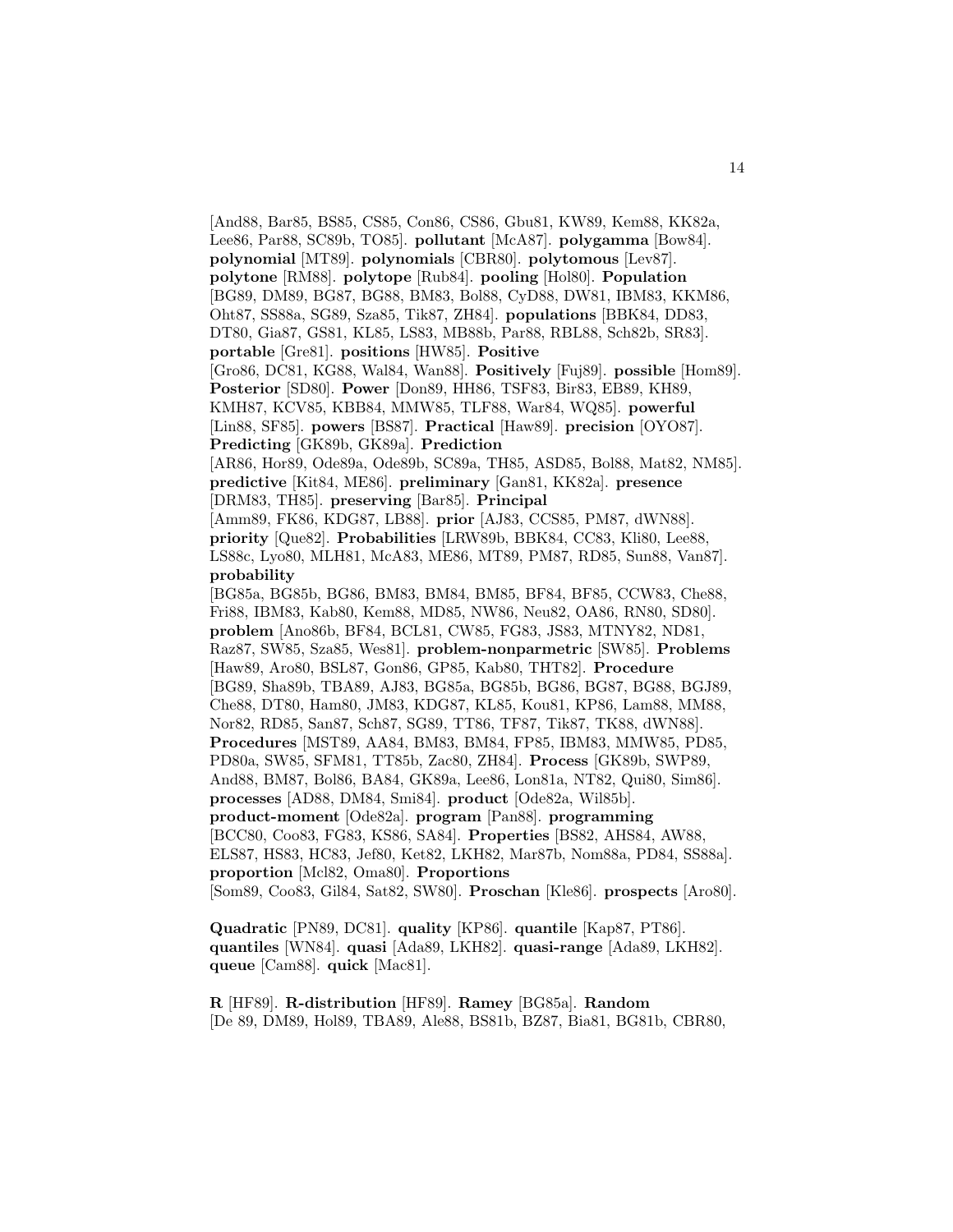[And88, Bar85, BS85, CS85, Con86, CS86, Gbu81, KW89, Kem88, KK82a, Lee86, Par88, SC89b, TO85]. **pollutant** [McA87]. **polygamma** [Bow84]. **polynomial** [MT89]. **polynomials** [CBR80]. **polytomous** [Lev87]. **polytone** [RM88]. **polytope** [Rub84]. **pooling** [Hol80]. **Population** [BG89, DM89, BG87, BG88, BM83, Bol88, CyD88, DW81, IBM83, KKM86, Oht87, SS88a, SG89, Sza85, Tik87, ZH84]. **populations** [BBK84, DD83, DT80, Gia87, GS81, KL85, LS83, MB88b, Par88, RBL88, Sch82b, SR83]. **portable** [Gre81]. **positions** [HW85]. **Positive** [Gro86, DC81, KG88, Wal84, Wan88]. **Positively** [Fuj89]. **possible** [Hom89]. **Posterior** [SD80]. **Power** [Don89, HH86, TSF83, Bir83, EB89, KH89, KMH87, KCV85, KBB84, MMW85, TLF88, War84, WQ85]. **powerful** [Lin88, SF85]. **powers** [BS87]. **Practical** [Haw89]. **precision** [OYO87]. **Predicting** [GK89b, GK89a]. **Prediction** [AR86, Hor89, Ode89a, Ode89b, SC89a, TH85, ASD85, Bol88, Mat82, NM85]. **predictive** [Kit84, ME86]. **preliminary** [Gan81, KK82a]. **presence** [DRM83, TH85]. **preserving** [Bar85]. **Principal** [Amm89, FK86, KDG87, LB88]. **prior** [AJ83, CCS85, PM87, dWN88]. **priority** [Que82]. **Probabilities** [LRW89b, BBK84, CC83, Kli80, Lee88, LS88c, Lyo80, MLH81, McA83, ME86, MT89, PM87, RD85, Sun88, Van87]. **probability** [BG85a, BG85b, BG86, BM83, BM84, BM85, BF84, BF85, CCW83, Che88, Fri88, IBM83, Kab80, Kem88, MD85, NW86, Neu82, OA86, RN80, SD80]. **problem** [Ano86b, BF84, BCL81, CW85, FG83, JS83, MTNY82, ND81, Raz87, SW85, Sza85, Wes81]. **problem-nonparmetric** [SW85]. **Problems** [Haw89, Aro80, BSL87, Gon86, GP85, Kab80, THT82]. **Procedure** [BG89, Sha89b, TBA89, AJ83, BG85a, BG85b, BG86, BG87, BG88, BGJ89, Che88, DT80, Ham80, JM83, KDG87, KL85, Kou81, KP86, Lam88, MM88, Nor82, RD85, San87, Sch87, SG89, TT86, TF87, Tik87, TK88, dWN88]. **Procedures** [MST89, AA84, BM83, BM84, FP85, IBM83, MMW85, PD85, PD80a, SW85, SFM81, TT85b, Zac80, ZH84]. **Process** [GK89b, SWP89, And88, BM87, Bol86, BA84, GK89a, Lee86, Lon81a, NT82, Qui80, Sim86]. **processes** [AD88, DM84, Smi84]. **product** [Ode82a, Wil85b]. **product-moment** [Ode82a]. **program** [Pan88]. **programming** [BCC80, Coo83, FG83, KS86, SA84]. **Properties** [BS82, AHS84, AW88, ELS87, HS83, HC83, Jef80, Ket82, LKH82, Mar87b, Nom88a, PD84, SS88a]. **proportion** [Mcl82, Oma80]. **Proportions** [Som89, Coo83, Gil84, Sat82, SW80]. **Proschan** [Kle86]. **prospects** [Aro80].

**Quadratic** [PN89, DC81]. **quality** [KP86]. **quantile** [Kap87, PT86]. **quantiles** [WN84]. **quasi** [Ada89, LKH82]. **quasi-range** [Ada89, LKH82]. **queue** [Cam88]. **quick** [Mac81].

**R** [HF89]. **R-distribution** [HF89]. **Ramey** [BG85a]. **Random** [De 89, DM89, Hol89, TBA89, Ale88, BS81b, BZ87, Bia81, BG81b, CBR80,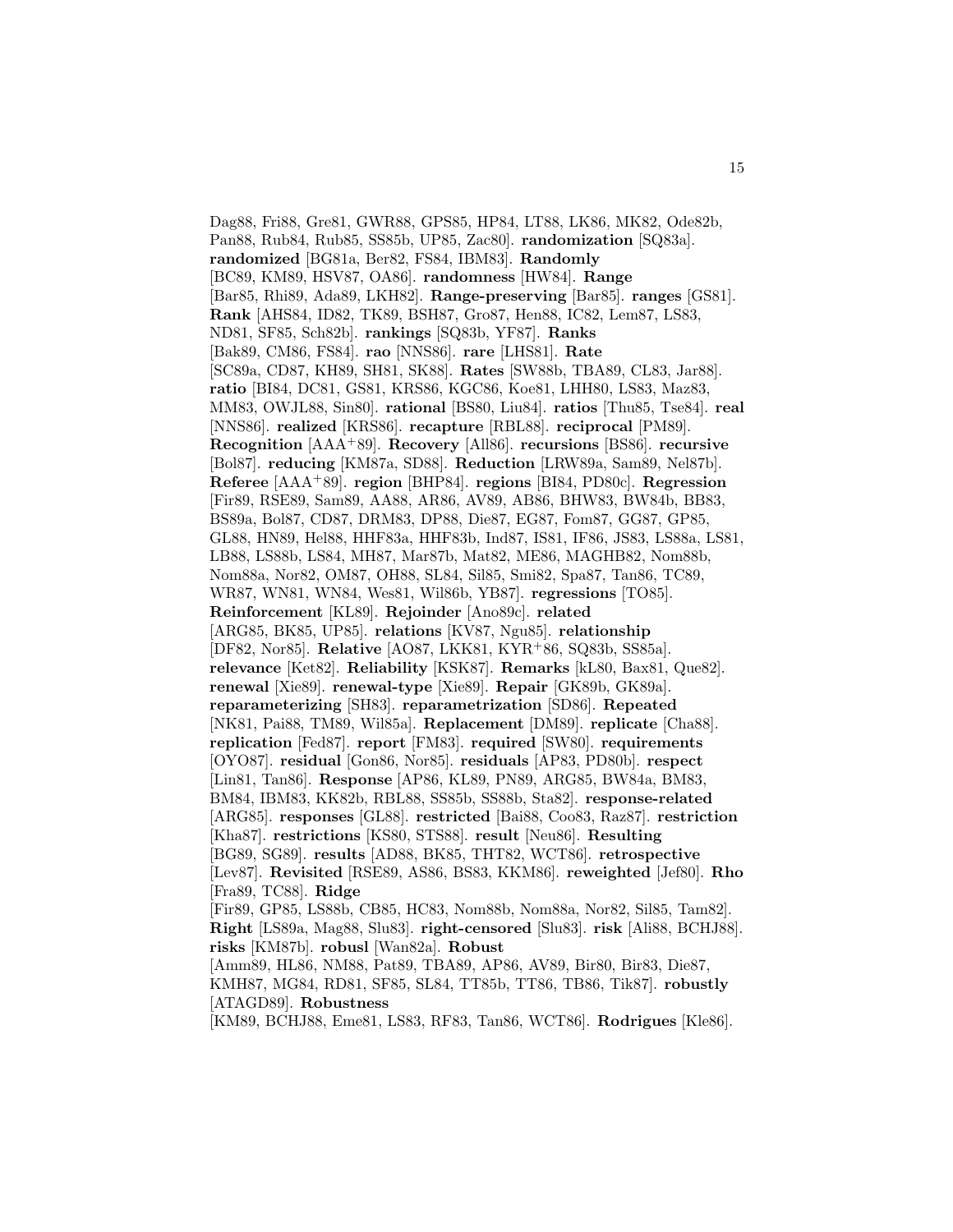Dag88, Fri88, Gre81, GWR88, GPS85, HP84, LT88, LK86, MK82, Ode82b, Pan88, Rub84, Rub85, SS85b, UP85, Zac80]. **randomization** [SQ83a]. **randomized** [BG81a, Ber82, FS84, IBM83]. **Randomly** [BC89, KM89, HSV87, OA86]. **randomness** [HW84]. **Range** [Bar85, Rhi89, Ada89, LKH82]. **Range-preserving** [Bar85]. **ranges** [GS81]. **Rank** [AHS84, ID82, TK89, BSH87, Gro87, Hen88, IC82, Lem87, LS83, ND81, SF85, Sch82b]. **rankings** [SQ83b, YF87]. **Ranks** [Bak89, CM86, FS84]. **rao** [NNS86]. **rare** [LHS81]. **Rate** [SC89a, CD87, KH89, SH81, SK88]. **Rates** [SW88b, TBA89, CL83, Jar88]. **ratio** [BI84, DC81, GS81, KRS86, KGC86, Koe81, LHH80, LS83, Maz83, MM83, OWJL88, Sin80]. **rational** [BS80, Liu84]. **ratios** [Thu85, Tse84]. **real** [NNS86]. **realized** [KRS86]. **recapture** [RBL88]. **reciprocal** [PM89]. **Recognition** [AAA<sup>+</sup>89]. **Recovery** [All86]. **recursions** [BS86]. **recursive** [Bol87]. **reducing** [KM87a, SD88]. **Reduction** [LRW89a, Sam89, Nel87b]. **Referee** [AAA<sup>+</sup>89]. **region** [BHP84]. **regions** [BI84, PD80c]. **Regression** [Fir89, RSE89, Sam89, AA88, AR86, AV89, AB86, BHW83, BW84b, BB83, BS89a, Bol87, CD87, DRM83, DP88, Die87, EG87, Fom87, GG87, GP85, GL88, HN89, Hel88, HHF83a, HHF83b, Ind87, IS81, IF86, JS83, LS88a, LS81, LB88, LS88b, LS84, MH87, Mar87b, Mat82, ME86, MAGHB82, Nom88b, Nom88a, Nor82, OM87, OH88, SL84, Sil85, Smi82, Spa87, Tan86, TC89, WR87, WN81, WN84, Wes81, Wil86b, YB87]. **regressions** [TO85]. **Reinforcement** [KL89]. **Rejoinder** [Ano89c]. **related** [ARG85, BK85, UP85]. **relations** [KV87, Ngu85]. **relationship** [DF82, Nor85]. **Relative** [AO87, LKK81, KYR<sup>+</sup>86, SQ83b, SS85a]. **relevance** [Ket82]. **Reliability** [KSK87]. **Remarks** [kL80, Bax81, Que82]. **renewal** [Xie89]. **renewal-type** [Xie89]. **Repair** [GK89b, GK89a]. **reparameterizing** [SH83]. **reparametrization** [SD86]. **Repeated** [NK81, Pai88, TM89, Wil85a]. **Replacement** [DM89]. **replicate** [Cha88]. **replication** [Fed87]. **report** [FM83]. **required** [SW80]. **requirements** [OYO87]. **residual** [Gon86, Nor85]. **residuals** [AP83, PD80b]. **respect** [Lin81, Tan86]. **Response** [AP86, KL89, PN89, ARG85, BW84a, BM83, BM84, IBM83, KK82b, RBL88, SS85b, SS88b, Sta82]. **response-related** [ARG85]. **responses** [GL88]. **restricted** [Bai88, Coo83, Raz87]. **restriction** [Kha87]. **restrictions** [KS80, STS88]. **result** [Neu86]. **Resulting** [BG89, SG89]. **results** [AD88, BK85, THT82, WCT86]. **retrospective** [Lev87]. **Revisited** [RSE89, AS86, BS83, KKM86]. **reweighted** [Jef80]. **Rho** [Fra89, TC88]. **Ridge** [Fir89, GP85, LS88b, CB85, HC83, Nom88b, Nom88a, Nor82, Sil85, Tam82]. **Right** [LS89a, Mag88, Slu83]. **right-censored** [Slu83]. **risk** [Ali88, BCHJ88]. **risks** [KM87b]. **robusl** [Wan82a]. **Robust** [Amm89, HL86, NM88, Pat89, TBA89, AP86, AV89, Bir80, Bir83, Die87, KMH87, MG84, RD81, SF85, SL84, TT85b, TT86, TB86, Tik87]. **robustly** [ATAGD89]. **Robustness** [KM89, BCHJ88, Eme81, LS83, RF83, Tan86, WCT86]. **Rodrigues** [Kle86].

15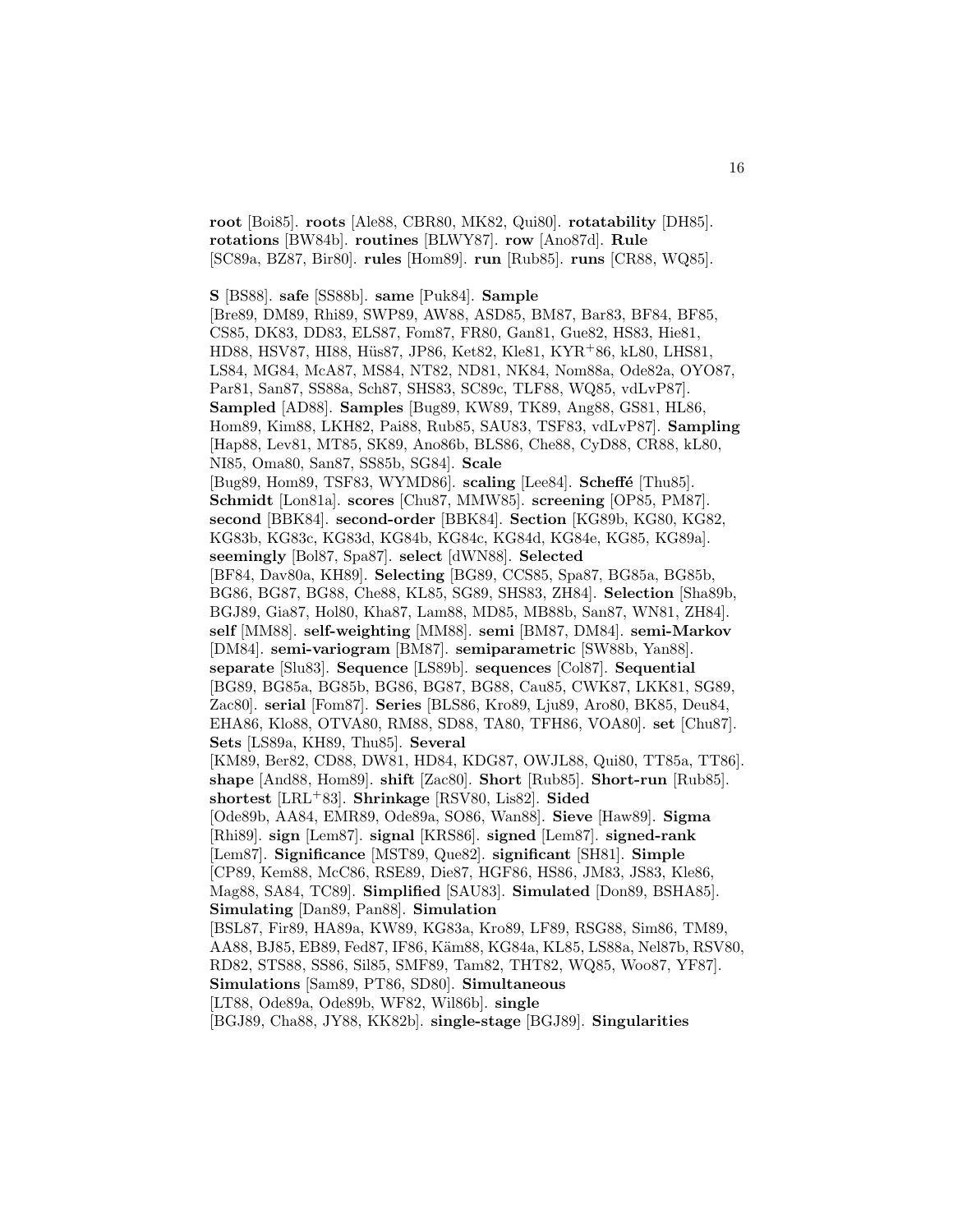**root** [Boi85]. **roots** [Ale88, CBR80, MK82, Qui80]. **rotatability** [DH85]. **rotations** [BW84b]. **routines** [BLWY87]. **row** [Ano87d]. **Rule** [SC89a, BZ87, Bir80]. **rules** [Hom89]. **run** [Rub85]. **runs** [CR88, WQ85].

**S** [BS88]. **safe** [SS88b]. **same** [Puk84]. **Sample** [Bre89, DM89, Rhi89, SWP89, AW88, ASD85, BM87, Bar83, BF84, BF85, CS85, DK83, DD83, ELS87, Fom87, FR80, Gan81, Gue82, HS83, Hie81, HD88, HSV87, HI88, Hüs87, JP86, Ket82, Kle81, KYR<sup>+</sup>86, kL80, LHS81, LS84, MG84, McA87, MS84, NT82, ND81, NK84, Nom88a, Ode82a, OYO87, Par81, San87, SS88a, Sch87, SHS83, SC89c, TLF88, WQ85, vdLvP87]. **Sampled** [AD88]. **Samples** [Bug89, KW89, TK89, Ang88, GS81, HL86, Hom89, Kim88, LKH82, Pai88, Rub85, SAU83, TSF83, vdLvP87]. **Sampling** [Hap88, Lev81, MT85, SK89, Ano86b, BLS86, Che88, CyD88, CR88, kL80, NI85, Oma80, San87, SS85b, SG84]. **Scale** [Bug89, Hom89, TSF83, WYMD86]. **scaling** [Lee84]. **Scheffé** [Thu85]. **Schmidt** [Lon81a]. **scores** [Chu87, MMW85]. **screening** [OP85, PM87]. **second** [BBK84]. **second-order** [BBK84]. **Section** [KG89b, KG80, KG82, KG83b, KG83c, KG83d, KG84b, KG84c, KG84d, KG84e, KG85, KG89a]. **seemingly** [Bol87, Spa87]. **select** [dWN88]. **Selected** [BF84, Dav80a, KH89]. **Selecting** [BG89, CCS85, Spa87, BG85a, BG85b, BG86, BG87, BG88, Che88, KL85, SG89, SHS83, ZH84]. **Selection** [Sha89b, BGJ89, Gia87, Hol80, Kha87, Lam88, MD85, MB88b, San87, WN81, ZH84]. **self** [MM88]. **self-weighting** [MM88]. **semi** [BM87, DM84]. **semi-Markov** [DM84]. **semi-variogram** [BM87]. **semiparametric** [SW88b, Yan88]. **separate** [Slu83]. **Sequence** [LS89b]. **sequences** [Col87]. **Sequential** [BG89, BG85a, BG85b, BG86, BG87, BG88, Cau85, CWK87, LKK81, SG89, Zac80]. **serial** [Fom87]. **Series** [BLS86, Kro89, Lju89, Aro80, BK85, Deu84, EHA86, Klo88, OTVA80, RM88, SD88, TA80, TFH86, VOA80]. **set** [Chu87]. **Sets** [LS89a, KH89, Thu85]. **Several** [KM89, Ber82, CD88, DW81, HD84, KDG87, OWJL88, Qui80, TT85a, TT86]. **shape** [And88, Hom89]. **shift** [Zac80]. **Short** [Rub85]. **Short-run** [Rub85]. **shortest** [LRL<sup>+</sup>83]. **Shrinkage** [RSV80, Lis82]. **Sided** [Ode89b, AA84, EMR89, Ode89a, SO86, Wan88]. **Sieve** [Haw89]. **Sigma** [Rhi89]. **sign** [Lem87]. **signal** [KRS86]. **signed** [Lem87]. **signed-rank** [Lem87]. **Significance** [MST89, Que82]. **significant** [SH81]. **Simple** [CP89, Kem88, McC86, RSE89, Die87, HGF86, HS86, JM83, JS83, Kle86, Mag88, SA84, TC89]. **Simplified** [SAU83]. **Simulated** [Don89, BSHA85]. **Simulating** [Dan89, Pan88]. **Simulation** [BSL87, Fir89, HA89a, KW89, KG83a, Kro89, LF89, RSG88, Sim86, TM89, AA88, BJ85, EB89, Fed87, IF86, Käm88, KG84a, KL85, LS88a, Nel87b, RSV80, RD82, STS88, SS86, Sil85, SMF89, Tam82, THT82, WQ85, Woo87, YF87]. **Simulations** [Sam89, PT86, SD80]. **Simultaneous** [LT88, Ode89a, Ode89b, WF82, Wil86b]. **single**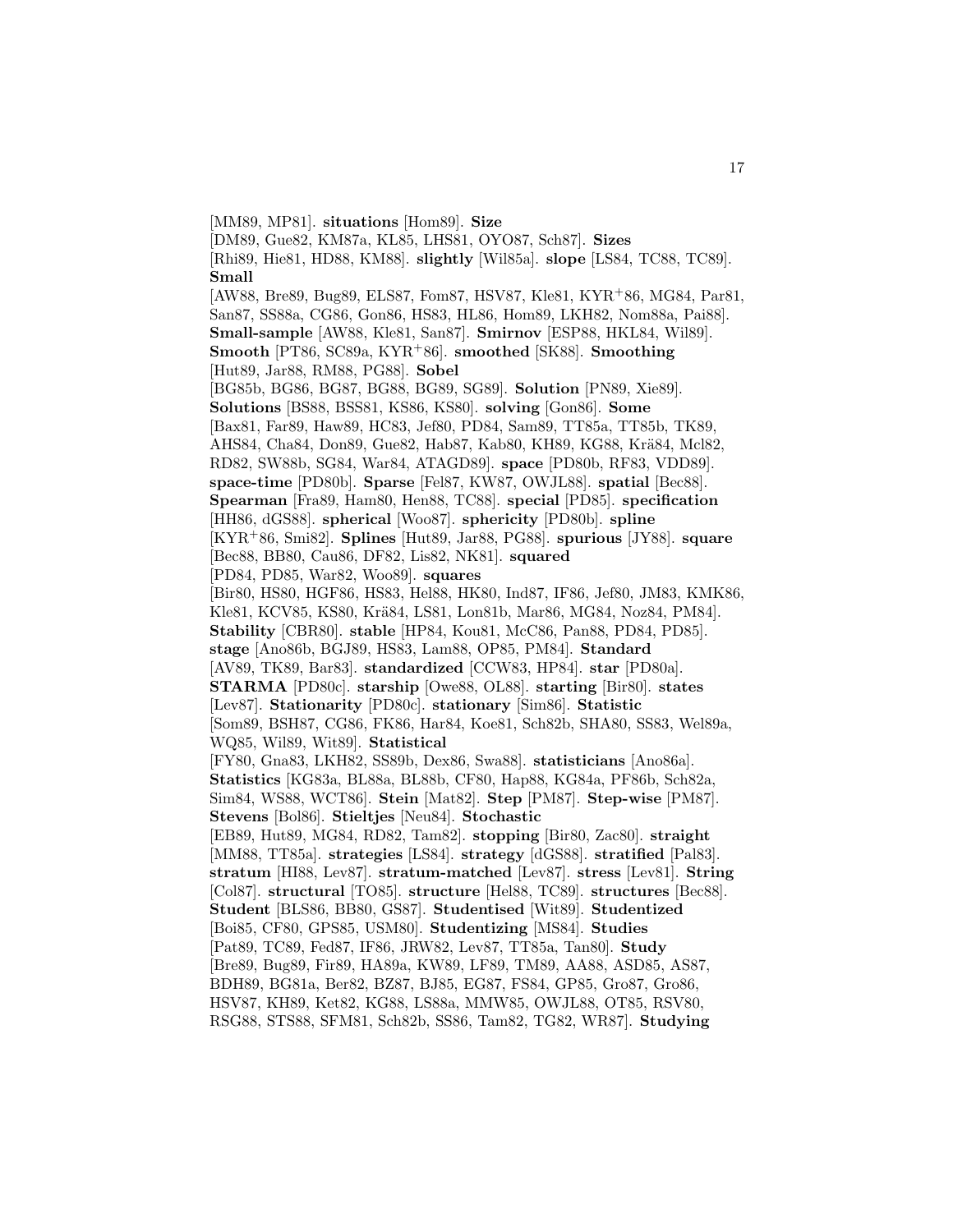[MM89, MP81]. **situations** [Hom89]. **Size** [DM89, Gue82, KM87a, KL85, LHS81, OYO87, Sch87]. **Sizes** [Rhi89, Hie81, HD88, KM88]. **slightly** [Wil85a]. **slope** [LS84, TC88, TC89]. **Small** [AW88, Bre89, Bug89, ELS87, Fom87, HSV87, Kle81, KYR<sup>+</sup>86, MG84, Par81, San87, SS88a, CG86, Gon86, HS83, HL86, Hom89, LKH82, Nom88a, Pai88]. **Small-sample** [AW88, Kle81, San87]. **Smirnov** [ESP88, HKL84, Wil89]. **Smooth** [PT86, SC89a, KYR<sup>+</sup>86]. **smoothed** [SK88]. **Smoothing** [Hut89, Jar88, RM88, PG88]. **Sobel** [BG85b, BG86, BG87, BG88, BG89, SG89]. **Solution** [PN89, Xie89]. **Solutions** [BS88, BSS81, KS86, KS80]. **solving** [Gon86]. **Some** [Bax81, Far89, Haw89, HC83, Jef80, PD84, Sam89, TT85a, TT85b, TK89, AHS84, Cha84, Don89, Gue82, Hab87, Kab80, KH89, KG88, Krä84, Mcl82, RD82, SW88b, SG84, War84, ATAGD89]. **space** [PD80b, RF83, VDD89]. **space-time** [PD80b]. **Sparse** [Fel87, KW87, OWJL88]. **spatial** [Bec88]. **Spearman** [Fra89, Ham80, Hen88, TC88]. **special** [PD85]. **specification** [HH86, dGS88]. **spherical** [Woo87]. **sphericity** [PD80b]. **spline** [KYR<sup>+</sup>86, Smi82]. **Splines** [Hut89, Jar88, PG88]. **spurious** [JY88]. **square** [Bec88, BB80, Cau86, DF82, Lis82, NK81]. **squared** [PD84, PD85, War82, Woo89]. **squares** [Bir80, HS80, HGF86, HS83, Hel88, HK80, Ind87, IF86, Jef80, JM83, KMK86, Kle81, KCV85, KS80, Krä84, LS81, Lon81b, Mar86, MG84, Noz84, PM84. **Stability** [CBR80]. **stable** [HP84, Kou81, McC86, Pan88, PD84, PD85]. **stage** [Ano86b, BGJ89, HS83, Lam88, OP85, PM84]. **Standard** [AV89, TK89, Bar83]. **standardized** [CCW83, HP84]. **star** [PD80a]. **STARMA** [PD80c]. **starship** [Owe88, OL88]. **starting** [Bir80]. **states** [Lev87]. **Stationarity** [PD80c]. **stationary** [Sim86]. **Statistic** [Som89, BSH87, CG86, FK86, Har84, Koe81, Sch82b, SHA80, SS83, Wel89a, WQ85, Wil89, Wit89]. **Statistical** [FY80, Gna83, LKH82, SS89b, Dex86, Swa88]. **statisticians** [Ano86a]. **Statistics** [KG83a, BL88a, BL88b, CF80, Hap88, KG84a, PF86b, Sch82a, Sim84, WS88, WCT86]. **Stein** [Mat82]. **Step** [PM87]. **Step-wise** [PM87]. **Stevens** [Bol86]. **Stieltjes** [Neu84]. **Stochastic** [EB89, Hut89, MG84, RD82, Tam82]. **stopping** [Bir80, Zac80]. **straight** [MM88, TT85a]. **strategies** [LS84]. **strategy** [dGS88]. **stratified** [Pal83]. **stratum** [HI88, Lev87]. **stratum-matched** [Lev87]. **stress** [Lev81]. **String** [Col87]. **structural** [TO85]. **structure** [Hel88, TC89]. **structures** [Bec88]. **Student** [BLS86, BB80, GS87]. **Studentised** [Wit89]. **Studentized** [Boi85, CF80, GPS85, USM80]. **Studentizing** [MS84]. **Studies** [Pat89, TC89, Fed87, IF86, JRW82, Lev87, TT85a, Tan80]. **Study** [Bre89, Bug89, Fir89, HA89a, KW89, LF89, TM89, AA88, ASD85, AS87, BDH89, BG81a, Ber82, BZ87, BJ85, EG87, FS84, GP85, Gro87, Gro86, HSV87, KH89, Ket82, KG88, LS88a, MMW85, OWJL88, OT85, RSV80, RSG88, STS88, SFM81, Sch82b, SS86, Tam82, TG82, WR87]. **Studying**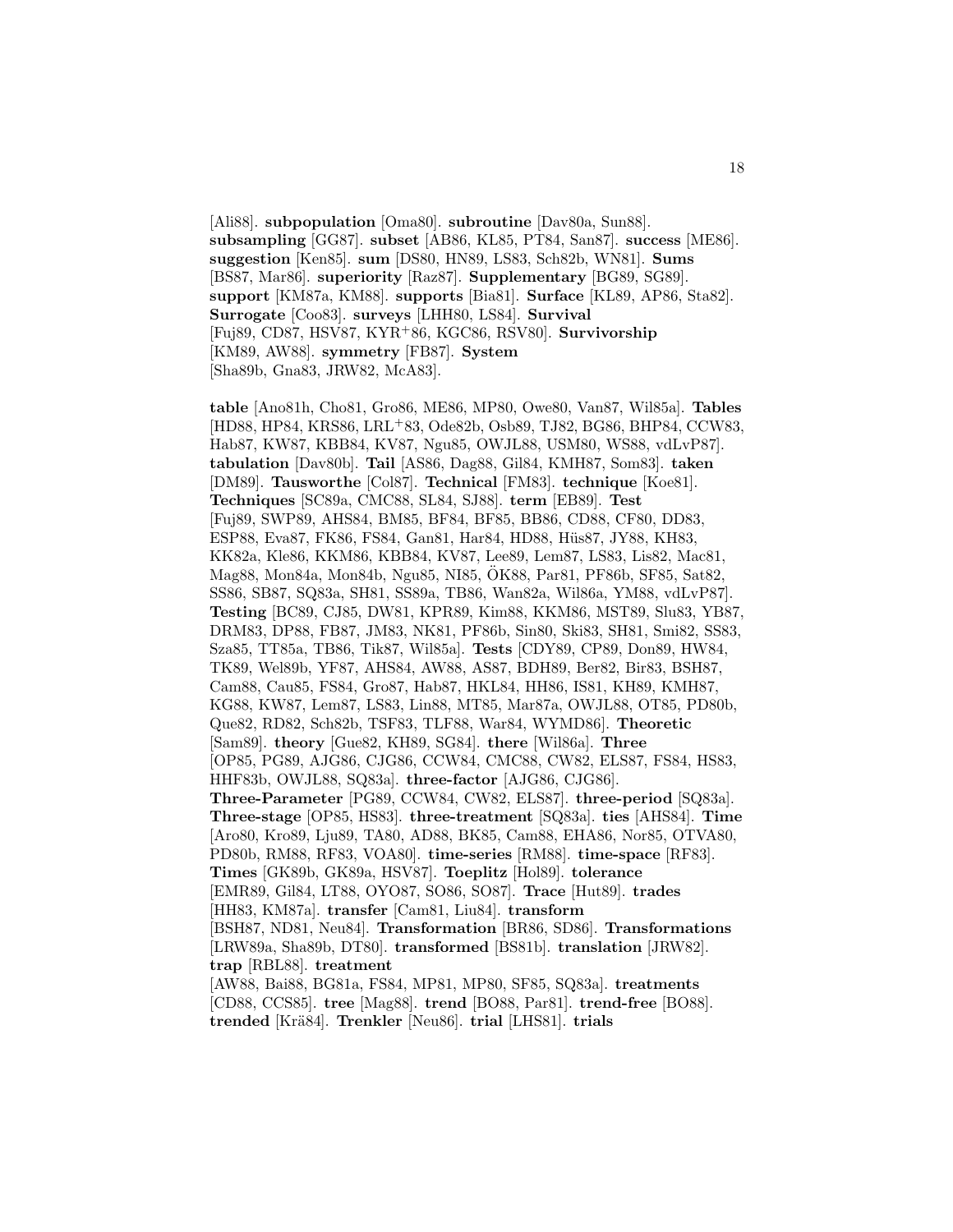[Ali88]. **subpopulation** [Oma80]. **subroutine** [Dav80a, Sun88]. **subsampling** [GG87]. **subset** [AB86, KL85, PT84, San87]. **success** [ME86]. **suggestion** [Ken85]. **sum** [DS80, HN89, LS83, Sch82b, WN81]. **Sums** [BS87, Mar86]. **superiority** [Raz87]. **Supplementary** [BG89, SG89]. **support** [KM87a, KM88]. **supports** [Bia81]. **Surface** [KL89, AP86, Sta82]. **Surrogate** [Coo83]. **surveys** [LHH80, LS84]. **Survival** [Fuj89, CD87, HSV87, KYR<sup>+</sup>86, KGC86, RSV80]. **Survivorship** [KM89, AW88]. **symmetry** [FB87]. **System** [Sha89b, Gna83, JRW82, McA83].

**table** [Ano81h, Cho81, Gro86, ME86, MP80, Owe80, Van87, Wil85a]. **Tables** [HD88, HP84, KRS86, LRL<sup>+</sup>83, Ode82b, Osb89, TJ82, BG86, BHP84, CCW83, Hab87, KW87, KBB84, KV87, Ngu85, OWJL88, USM80, WS88, vdLvP87]. **tabulation** [Dav80b]. **Tail** [AS86, Dag88, Gil84, KMH87, Som83]. **taken** [DM89]. **Tausworthe** [Col87]. **Technical** [FM83]. **technique** [Koe81]. **Techniques** [SC89a, CMC88, SL84, SJ88]. **term** [EB89]. **Test** [Fuj89, SWP89, AHS84, BM85, BF84, BF85, BB86, CD88, CF80, DD83, ESP88, Eva87, FK86, FS84, Gan81, Har84, HD88, Hüs87, JY88, KH83, KK82a, Kle86, KKM86, KBB84, KV87, Lee89, Lem87, LS83, Lis82, Mac81, Mag88, Mon84a, Mon84b, Ngu85, NI85, OK88, Par81, PF86b, SF85, Sat82, ¨ SS86, SB87, SQ83a, SH81, SS89a, TB86, Wan82a, Wil86a, YM88, vdLvP87]. **Testing** [BC89, CJ85, DW81, KPR89, Kim88, KKM86, MST89, Slu83, YB87, DRM83, DP88, FB87, JM83, NK81, PF86b, Sin80, Ski83, SH81, Smi82, SS83, Sza85, TT85a, TB86, Tik87, Wil85a]. **Tests** [CDY89, CP89, Don89, HW84, TK89, Wel89b, YF87, AHS84, AW88, AS87, BDH89, Ber82, Bir83, BSH87, Cam88, Cau85, FS84, Gro87, Hab87, HKL84, HH86, IS81, KH89, KMH87, KG88, KW87, Lem87, LS83, Lin88, MT85, Mar87a, OWJL88, OT85, PD80b, Que82, RD82, Sch82b, TSF83, TLF88, War84, WYMD86]. **Theoretic** [Sam89]. **theory** [Gue82, KH89, SG84]. **there** [Wil86a]. **Three** [OP85, PG89, AJG86, CJG86, CCW84, CMC88, CW82, ELS87, FS84, HS83, HHF83b, OWJL88, SQ83a]. **three-factor** [AJG86, CJG86]. **Three-Parameter** [PG89, CCW84, CW82, ELS87]. **three-period** [SQ83a]. **Three-stage** [OP85, HS83]. **three-treatment** [SQ83a]. **ties** [AHS84]. **Time** [Aro80, Kro89, Lju89, TA80, AD88, BK85, Cam88, EHA86, Nor85, OTVA80, PD80b, RM88, RF83, VOA80]. **time-series** [RM88]. **time-space** [RF83]. **Times** [GK89b, GK89a, HSV87]. **Toeplitz** [Hol89]. **tolerance** [EMR89, Gil84, LT88, OYO87, SO86, SO87]. **Trace** [Hut89]. **trades** [HH83, KM87a]. **transfer** [Cam81, Liu84]. **transform** [BSH87, ND81, Neu84]. **Transformation** [BR86, SD86]. **Transformations** [LRW89a, Sha89b, DT80]. **transformed** [BS81b]. **translation** [JRW82]. **trap** [RBL88]. **treatment** [AW88, Bai88, BG81a, FS84, MP81, MP80, SF85, SQ83a]. **treatments** [CD88, CCS85]. **tree** [Mag88]. **trend** [BO88, Par81]. **trend-free** [BO88]. **trended** [Kr¨a84]. **Trenkler** [Neu86]. **trial** [LHS81]. **trials**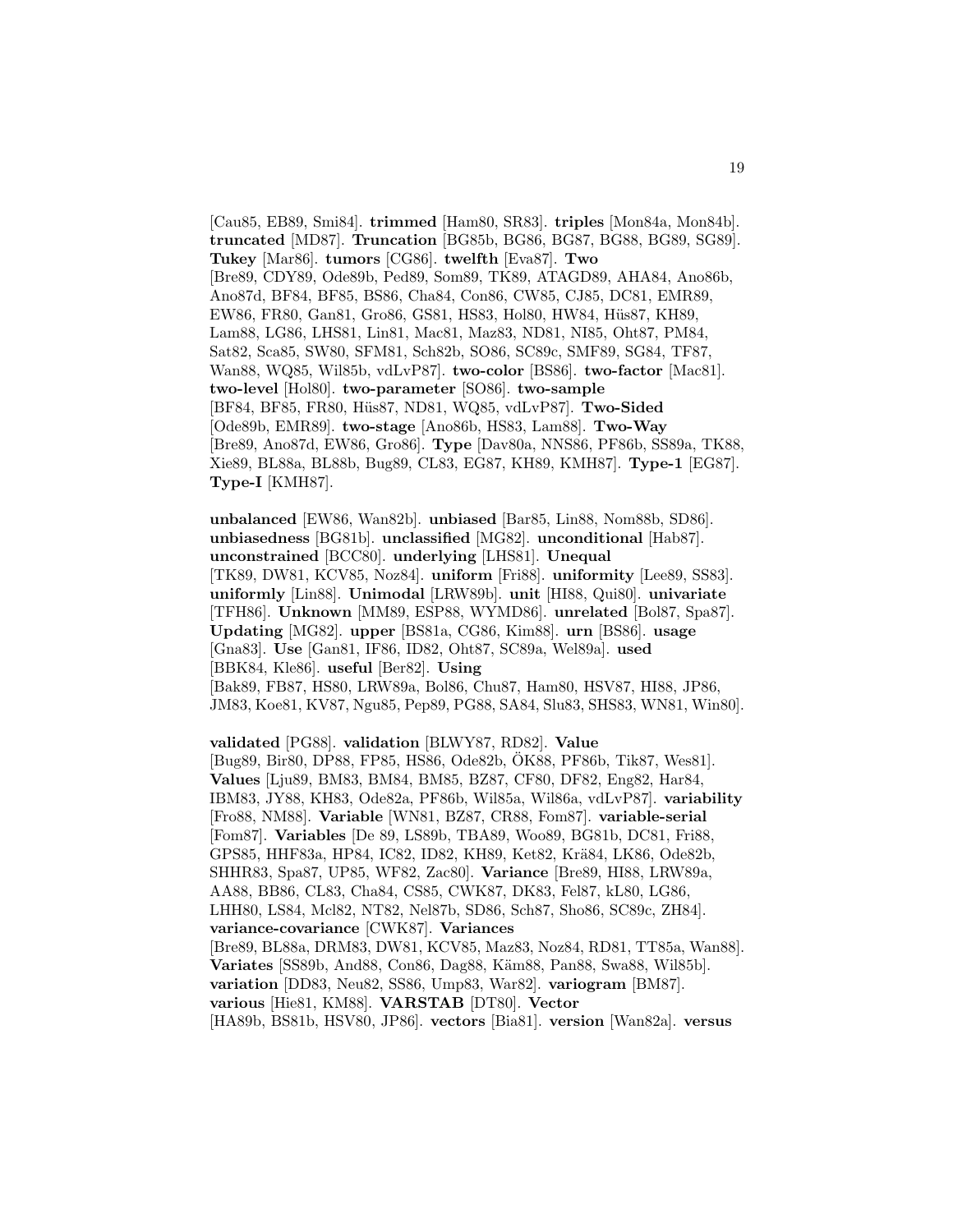[Cau85, EB89, Smi84]. **trimmed** [Ham80, SR83]. **triples** [Mon84a, Mon84b]. **truncated** [MD87]. **Truncation** [BG85b, BG86, BG87, BG88, BG89, SG89]. **Tukey** [Mar86]. **tumors** [CG86]. **twelfth** [Eva87]. **Two** [Bre89, CDY89, Ode89b, Ped89, Som89, TK89, ATAGD89, AHA84, Ano86b, Ano87d, BF84, BF85, BS86, Cha84, Con86, CW85, CJ85, DC81, EMR89, EW86, FR80, Gan81, Gro86, GS81, HS83, Hol80, HW84, Hüs87, KH89, Lam88, LG86, LHS81, Lin81, Mac81, Maz83, ND81, NI85, Oht87, PM84, Sat82, Sca85, SW80, SFM81, Sch82b, SO86, SC89c, SMF89, SG84, TF87, Wan88, WQ85, Wil85b, vdLvP87]. **two-color** [BS86]. **two-factor** [Mac81]. **two-level** [Hol80]. **two-parameter** [SO86]. **two-sample** [BF84, BF85, FR80, Hüs87, ND81, WQ85, vdLvP87]. **Two-Sided** [Ode89b, EMR89]. **two-stage** [Ano86b, HS83, Lam88]. **Two-Way** [Bre89, Ano87d, EW86, Gro86]. **Type** [Dav80a, NNS86, PF86b, SS89a, TK88, Xie89, BL88a, BL88b, Bug89, CL83, EG87, KH89, KMH87]. **Type-1** [EG87]. **Type-I** [KMH87].

**unbalanced** [EW86, Wan82b]. **unbiased** [Bar85, Lin88, Nom88b, SD86]. **unbiasedness** [BG81b]. **unclassified** [MG82]. **unconditional** [Hab87]. **unconstrained** [BCC80]. **underlying** [LHS81]. **Unequal** [TK89, DW81, KCV85, Noz84]. **uniform** [Fri88]. **uniformity** [Lee89, SS83]. **uniformly** [Lin88]. **Unimodal** [LRW89b]. **unit** [HI88, Qui80]. **univariate** [TFH86]. **Unknown** [MM89, ESP88, WYMD86]. **unrelated** [Bol87, Spa87]. **Updating** [MG82]. **upper** [BS81a, CG86, Kim88]. **urn** [BS86]. **usage** [Gna83]. **Use** [Gan81, IF86, ID82, Oht87, SC89a, Wel89a]. **used** [BBK84, Kle86]. **useful** [Ber82]. **Using** [Bak89, FB87, HS80, LRW89a, Bol86, Chu87, Ham80, HSV87, HI88, JP86, JM83, Koe81, KV87, Ngu85, Pep89, PG88, SA84, Slu83, SHS83, WN81, Win80].

**validated** [PG88]. **validation** [BLWY87, RD82]. **Value** [Bug89, Bir80, DP88, FP85, HS86, Ode82b, OK88, PF86b, Tik87, Wes81]. ¨ **Values** [Lju89, BM83, BM84, BM85, BZ87, CF80, DF82, Eng82, Har84, IBM83, JY88, KH83, Ode82a, PF86b, Wil85a, Wil86a, vdLvP87]. **variability** [Fro88, NM88]. **Variable** [WN81, BZ87, CR88, Fom87]. **variable-serial** [Fom87]. **Variables** [De 89, LS89b, TBA89, Woo89, BG81b, DC81, Fri88, GPS85, HHF83a, HP84, IC82, ID82, KH89, Ket82, Krä84, LK86, Ode82b, SHHR83, Spa87, UP85, WF82, Zac80]. **Variance** [Bre89, HI88, LRW89a, AA88, BB86, CL83, Cha84, CS85, CWK87, DK83, Fel87, kL80, LG86, LHH80, LS84, Mcl82, NT82, Nel87b, SD86, Sch87, Sho86, SC89c, ZH84]. **variance-covariance** [CWK87]. **Variances** [Bre89, BL88a, DRM83, DW81, KCV85, Maz83, Noz84, RD81, TT85a, Wan88]. **Variates** [SS89b, And88, Con86, Dag88, Käm88, Pan88, Swa88, Wil85b]. **variation** [DD83, Neu82, SS86, Ump83, War82]. **variogram** [BM87]. **various** [Hie81, KM88]. **VARSTAB** [DT80]. **Vector** [HA89b, BS81b, HSV80, JP86]. **vectors** [Bia81]. **version** [Wan82a]. **versus**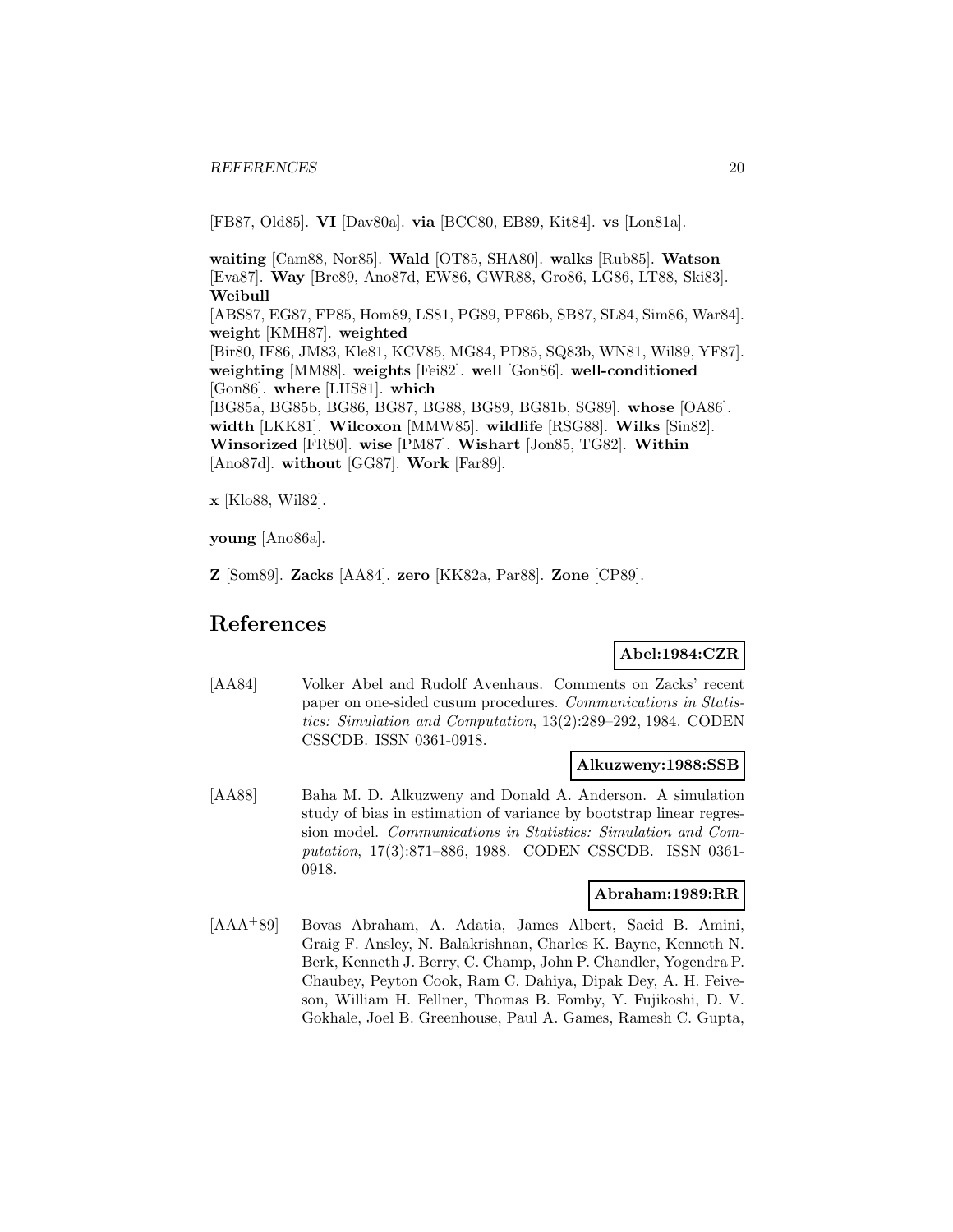[FB87, Old85]. **VI** [Dav80a]. **via** [BCC80, EB89, Kit84]. **vs** [Lon81a].

**waiting** [Cam88, Nor85]. **Wald** [OT85, SHA80]. **walks** [Rub85]. **Watson** [Eva87]. **Way** [Bre89, Ano87d, EW86, GWR88, Gro86, LG86, LT88, Ski83]. **Weibull** [ABS87, EG87, FP85, Hom89, LS81, PG89, PF86b, SB87, SL84, Sim86, War84]. **weight** [KMH87]. **weighted** [Bir80, IF86, JM83, Kle81, KCV85, MG84, PD85, SQ83b, WN81, Wil89, YF87]. **weighting** [MM88]. **weights** [Fei82]. **well** [Gon86]. **well-conditioned** [Gon86]. **where** [LHS81]. **which** [BG85a, BG85b, BG86, BG87, BG88, BG89, BG81b, SG89]. **whose** [OA86]. **width** [LKK81]. **Wilcoxon** [MMW85]. **wildlife** [RSG88]. **Wilks** [Sin82]. **Winsorized** [FR80]. **wise** [PM87]. **Wishart** [Jon85, TG82]. **Within** [Ano87d]. **without** [GG87]. **Work** [Far89].

**x** [Klo88, Wil82].

**young** [Ano86a].

**Z** [Som89]. **Zacks** [AA84]. **zero** [KK82a, Par88]. **Zone** [CP89].

# **References**

# **Abel:1984:CZR**

[AA84] Volker Abel and Rudolf Avenhaus. Comments on Zacks' recent paper on one-sided cusum procedures. Communications in Statistics: Simulation and Computation, 13(2):289–292, 1984. CODEN CSSCDB. ISSN 0361-0918.

#### **Alkuzweny:1988:SSB**

[AA88] Baha M. D. Alkuzweny and Donald A. Anderson. A simulation study of bias in estimation of variance by bootstrap linear regression model. Communications in Statistics: Simulation and Computation, 17(3):871–886, 1988. CODEN CSSCDB. ISSN 0361- 0918.

### **Abraham:1989:RR**

[AAA<sup>+</sup>89] Bovas Abraham, A. Adatia, James Albert, Saeid B. Amini, Graig F. Ansley, N. Balakrishnan, Charles K. Bayne, Kenneth N. Berk, Kenneth J. Berry, C. Champ, John P. Chandler, Yogendra P. Chaubey, Peyton Cook, Ram C. Dahiya, Dipak Dey, A. H. Feiveson, William H. Fellner, Thomas B. Fomby, Y. Fujikoshi, D. V. Gokhale, Joel B. Greenhouse, Paul A. Games, Ramesh C. Gupta,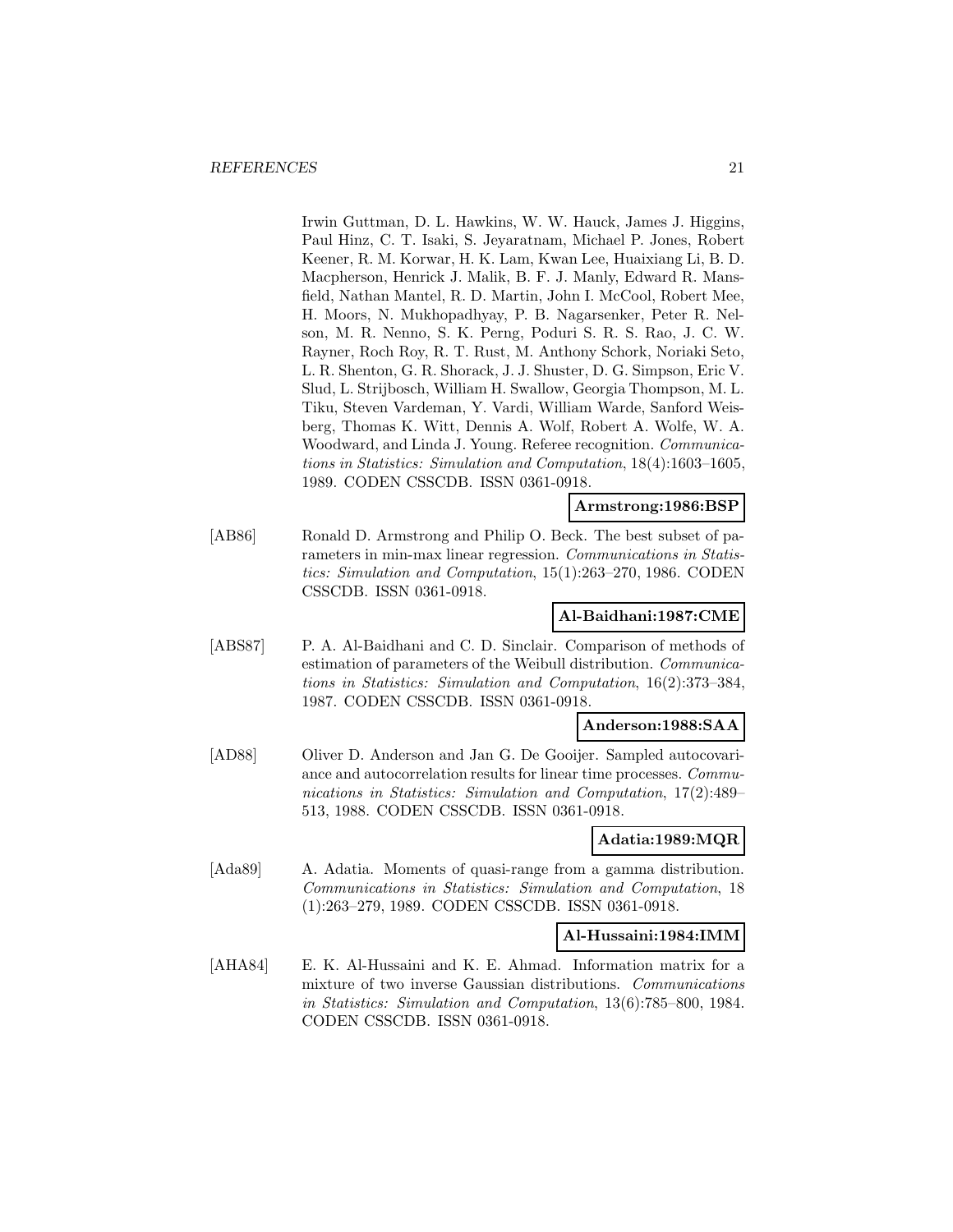Irwin Guttman, D. L. Hawkins, W. W. Hauck, James J. Higgins, Paul Hinz, C. T. Isaki, S. Jeyaratnam, Michael P. Jones, Robert Keener, R. M. Korwar, H. K. Lam, Kwan Lee, Huaixiang Li, B. D. Macpherson, Henrick J. Malik, B. F. J. Manly, Edward R. Mansfield, Nathan Mantel, R. D. Martin, John I. McCool, Robert Mee, H. Moors, N. Mukhopadhyay, P. B. Nagarsenker, Peter R. Nelson, M. R. Nenno, S. K. Perng, Poduri S. R. S. Rao, J. C. W. Rayner, Roch Roy, R. T. Rust, M. Anthony Schork, Noriaki Seto, L. R. Shenton, G. R. Shorack, J. J. Shuster, D. G. Simpson, Eric V. Slud, L. Strijbosch, William H. Swallow, Georgia Thompson, M. L. Tiku, Steven Vardeman, Y. Vardi, William Warde, Sanford Weisberg, Thomas K. Witt, Dennis A. Wolf, Robert A. Wolfe, W. A. Woodward, and Linda J. Young. Referee recognition. Communications in Statistics: Simulation and Computation, 18(4):1603–1605, 1989. CODEN CSSCDB. ISSN 0361-0918.

#### **Armstrong:1986:BSP**

[AB86] Ronald D. Armstrong and Philip O. Beck. The best subset of parameters in min-max linear regression. Communications in Statistics: Simulation and Computation, 15(1):263–270, 1986. CODEN CSSCDB. ISSN 0361-0918.

### **Al-Baidhani:1987:CME**

[ABS87] P. A. Al-Baidhani and C. D. Sinclair. Comparison of methods of estimation of parameters of the Weibull distribution. Communications in Statistics: Simulation and Computation, 16(2):373–384, 1987. CODEN CSSCDB. ISSN 0361-0918.

#### **Anderson:1988:SAA**

[AD88] Oliver D. Anderson and Jan G. De Gooijer. Sampled autocovariance and autocorrelation results for linear time processes. Communications in Statistics: Simulation and Computation, 17(2):489– 513, 1988. CODEN CSSCDB. ISSN 0361-0918.

#### **Adatia:1989:MQR**

[Ada89] A. Adatia. Moments of quasi-range from a gamma distribution. Communications in Statistics: Simulation and Computation, 18 (1):263–279, 1989. CODEN CSSCDB. ISSN 0361-0918.

#### **Al-Hussaini:1984:IMM**

[AHA84] E. K. Al-Hussaini and K. E. Ahmad. Information matrix for a mixture of two inverse Gaussian distributions. Communications in Statistics: Simulation and Computation, 13(6):785–800, 1984. CODEN CSSCDB. ISSN 0361-0918.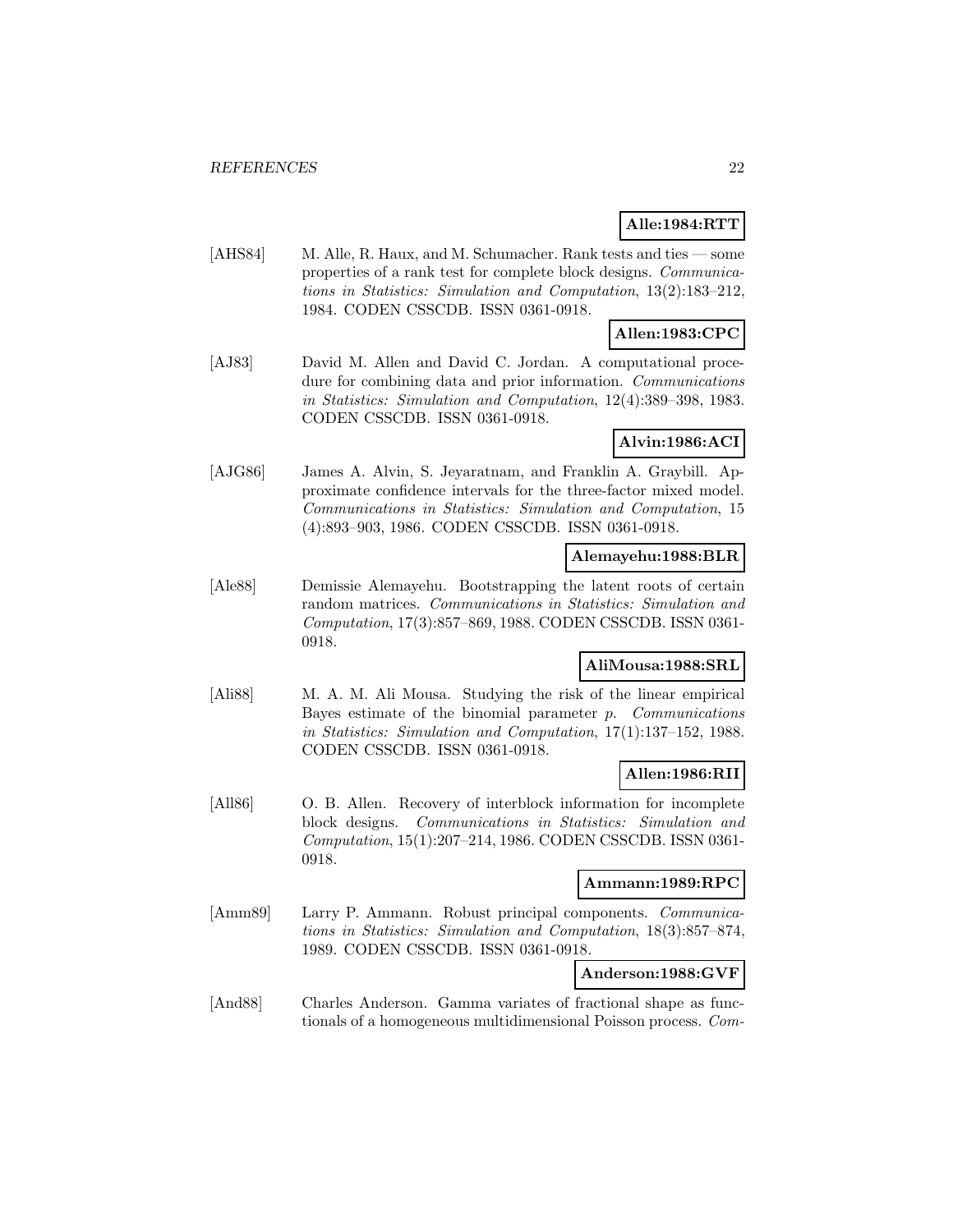# **Alle:1984:RTT**

[AHS84] M. Alle, R. Haux, and M. Schumacher. Rank tests and ties — some properties of a rank test for complete block designs. Communications in Statistics: Simulation and Computation, 13(2):183–212, 1984. CODEN CSSCDB. ISSN 0361-0918.

# **Allen:1983:CPC**

[AJ83] David M. Allen and David C. Jordan. A computational procedure for combining data and prior information. Communications in Statistics: Simulation and Computation, 12(4):389–398, 1983. CODEN CSSCDB. ISSN 0361-0918.

### **Alvin:1986:ACI**

[AJG86] James A. Alvin, S. Jeyaratnam, and Franklin A. Graybill. Approximate confidence intervals for the three-factor mixed model. Communications in Statistics: Simulation and Computation, 15 (4):893–903, 1986. CODEN CSSCDB. ISSN 0361-0918.

### **Alemayehu:1988:BLR**

[Ale88] Demissie Alemayehu. Bootstrapping the latent roots of certain random matrices. Communications in Statistics: Simulation and Computation, 17(3):857–869, 1988. CODEN CSSCDB. ISSN 0361- 0918.

# **AliMousa:1988:SRL**

[Ali88] M. A. M. Ali Mousa. Studying the risk of the linear empirical Bayes estimate of the binomial parameter p. Communications in Statistics: Simulation and Computation, 17(1):137–152, 1988. CODEN CSSCDB. ISSN 0361-0918.

### **Allen:1986:RII**

[All86] O. B. Allen. Recovery of interblock information for incomplete block designs. Communications in Statistics: Simulation and Computation, 15(1):207–214, 1986. CODEN CSSCDB. ISSN 0361- 0918.

### **Ammann:1989:RPC**

[Amm89] Larry P. Ammann. Robust principal components. Communications in Statistics: Simulation and Computation, 18(3):857–874, 1989. CODEN CSSCDB. ISSN 0361-0918.

# **Anderson:1988:GVF**

[And88] Charles Anderson. Gamma variates of fractional shape as functionals of a homogeneous multidimensional Poisson process. Com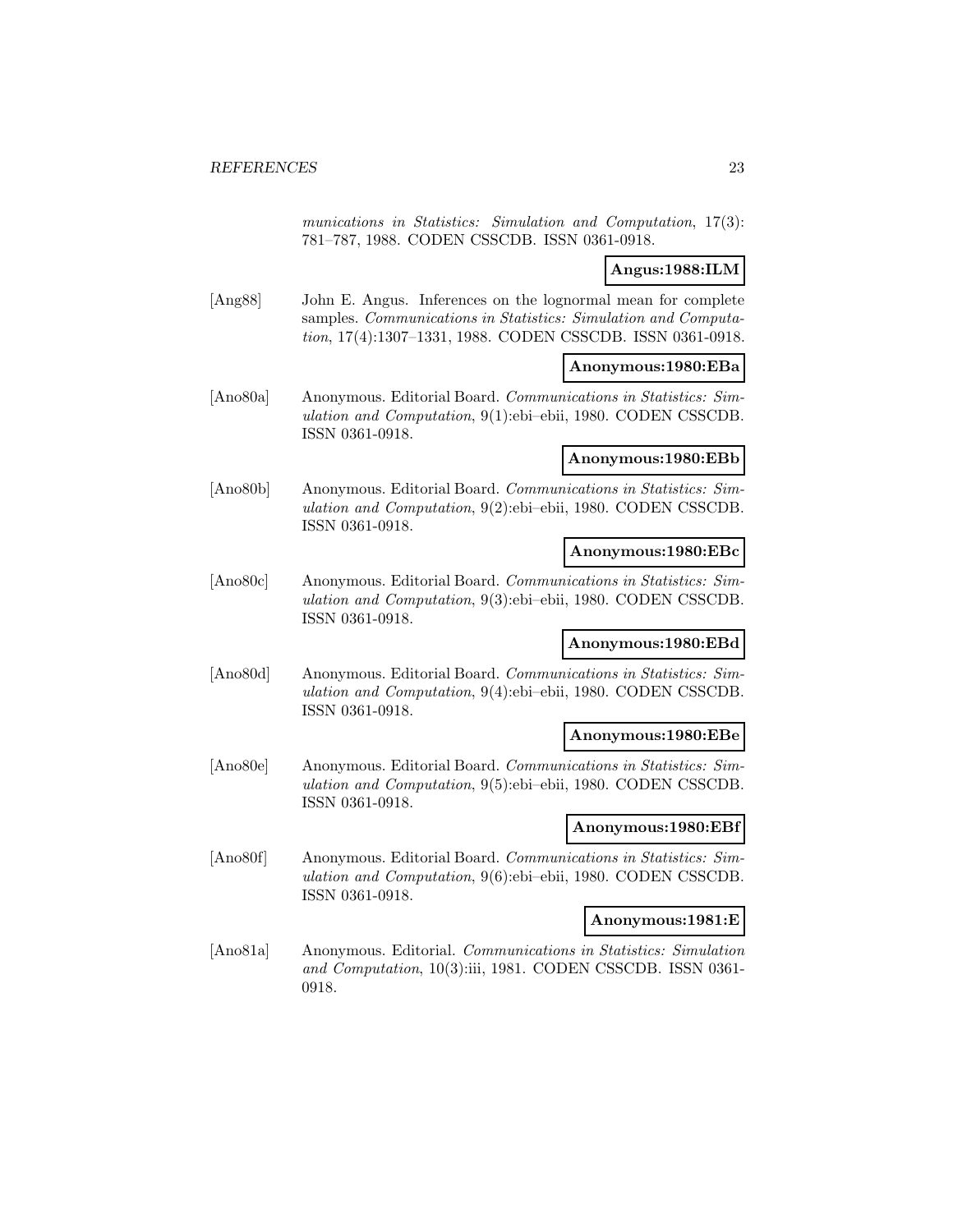munications in Statistics: Simulation and Computation, 17(3): 781–787, 1988. CODEN CSSCDB. ISSN 0361-0918.

### **Angus:1988:ILM**

[Ang88] John E. Angus. Inferences on the lognormal mean for complete samples. Communications in Statistics: Simulation and Computation, 17(4):1307–1331, 1988. CODEN CSSCDB. ISSN 0361-0918.

#### **Anonymous:1980:EBa**

[Ano80a] Anonymous. Editorial Board. Communications in Statistics: Simulation and Computation, 9(1):ebi–ebii, 1980. CODEN CSSCDB. ISSN 0361-0918.

#### **Anonymous:1980:EBb**

[Ano80b] Anonymous. Editorial Board. Communications in Statistics: Simulation and Computation, 9(2):ebi–ebii, 1980. CODEN CSSCDB. ISSN 0361-0918.

#### **Anonymous:1980:EBc**

[Ano80c] Anonymous. Editorial Board. Communications in Statistics: Simulation and Computation, 9(3):ebi–ebii, 1980. CODEN CSSCDB. ISSN 0361-0918.

#### **Anonymous:1980:EBd**

[Ano80d] Anonymous. Editorial Board. Communications in Statistics: Simulation and Computation, 9(4):ebi–ebii, 1980. CODEN CSSCDB. ISSN 0361-0918.

#### **Anonymous:1980:EBe**

[Ano80e] Anonymous. Editorial Board. Communications in Statistics: Simulation and Computation, 9(5):ebi–ebii, 1980. CODEN CSSCDB. ISSN 0361-0918.

### **Anonymous:1980:EBf**

[Ano80f] Anonymous. Editorial Board. Communications in Statistics: Simulation and Computation, 9(6):ebi–ebii, 1980. CODEN CSSCDB. ISSN 0361-0918.

#### **Anonymous:1981:E**

[Ano81a] Anonymous. Editorial. Communications in Statistics: Simulation and Computation, 10(3):iii, 1981. CODEN CSSCDB. ISSN 0361- 0918.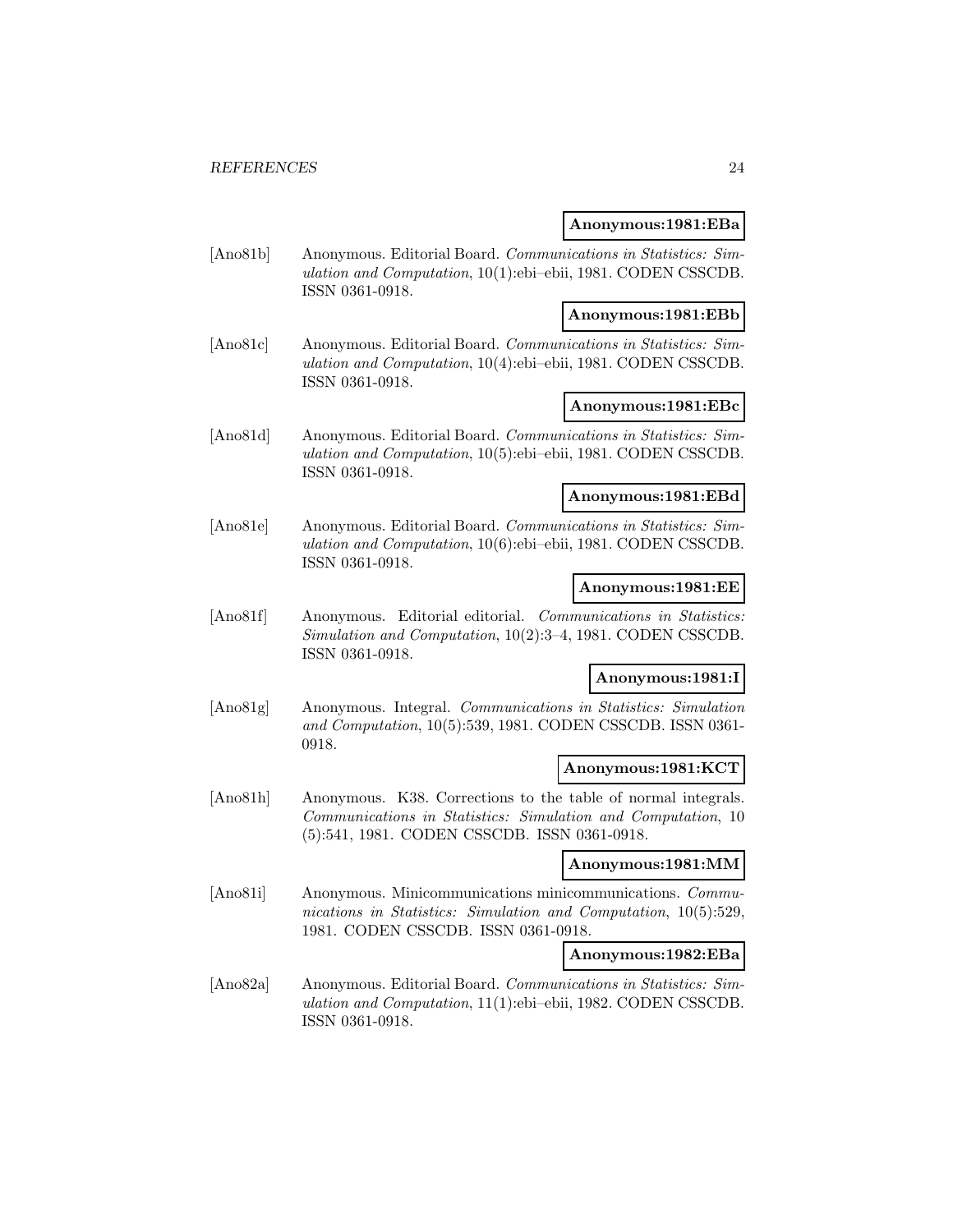#### **Anonymous:1981:EBa**

[Ano81b] Anonymous. Editorial Board. Communications in Statistics: Simulation and Computation, 10(1):ebi–ebii, 1981. CODEN CSSCDB. ISSN 0361-0918.

#### **Anonymous:1981:EBb**

[Ano81c] Anonymous. Editorial Board. Communications in Statistics: Simulation and Computation, 10(4):ebi–ebii, 1981. CODEN CSSCDB. ISSN 0361-0918.

#### **Anonymous:1981:EBc**

[Ano81d] Anonymous. Editorial Board. Communications in Statistics: Simulation and Computation, 10(5):ebi–ebii, 1981. CODEN CSSCDB. ISSN 0361-0918.

### **Anonymous:1981:EBd**

[Ano81e] Anonymous. Editorial Board. Communications in Statistics: Simulation and Computation, 10(6):ebi–ebii, 1981. CODEN CSSCDB. ISSN 0361-0918.

#### **Anonymous:1981:EE**

[Ano81f] Anonymous. Editorial editorial. Communications in Statistics: Simulation and Computation, 10(2):3–4, 1981. CODEN CSSCDB. ISSN 0361-0918.

### **Anonymous:1981:I**

[Ano81g] Anonymous. Integral. Communications in Statistics: Simulation and Computation, 10(5):539, 1981. CODEN CSSCDB. ISSN 0361- 0918.

# **Anonymous:1981:KCT**

[Ano81h] Anonymous. K38. Corrections to the table of normal integrals. Communications in Statistics: Simulation and Computation, 10 (5):541, 1981. CODEN CSSCDB. ISSN 0361-0918.

### **Anonymous:1981:MM**

[Ano81i] Anonymous. Minicommunications minicommunications. Communications in Statistics: Simulation and Computation, 10(5):529, 1981. CODEN CSSCDB. ISSN 0361-0918.

#### **Anonymous:1982:EBa**

[Ano82a] Anonymous. Editorial Board. Communications in Statistics: Simulation and Computation, 11(1):ebi–ebii, 1982. CODEN CSSCDB. ISSN 0361-0918.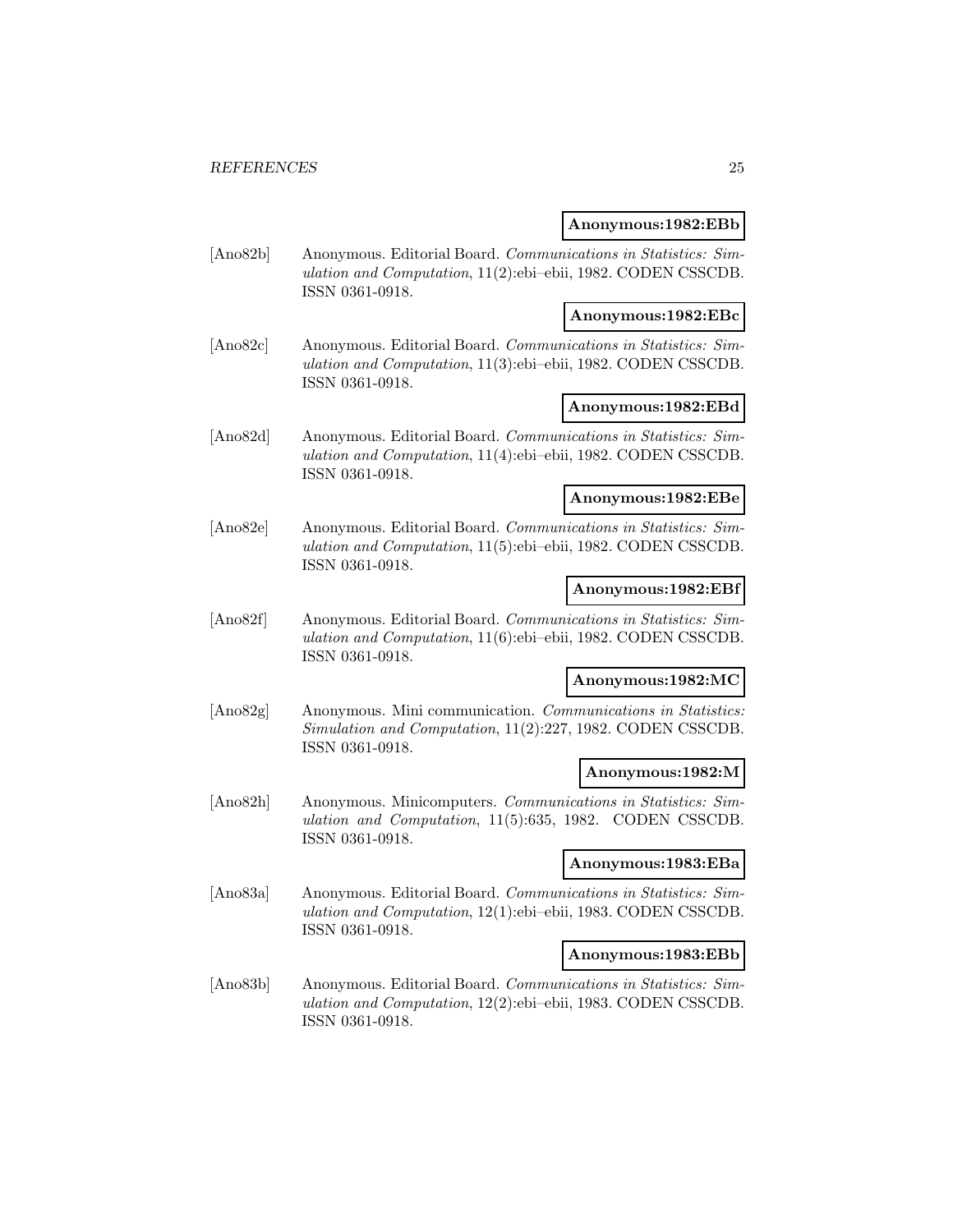#### **Anonymous:1982:EBb**

[Ano82b] Anonymous. Editorial Board. Communications in Statistics: Simulation and Computation, 11(2):ebi–ebii, 1982. CODEN CSSCDB. ISSN 0361-0918.

### **Anonymous:1982:EBc**

[Ano82c] Anonymous. Editorial Board. Communications in Statistics: Simulation and Computation, 11(3):ebi–ebii, 1982. CODEN CSSCDB. ISSN 0361-0918.

#### **Anonymous:1982:EBd**

[Ano82d] Anonymous. Editorial Board. Communications in Statistics: Simulation and Computation, 11(4):ebi–ebii, 1982. CODEN CSSCDB. ISSN 0361-0918.

### **Anonymous:1982:EBe**

[Ano82e] Anonymous. Editorial Board. Communications in Statistics: Simulation and Computation, 11(5):ebi–ebii, 1982. CODEN CSSCDB. ISSN 0361-0918.

#### **Anonymous:1982:EBf**

[Ano82f] Anonymous. Editorial Board. Communications in Statistics: Simulation and Computation, 11(6):ebi–ebii, 1982. CODEN CSSCDB. ISSN 0361-0918.

#### **Anonymous:1982:MC**

[Ano82g] Anonymous. Mini communication. Communications in Statistics: Simulation and Computation, 11(2):227, 1982. CODEN CSSCDB. ISSN 0361-0918.

### **Anonymous:1982:M**

[Ano82h] Anonymous. Minicomputers. Communications in Statistics: Simulation and Computation, 11(5):635, 1982. CODEN CSSCDB. ISSN 0361-0918.

#### **Anonymous:1983:EBa**

[Ano83a] Anonymous. Editorial Board. Communications in Statistics: Simulation and Computation, 12(1):ebi–ebii, 1983. CODEN CSSCDB. ISSN 0361-0918.

#### **Anonymous:1983:EBb**

[Ano83b] Anonymous. Editorial Board. Communications in Statistics: Simulation and Computation, 12(2):ebi–ebii, 1983. CODEN CSSCDB. ISSN 0361-0918.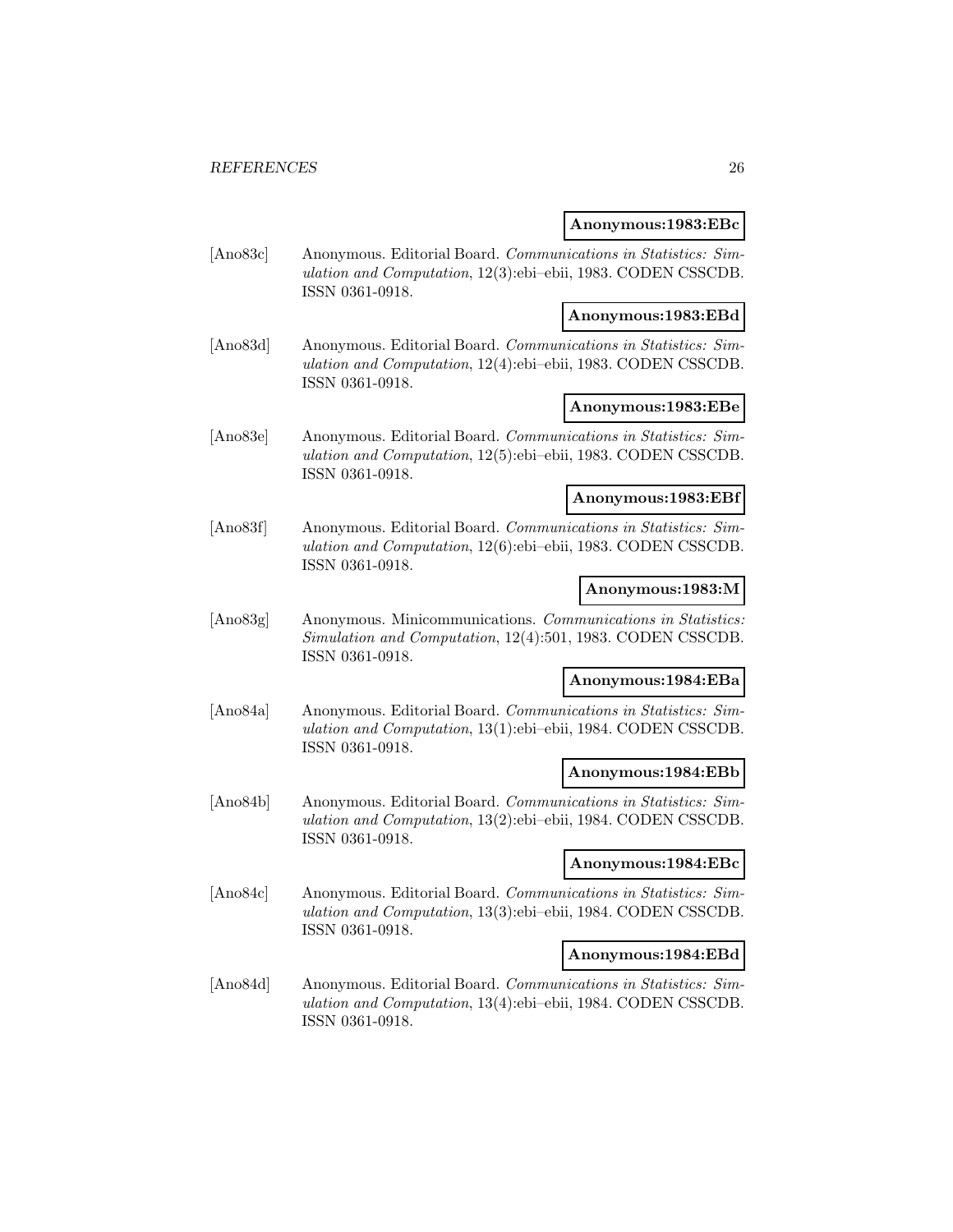#### **Anonymous:1983:EBc**

[Ano83c] Anonymous. Editorial Board. Communications in Statistics: Simulation and Computation, 12(3):ebi–ebii, 1983. CODEN CSSCDB. ISSN 0361-0918.

### **Anonymous:1983:EBd**

[Ano83d] Anonymous. Editorial Board. Communications in Statistics: Simulation and Computation, 12(4):ebi–ebii, 1983. CODEN CSSCDB. ISSN 0361-0918.

#### **Anonymous:1983:EBe**

[Ano83e] Anonymous. Editorial Board. Communications in Statistics: Simulation and Computation, 12(5):ebi–ebii, 1983. CODEN CSSCDB. ISSN 0361-0918.

#### **Anonymous:1983:EBf**

[Ano83f] Anonymous. Editorial Board. Communications in Statistics: Simulation and Computation, 12(6):ebi–ebii, 1983. CODEN CSSCDB. ISSN 0361-0918.

#### **Anonymous:1983:M**

[Ano83g] Anonymous. Minicommunications. Communications in Statistics: Simulation and Computation, 12(4):501, 1983. CODEN CSSCDB. ISSN 0361-0918.

#### **Anonymous:1984:EBa**

[Ano84a] Anonymous. Editorial Board. Communications in Statistics: Simulation and Computation, 13(1):ebi–ebii, 1984. CODEN CSSCDB. ISSN 0361-0918.

### **Anonymous:1984:EBb**

[Ano84b] Anonymous. Editorial Board. Communications in Statistics: Simulation and Computation, 13(2):ebi–ebii, 1984. CODEN CSSCDB. ISSN 0361-0918.

#### **Anonymous:1984:EBc**

[Ano84c] Anonymous. Editorial Board. Communications in Statistics: Simulation and Computation, 13(3):ebi–ebii, 1984. CODEN CSSCDB. ISSN 0361-0918.

#### **Anonymous:1984:EBd**

[Ano84d] Anonymous. Editorial Board. Communications in Statistics: Simulation and Computation, 13(4):ebi–ebii, 1984. CODEN CSSCDB. ISSN 0361-0918.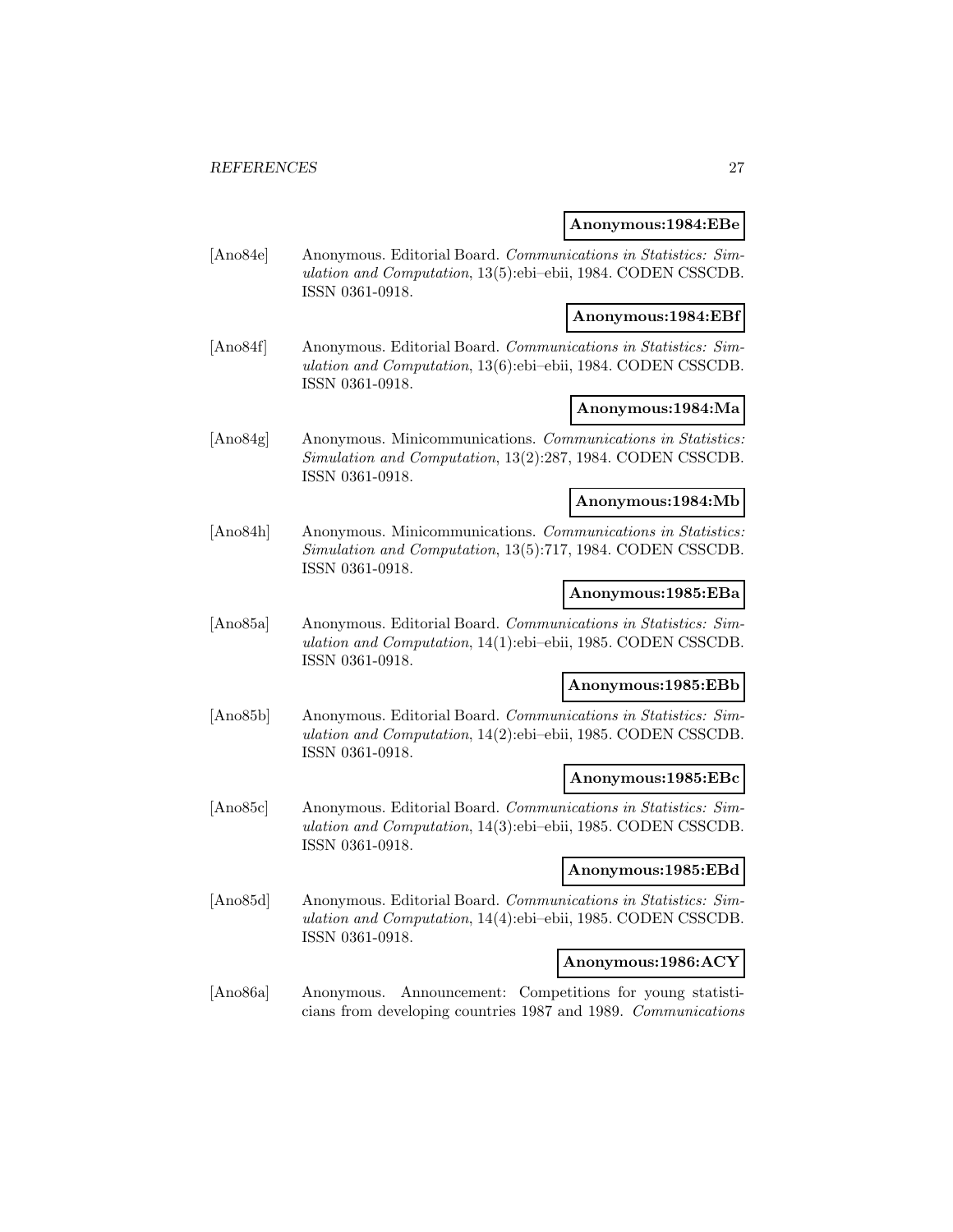#### **Anonymous:1984:EBe**

[Ano84e] Anonymous. Editorial Board. Communications in Statistics: Simulation and Computation, 13(5):ebi–ebii, 1984. CODEN CSSCDB. ISSN 0361-0918.

### **Anonymous:1984:EBf**

[Ano84f] Anonymous. Editorial Board. Communications in Statistics: Simulation and Computation, 13(6):ebi–ebii, 1984. CODEN CSSCDB. ISSN 0361-0918.

### **Anonymous:1984:Ma**

[Ano84g] Anonymous. Minicommunications. Communications in Statistics: Simulation and Computation, 13(2):287, 1984. CODEN CSSCDB. ISSN 0361-0918.

#### **Anonymous:1984:Mb**

[Ano84h] Anonymous. Minicommunications. Communications in Statistics: Simulation and Computation, 13(5):717, 1984. CODEN CSSCDB. ISSN 0361-0918.

#### **Anonymous:1985:EBa**

[Ano85a] Anonymous. Editorial Board. Communications in Statistics: Simulation and Computation, 14(1):ebi–ebii, 1985. CODEN CSSCDB. ISSN 0361-0918.

#### **Anonymous:1985:EBb**

[Ano85b] Anonymous. Editorial Board. Communications in Statistics: Simulation and Computation, 14(2):ebi–ebii, 1985. CODEN CSSCDB. ISSN 0361-0918.

#### **Anonymous:1985:EBc**

[Ano85c] Anonymous. Editorial Board. Communications in Statistics: Simulation and Computation, 14(3):ebi–ebii, 1985. CODEN CSSCDB. ISSN 0361-0918.

### **Anonymous:1985:EBd**

[Ano85d] Anonymous. Editorial Board. Communications in Statistics: Simulation and Computation, 14(4):ebi–ebii, 1985. CODEN CSSCDB. ISSN 0361-0918.

#### **Anonymous:1986:ACY**

[Ano86a] Anonymous. Announcement: Competitions for young statisticians from developing countries 1987 and 1989. Communications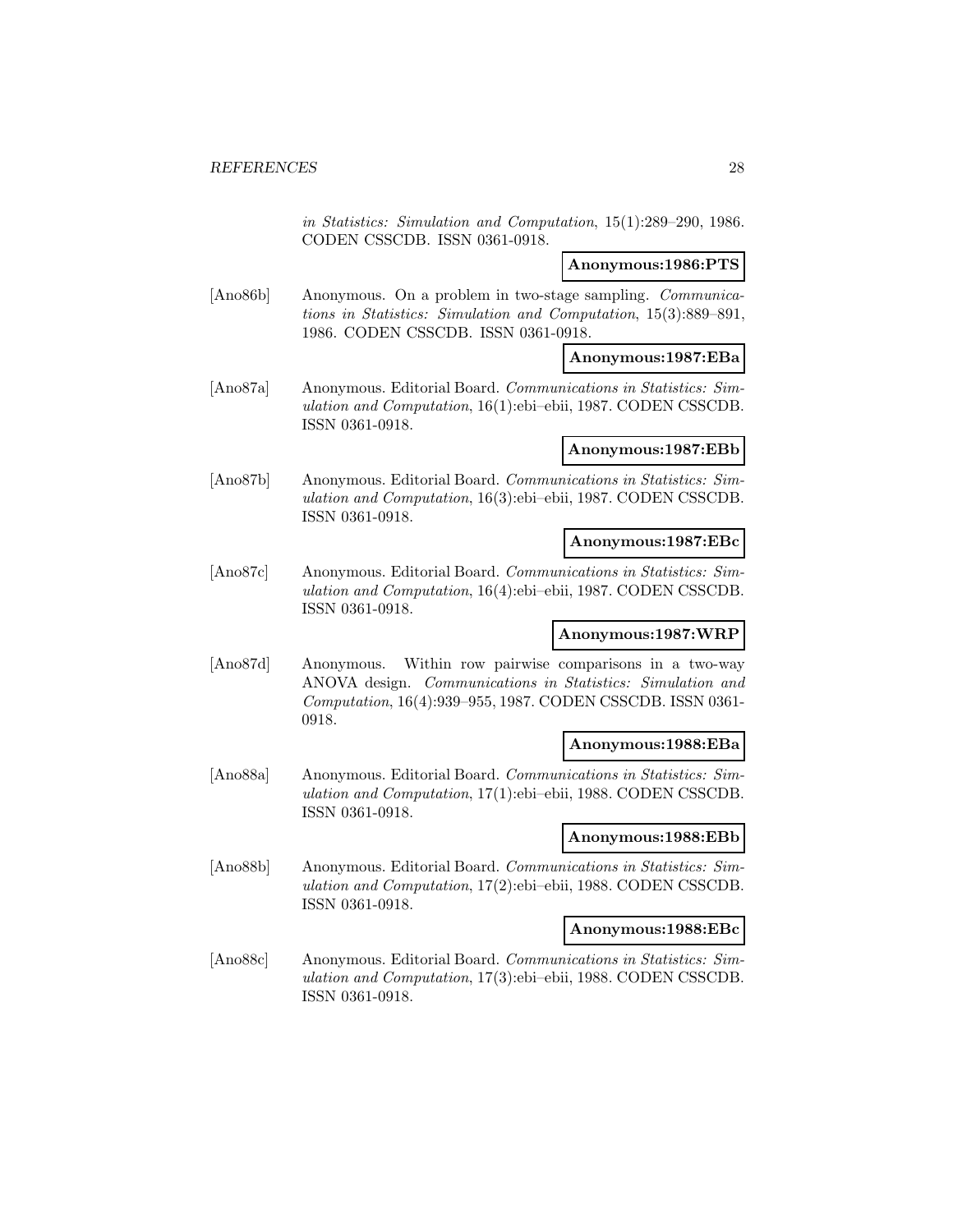in Statistics: Simulation and Computation, 15(1):289–290, 1986. CODEN CSSCDB. ISSN 0361-0918.

#### **Anonymous:1986:PTS**

[Ano86b] Anonymous. On a problem in two-stage sampling. Communications in Statistics: Simulation and Computation, 15(3):889–891, 1986. CODEN CSSCDB. ISSN 0361-0918.

### **Anonymous:1987:EBa**

[Ano87a] Anonymous. Editorial Board. Communications in Statistics: Simulation and Computation, 16(1):ebi–ebii, 1987. CODEN CSSCDB. ISSN 0361-0918.

#### **Anonymous:1987:EBb**

[Ano87b] Anonymous. Editorial Board. Communications in Statistics: Simulation and Computation, 16(3):ebi–ebii, 1987. CODEN CSSCDB. ISSN 0361-0918.

#### **Anonymous:1987:EBc**

[Ano87c] Anonymous. Editorial Board. Communications in Statistics: Simulation and Computation, 16(4):ebi–ebii, 1987. CODEN CSSCDB. ISSN 0361-0918.

#### **Anonymous:1987:WRP**

[Ano87d] Anonymous. Within row pairwise comparisons in a two-way ANOVA design. Communications in Statistics: Simulation and Computation, 16(4):939–955, 1987. CODEN CSSCDB. ISSN 0361- 0918.

#### **Anonymous:1988:EBa**

[Ano88a] Anonymous. Editorial Board. Communications in Statistics: Simulation and Computation, 17(1):ebi–ebii, 1988. CODEN CSSCDB. ISSN 0361-0918.

#### **Anonymous:1988:EBb**

[Ano88b] Anonymous. Editorial Board. Communications in Statistics: Simulation and Computation, 17(2):ebi–ebii, 1988. CODEN CSSCDB. ISSN 0361-0918.

### **Anonymous:1988:EBc**

[Ano88c] Anonymous. Editorial Board. Communications in Statistics: Simulation and Computation, 17(3):ebi–ebii, 1988. CODEN CSSCDB. ISSN 0361-0918.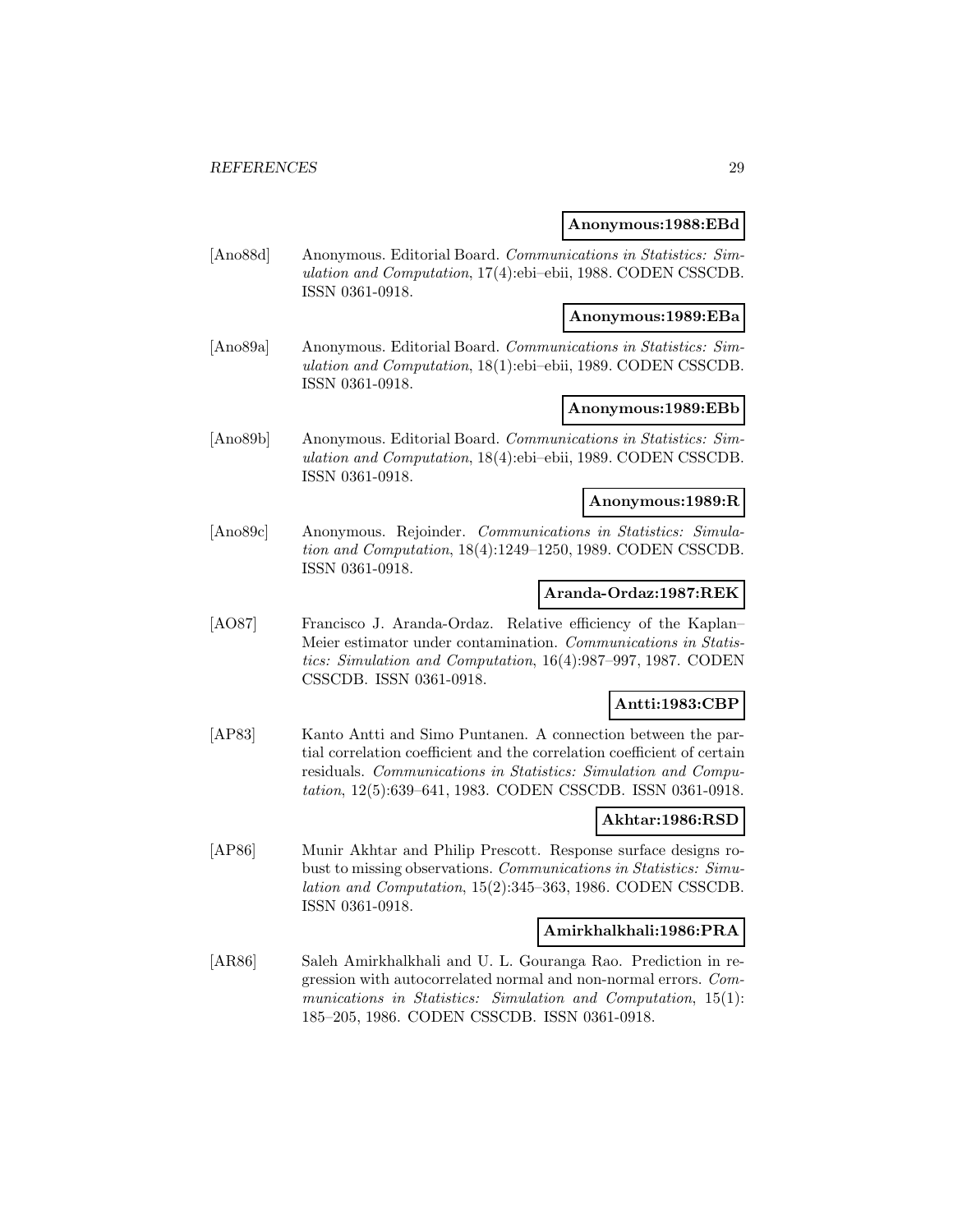#### **Anonymous:1988:EBd**

[Ano88d] Anonymous. Editorial Board. Communications in Statistics: Simulation and Computation, 17(4):ebi–ebii, 1988. CODEN CSSCDB. ISSN 0361-0918.

#### **Anonymous:1989:EBa**

[Ano89a] Anonymous. Editorial Board. Communications in Statistics: Simulation and Computation, 18(1):ebi–ebii, 1989. CODEN CSSCDB. ISSN 0361-0918.

#### **Anonymous:1989:EBb**

[Ano89b] Anonymous. Editorial Board. Communications in Statistics: Simulation and Computation, 18(4):ebi–ebii, 1989. CODEN CSSCDB. ISSN 0361-0918.

#### **Anonymous:1989:R**

[Ano89c] Anonymous. Rejoinder. Communications in Statistics: Simulation and Computation, 18(4):1249–1250, 1989. CODEN CSSCDB. ISSN 0361-0918.

### **Aranda-Ordaz:1987:REK**

[AO87] Francisco J. Aranda-Ordaz. Relative efficiency of the Kaplan– Meier estimator under contamination. Communications in Statistics: Simulation and Computation, 16(4):987–997, 1987. CODEN CSSCDB. ISSN 0361-0918.

#### **Antti:1983:CBP**

[AP83] Kanto Antti and Simo Puntanen. A connection between the partial correlation coefficient and the correlation coefficient of certain residuals. Communications in Statistics: Simulation and Computation, 12(5):639–641, 1983. CODEN CSSCDB. ISSN 0361-0918.

### **Akhtar:1986:RSD**

[AP86] Munir Akhtar and Philip Prescott. Response surface designs robust to missing observations. Communications in Statistics: Simulation and Computation, 15(2):345–363, 1986. CODEN CSSCDB. ISSN 0361-0918.

### **Amirkhalkhali:1986:PRA**

[AR86] Saleh Amirkhalkhali and U. L. Gouranga Rao. Prediction in regression with autocorrelated normal and non-normal errors. Communications in Statistics: Simulation and Computation, 15(1): 185–205, 1986. CODEN CSSCDB. ISSN 0361-0918.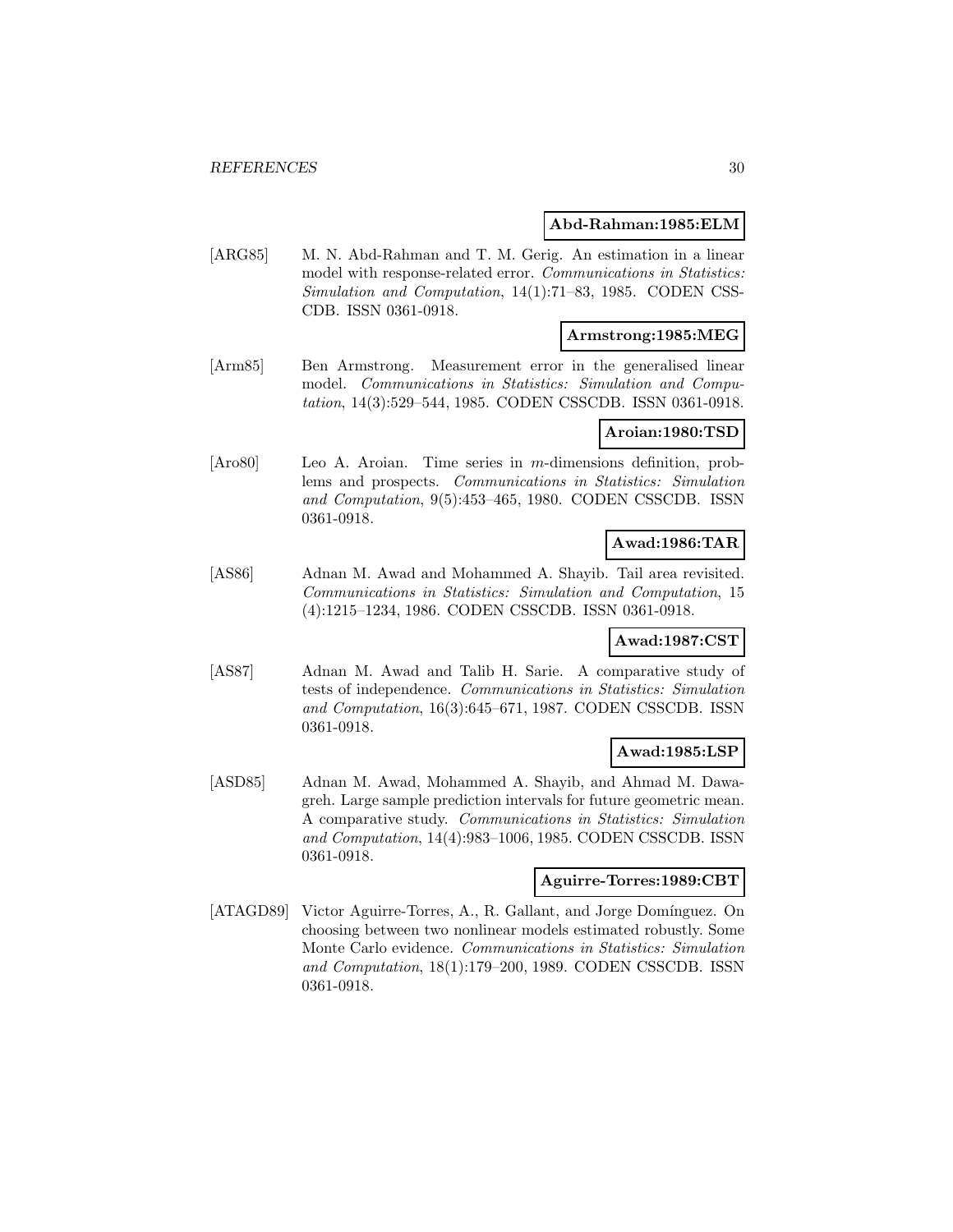#### **Abd-Rahman:1985:ELM**

[ARG85] M. N. Abd-Rahman and T. M. Gerig. An estimation in a linear model with response-related error. Communications in Statistics: Simulation and Computation, 14(1):71–83, 1985. CODEN CSS-CDB. ISSN 0361-0918.

### **Armstrong:1985:MEG**

[Arm85] Ben Armstrong. Measurement error in the generalised linear model. Communications in Statistics: Simulation and Computation, 14(3):529–544, 1985. CODEN CSSCDB. ISSN 0361-0918.

### **Aroian:1980:TSD**

[Aro80] Leo A. Aroian. Time series in m-dimensions definition, problems and prospects. Communications in Statistics: Simulation and Computation, 9(5):453–465, 1980. CODEN CSSCDB. ISSN 0361-0918.

### **Awad:1986:TAR**

[AS86] Adnan M. Awad and Mohammed A. Shayib. Tail area revisited. Communications in Statistics: Simulation and Computation, 15 (4):1215–1234, 1986. CODEN CSSCDB. ISSN 0361-0918.

# **Awad:1987:CST**

[AS87] Adnan M. Awad and Talib H. Sarie. A comparative study of tests of independence. Communications in Statistics: Simulation and Computation, 16(3):645–671, 1987. CODEN CSSCDB. ISSN 0361-0918.

### **Awad:1985:LSP**

[ASD85] Adnan M. Awad, Mohammed A. Shayib, and Ahmad M. Dawagreh. Large sample prediction intervals for future geometric mean. A comparative study. Communications in Statistics: Simulation and Computation, 14(4):983–1006, 1985. CODEN CSSCDB. ISSN 0361-0918.

#### **Aguirre-Torres:1989:CBT**

[ATAGD89] Victor Aguirre-Torres, A., R. Gallant, and Jorge Domínguez. On choosing between two nonlinear models estimated robustly. Some Monte Carlo evidence. Communications in Statistics: Simulation and Computation, 18(1):179–200, 1989. CODEN CSSCDB. ISSN 0361-0918.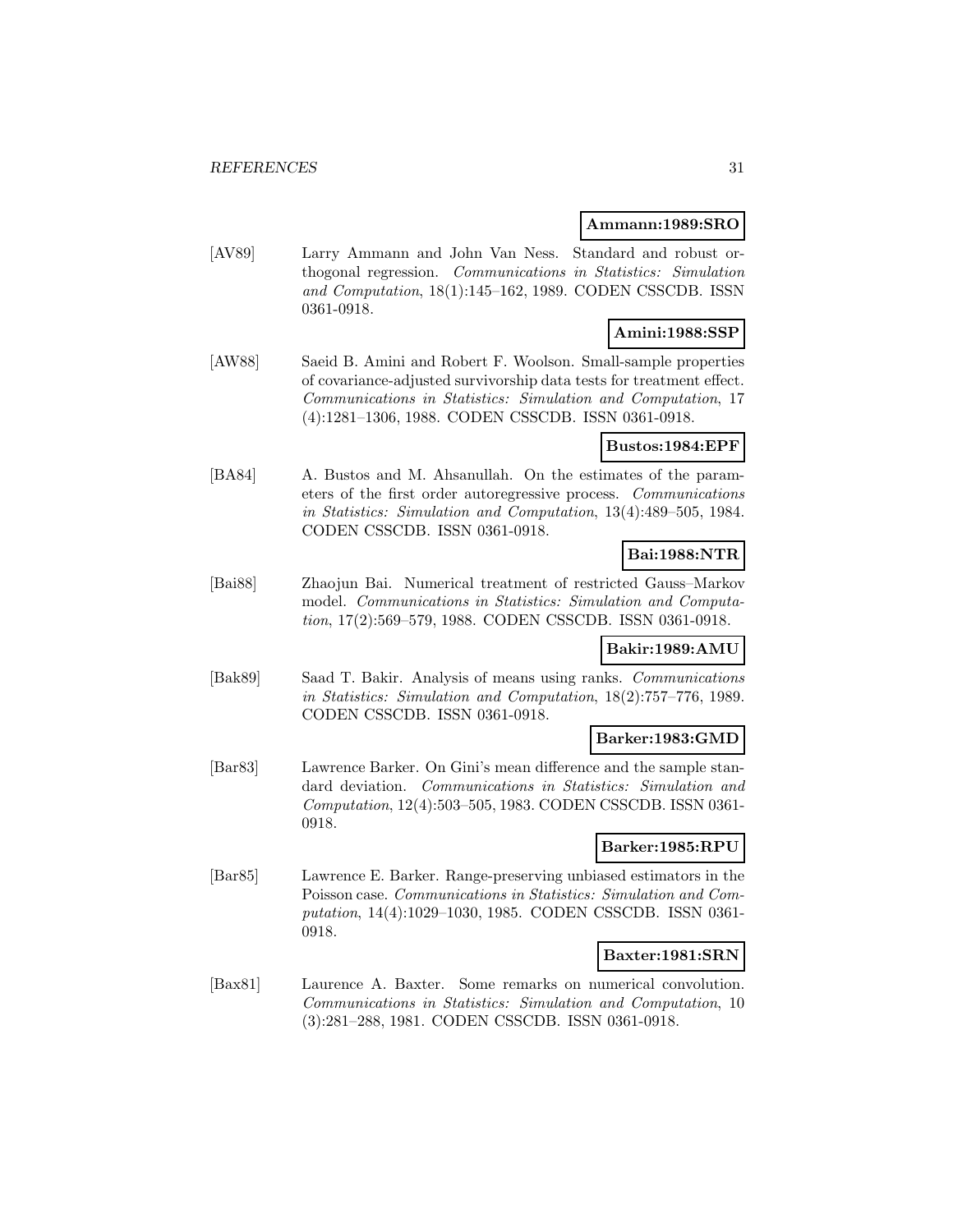#### **Ammann:1989:SRO**

[AV89] Larry Ammann and John Van Ness. Standard and robust orthogonal regression. Communications in Statistics: Simulation and Computation, 18(1):145–162, 1989. CODEN CSSCDB. ISSN 0361-0918.

### **Amini:1988:SSP**

[AW88] Saeid B. Amini and Robert F. Woolson. Small-sample properties of covariance-adjusted survivorship data tests for treatment effect. Communications in Statistics: Simulation and Computation, 17 (4):1281–1306, 1988. CODEN CSSCDB. ISSN 0361-0918.

### **Bustos:1984:EPF**

[BA84] A. Bustos and M. Ahsanullah. On the estimates of the parameters of the first order autoregressive process. Communications in Statistics: Simulation and Computation, 13(4):489–505, 1984. CODEN CSSCDB. ISSN 0361-0918.

### **Bai:1988:NTR**

[Bai88] Zhaojun Bai. Numerical treatment of restricted Gauss–Markov model. Communications in Statistics: Simulation and Computation, 17(2):569–579, 1988. CODEN CSSCDB. ISSN 0361-0918.

#### **Bakir:1989:AMU**

[Bak89] Saad T. Bakir. Analysis of means using ranks. Communications in Statistics: Simulation and Computation, 18(2):757–776, 1989. CODEN CSSCDB. ISSN 0361-0918.

#### **Barker:1983:GMD**

[Bar83] Lawrence Barker. On Gini's mean difference and the sample standard deviation. Communications in Statistics: Simulation and Computation, 12(4):503–505, 1983. CODEN CSSCDB. ISSN 0361- 0918.

### **Barker:1985:RPU**

[Bar85] Lawrence E. Barker. Range-preserving unbiased estimators in the Poisson case. Communications in Statistics: Simulation and Computation, 14(4):1029–1030, 1985. CODEN CSSCDB. ISSN 0361- 0918.

#### **Baxter:1981:SRN**

[Bax81] Laurence A. Baxter. Some remarks on numerical convolution. Communications in Statistics: Simulation and Computation, 10 (3):281–288, 1981. CODEN CSSCDB. ISSN 0361-0918.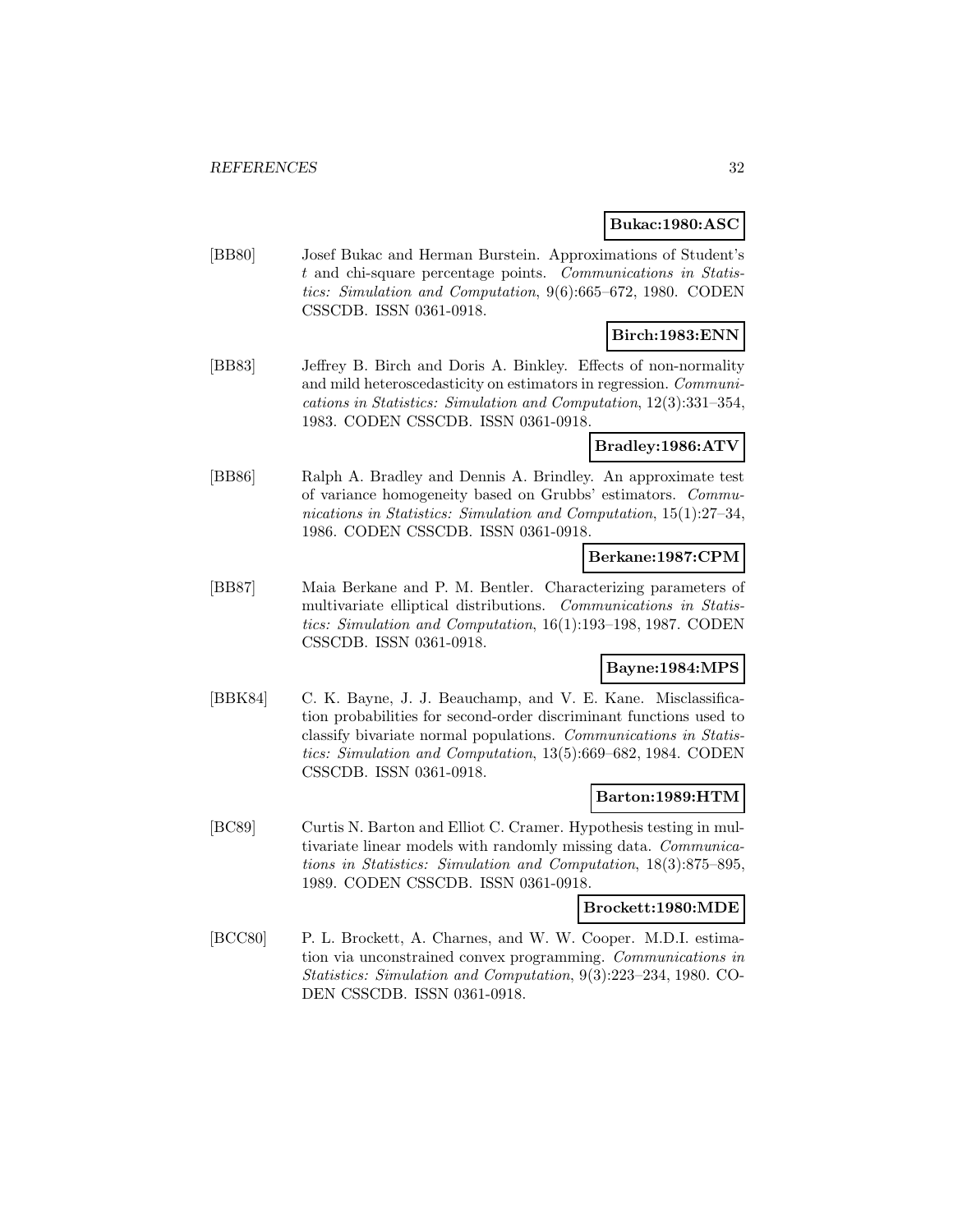### **Bukac:1980:ASC**

[BB80] Josef Bukac and Herman Burstein. Approximations of Student's t and chi-square percentage points. Communications in Statistics: Simulation and Computation, 9(6):665–672, 1980. CODEN CSSCDB. ISSN 0361-0918.

# **Birch:1983:ENN**

[BB83] Jeffrey B. Birch and Doris A. Binkley. Effects of non-normality and mild heteroscedasticity on estimators in regression. Communications in Statistics: Simulation and Computation, 12(3):331–354, 1983. CODEN CSSCDB. ISSN 0361-0918.

#### **Bradley:1986:ATV**

[BB86] Ralph A. Bradley and Dennis A. Brindley. An approximate test of variance homogeneity based on Grubbs' estimators. Communications in Statistics: Simulation and Computation, 15(1):27–34, 1986. CODEN CSSCDB. ISSN 0361-0918.

#### **Berkane:1987:CPM**

[BB87] Maia Berkane and P. M. Bentler. Characterizing parameters of multivariate elliptical distributions. Communications in Statistics: Simulation and Computation, 16(1):193–198, 1987. CODEN CSSCDB. ISSN 0361-0918.

# **Bayne:1984:MPS**

[BBK84] C. K. Bayne, J. J. Beauchamp, and V. E. Kane. Misclassification probabilities for second-order discriminant functions used to classify bivariate normal populations. Communications in Statistics: Simulation and Computation, 13(5):669–682, 1984. CODEN CSSCDB. ISSN 0361-0918.

#### **Barton:1989:HTM**

[BC89] Curtis N. Barton and Elliot C. Cramer. Hypothesis testing in multivariate linear models with randomly missing data. Communications in Statistics: Simulation and Computation, 18(3):875–895, 1989. CODEN CSSCDB. ISSN 0361-0918.

#### **Brockett:1980:MDE**

[BCC80] P. L. Brockett, A. Charnes, and W. W. Cooper. M.D.I. estimation via unconstrained convex programming. Communications in Statistics: Simulation and Computation, 9(3):223–234, 1980. CO-DEN CSSCDB. ISSN 0361-0918.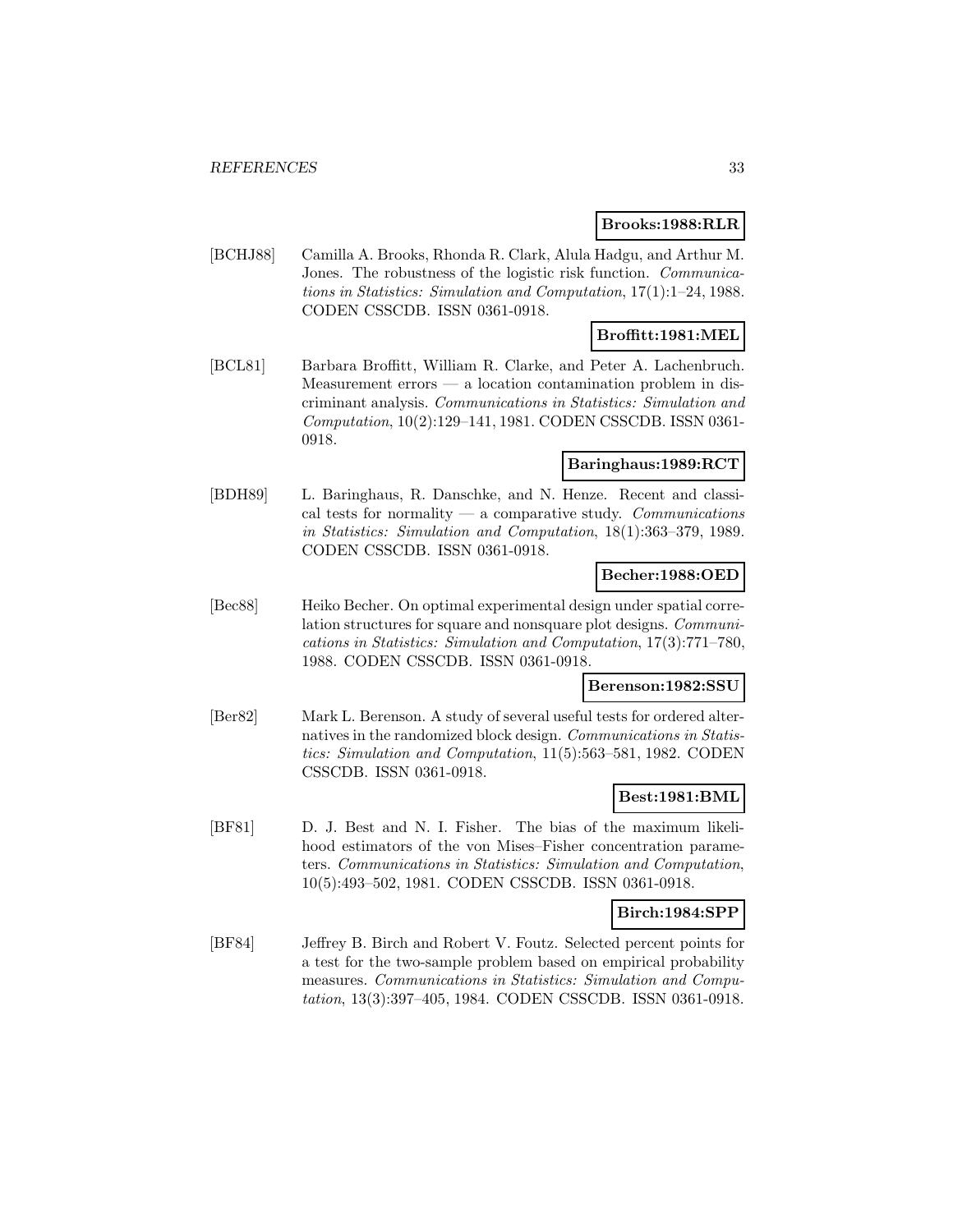### **Brooks:1988:RLR**

[BCHJ88] Camilla A. Brooks, Rhonda R. Clark, Alula Hadgu, and Arthur M. Jones. The robustness of the logistic risk function. Communications in Statistics: Simulation and Computation, 17(1):1–24, 1988. CODEN CSSCDB. ISSN 0361-0918.

### **Broffitt:1981:MEL**

[BCL81] Barbara Broffitt, William R. Clarke, and Peter A. Lachenbruch. Measurement errors — a location contamination problem in discriminant analysis. Communications in Statistics: Simulation and Computation, 10(2):129–141, 1981. CODEN CSSCDB. ISSN 0361- 0918.

### **Baringhaus:1989:RCT**

[BDH89] L. Baringhaus, R. Danschke, and N. Henze. Recent and classical tests for normality  $-$  a comparative study. Communications in Statistics: Simulation and Computation, 18(1):363–379, 1989. CODEN CSSCDB. ISSN 0361-0918.

### **Becher:1988:OED**

[Bec88] Heiko Becher. On optimal experimental design under spatial correlation structures for square and nonsquare plot designs. Communications in Statistics: Simulation and Computation, 17(3):771–780, 1988. CODEN CSSCDB. ISSN 0361-0918.

#### **Berenson:1982:SSU**

[Ber82] Mark L. Berenson. A study of several useful tests for ordered alternatives in the randomized block design. Communications in Statistics: Simulation and Computation, 11(5):563–581, 1982. CODEN CSSCDB. ISSN 0361-0918.

### **Best:1981:BML**

[BF81] D. J. Best and N. I. Fisher. The bias of the maximum likelihood estimators of the von Mises–Fisher concentration parameters. Communications in Statistics: Simulation and Computation, 10(5):493–502, 1981. CODEN CSSCDB. ISSN 0361-0918.

#### **Birch:1984:SPP**

[BF84] Jeffrey B. Birch and Robert V. Foutz. Selected percent points for a test for the two-sample problem based on empirical probability measures. Communications in Statistics: Simulation and Computation, 13(3):397–405, 1984. CODEN CSSCDB. ISSN 0361-0918.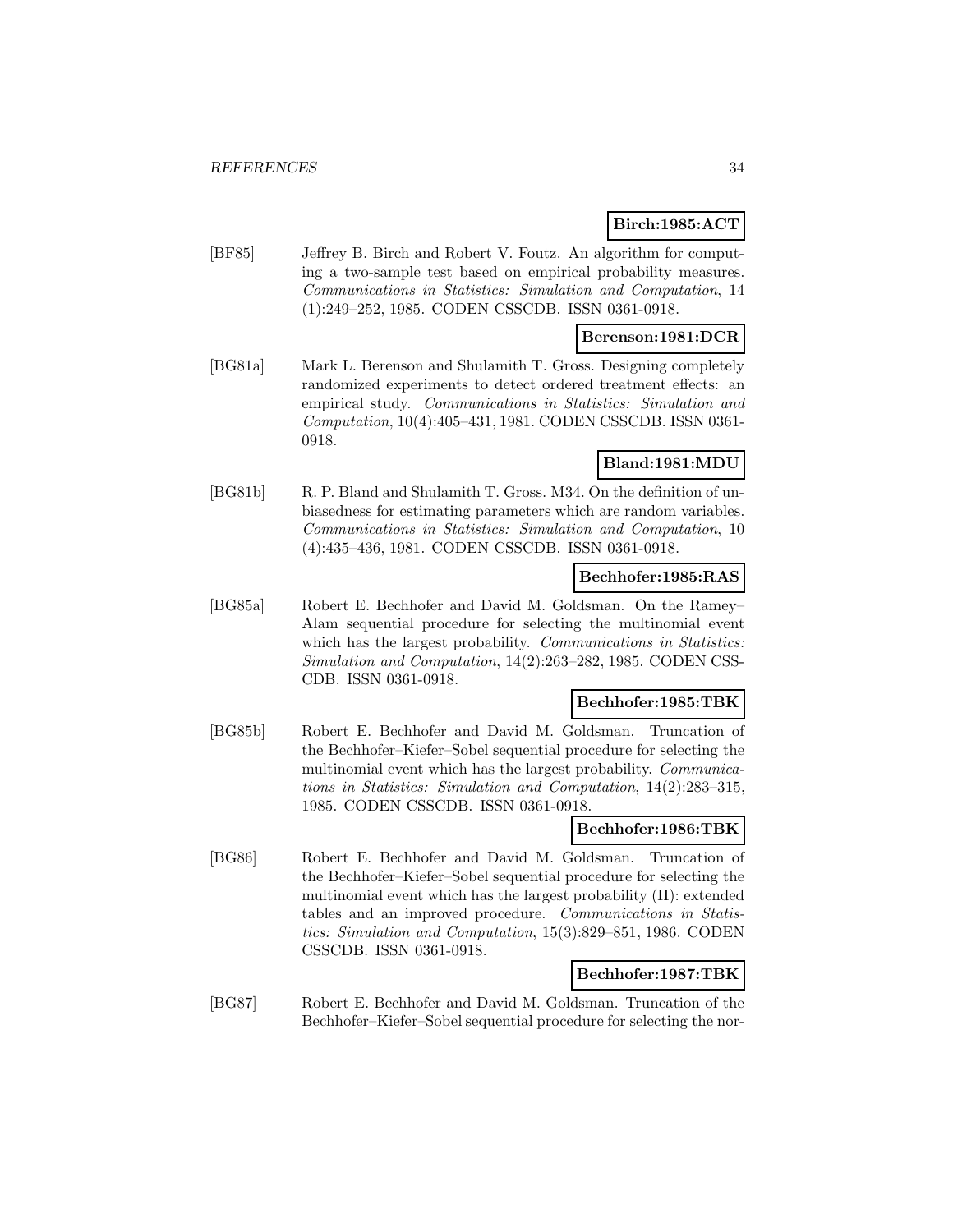### **Birch:1985:ACT**

[BF85] Jeffrey B. Birch and Robert V. Foutz. An algorithm for computing a two-sample test based on empirical probability measures. Communications in Statistics: Simulation and Computation, 14 (1):249–252, 1985. CODEN CSSCDB. ISSN 0361-0918.

### **Berenson:1981:DCR**

[BG81a] Mark L. Berenson and Shulamith T. Gross. Designing completely randomized experiments to detect ordered treatment effects: an empirical study. Communications in Statistics: Simulation and Computation, 10(4):405–431, 1981. CODEN CSSCDB. ISSN 0361- 0918.

### **Bland:1981:MDU**

[BG81b] R. P. Bland and Shulamith T. Gross. M34. On the definition of unbiasedness for estimating parameters which are random variables. Communications in Statistics: Simulation and Computation, 10 (4):435–436, 1981. CODEN CSSCDB. ISSN 0361-0918.

#### **Bechhofer:1985:RAS**

[BG85a] Robert E. Bechhofer and David M. Goldsman. On the Ramey– Alam sequential procedure for selecting the multinomial event which has the largest probability. Communications in Statistics: Simulation and Computation, 14(2):263–282, 1985. CODEN CSS-CDB. ISSN 0361-0918.

#### **Bechhofer:1985:TBK**

[BG85b] Robert E. Bechhofer and David M. Goldsman. Truncation of the Bechhofer–Kiefer–Sobel sequential procedure for selecting the multinomial event which has the largest probability. Communications in Statistics: Simulation and Computation, 14(2):283–315, 1985. CODEN CSSCDB. ISSN 0361-0918.

# **Bechhofer:1986:TBK**

[BG86] Robert E. Bechhofer and David M. Goldsman. Truncation of the Bechhofer–Kiefer–Sobel sequential procedure for selecting the multinomial event which has the largest probability (II): extended tables and an improved procedure. Communications in Statistics: Simulation and Computation, 15(3):829–851, 1986. CODEN CSSCDB. ISSN 0361-0918.

### **Bechhofer:1987:TBK**

[BG87] Robert E. Bechhofer and David M. Goldsman. Truncation of the Bechhofer–Kiefer–Sobel sequential procedure for selecting the nor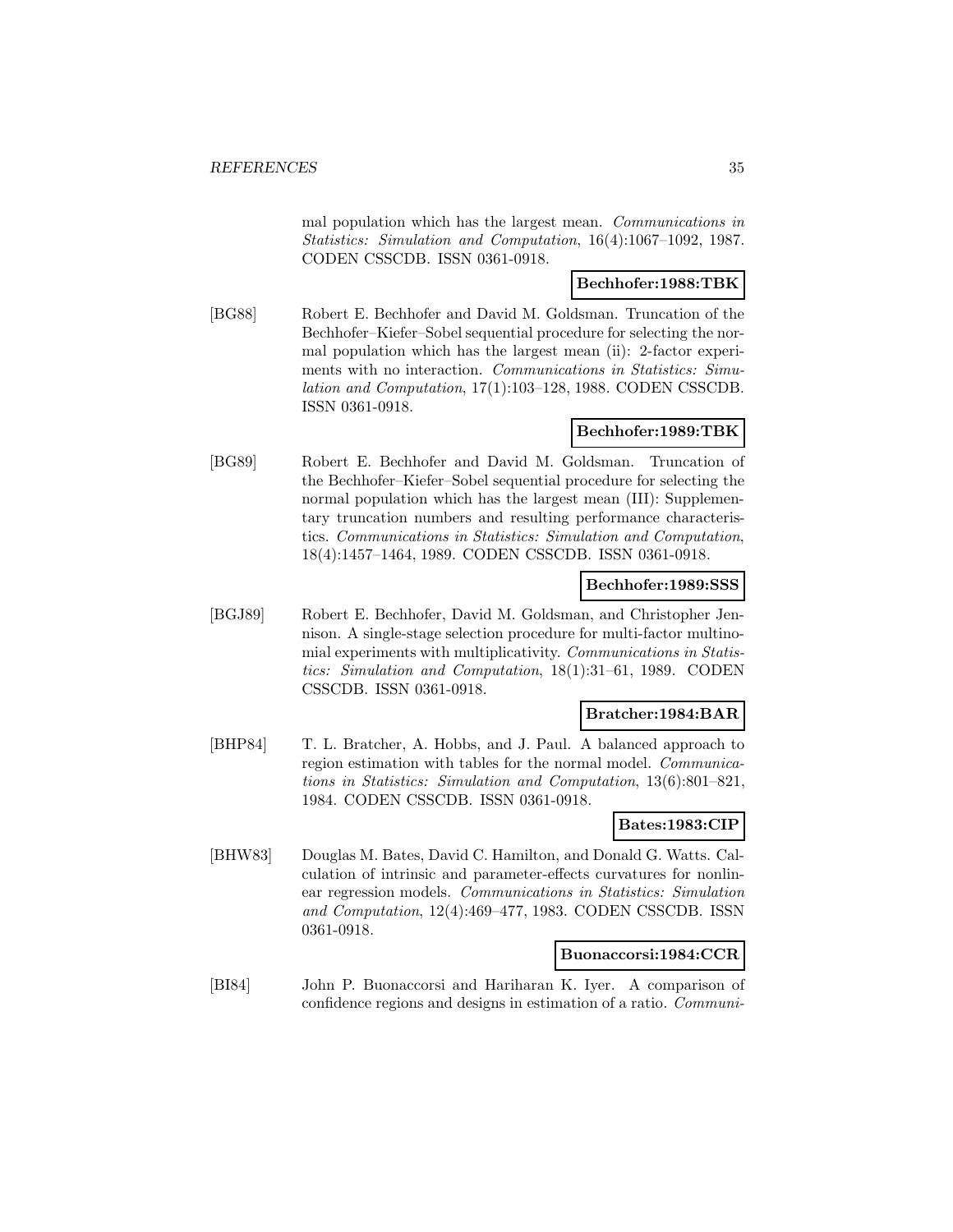mal population which has the largest mean. Communications in Statistics: Simulation and Computation, 16(4):1067–1092, 1987. CODEN CSSCDB. ISSN 0361-0918.

### **Bechhofer:1988:TBK**

[BG88] Robert E. Bechhofer and David M. Goldsman. Truncation of the Bechhofer–Kiefer–Sobel sequential procedure for selecting the normal population which has the largest mean (ii): 2-factor experiments with no interaction. Communications in Statistics: Simulation and Computation, 17(1):103–128, 1988. CODEN CSSCDB. ISSN 0361-0918.

### **Bechhofer:1989:TBK**

[BG89] Robert E. Bechhofer and David M. Goldsman. Truncation of the Bechhofer–Kiefer–Sobel sequential procedure for selecting the normal population which has the largest mean (III): Supplementary truncation numbers and resulting performance characteristics. Communications in Statistics: Simulation and Computation, 18(4):1457–1464, 1989. CODEN CSSCDB. ISSN 0361-0918.

#### **Bechhofer:1989:SSS**

[BGJ89] Robert E. Bechhofer, David M. Goldsman, and Christopher Jennison. A single-stage selection procedure for multi-factor multinomial experiments with multiplicativity. Communications in Statistics: Simulation and Computation, 18(1):31–61, 1989. CODEN CSSCDB. ISSN 0361-0918.

### **Bratcher:1984:BAR**

[BHP84] T. L. Bratcher, A. Hobbs, and J. Paul. A balanced approach to region estimation with tables for the normal model. Communications in Statistics: Simulation and Computation, 13(6):801–821, 1984. CODEN CSSCDB. ISSN 0361-0918.

#### **Bates:1983:CIP**

[BHW83] Douglas M. Bates, David C. Hamilton, and Donald G. Watts. Calculation of intrinsic and parameter-effects curvatures for nonlinear regression models. Communications in Statistics: Simulation and Computation, 12(4):469–477, 1983. CODEN CSSCDB. ISSN 0361-0918.

### **Buonaccorsi:1984:CCR**

[BI84] John P. Buonaccorsi and Hariharan K. Iyer. A comparison of confidence regions and designs in estimation of a ratio. Communi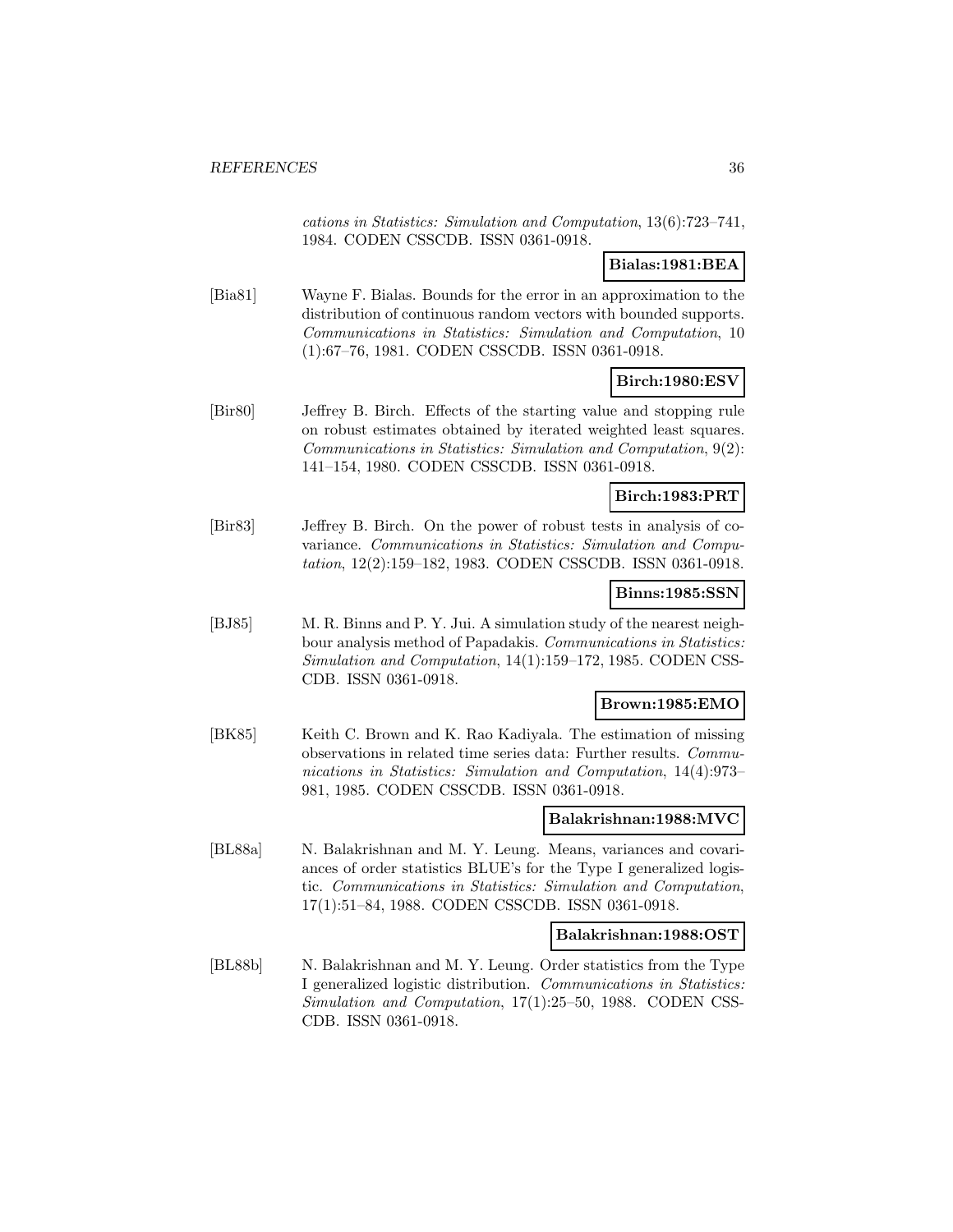cations in Statistics: Simulation and Computation, 13(6):723–741, 1984. CODEN CSSCDB. ISSN 0361-0918.

### **Bialas:1981:BEA**

[Bia81] Wayne F. Bialas. Bounds for the error in an approximation to the distribution of continuous random vectors with bounded supports. Communications in Statistics: Simulation and Computation, 10 (1):67–76, 1981. CODEN CSSCDB. ISSN 0361-0918.

### **Birch:1980:ESV**

[Bir80] Jeffrey B. Birch. Effects of the starting value and stopping rule on robust estimates obtained by iterated weighted least squares. Communications in Statistics: Simulation and Computation, 9(2): 141–154, 1980. CODEN CSSCDB. ISSN 0361-0918.

### **Birch:1983:PRT**

[Bir83] Jeffrey B. Birch. On the power of robust tests in analysis of covariance. Communications in Statistics: Simulation and Computation, 12(2):159–182, 1983. CODEN CSSCDB. ISSN 0361-0918.

#### **Binns:1985:SSN**

[BJ85] M. R. Binns and P. Y. Jui. A simulation study of the nearest neighbour analysis method of Papadakis. Communications in Statistics: Simulation and Computation, 14(1):159–172, 1985. CODEN CSS-CDB. ISSN 0361-0918.

#### **Brown:1985:EMO**

[BK85] Keith C. Brown and K. Rao Kadiyala. The estimation of missing observations in related time series data: Further results. Communications in Statistics: Simulation and Computation, 14(4):973– 981, 1985. CODEN CSSCDB. ISSN 0361-0918.

### **Balakrishnan:1988:MVC**

[BL88a] N. Balakrishnan and M. Y. Leung. Means, variances and covariances of order statistics BLUE's for the Type I generalized logistic. Communications in Statistics: Simulation and Computation, 17(1):51–84, 1988. CODEN CSSCDB. ISSN 0361-0918.

#### **Balakrishnan:1988:OST**

[BL88b] N. Balakrishnan and M. Y. Leung. Order statistics from the Type I generalized logistic distribution. Communications in Statistics: Simulation and Computation, 17(1):25–50, 1988. CODEN CSS-CDB. ISSN 0361-0918.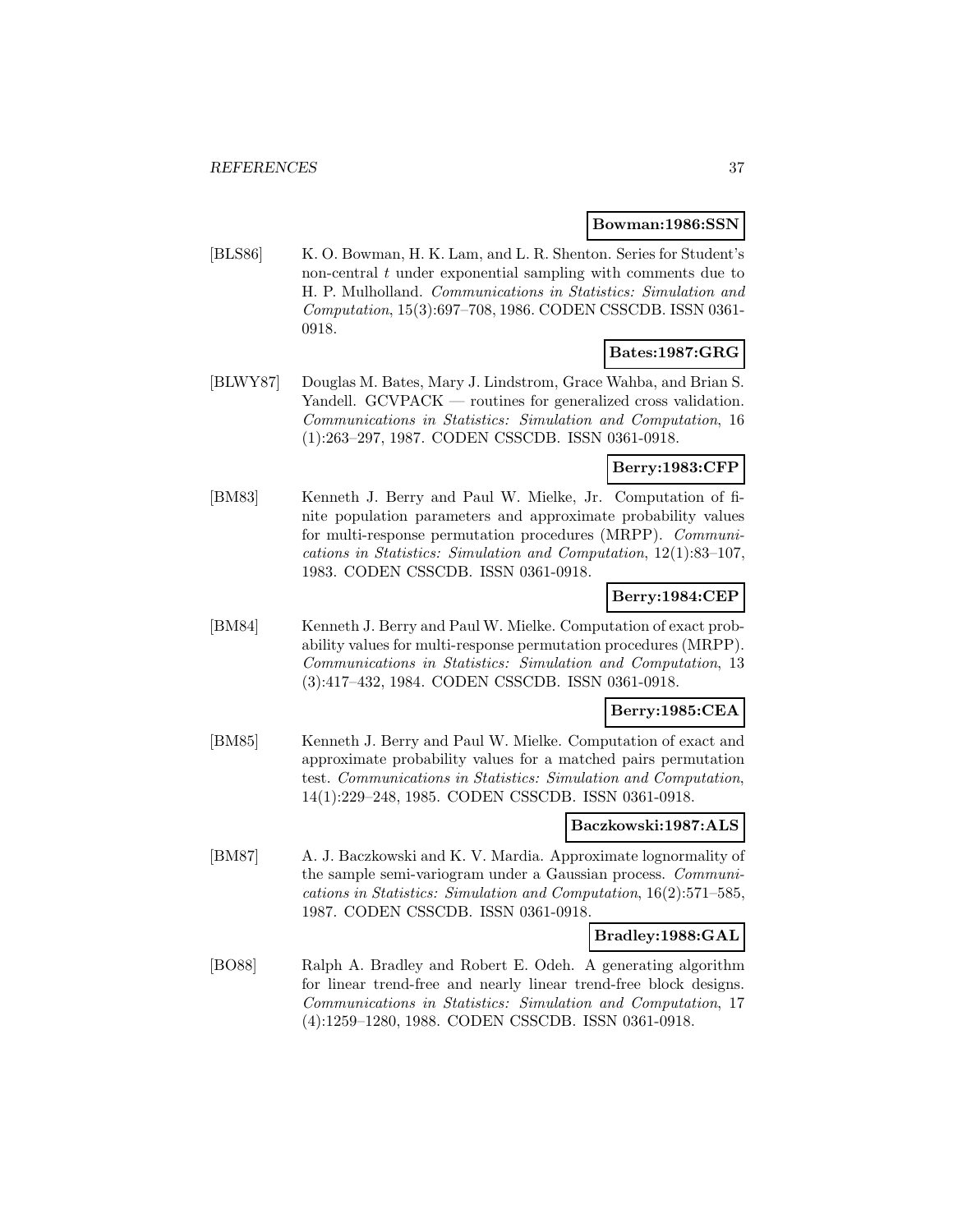#### **Bowman:1986:SSN**

[BLS86] K. O. Bowman, H. K. Lam, and L. R. Shenton. Series for Student's non-central  $t$  under exponential sampling with comments due to H. P. Mulholland. Communications in Statistics: Simulation and Computation, 15(3):697–708, 1986. CODEN CSSCDB. ISSN 0361- 0918.

## **Bates:1987:GRG**

[BLWY87] Douglas M. Bates, Mary J. Lindstrom, Grace Wahba, and Brian S. Yandell. GCVPACK — routines for generalized cross validation. Communications in Statistics: Simulation and Computation, 16 (1):263–297, 1987. CODEN CSSCDB. ISSN 0361-0918.

## **Berry:1983:CFP**

[BM83] Kenneth J. Berry and Paul W. Mielke, Jr. Computation of finite population parameters and approximate probability values for multi-response permutation procedures (MRPP). Communications in Statistics: Simulation and Computation, 12(1):83–107, 1983. CODEN CSSCDB. ISSN 0361-0918.

# **Berry:1984:CEP**

[BM84] Kenneth J. Berry and Paul W. Mielke. Computation of exact probability values for multi-response permutation procedures (MRPP). Communications in Statistics: Simulation and Computation, 13 (3):417–432, 1984. CODEN CSSCDB. ISSN 0361-0918.

#### **Berry:1985:CEA**

[BM85] Kenneth J. Berry and Paul W. Mielke. Computation of exact and approximate probability values for a matched pairs permutation test. Communications in Statistics: Simulation and Computation, 14(1):229–248, 1985. CODEN CSSCDB. ISSN 0361-0918.

### **Baczkowski:1987:ALS**

[BM87] A. J. Baczkowski and K. V. Mardia. Approximate lognormality of the sample semi-variogram under a Gaussian process. Communications in Statistics: Simulation and Computation, 16(2):571–585, 1987. CODEN CSSCDB. ISSN 0361-0918.

#### **Bradley:1988:GAL**

[BO88] Ralph A. Bradley and Robert E. Odeh. A generating algorithm for linear trend-free and nearly linear trend-free block designs. Communications in Statistics: Simulation and Computation, 17 (4):1259–1280, 1988. CODEN CSSCDB. ISSN 0361-0918.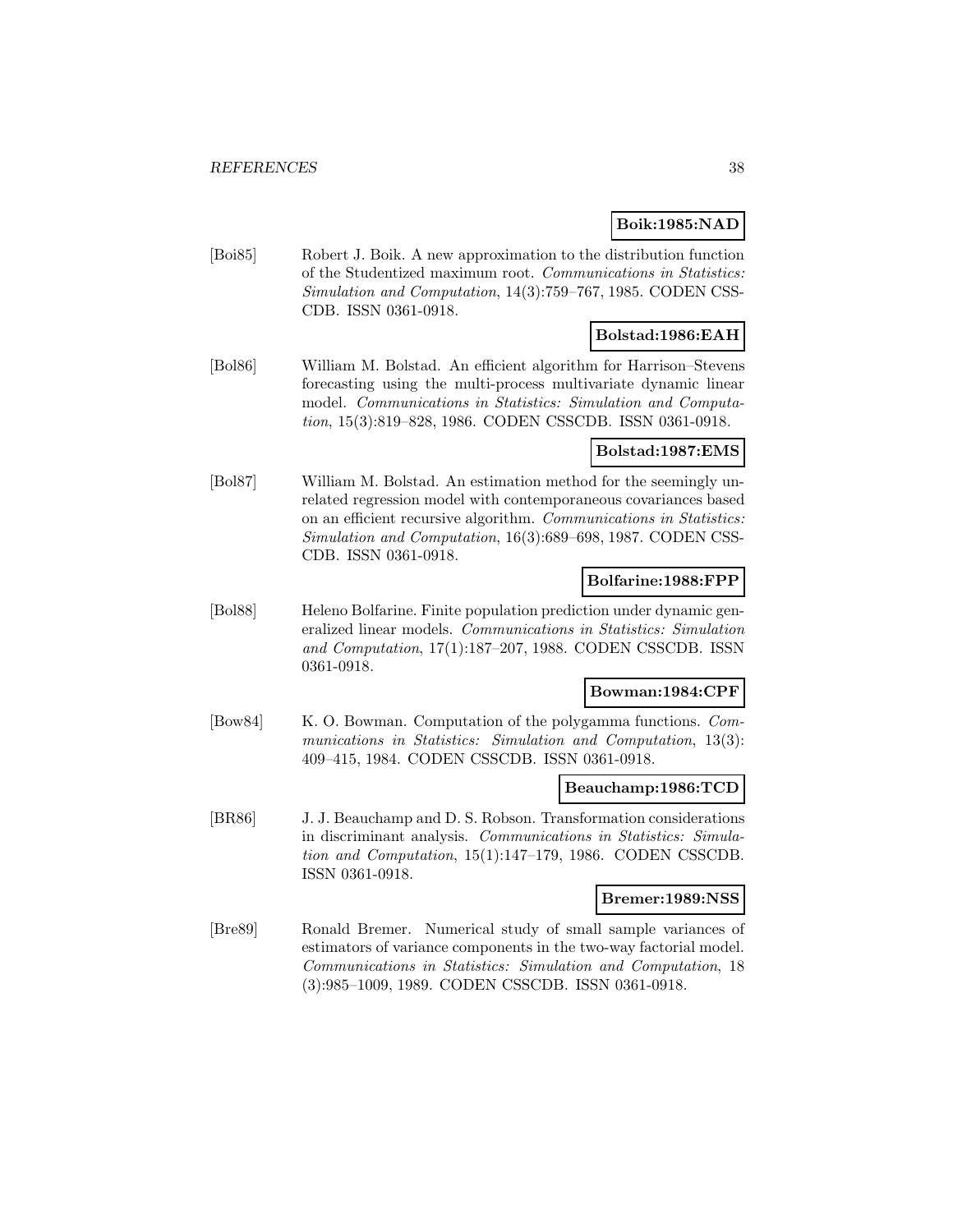### **Boik:1985:NAD**

[Boi85] Robert J. Boik. A new approximation to the distribution function of the Studentized maximum root. Communications in Statistics: Simulation and Computation, 14(3):759–767, 1985. CODEN CSS-CDB. ISSN 0361-0918.

## **Bolstad:1986:EAH**

[Bol86] William M. Bolstad. An efficient algorithm for Harrison–Stevens forecasting using the multi-process multivariate dynamic linear model. Communications in Statistics: Simulation and Computation, 15(3):819–828, 1986. CODEN CSSCDB. ISSN 0361-0918.

#### **Bolstad:1987:EMS**

[Bol87] William M. Bolstad. An estimation method for the seemingly unrelated regression model with contemporaneous covariances based on an efficient recursive algorithm. Communications in Statistics: Simulation and Computation, 16(3):689–698, 1987. CODEN CSS-CDB. ISSN 0361-0918.

### **Bolfarine:1988:FPP**

[Bol88] Heleno Bolfarine. Finite population prediction under dynamic generalized linear models. Communications in Statistics: Simulation and Computation, 17(1):187–207, 1988. CODEN CSSCDB. ISSN 0361-0918.

# **Bowman:1984:CPF**

[Bow84] K. O. Bowman. Computation of the polygamma functions. Communications in Statistics: Simulation and Computation, 13(3): 409–415, 1984. CODEN CSSCDB. ISSN 0361-0918.

#### **Beauchamp:1986:TCD**

[BR86] J. J. Beauchamp and D. S. Robson. Transformation considerations in discriminant analysis. Communications in Statistics: Simulation and Computation, 15(1):147–179, 1986. CODEN CSSCDB. ISSN 0361-0918.

# **Bremer:1989:NSS**

[Bre89] Ronald Bremer. Numerical study of small sample variances of estimators of variance components in the two-way factorial model. Communications in Statistics: Simulation and Computation, 18 (3):985–1009, 1989. CODEN CSSCDB. ISSN 0361-0918.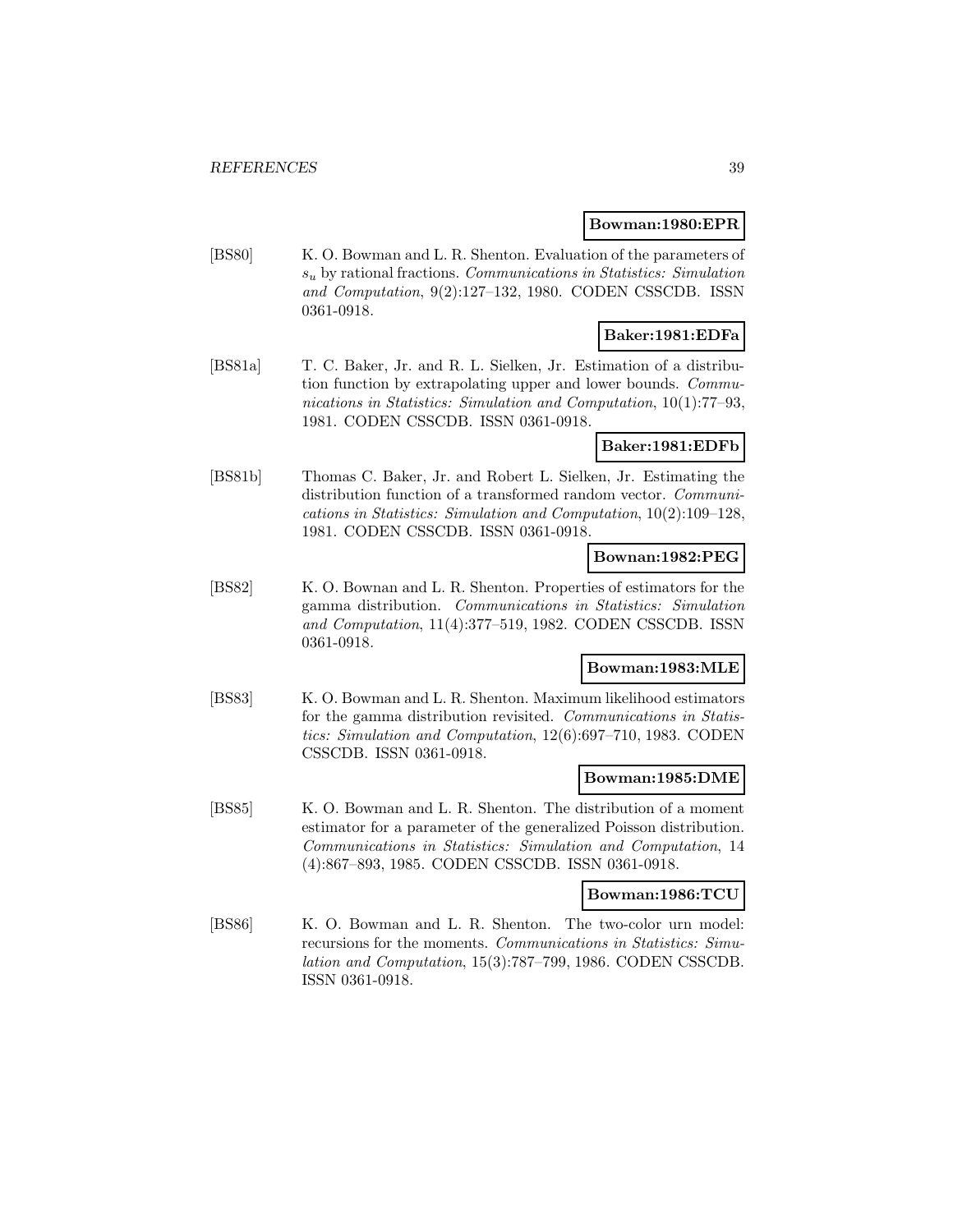#### **Bowman:1980:EPR**

[BS80] K. O. Bowman and L. R. Shenton. Evaluation of the parameters of  $s<sub>u</sub>$  by rational fractions. Communications in Statistics: Simulation and Computation, 9(2):127–132, 1980. CODEN CSSCDB. ISSN 0361-0918.

# **Baker:1981:EDFa**

[BS81a] T. C. Baker, Jr. and R. L. Sielken, Jr. Estimation of a distribution function by extrapolating upper and lower bounds. Communications in Statistics: Simulation and Computation, 10(1):77–93, 1981. CODEN CSSCDB. ISSN 0361-0918.

### **Baker:1981:EDFb**

[BS81b] Thomas C. Baker, Jr. and Robert L. Sielken, Jr. Estimating the distribution function of a transformed random vector. *Communi*cations in Statistics: Simulation and Computation, 10(2):109–128, 1981. CODEN CSSCDB. ISSN 0361-0918.

#### **Bownan:1982:PEG**

[BS82] K. O. Bownan and L. R. Shenton. Properties of estimators for the gamma distribution. Communications in Statistics: Simulation and Computation, 11(4):377–519, 1982. CODEN CSSCDB. ISSN 0361-0918.

# **Bowman:1983:MLE**

[BS83] K. O. Bowman and L. R. Shenton. Maximum likelihood estimators for the gamma distribution revisited. Communications in Statistics: Simulation and Computation, 12(6):697–710, 1983. CODEN CSSCDB. ISSN 0361-0918.

#### **Bowman:1985:DME**

[BS85] K. O. Bowman and L. R. Shenton. The distribution of a moment estimator for a parameter of the generalized Poisson distribution. Communications in Statistics: Simulation and Computation, 14 (4):867–893, 1985. CODEN CSSCDB. ISSN 0361-0918.

#### **Bowman:1986:TCU**

[BS86] K. O. Bowman and L. R. Shenton. The two-color urn model: recursions for the moments. Communications in Statistics: Simulation and Computation, 15(3):787–799, 1986. CODEN CSSCDB. ISSN 0361-0918.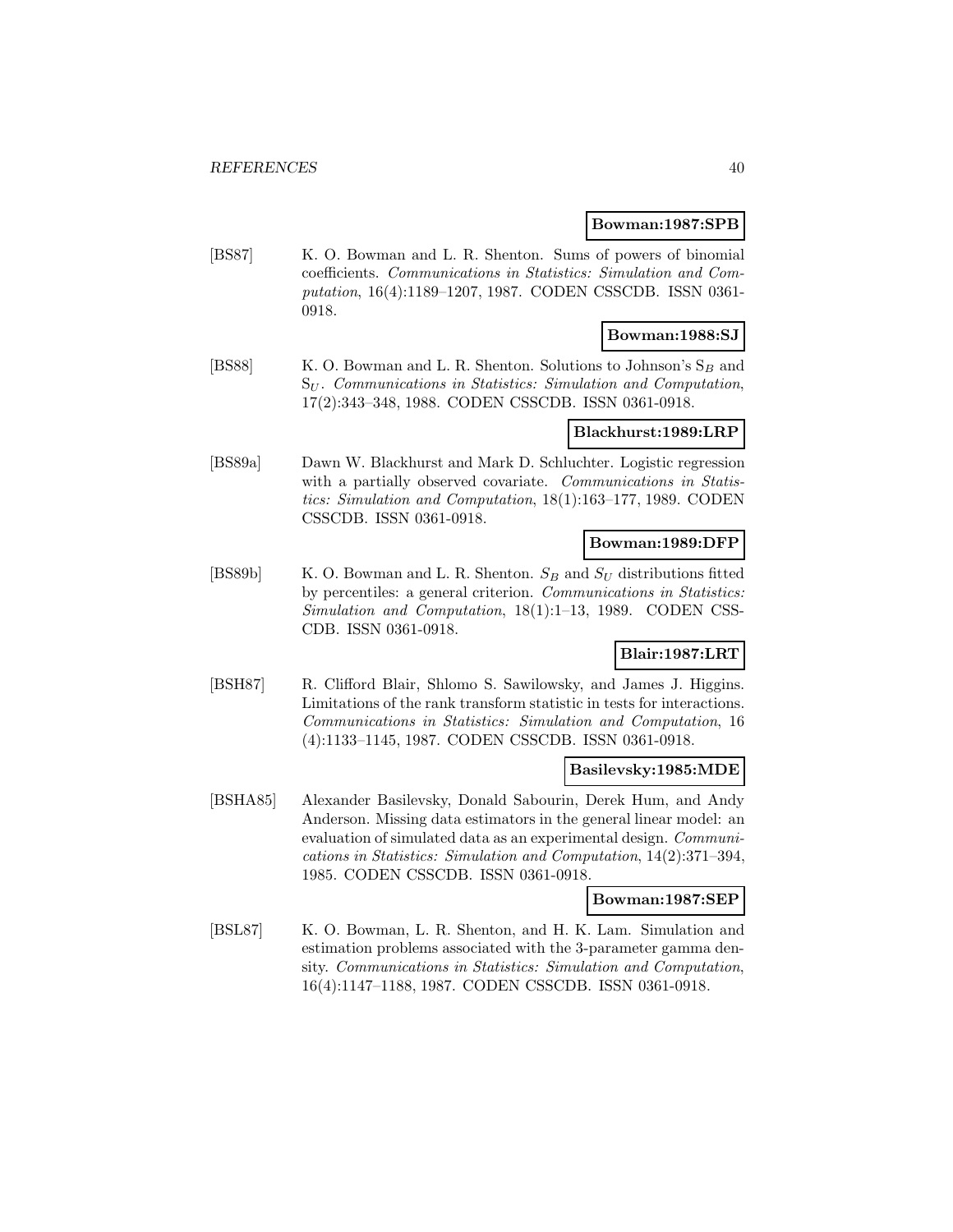#### **Bowman:1987:SPB**

[BS87] K. O. Bowman and L. R. Shenton. Sums of powers of binomial coefficients. Communications in Statistics: Simulation and Computation, 16(4):1189–1207, 1987. CODEN CSSCDB. ISSN 0361- 0918.

# **Bowman:1988:SJ**

[BS88] K. O. Bowman and L. R. Shenton. Solutions to Johnson's  $S_B$  and  $S_U$ . Communications in Statistics: Simulation and Computation, 17(2):343–348, 1988. CODEN CSSCDB. ISSN 0361-0918.

### **Blackhurst:1989:LRP**

[BS89a] Dawn W. Blackhurst and Mark D. Schluchter. Logistic regression with a partially observed covariate. Communications in Statistics: Simulation and Computation, 18(1):163–177, 1989. CODEN CSSCDB. ISSN 0361-0918.

# **Bowman:1989:DFP**

[BS89b] K. O. Bowman and L. R. Shenton.  $S_B$  and  $S_U$  distributions fitted by percentiles: a general criterion. Communications in Statistics: Simulation and Computation, 18(1):1–13, 1989. CODEN CSS-CDB. ISSN 0361-0918.

## **Blair:1987:LRT**

[BSH87] R. Clifford Blair, Shlomo S. Sawilowsky, and James J. Higgins. Limitations of the rank transform statistic in tests for interactions. Communications in Statistics: Simulation and Computation, 16 (4):1133–1145, 1987. CODEN CSSCDB. ISSN 0361-0918.

## **Basilevsky:1985:MDE**

[BSHA85] Alexander Basilevsky, Donald Sabourin, Derek Hum, and Andy Anderson. Missing data estimators in the general linear model: an evaluation of simulated data as an experimental design. Communications in Statistics: Simulation and Computation, 14(2):371–394, 1985. CODEN CSSCDB. ISSN 0361-0918.

### **Bowman:1987:SEP**

[BSL87] K. O. Bowman, L. R. Shenton, and H. K. Lam. Simulation and estimation problems associated with the 3-parameter gamma density. Communications in Statistics: Simulation and Computation, 16(4):1147–1188, 1987. CODEN CSSCDB. ISSN 0361-0918.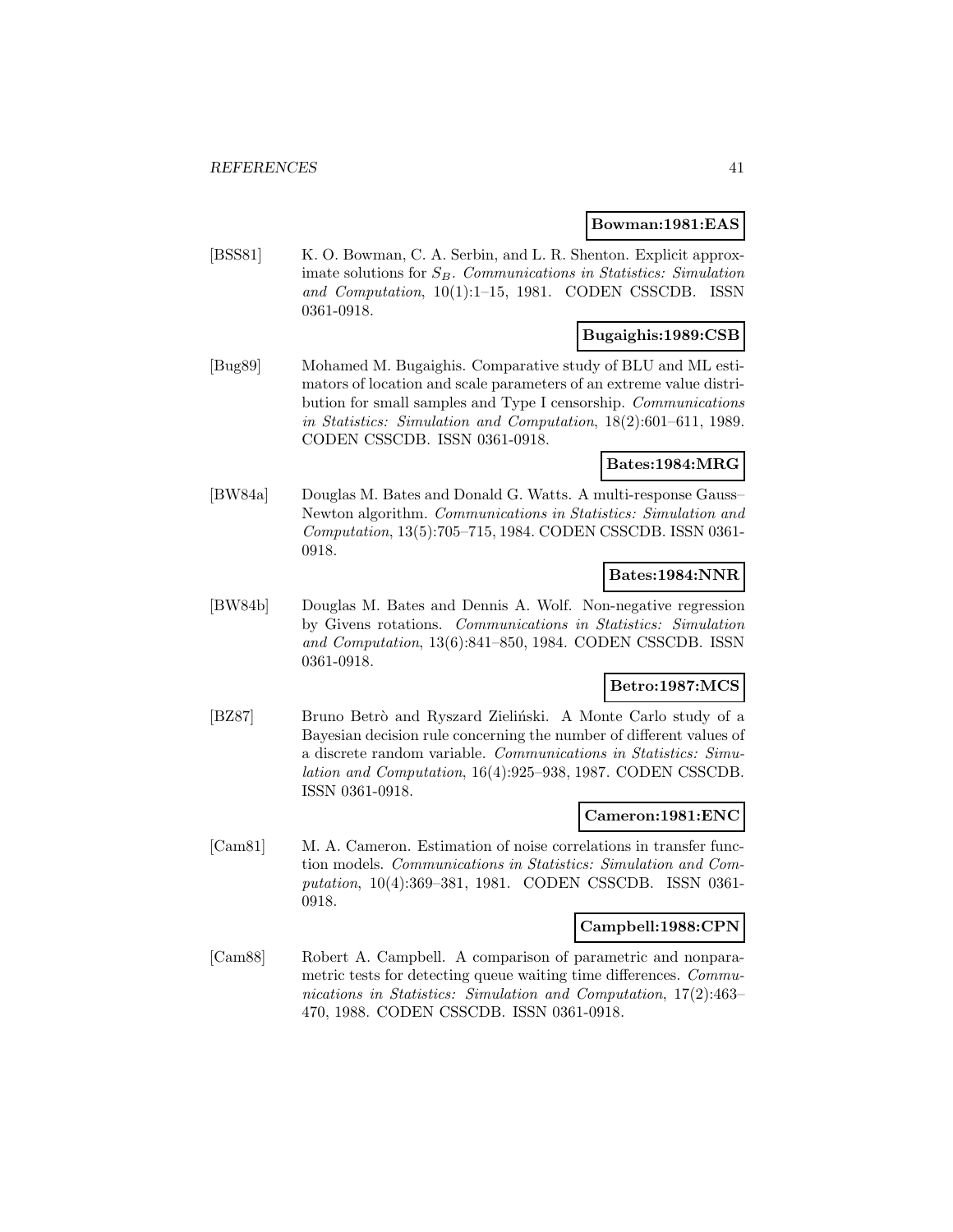#### **Bowman:1981:EAS**

[BSS81] K. O. Bowman, C. A. Serbin, and L. R. Shenton. Explicit approximate solutions for  $S_B$ . Communications in Statistics: Simulation and Computation, 10(1):1–15, 1981. CODEN CSSCDB. ISSN 0361-0918.

# **Bugaighis:1989:CSB**

[Bug89] Mohamed M. Bugaighis. Comparative study of BLU and ML estimators of location and scale parameters of an extreme value distribution for small samples and Type I censorship. Communications in Statistics: Simulation and Computation, 18(2):601–611, 1989. CODEN CSSCDB. ISSN 0361-0918.

## **Bates:1984:MRG**

[BW84a] Douglas M. Bates and Donald G. Watts. A multi-response Gauss– Newton algorithm. Communications in Statistics: Simulation and Computation, 13(5):705–715, 1984. CODEN CSSCDB. ISSN 0361- 0918.

### **Bates:1984:NNR**

[BW84b] Douglas M. Bates and Dennis A. Wolf. Non-negative regression by Givens rotations. Communications in Statistics: Simulation and Computation, 13(6):841–850, 1984. CODEN CSSCDB. ISSN 0361-0918.

## **Betro:1987:MCS**

[BZ87] Bruno Betrò and Ryszard Zieliński. A Monte Carlo study of a Bayesian decision rule concerning the number of different values of a discrete random variable. Communications in Statistics: Simulation and Computation, 16(4):925–938, 1987. CODEN CSSCDB. ISSN 0361-0918.

#### **Cameron:1981:ENC**

[Cam81] M. A. Cameron. Estimation of noise correlations in transfer function models. Communications in Statistics: Simulation and Computation, 10(4):369–381, 1981. CODEN CSSCDB. ISSN 0361- 0918.

#### **Campbell:1988:CPN**

[Cam88] Robert A. Campbell. A comparison of parametric and nonparametric tests for detecting queue waiting time differences. Communications in Statistics: Simulation and Computation, 17(2):463– 470, 1988. CODEN CSSCDB. ISSN 0361-0918.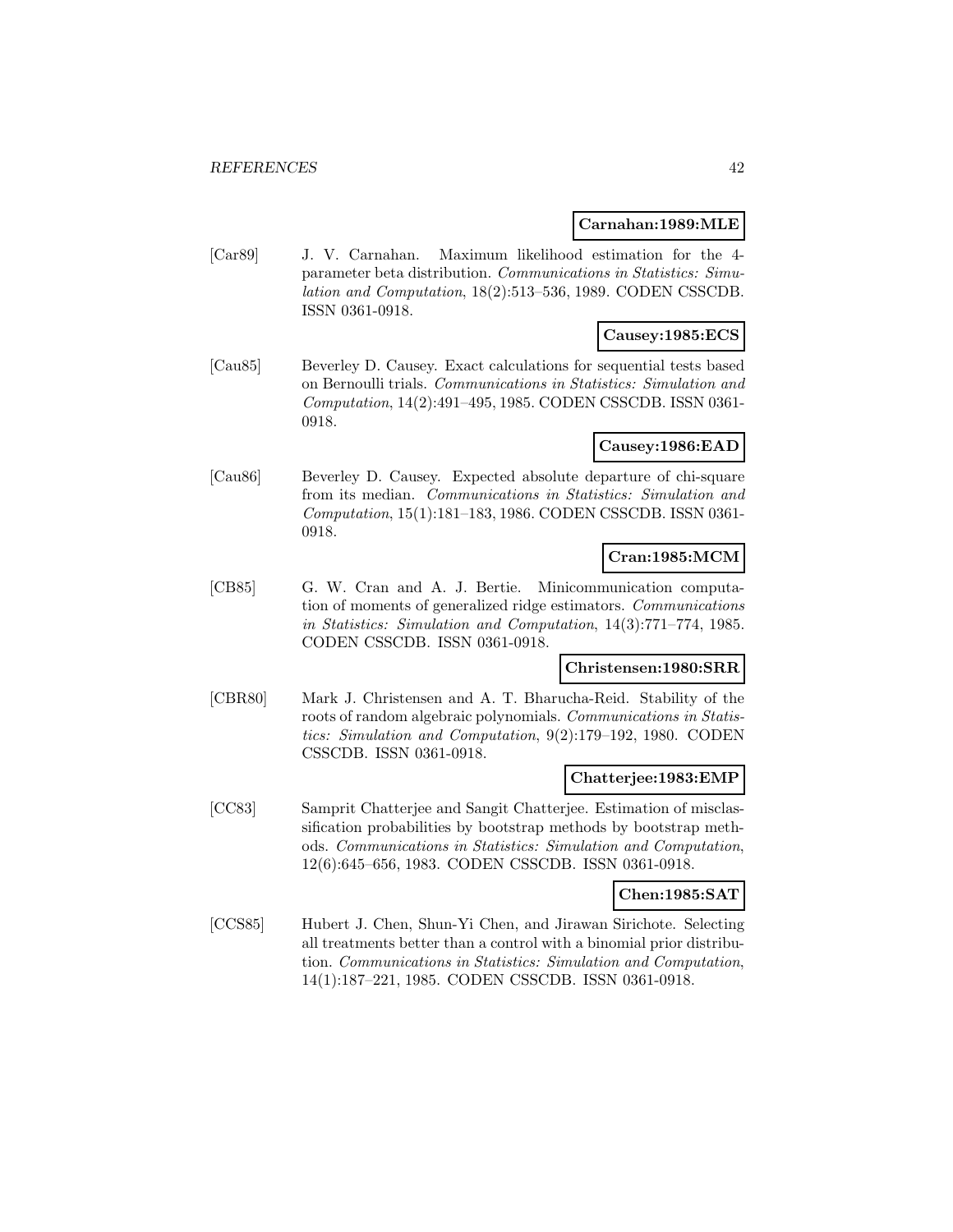#### **Carnahan:1989:MLE**

[Car89] J. V. Carnahan. Maximum likelihood estimation for the 4 parameter beta distribution. Communications in Statistics: Simulation and Computation, 18(2):513–536, 1989. CODEN CSSCDB. ISSN 0361-0918.

## **Causey:1985:ECS**

[Cau85] Beverley D. Causey. Exact calculations for sequential tests based on Bernoulli trials. Communications in Statistics: Simulation and Computation, 14(2):491–495, 1985. CODEN CSSCDB. ISSN 0361- 0918.

### **Causey:1986:EAD**

[Cau86] Beverley D. Causey. Expected absolute departure of chi-square from its median. Communications in Statistics: Simulation and Computation, 15(1):181–183, 1986. CODEN CSSCDB. ISSN 0361- 0918.

### **Cran:1985:MCM**

[CB85] G. W. Cran and A. J. Bertie. Minicommunication computation of moments of generalized ridge estimators. Communications in Statistics: Simulation and Computation, 14(3):771–774, 1985. CODEN CSSCDB. ISSN 0361-0918.

# **Christensen:1980:SRR**

[CBR80] Mark J. Christensen and A. T. Bharucha-Reid. Stability of the roots of random algebraic polynomials. Communications in Statistics: Simulation and Computation, 9(2):179–192, 1980. CODEN CSSCDB. ISSN 0361-0918.

#### **Chatterjee:1983:EMP**

[CC83] Samprit Chatterjee and Sangit Chatterjee. Estimation of misclassification probabilities by bootstrap methods by bootstrap methods. Communications in Statistics: Simulation and Computation, 12(6):645–656, 1983. CODEN CSSCDB. ISSN 0361-0918.

#### **Chen:1985:SAT**

[CCS85] Hubert J. Chen, Shun-Yi Chen, and Jirawan Sirichote. Selecting all treatments better than a control with a binomial prior distribution. Communications in Statistics: Simulation and Computation, 14(1):187–221, 1985. CODEN CSSCDB. ISSN 0361-0918.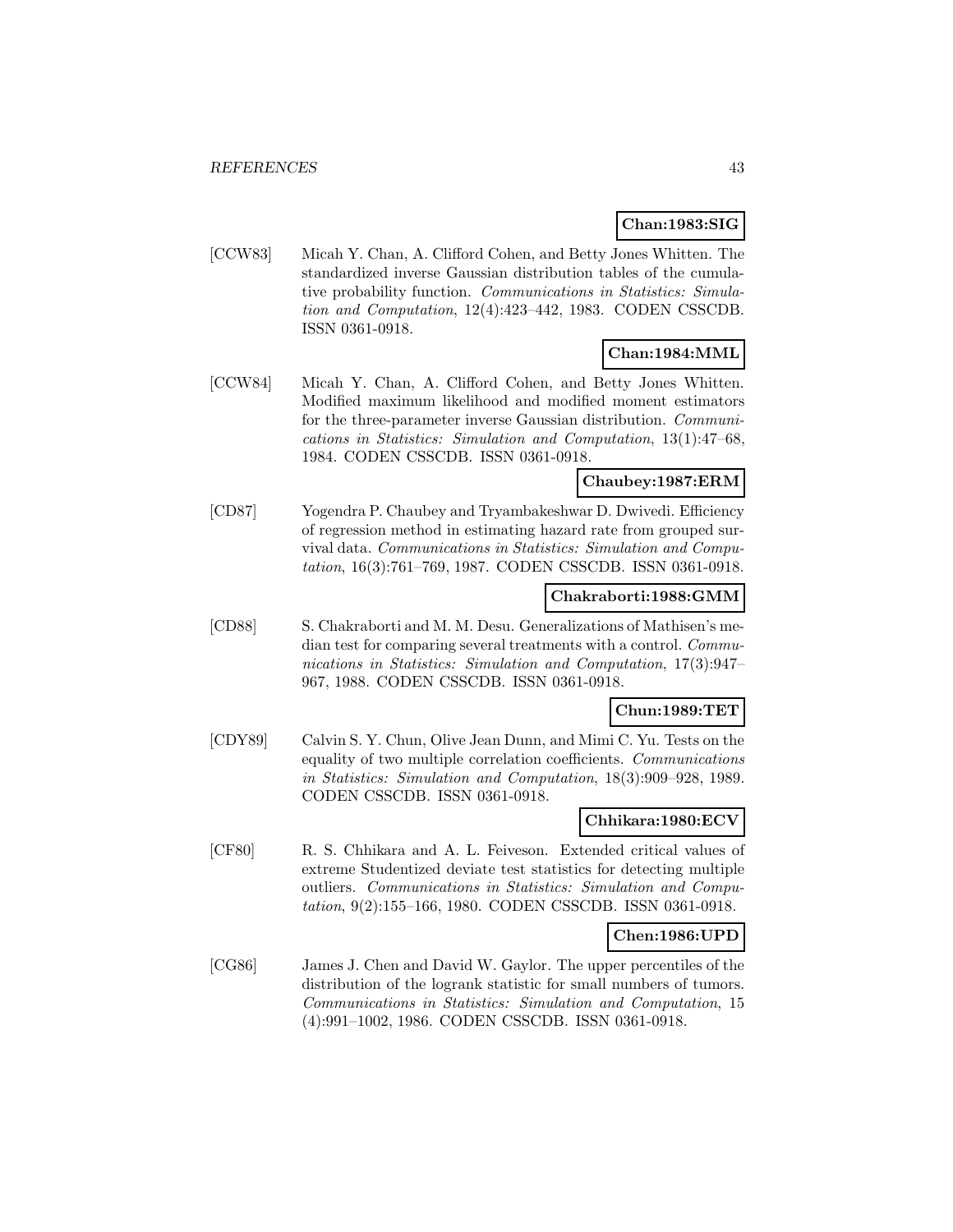## **Chan:1983:SIG**

[CCW83] Micah Y. Chan, A. Clifford Cohen, and Betty Jones Whitten. The standardized inverse Gaussian distribution tables of the cumulative probability function. Communications in Statistics: Simulation and Computation, 12(4):423–442, 1983. CODEN CSSCDB. ISSN 0361-0918.

## **Chan:1984:MML**

[CCW84] Micah Y. Chan, A. Clifford Cohen, and Betty Jones Whitten. Modified maximum likelihood and modified moment estimators for the three-parameter inverse Gaussian distribution. Communications in Statistics: Simulation and Computation, 13(1):47–68, 1984. CODEN CSSCDB. ISSN 0361-0918.

## **Chaubey:1987:ERM**

[CD87] Yogendra P. Chaubey and Tryambakeshwar D. Dwivedi. Efficiency of regression method in estimating hazard rate from grouped survival data. Communications in Statistics: Simulation and Computation, 16(3):761–769, 1987. CODEN CSSCDB. ISSN 0361-0918.

### **Chakraborti:1988:GMM**

[CD88] S. Chakraborti and M. M. Desu. Generalizations of Mathisen's median test for comparing several treatments with a control. Communications in Statistics: Simulation and Computation, 17(3):947– 967, 1988. CODEN CSSCDB. ISSN 0361-0918.

### **Chun:1989:TET**

[CDY89] Calvin S. Y. Chun, Olive Jean Dunn, and Mimi C. Yu. Tests on the equality of two multiple correlation coefficients. Communications in Statistics: Simulation and Computation, 18(3):909–928, 1989. CODEN CSSCDB. ISSN 0361-0918.

### **Chhikara:1980:ECV**

[CF80] R. S. Chhikara and A. L. Feiveson. Extended critical values of extreme Studentized deviate test statistics for detecting multiple outliers. Communications in Statistics: Simulation and Computation, 9(2):155–166, 1980. CODEN CSSCDB. ISSN 0361-0918.

#### **Chen:1986:UPD**

[CG86] James J. Chen and David W. Gaylor. The upper percentiles of the distribution of the logrank statistic for small numbers of tumors. Communications in Statistics: Simulation and Computation, 15 (4):991–1002, 1986. CODEN CSSCDB. ISSN 0361-0918.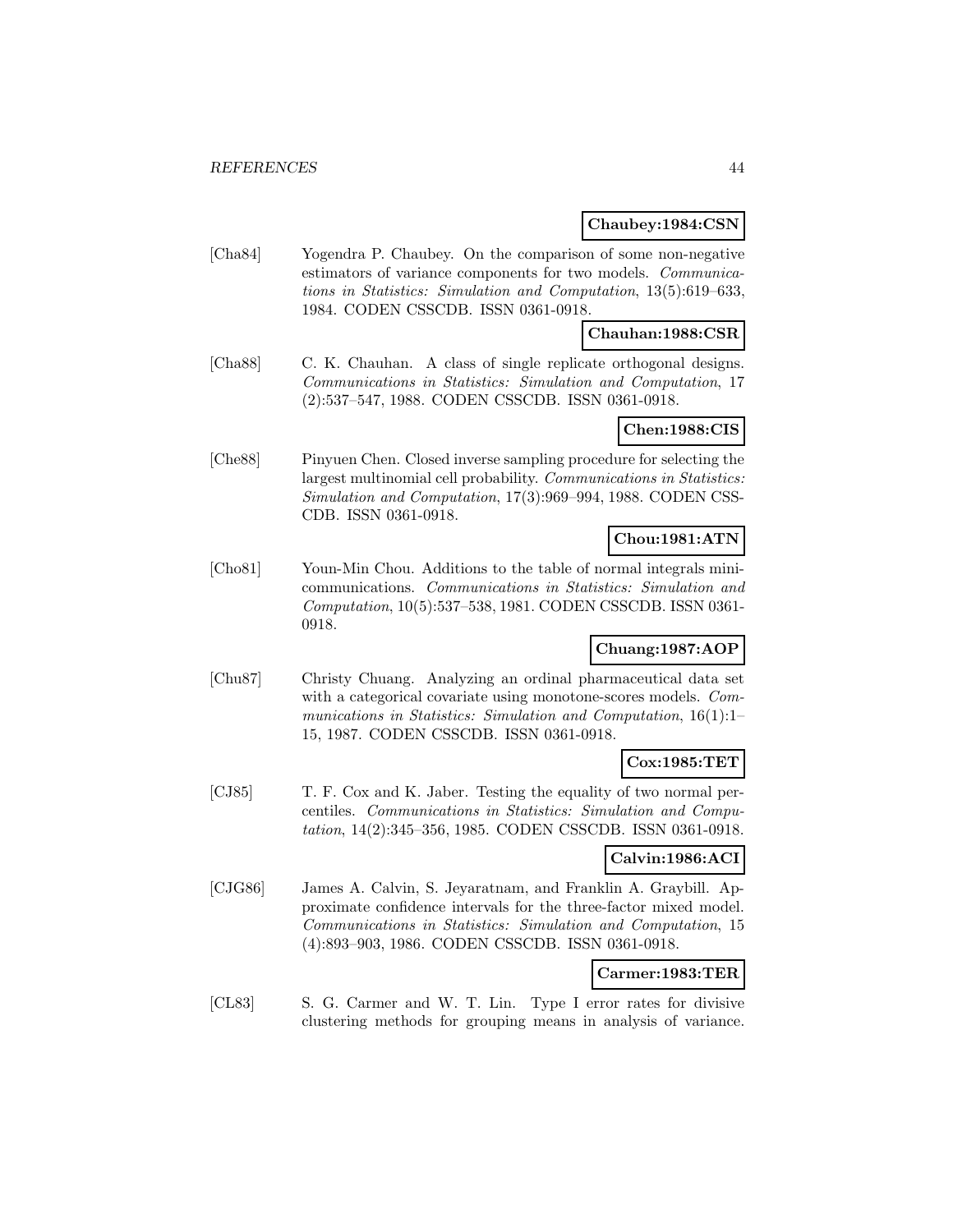#### **Chaubey:1984:CSN**

[Cha84] Yogendra P. Chaubey. On the comparison of some non-negative estimators of variance components for two models. Communications in Statistics: Simulation and Computation, 13(5):619–633, 1984. CODEN CSSCDB. ISSN 0361-0918.

### **Chauhan:1988:CSR**

[Cha88] C. K. Chauhan. A class of single replicate orthogonal designs. Communications in Statistics: Simulation and Computation, 17 (2):537–547, 1988. CODEN CSSCDB. ISSN 0361-0918.

#### **Chen:1988:CIS**

[Che88] Pinyuen Chen. Closed inverse sampling procedure for selecting the largest multinomial cell probability. Communications in Statistics: Simulation and Computation, 17(3):969–994, 1988. CODEN CSS-CDB. ISSN 0361-0918.

# **Chou:1981:ATN**

[Cho81] Youn-Min Chou. Additions to the table of normal integrals minicommunications. Communications in Statistics: Simulation and Computation, 10(5):537–538, 1981. CODEN CSSCDB. ISSN 0361- 0918.

# **Chuang:1987:AOP**

[Chu87] Christy Chuang. Analyzing an ordinal pharmaceutical data set with a categorical covariate using monotone-scores models. Communications in Statistics: Simulation and Computation, 16(1):1– 15, 1987. CODEN CSSCDB. ISSN 0361-0918.

#### **Cox:1985:TET**

[CJ85] T. F. Cox and K. Jaber. Testing the equality of two normal percentiles. Communications in Statistics: Simulation and Computation, 14(2):345–356, 1985. CODEN CSSCDB. ISSN 0361-0918.

### **Calvin:1986:ACI**

[CJG86] James A. Calvin, S. Jeyaratnam, and Franklin A. Graybill. Approximate confidence intervals for the three-factor mixed model. Communications in Statistics: Simulation and Computation, 15 (4):893–903, 1986. CODEN CSSCDB. ISSN 0361-0918.

## **Carmer:1983:TER**

[CL83] S. G. Carmer and W. T. Lin. Type I error rates for divisive clustering methods for grouping means in analysis of variance.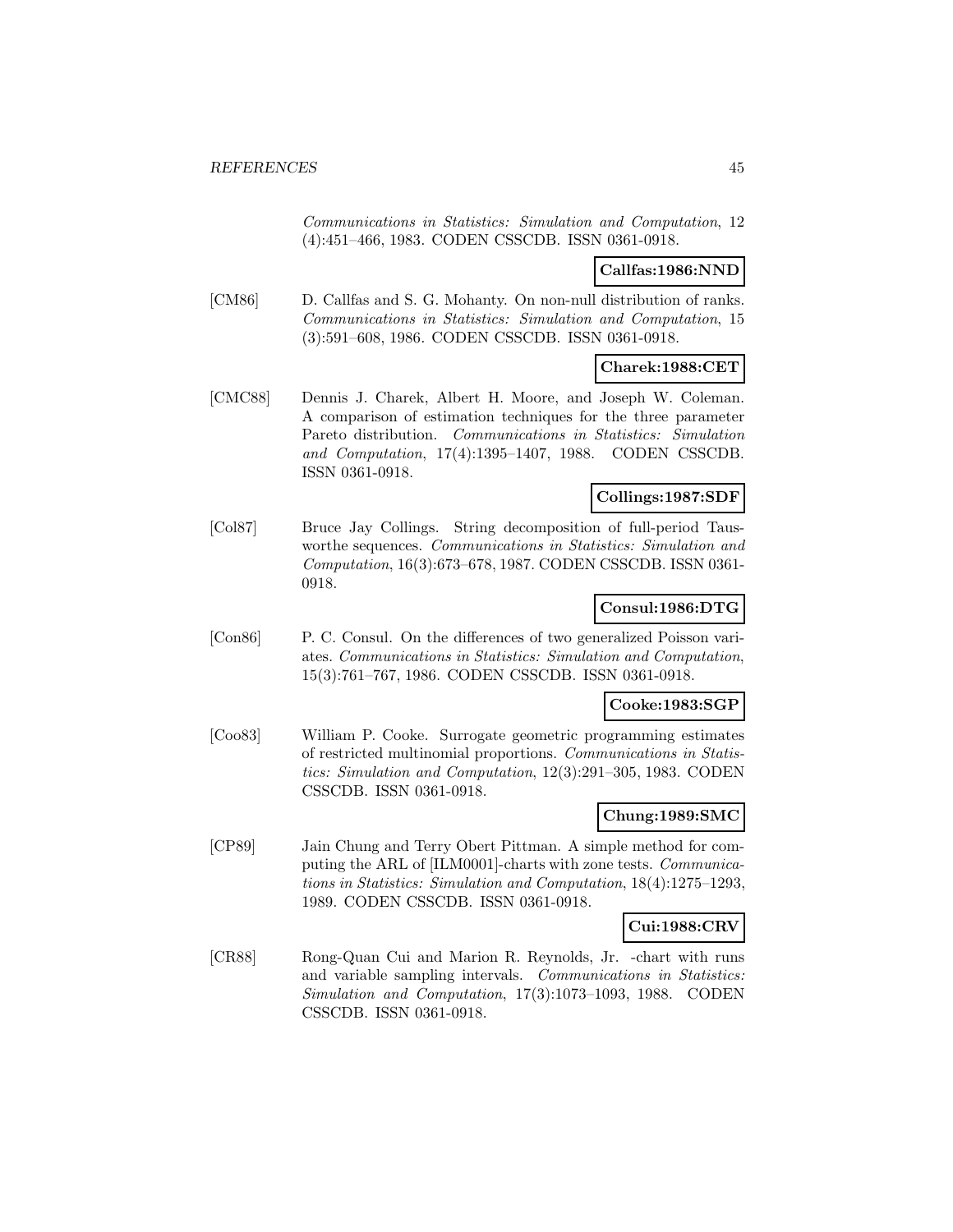Communications in Statistics: Simulation and Computation, 12 (4):451–466, 1983. CODEN CSSCDB. ISSN 0361-0918.

#### **Callfas:1986:NND**

[CM86] D. Callfas and S. G. Mohanty. On non-null distribution of ranks. Communications in Statistics: Simulation and Computation, 15 (3):591–608, 1986. CODEN CSSCDB. ISSN 0361-0918.

### **Charek:1988:CET**

[CMC88] Dennis J. Charek, Albert H. Moore, and Joseph W. Coleman. A comparison of estimation techniques for the three parameter Pareto distribution. Communications in Statistics: Simulation and Computation, 17(4):1395–1407, 1988. CODEN CSSCDB. ISSN 0361-0918.

### **Collings:1987:SDF**

[Col87] Bruce Jay Collings. String decomposition of full-period Tausworthe sequences. Communications in Statistics: Simulation and Computation, 16(3):673–678, 1987. CODEN CSSCDB. ISSN 0361- 0918.

### **Consul:1986:DTG**

[Con86] P. C. Consul. On the differences of two generalized Poisson variates. Communications in Statistics: Simulation and Computation, 15(3):761–767, 1986. CODEN CSSCDB. ISSN 0361-0918.

#### **Cooke:1983:SGP**

[Coo83] William P. Cooke. Surrogate geometric programming estimates of restricted multinomial proportions. Communications in Statistics: Simulation and Computation, 12(3):291–305, 1983. CODEN CSSCDB. ISSN 0361-0918.

## **Chung:1989:SMC**

[CP89] Jain Chung and Terry Obert Pittman. A simple method for computing the ARL of [ILM0001]-charts with zone tests. Communications in Statistics: Simulation and Computation, 18(4):1275–1293, 1989. CODEN CSSCDB. ISSN 0361-0918.

# **Cui:1988:CRV**

[CR88] Rong-Quan Cui and Marion R. Reynolds, Jr. -chart with runs and variable sampling intervals. Communications in Statistics: Simulation and Computation, 17(3):1073–1093, 1988. CODEN CSSCDB. ISSN 0361-0918.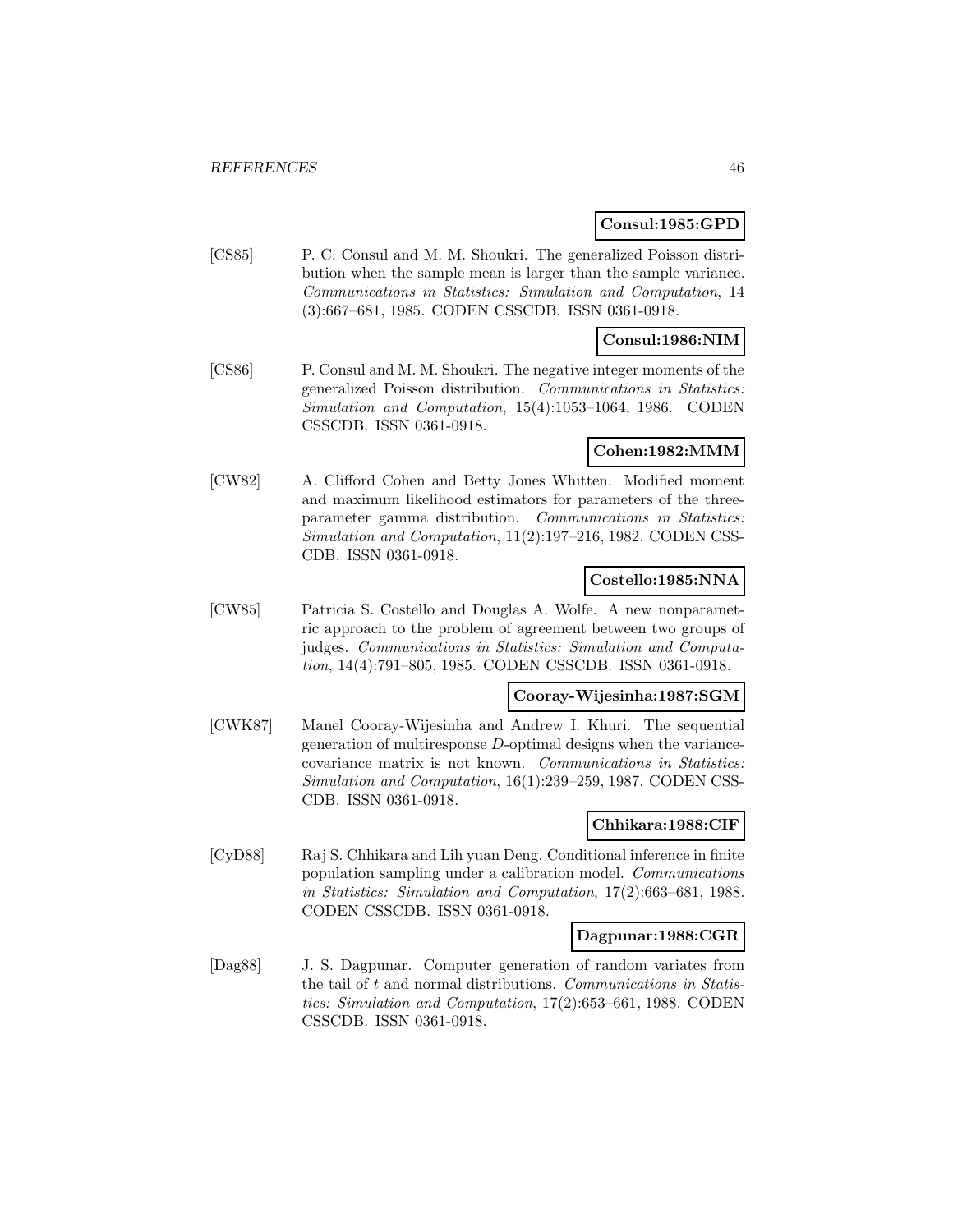#### **Consul:1985:GPD**

[CS85] P. C. Consul and M. M. Shoukri. The generalized Poisson distribution when the sample mean is larger than the sample variance. Communications in Statistics: Simulation and Computation, 14 (3):667–681, 1985. CODEN CSSCDB. ISSN 0361-0918.

### **Consul:1986:NIM**

[CS86] P. Consul and M. M. Shoukri. The negative integer moments of the generalized Poisson distribution. Communications in Statistics: Simulation and Computation, 15(4):1053–1064, 1986. CODEN CSSCDB. ISSN 0361-0918.

## **Cohen:1982:MMM**

[CW82] A. Clifford Cohen and Betty Jones Whitten. Modified moment and maximum likelihood estimators for parameters of the threeparameter gamma distribution. Communications in Statistics: Simulation and Computation, 11(2):197–216, 1982. CODEN CSS-CDB. ISSN 0361-0918.

### **Costello:1985:NNA**

[CW85] Patricia S. Costello and Douglas A. Wolfe. A new nonparametric approach to the problem of agreement between two groups of judges. Communications in Statistics: Simulation and Computation, 14(4):791–805, 1985. CODEN CSSCDB. ISSN 0361-0918.

## **Cooray-Wijesinha:1987:SGM**

[CWK87] Manel Cooray-Wijesinha and Andrew I. Khuri. The sequential generation of multiresponse D-optimal designs when the variancecovariance matrix is not known. Communications in Statistics: Simulation and Computation, 16(1):239–259, 1987. CODEN CSS-CDB. ISSN 0361-0918.

#### **Chhikara:1988:CIF**

[CyD88] Raj S. Chhikara and Lih yuan Deng. Conditional inference in finite population sampling under a calibration model. Communications in Statistics: Simulation and Computation, 17(2):663–681, 1988. CODEN CSSCDB. ISSN 0361-0918.

#### **Dagpunar:1988:CGR**

[Dag88] J. S. Dagpunar. Computer generation of random variates from the tail of  $t$  and normal distributions. Communications in Statistics: Simulation and Computation, 17(2):653–661, 1988. CODEN CSSCDB. ISSN 0361-0918.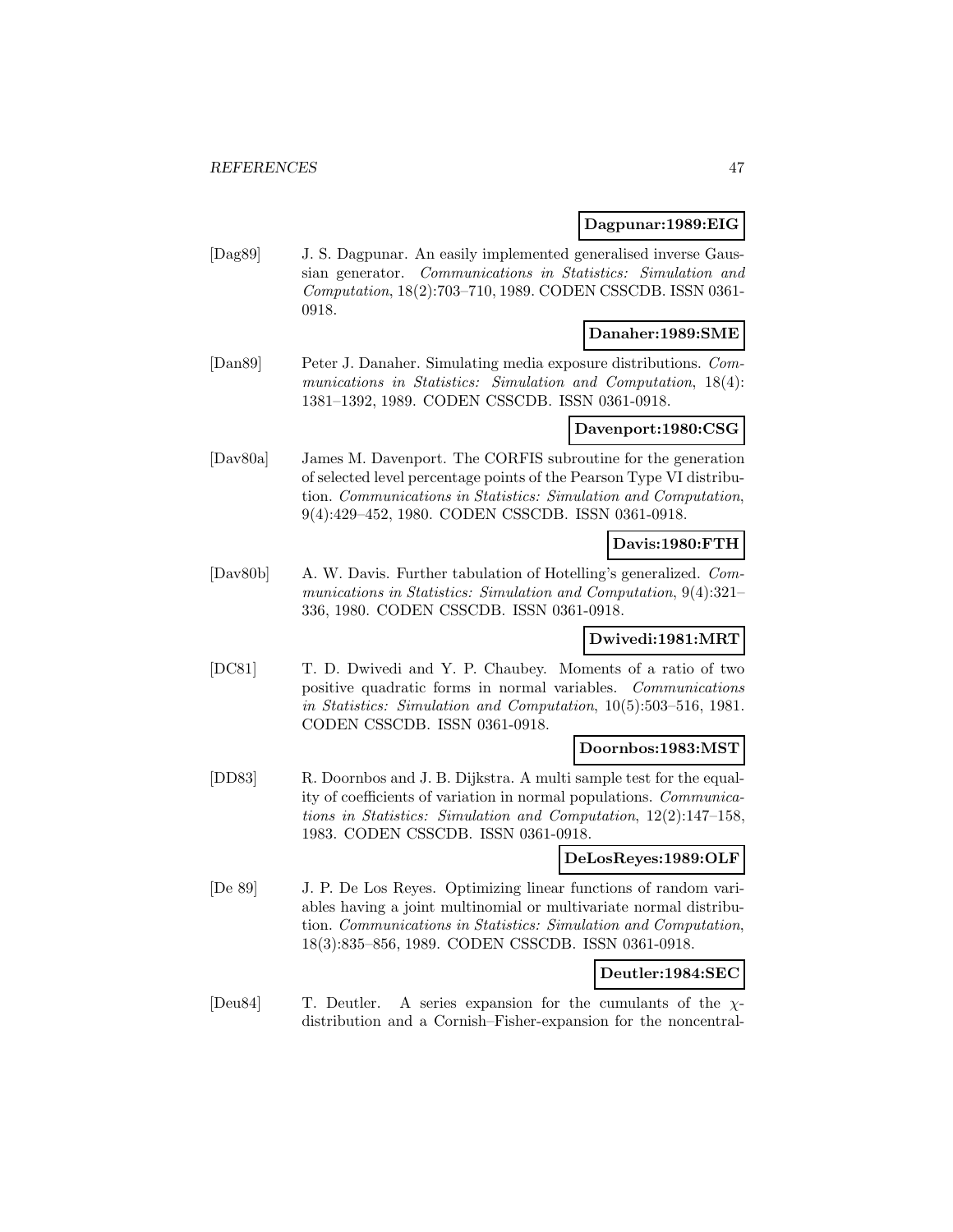#### **Dagpunar:1989:EIG**

[Dag89] J. S. Dagpunar. An easily implemented generalised inverse Gaussian generator. Communications in Statistics: Simulation and Computation, 18(2):703–710, 1989. CODEN CSSCDB. ISSN 0361- 0918.

### **Danaher:1989:SME**

[Dan89] Peter J. Danaher. Simulating media exposure distributions. Communications in Statistics: Simulation and Computation, 18(4): 1381–1392, 1989. CODEN CSSCDB. ISSN 0361-0918.

### **Davenport:1980:CSG**

[Dav80a] James M. Davenport. The CORFIS subroutine for the generation of selected level percentage points of the Pearson Type VI distribution. Communications in Statistics: Simulation and Computation, 9(4):429–452, 1980. CODEN CSSCDB. ISSN 0361-0918.

### **Davis:1980:FTH**

[Dav80b] A. W. Davis. Further tabulation of Hotelling's generalized. Communications in Statistics: Simulation and Computation, 9(4):321– 336, 1980. CODEN CSSCDB. ISSN 0361-0918.

# **Dwivedi:1981:MRT**

[DC81] T. D. Dwivedi and Y. P. Chaubey. Moments of a ratio of two positive quadratic forms in normal variables. Communications in Statistics: Simulation and Computation, 10(5):503–516, 1981. CODEN CSSCDB. ISSN 0361-0918.

#### **Doornbos:1983:MST**

[DD83] R. Doornbos and J. B. Dijkstra. A multi sample test for the equality of coefficients of variation in normal populations. Communications in Statistics: Simulation and Computation, 12(2):147–158, 1983. CODEN CSSCDB. ISSN 0361-0918.

#### **DeLosReyes:1989:OLF**

[De 89] J. P. De Los Reyes. Optimizing linear functions of random variables having a joint multinomial or multivariate normal distribution. Communications in Statistics: Simulation and Computation, 18(3):835–856, 1989. CODEN CSSCDB. ISSN 0361-0918.

#### **Deutler:1984:SEC**

[Deu84] T. Deutler. A series expansion for the cumulants of the  $\chi$ distribution and a Cornish–Fisher-expansion for the noncentral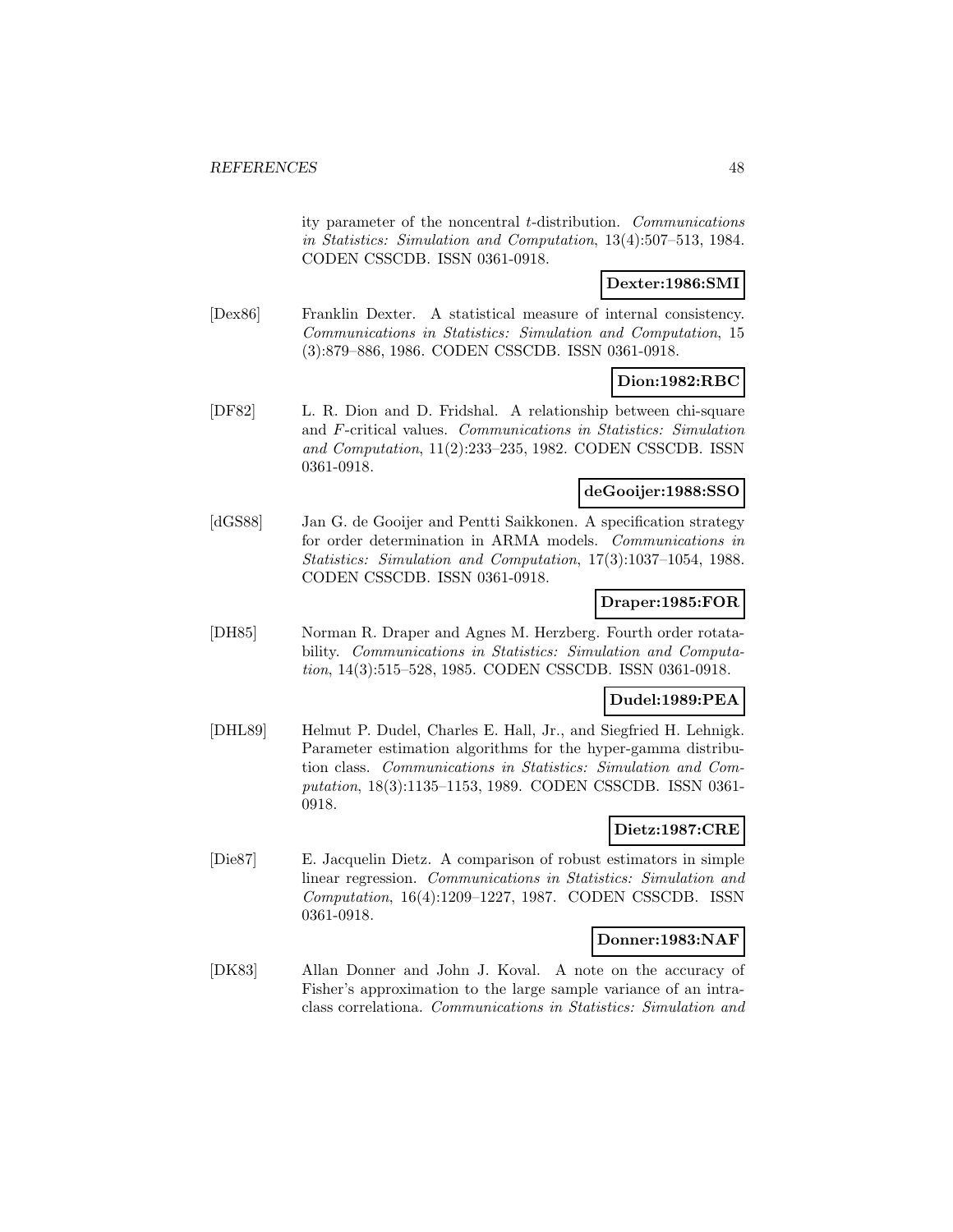ity parameter of the noncentral t-distribution. Communications in Statistics: Simulation and Computation, 13(4):507–513, 1984. CODEN CSSCDB. ISSN 0361-0918.

### **Dexter:1986:SMI**

[Dex86] Franklin Dexter. A statistical measure of internal consistency. Communications in Statistics: Simulation and Computation, 15 (3):879–886, 1986. CODEN CSSCDB. ISSN 0361-0918.

### **Dion:1982:RBC**

[DF82] L. R. Dion and D. Fridshal. A relationship between chi-square and F-critical values. Communications in Statistics: Simulation and Computation, 11(2):233–235, 1982. CODEN CSSCDB. ISSN 0361-0918.

#### **deGooijer:1988:SSO**

[dGS88] Jan G. de Gooijer and Pentti Saikkonen. A specification strategy for order determination in ARMA models. Communications in Statistics: Simulation and Computation, 17(3):1037–1054, 1988. CODEN CSSCDB. ISSN 0361-0918.

## **Draper:1985:FOR**

[DH85] Norman R. Draper and Agnes M. Herzberg. Fourth order rotatability. Communications in Statistics: Simulation and Computation, 14(3):515–528, 1985. CODEN CSSCDB. ISSN 0361-0918.

### **Dudel:1989:PEA**

[DHL89] Helmut P. Dudel, Charles E. Hall, Jr., and Siegfried H. Lehnigk. Parameter estimation algorithms for the hyper-gamma distribution class. Communications in Statistics: Simulation and Computation, 18(3):1135–1153, 1989. CODEN CSSCDB. ISSN 0361- 0918.

# **Dietz:1987:CRE**

[Die87] E. Jacquelin Dietz. A comparison of robust estimators in simple linear regression. Communications in Statistics: Simulation and Computation, 16(4):1209–1227, 1987. CODEN CSSCDB. ISSN 0361-0918.

#### **Donner:1983:NAF**

[DK83] Allan Donner and John J. Koval. A note on the accuracy of Fisher's approximation to the large sample variance of an intraclass correlationa. Communications in Statistics: Simulation and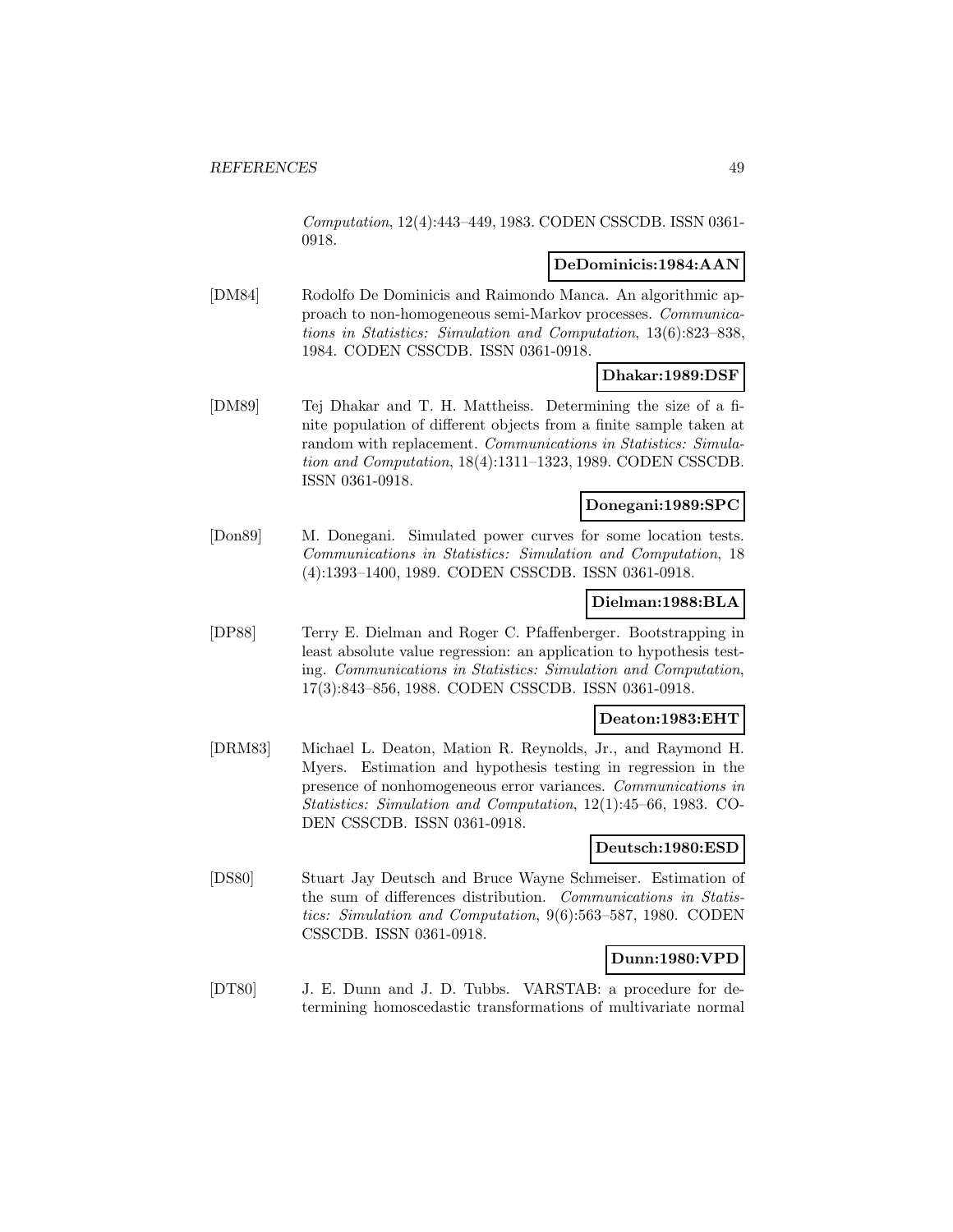Computation, 12(4):443–449, 1983. CODEN CSSCDB. ISSN 0361- 0918.

#### **DeDominicis:1984:AAN**

[DM84] Rodolfo De Dominicis and Raimondo Manca. An algorithmic approach to non-homogeneous semi-Markov processes. Communications in Statistics: Simulation and Computation, 13(6):823–838, 1984. CODEN CSSCDB. ISSN 0361-0918.

### **Dhakar:1989:DSF**

[DM89] Tej Dhakar and T. H. Mattheiss. Determining the size of a finite population of different objects from a finite sample taken at random with replacement. Communications in Statistics: Simulation and Computation, 18(4):1311–1323, 1989. CODEN CSSCDB. ISSN 0361-0918.

### **Donegani:1989:SPC**

[Don89] M. Donegani. Simulated power curves for some location tests. Communications in Statistics: Simulation and Computation, 18 (4):1393–1400, 1989. CODEN CSSCDB. ISSN 0361-0918.

#### **Dielman:1988:BLA**

[DP88] Terry E. Dielman and Roger C. Pfaffenberger. Bootstrapping in least absolute value regression: an application to hypothesis testing. Communications in Statistics: Simulation and Computation, 17(3):843–856, 1988. CODEN CSSCDB. ISSN 0361-0918.

## **Deaton:1983:EHT**

[DRM83] Michael L. Deaton, Mation R. Reynolds, Jr., and Raymond H. Myers. Estimation and hypothesis testing in regression in the presence of nonhomogeneous error variances. Communications in Statistics: Simulation and Computation, 12(1):45–66, 1983. CO-DEN CSSCDB. ISSN 0361-0918.

#### **Deutsch:1980:ESD**

[DS80] Stuart Jay Deutsch and Bruce Wayne Schmeiser. Estimation of the sum of differences distribution. Communications in Statistics: Simulation and Computation, 9(6):563–587, 1980. CODEN CSSCDB. ISSN 0361-0918.

### **Dunn:1980:VPD**

[DT80] J. E. Dunn and J. D. Tubbs. VARSTAB: a procedure for determining homoscedastic transformations of multivariate normal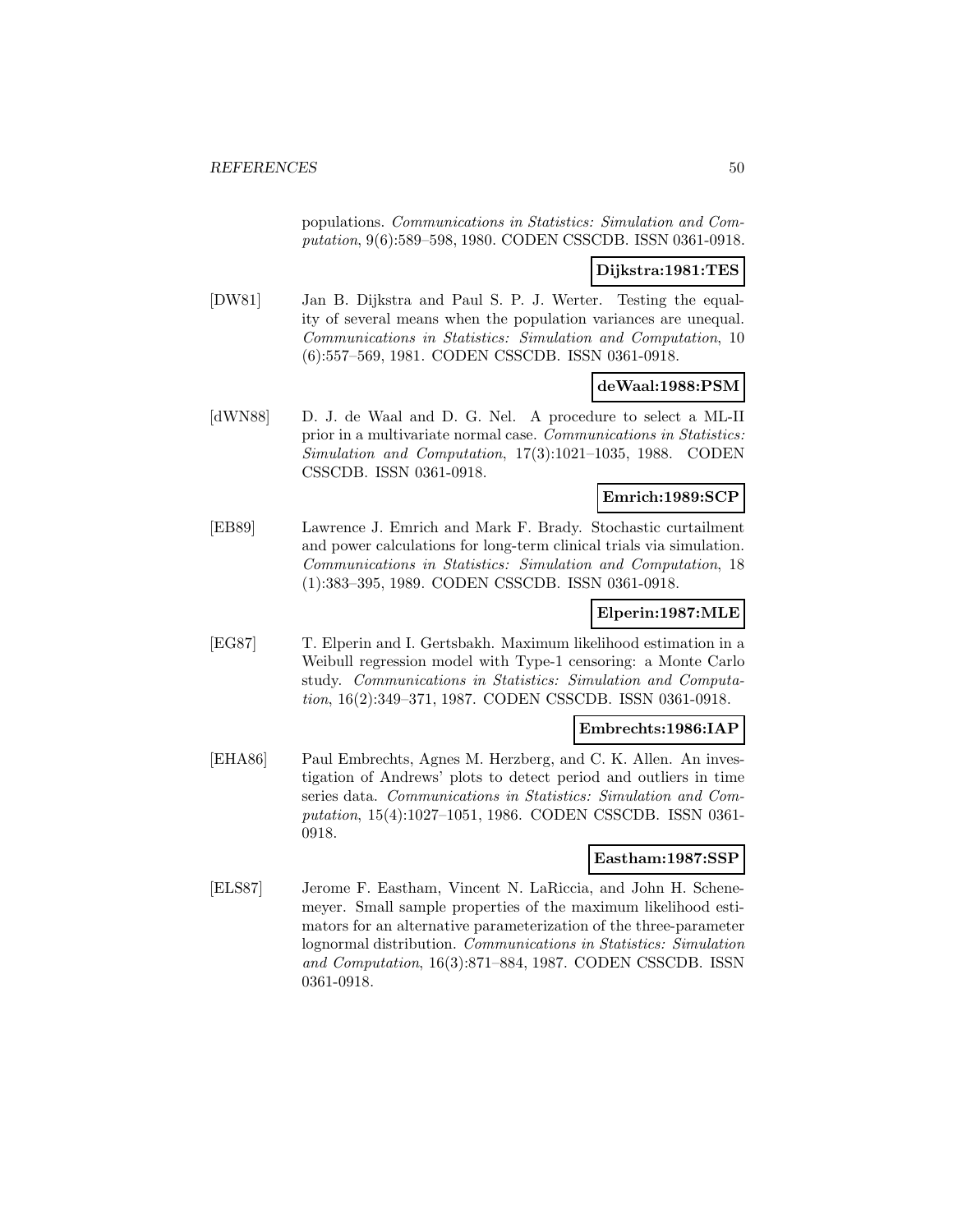populations. Communications in Statistics: Simulation and Computation, 9(6):589–598, 1980. CODEN CSSCDB. ISSN 0361-0918.

### **Dijkstra:1981:TES**

[DW81] Jan B. Dijkstra and Paul S. P. J. Werter. Testing the equality of several means when the population variances are unequal. Communications in Statistics: Simulation and Computation, 10 (6):557–569, 1981. CODEN CSSCDB. ISSN 0361-0918.

#### **deWaal:1988:PSM**

[dWN88] D. J. de Waal and D. G. Nel. A procedure to select a ML-II prior in a multivariate normal case. Communications in Statistics: Simulation and Computation, 17(3):1021–1035, 1988. CODEN CSSCDB. ISSN 0361-0918.

### **Emrich:1989:SCP**

[EB89] Lawrence J. Emrich and Mark F. Brady. Stochastic curtailment and power calculations for long-term clinical trials via simulation. Communications in Statistics: Simulation and Computation, 18 (1):383–395, 1989. CODEN CSSCDB. ISSN 0361-0918.

#### **Elperin:1987:MLE**

[EG87] T. Elperin and I. Gertsbakh. Maximum likelihood estimation in a Weibull regression model with Type-1 censoring: a Monte Carlo study. Communications in Statistics: Simulation and Computation, 16(2):349–371, 1987. CODEN CSSCDB. ISSN 0361-0918.

#### **Embrechts:1986:IAP**

[EHA86] Paul Embrechts, Agnes M. Herzberg, and C. K. Allen. An investigation of Andrews' plots to detect period and outliers in time series data. Communications in Statistics: Simulation and Computation, 15(4):1027–1051, 1986. CODEN CSSCDB. ISSN 0361- 0918.

#### **Eastham:1987:SSP**

[ELS87] Jerome F. Eastham, Vincent N. LaRiccia, and John H. Schenemeyer. Small sample properties of the maximum likelihood estimators for an alternative parameterization of the three-parameter lognormal distribution. Communications in Statistics: Simulation and Computation, 16(3):871–884, 1987. CODEN CSSCDB. ISSN 0361-0918.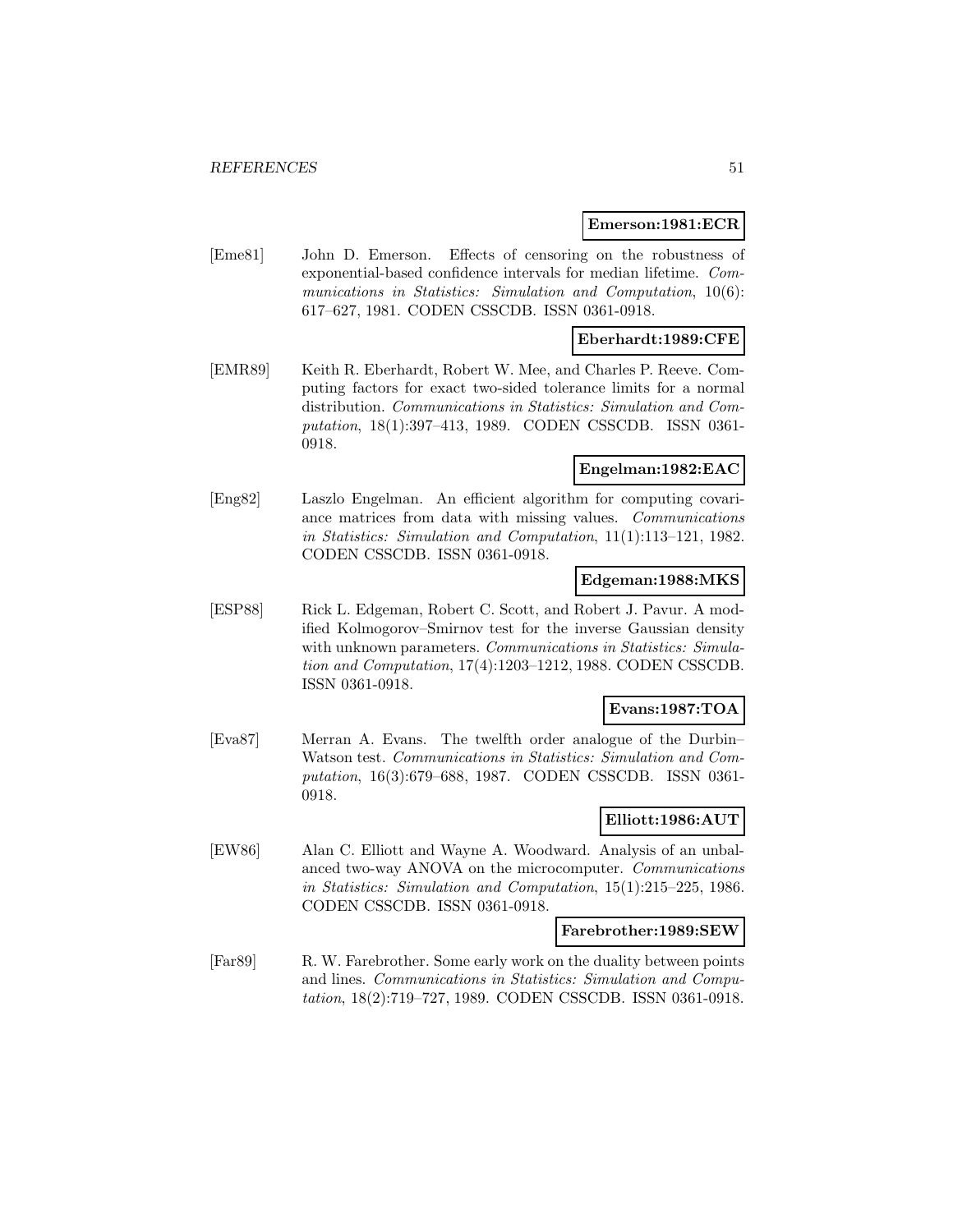#### **Emerson:1981:ECR**

[Eme81] John D. Emerson. Effects of censoring on the robustness of exponential-based confidence intervals for median lifetime. Communications in Statistics: Simulation and Computation, 10(6): 617–627, 1981. CODEN CSSCDB. ISSN 0361-0918.

### **Eberhardt:1989:CFE**

[EMR89] Keith R. Eberhardt, Robert W. Mee, and Charles P. Reeve. Computing factors for exact two-sided tolerance limits for a normal distribution. Communications in Statistics: Simulation and Computation, 18(1):397–413, 1989. CODEN CSSCDB. ISSN 0361- 0918.

### **Engelman:1982:EAC**

[Eng82] Laszlo Engelman. An efficient algorithm for computing covariance matrices from data with missing values. Communications in Statistics: Simulation and Computation, 11(1):113–121, 1982. CODEN CSSCDB. ISSN 0361-0918.

#### **Edgeman:1988:MKS**

[ESP88] Rick L. Edgeman, Robert C. Scott, and Robert J. Pavur. A modified Kolmogorov–Smirnov test for the inverse Gaussian density with unknown parameters. Communications in Statistics: Simulation and Computation, 17(4):1203–1212, 1988. CODEN CSSCDB. ISSN 0361-0918.

## **Evans:1987:TOA**

[Eva87] Merran A. Evans. The twelfth order analogue of the Durbin– Watson test. Communications in Statistics: Simulation and Computation, 16(3):679–688, 1987. CODEN CSSCDB. ISSN 0361- 0918.

## **Elliott:1986:AUT**

[EW86] Alan C. Elliott and Wayne A. Woodward. Analysis of an unbalanced two-way ANOVA on the microcomputer. Communications in Statistics: Simulation and Computation, 15(1):215–225, 1986. CODEN CSSCDB. ISSN 0361-0918.

#### **Farebrother:1989:SEW**

[Far89] R. W. Farebrother. Some early work on the duality between points and lines. Communications in Statistics: Simulation and Computation, 18(2):719–727, 1989. CODEN CSSCDB. ISSN 0361-0918.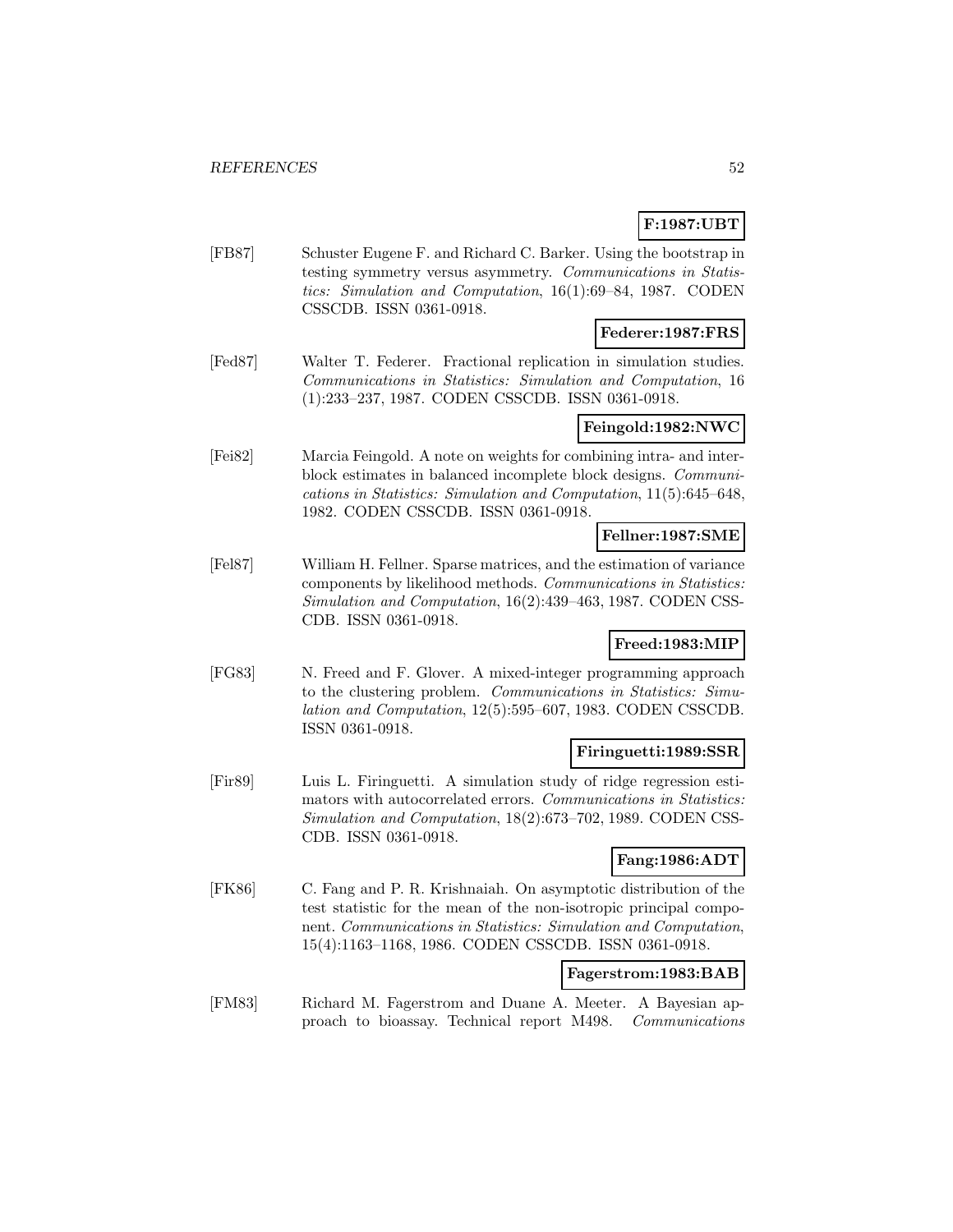# **F:1987:UBT**

[FB87] Schuster Eugene F. and Richard C. Barker. Using the bootstrap in testing symmetry versus asymmetry. Communications in Statistics: Simulation and Computation, 16(1):69–84, 1987. CODEN CSSCDB. ISSN 0361-0918.

## **Federer:1987:FRS**

[Fed87] Walter T. Federer. Fractional replication in simulation studies. Communications in Statistics: Simulation and Computation, 16 (1):233–237, 1987. CODEN CSSCDB. ISSN 0361-0918.

# **Feingold:1982:NWC**

[Fei82] Marcia Feingold. A note on weights for combining intra- and interblock estimates in balanced incomplete block designs. Communications in Statistics: Simulation and Computation, 11(5):645–648, 1982. CODEN CSSCDB. ISSN 0361-0918.

## **Fellner:1987:SME**

[Fel87] William H. Fellner. Sparse matrices, and the estimation of variance components by likelihood methods. Communications in Statistics: Simulation and Computation, 16(2):439–463, 1987. CODEN CSS-CDB. ISSN 0361-0918.

## **Freed:1983:MIP**

[FG83] N. Freed and F. Glover. A mixed-integer programming approach to the clustering problem. Communications in Statistics: Simulation and Computation, 12(5):595–607, 1983. CODEN CSSCDB. ISSN 0361-0918.

#### **Firinguetti:1989:SSR**

[Fir89] Luis L. Firinguetti. A simulation study of ridge regression estimators with autocorrelated errors. Communications in Statistics: Simulation and Computation, 18(2):673–702, 1989. CODEN CSS-CDB. ISSN 0361-0918.

## **Fang:1986:ADT**

[FK86] C. Fang and P. R. Krishnaiah. On asymptotic distribution of the test statistic for the mean of the non-isotropic principal component. Communications in Statistics: Simulation and Computation, 15(4):1163–1168, 1986. CODEN CSSCDB. ISSN 0361-0918.

## **Fagerstrom:1983:BAB**

[FM83] Richard M. Fagerstrom and Duane A. Meeter. A Bayesian approach to bioassay. Technical report M498. Communications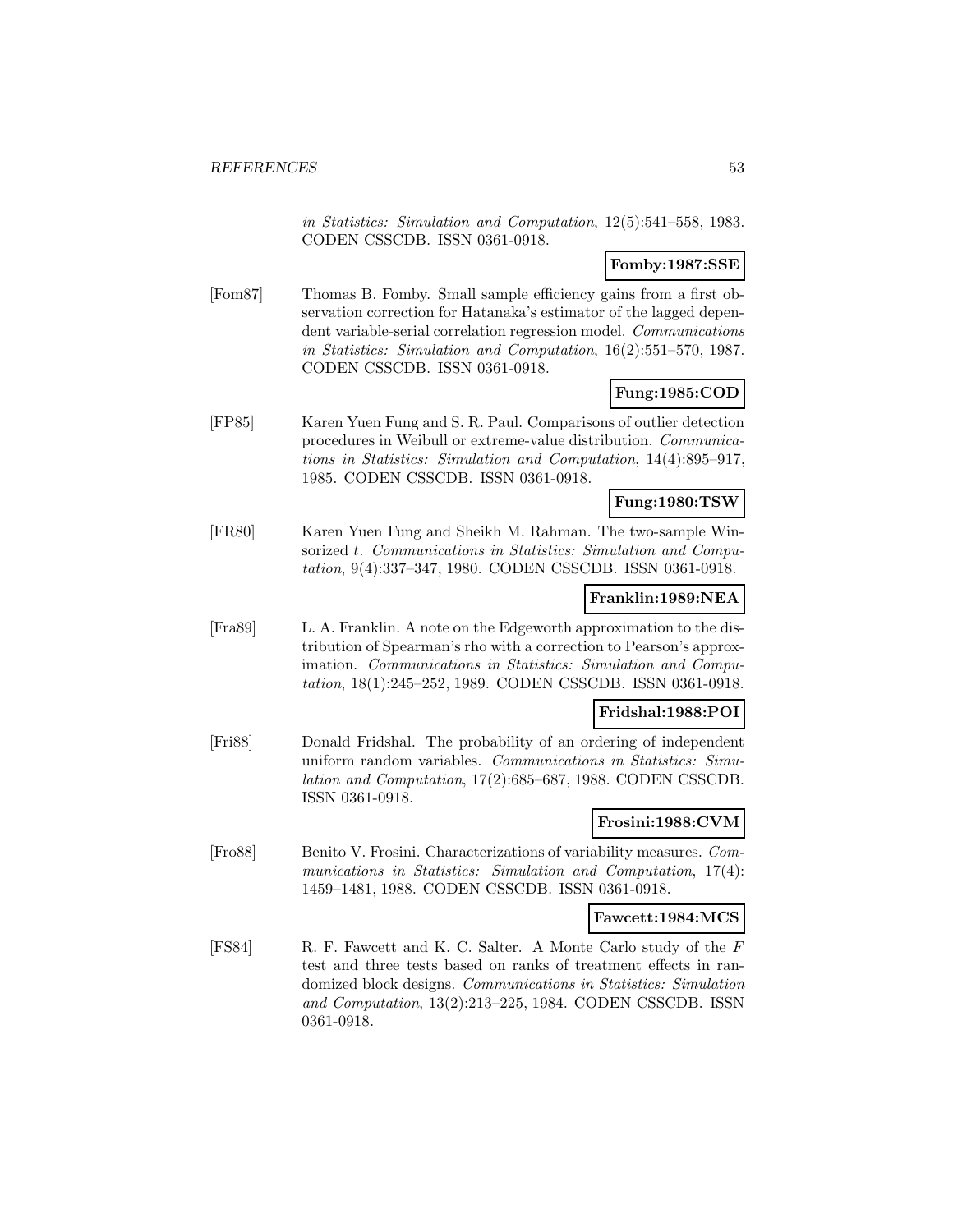in Statistics: Simulation and Computation, 12(5):541–558, 1983. CODEN CSSCDB. ISSN 0361-0918.

# **Fomby:1987:SSE**

[Fom87] Thomas B. Fomby. Small sample efficiency gains from a first observation correction for Hatanaka's estimator of the lagged dependent variable-serial correlation regression model. Communications in Statistics: Simulation and Computation, 16(2):551–570, 1987. CODEN CSSCDB. ISSN 0361-0918.

# **Fung:1985:COD**

[FP85] Karen Yuen Fung and S. R. Paul. Comparisons of outlier detection procedures in Weibull or extreme-value distribution. Communications in Statistics: Simulation and Computation, 14(4):895–917, 1985. CODEN CSSCDB. ISSN 0361-0918.

### **Fung:1980:TSW**

[FR80] Karen Yuen Fung and Sheikh M. Rahman. The two-sample Winsorized t. Communications in Statistics: Simulation and Computation, 9(4):337–347, 1980. CODEN CSSCDB. ISSN 0361-0918.

## **Franklin:1989:NEA**

[Fra89] L. A. Franklin. A note on the Edgeworth approximation to the distribution of Spearman's rho with a correction to Pearson's approximation. Communications in Statistics: Simulation and Computation, 18(1):245–252, 1989. CODEN CSSCDB. ISSN 0361-0918.

#### **Fridshal:1988:POI**

[Fri88] Donald Fridshal. The probability of an ordering of independent uniform random variables. Communications in Statistics: Simulation and Computation, 17(2):685–687, 1988. CODEN CSSCDB. ISSN 0361-0918.

## **Frosini:1988:CVM**

[Fro88] Benito V. Frosini. Characterizations of variability measures. Communications in Statistics: Simulation and Computation, 17(4): 1459–1481, 1988. CODEN CSSCDB. ISSN 0361-0918.

#### **Fawcett:1984:MCS**

[FS84] R. F. Fawcett and K. C. Salter. A Monte Carlo study of the F test and three tests based on ranks of treatment effects in randomized block designs. Communications in Statistics: Simulation and Computation, 13(2):213–225, 1984. CODEN CSSCDB. ISSN 0361-0918.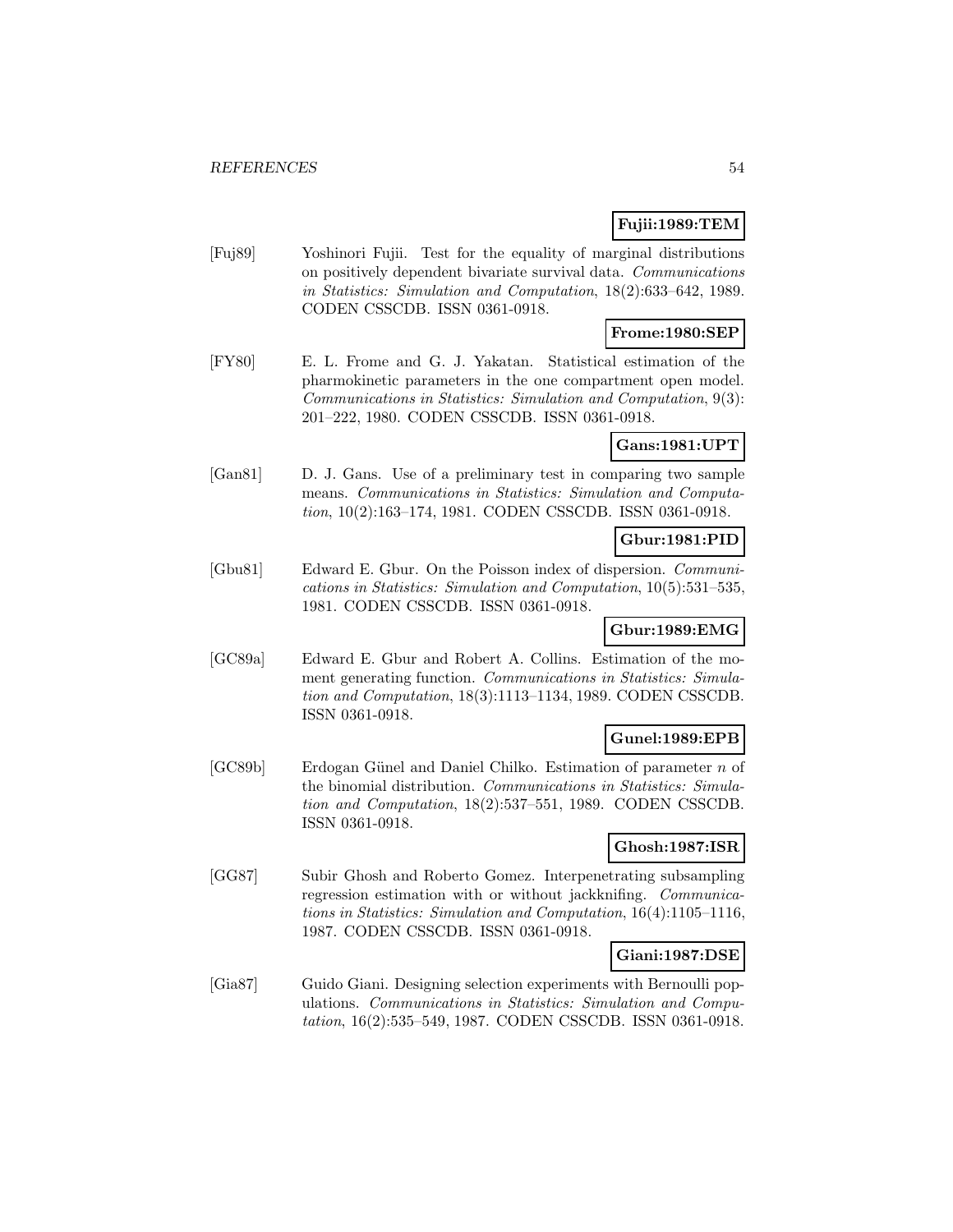## **Fujii:1989:TEM**

[Fuj89] Yoshinori Fujii. Test for the equality of marginal distributions on positively dependent bivariate survival data. Communications in Statistics: Simulation and Computation, 18(2):633–642, 1989. CODEN CSSCDB. ISSN 0361-0918.

# **Frome:1980:SEP**

[FY80] E. L. Frome and G. J. Yakatan. Statistical estimation of the pharmokinetic parameters in the one compartment open model. Communications in Statistics: Simulation and Computation, 9(3): 201–222, 1980. CODEN CSSCDB. ISSN 0361-0918.

## **Gans:1981:UPT**

[Gan81] D. J. Gans. Use of a preliminary test in comparing two sample means. Communications in Statistics: Simulation and Computation, 10(2):163–174, 1981. CODEN CSSCDB. ISSN 0361-0918.

# **Gbur:1981:PID**

[Gbu81] Edward E. Gbur. On the Poisson index of dispersion. Communications in Statistics: Simulation and Computation, 10(5):531–535, 1981. CODEN CSSCDB. ISSN 0361-0918.

## **Gbur:1989:EMG**

[GC89a] Edward E. Gbur and Robert A. Collins. Estimation of the moment generating function. Communications in Statistics: Simulation and Computation, 18(3):1113–1134, 1989. CODEN CSSCDB. ISSN 0361-0918.

## **Gunel:1989:EPB**

 $[GC89b]$  Erdogan Günel and Daniel Chilko. Estimation of parameter n of the binomial distribution. Communications in Statistics: Simulation and Computation, 18(2):537–551, 1989. CODEN CSSCDB. ISSN 0361-0918.

# **Ghosh:1987:ISR**

[GG87] Subir Ghosh and Roberto Gomez. Interpenetrating subsampling regression estimation with or without jackknifing. Communications in Statistics: Simulation and Computation, 16(4):1105–1116, 1987. CODEN CSSCDB. ISSN 0361-0918.

#### **Giani:1987:DSE**

[Gia87] Guido Giani. Designing selection experiments with Bernoulli populations. Communications in Statistics: Simulation and Computation, 16(2):535–549, 1987. CODEN CSSCDB. ISSN 0361-0918.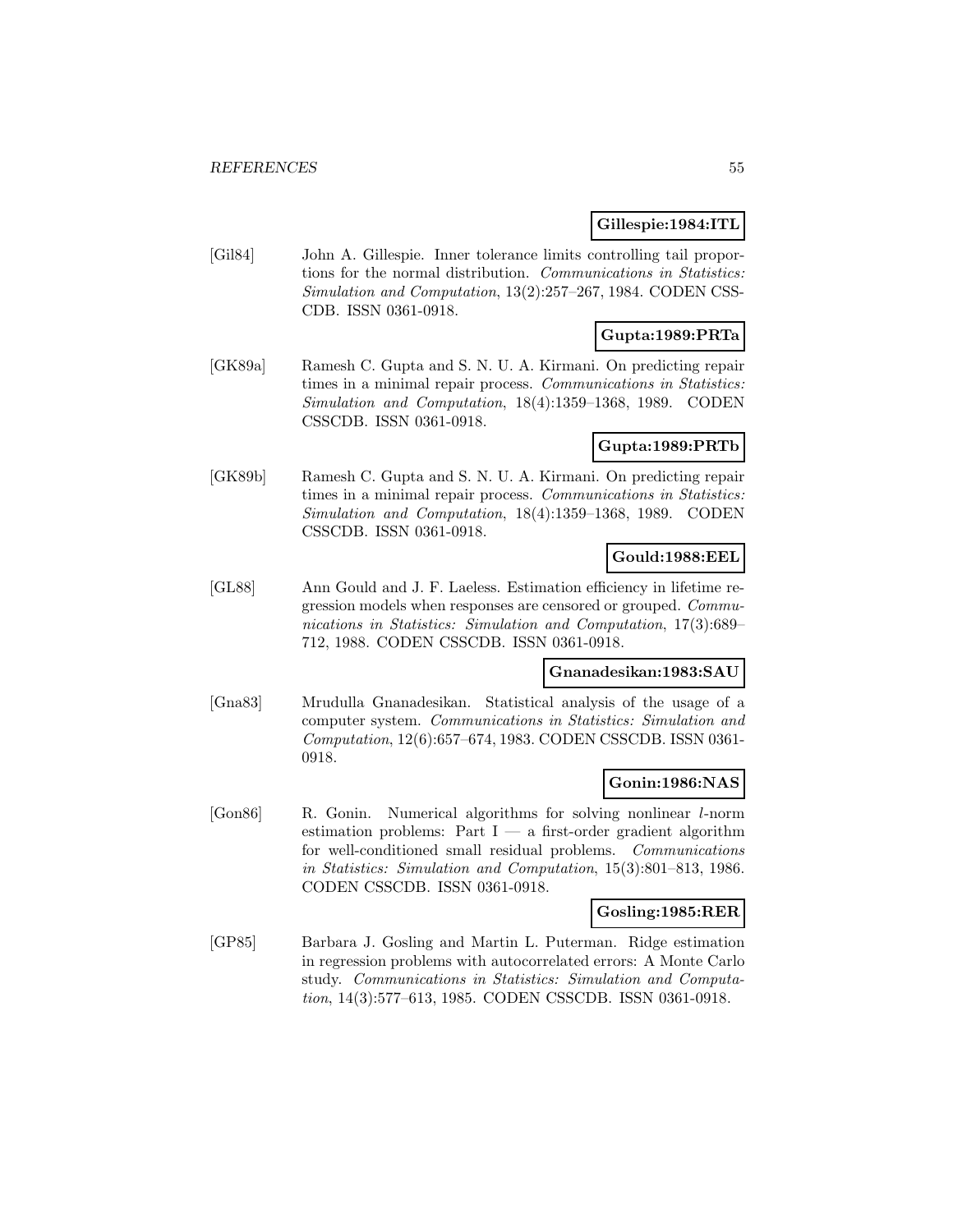#### **Gillespie:1984:ITL**

[Gil84] John A. Gillespie. Inner tolerance limits controlling tail proportions for the normal distribution. Communications in Statistics: Simulation and Computation, 13(2):257–267, 1984. CODEN CSS-CDB. ISSN 0361-0918.

# **Gupta:1989:PRTa**

[GK89a] Ramesh C. Gupta and S. N. U. A. Kirmani. On predicting repair times in a minimal repair process. Communications in Statistics: Simulation and Computation, 18(4):1359–1368, 1989. CODEN CSSCDB. ISSN 0361-0918.

### **Gupta:1989:PRTb**

[GK89b] Ramesh C. Gupta and S. N. U. A. Kirmani. On predicting repair times in a minimal repair process. Communications in Statistics: Simulation and Computation, 18(4):1359–1368, 1989. CODEN CSSCDB. ISSN 0361-0918.

### **Gould:1988:EEL**

[GL88] Ann Gould and J. F. Laeless. Estimation efficiency in lifetime regression models when responses are censored or grouped. Communications in Statistics: Simulation and Computation, 17(3):689– 712, 1988. CODEN CSSCDB. ISSN 0361-0918.

#### **Gnanadesikan:1983:SAU**

[Gna83] Mrudulla Gnanadesikan. Statistical analysis of the usage of a computer system. Communications in Statistics: Simulation and Computation, 12(6):657–674, 1983. CODEN CSSCDB. ISSN 0361- 0918.

#### **Gonin:1986:NAS**

[Gon86] R. Gonin. Numerical algorithms for solving nonlinear l-norm estimation problems: Part  $I - a$  first-order gradient algorithm for well-conditioned small residual problems. Communications in Statistics: Simulation and Computation, 15(3):801–813, 1986. CODEN CSSCDB. ISSN 0361-0918.

#### **Gosling:1985:RER**

[GP85] Barbara J. Gosling and Martin L. Puterman. Ridge estimation in regression problems with autocorrelated errors: A Monte Carlo study. Communications in Statistics: Simulation and Computation, 14(3):577–613, 1985. CODEN CSSCDB. ISSN 0361-0918.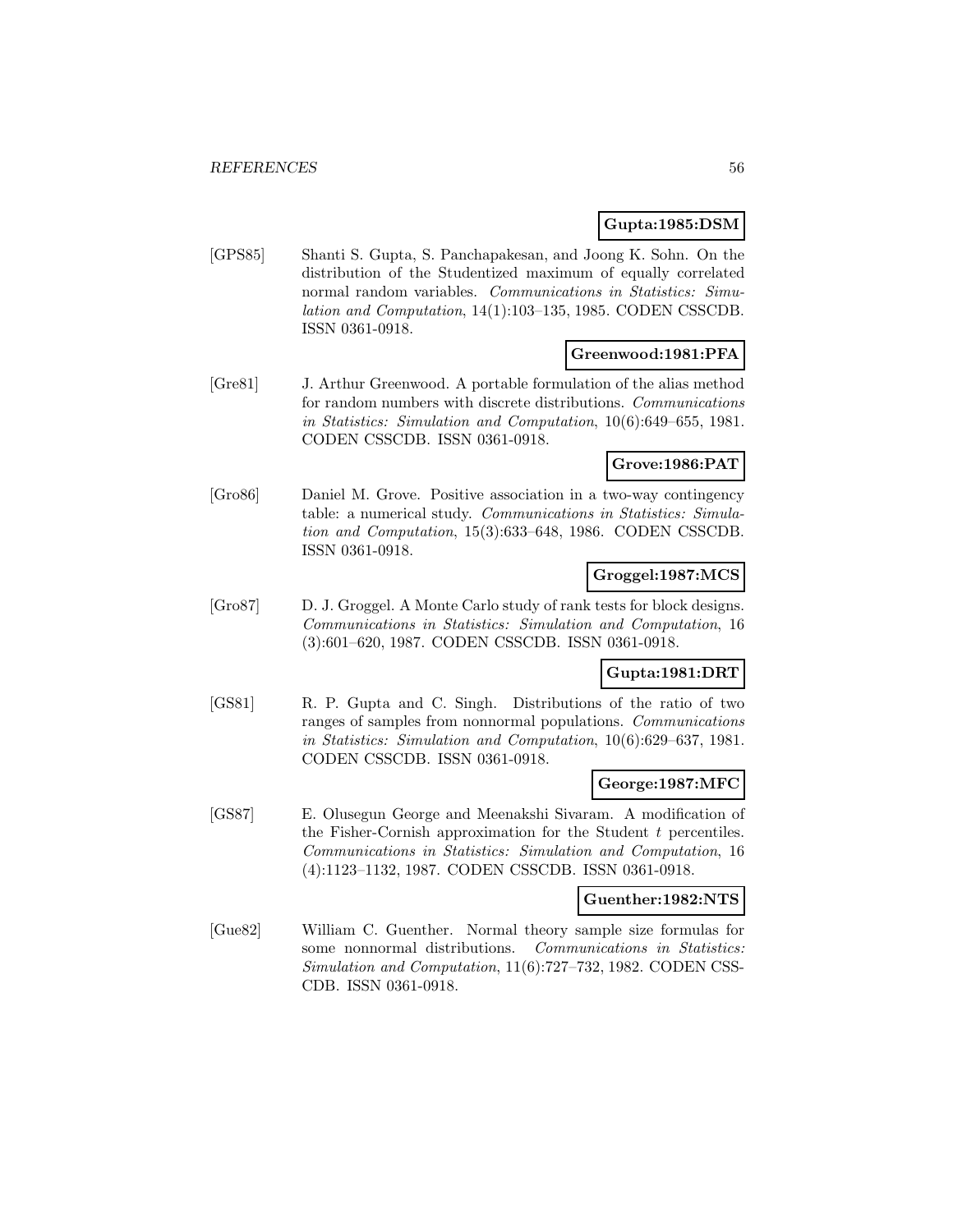### **Gupta:1985:DSM**

[GPS85] Shanti S. Gupta, S. Panchapakesan, and Joong K. Sohn. On the distribution of the Studentized maximum of equally correlated normal random variables. Communications in Statistics: Simulation and Computation, 14(1):103–135, 1985. CODEN CSSCDB. ISSN 0361-0918.

### **Greenwood:1981:PFA**

[Gre81] J. Arthur Greenwood. A portable formulation of the alias method for random numbers with discrete distributions. Communications in Statistics: Simulation and Computation, 10(6):649–655, 1981. CODEN CSSCDB. ISSN 0361-0918.

## **Grove:1986:PAT**

[Gro86] Daniel M. Grove. Positive association in a two-way contingency table: a numerical study. Communications in Statistics: Simulation and Computation, 15(3):633–648, 1986. CODEN CSSCDB. ISSN 0361-0918.

### **Groggel:1987:MCS**

[Gro87] D. J. Groggel. A Monte Carlo study of rank tests for block designs. Communications in Statistics: Simulation and Computation, 16 (3):601–620, 1987. CODEN CSSCDB. ISSN 0361-0918.

## **Gupta:1981:DRT**

[GS81] R. P. Gupta and C. Singh. Distributions of the ratio of two ranges of samples from nonnormal populations. Communications in Statistics: Simulation and Computation, 10(6):629–637, 1981. CODEN CSSCDB. ISSN 0361-0918.

#### **George:1987:MFC**

[GS87] E. Olusegun George and Meenakshi Sivaram. A modification of the Fisher-Cornish approximation for the Student t percentiles. Communications in Statistics: Simulation and Computation, 16 (4):1123–1132, 1987. CODEN CSSCDB. ISSN 0361-0918.

#### **Guenther:1982:NTS**

[Gue82] William C. Guenther. Normal theory sample size formulas for some nonnormal distributions. Communications in Statistics: Simulation and Computation, 11(6):727–732, 1982. CODEN CSS-CDB. ISSN 0361-0918.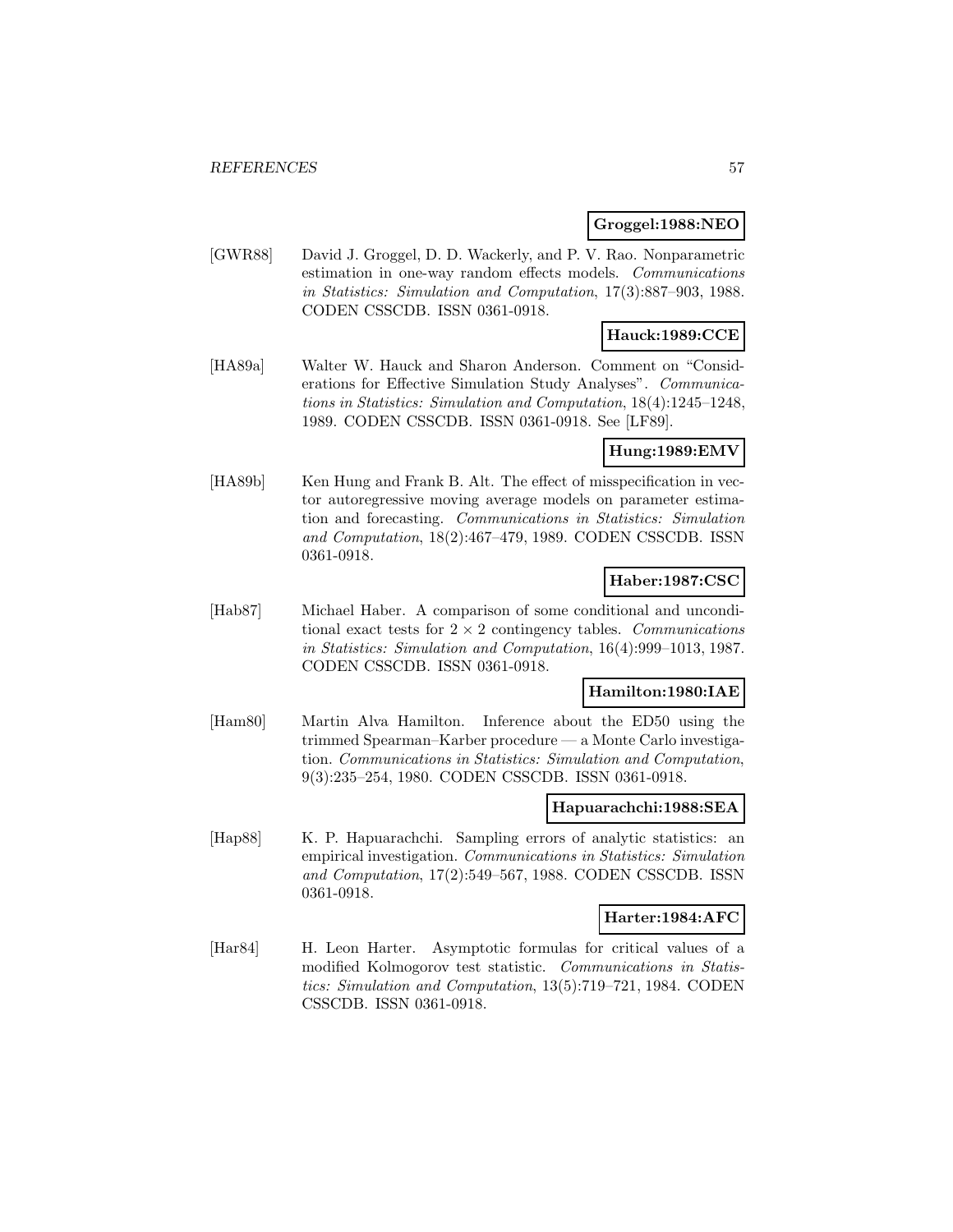### **Groggel:1988:NEO**

[GWR88] David J. Groggel, D. D. Wackerly, and P. V. Rao. Nonparametric estimation in one-way random effects models. Communications in Statistics: Simulation and Computation, 17(3):887–903, 1988. CODEN CSSCDB. ISSN 0361-0918.

# **Hauck:1989:CCE**

[HA89a] Walter W. Hauck and Sharon Anderson. Comment on "Considerations for Effective Simulation Study Analyses". Communications in Statistics: Simulation and Computation, 18(4):1245–1248, 1989. CODEN CSSCDB. ISSN 0361-0918. See [LF89].

### **Hung:1989:EMV**

[HA89b] Ken Hung and Frank B. Alt. The effect of misspecification in vector autoregressive moving average models on parameter estimation and forecasting. Communications in Statistics: Simulation and Computation, 18(2):467–479, 1989. CODEN CSSCDB. ISSN 0361-0918.

## **Haber:1987:CSC**

[Hab87] Michael Haber. A comparison of some conditional and unconditional exact tests for  $2 \times 2$  contingency tables. Communications in Statistics: Simulation and Computation, 16(4):999–1013, 1987. CODEN CSSCDB. ISSN 0361-0918.

# **Hamilton:1980:IAE**

[Ham80] Martin Alva Hamilton. Inference about the ED50 using the trimmed Spearman–Karber procedure — a Monte Carlo investigation. Communications in Statistics: Simulation and Computation, 9(3):235–254, 1980. CODEN CSSCDB. ISSN 0361-0918.

#### **Hapuarachchi:1988:SEA**

[Hap88] K. P. Hapuarachchi. Sampling errors of analytic statistics: an empirical investigation. Communications in Statistics: Simulation and Computation, 17(2):549–567, 1988. CODEN CSSCDB. ISSN 0361-0918.

#### **Harter:1984:AFC**

[Har84] H. Leon Harter. Asymptotic formulas for critical values of a modified Kolmogorov test statistic. Communications in Statistics: Simulation and Computation, 13(5):719–721, 1984. CODEN CSSCDB. ISSN 0361-0918.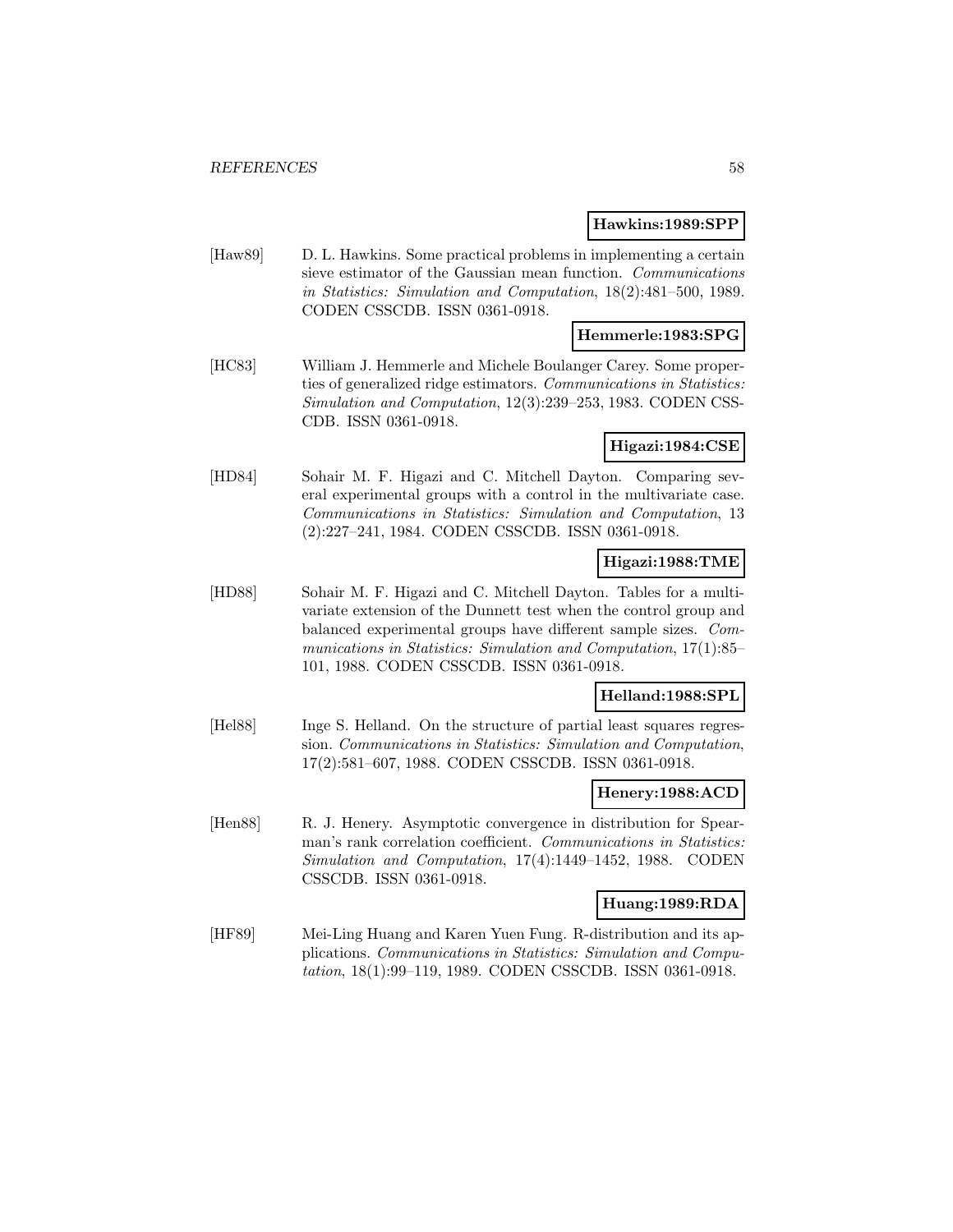#### **Hawkins:1989:SPP**

[Haw89] D. L. Hawkins. Some practical problems in implementing a certain sieve estimator of the Gaussian mean function. Communications in Statistics: Simulation and Computation, 18(2):481–500, 1989. CODEN CSSCDB. ISSN 0361-0918.

# **Hemmerle:1983:SPG**

[HC83] William J. Hemmerle and Michele Boulanger Carey. Some properties of generalized ridge estimators. Communications in Statistics: Simulation and Computation, 12(3):239–253, 1983. CODEN CSS-CDB. ISSN 0361-0918.

#### **Higazi:1984:CSE**

[HD84] Sohair M. F. Higazi and C. Mitchell Dayton. Comparing several experimental groups with a control in the multivariate case. Communications in Statistics: Simulation and Computation, 13 (2):227–241, 1984. CODEN CSSCDB. ISSN 0361-0918.

## **Higazi:1988:TME**

[HD88] Sohair M. F. Higazi and C. Mitchell Dayton. Tables for a multivariate extension of the Dunnett test when the control group and balanced experimental groups have different sample sizes. Communications in Statistics: Simulation and Computation, 17(1):85– 101, 1988. CODEN CSSCDB. ISSN 0361-0918.

# **Helland:1988:SPL**

[Hel88] Inge S. Helland. On the structure of partial least squares regression. Communications in Statistics: Simulation and Computation, 17(2):581–607, 1988. CODEN CSSCDB. ISSN 0361-0918.

## **Henery:1988:ACD**

[Hen88] R. J. Henery. Asymptotic convergence in distribution for Spearman's rank correlation coefficient. Communications in Statistics: Simulation and Computation, 17(4):1449–1452, 1988. CODEN CSSCDB. ISSN 0361-0918.

## **Huang:1989:RDA**

[HF89] Mei-Ling Huang and Karen Yuen Fung. R-distribution and its applications. Communications in Statistics: Simulation and Computation, 18(1):99–119, 1989. CODEN CSSCDB. ISSN 0361-0918.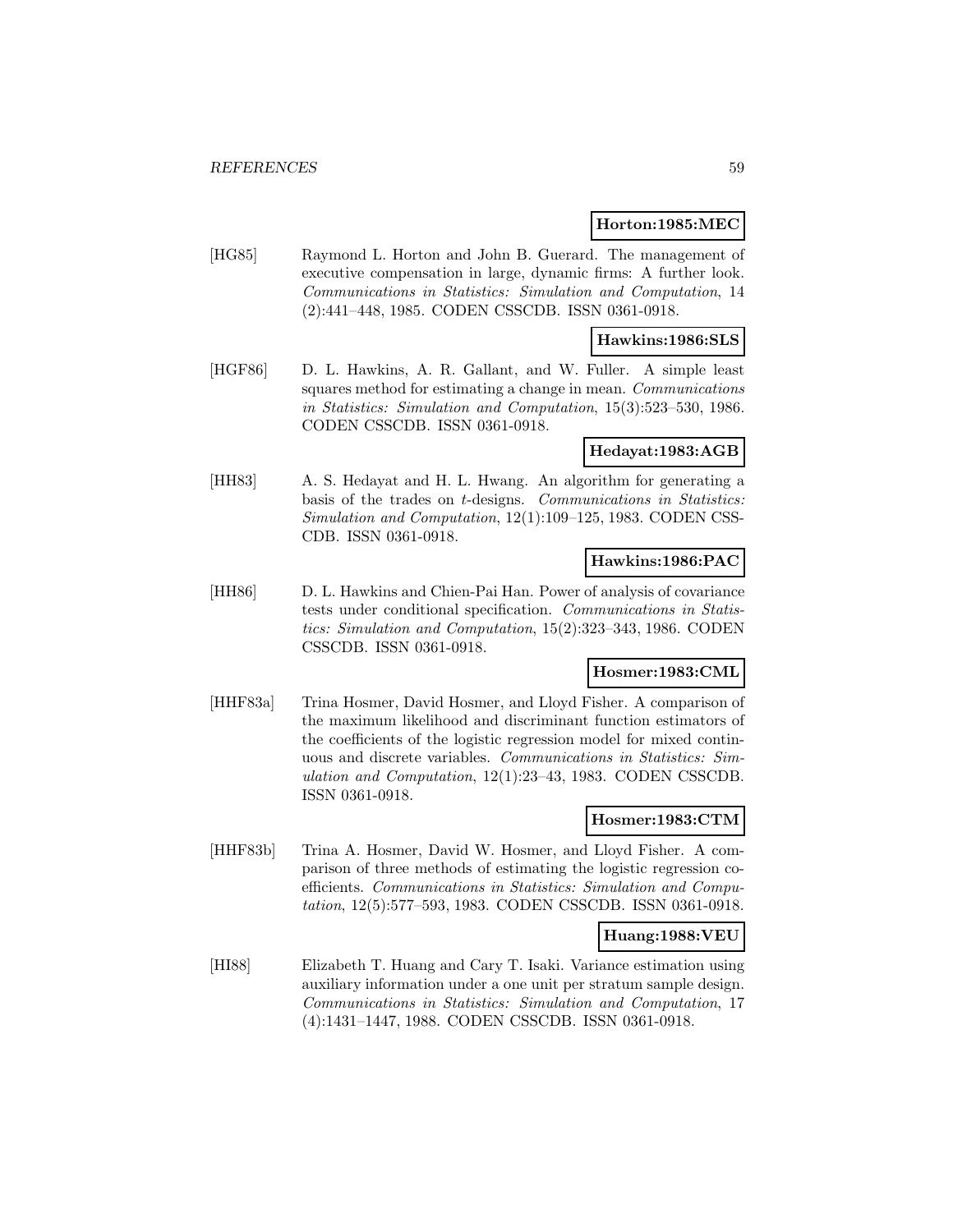#### **Horton:1985:MEC**

[HG85] Raymond L. Horton and John B. Guerard. The management of executive compensation in large, dynamic firms: A further look. Communications in Statistics: Simulation and Computation, 14 (2):441–448, 1985. CODEN CSSCDB. ISSN 0361-0918.

#### **Hawkins:1986:SLS**

[HGF86] D. L. Hawkins, A. R. Gallant, and W. Fuller. A simple least squares method for estimating a change in mean. *Communications* in Statistics: Simulation and Computation, 15(3):523–530, 1986. CODEN CSSCDB. ISSN 0361-0918.

#### **Hedayat:1983:AGB**

[HH83] A. S. Hedayat and H. L. Hwang. An algorithm for generating a basis of the trades on t-designs. Communications in Statistics: Simulation and Computation, 12(1):109–125, 1983. CODEN CSS-CDB. ISSN 0361-0918.

#### **Hawkins:1986:PAC**

[HH86] D. L. Hawkins and Chien-Pai Han. Power of analysis of covariance tests under conditional specification. Communications in Statistics: Simulation and Computation, 15(2):323–343, 1986. CODEN CSSCDB. ISSN 0361-0918.

#### **Hosmer:1983:CML**

[HHF83a] Trina Hosmer, David Hosmer, and Lloyd Fisher. A comparison of the maximum likelihood and discriminant function estimators of the coefficients of the logistic regression model for mixed continuous and discrete variables. Communications in Statistics: Simulation and Computation, 12(1):23–43, 1983. CODEN CSSCDB. ISSN 0361-0918.

### **Hosmer:1983:CTM**

[HHF83b] Trina A. Hosmer, David W. Hosmer, and Lloyd Fisher. A comparison of three methods of estimating the logistic regression coefficients. Communications in Statistics: Simulation and Computation, 12(5):577–593, 1983. CODEN CSSCDB. ISSN 0361-0918.

#### **Huang:1988:VEU**

[HI88] Elizabeth T. Huang and Cary T. Isaki. Variance estimation using auxiliary information under a one unit per stratum sample design. Communications in Statistics: Simulation and Computation, 17 (4):1431–1447, 1988. CODEN CSSCDB. ISSN 0361-0918.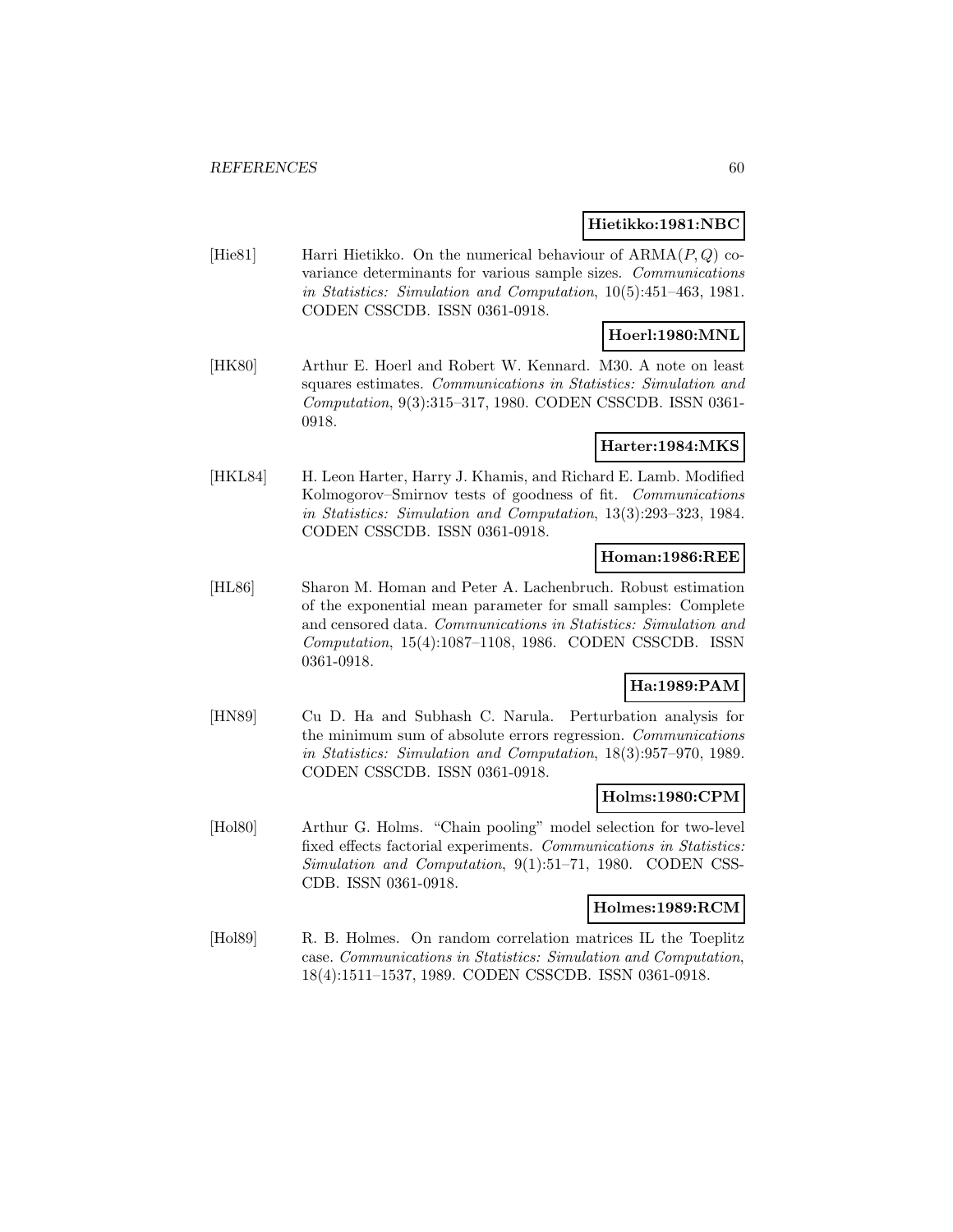#### **Hietikko:1981:NBC**

[Hie81] Harri Hietikko. On the numerical behaviour of  $ARMA(P,Q)$  covariance determinants for various sample sizes. Communications in Statistics: Simulation and Computation, 10(5):451–463, 1981. CODEN CSSCDB. ISSN 0361-0918.

# **Hoerl:1980:MNL**

[HK80] Arthur E. Hoerl and Robert W. Kennard. M30. A note on least squares estimates. Communications in Statistics: Simulation and Computation, 9(3):315–317, 1980. CODEN CSSCDB. ISSN 0361- 0918.

## **Harter:1984:MKS**

[HKL84] H. Leon Harter, Harry J. Khamis, and Richard E. Lamb. Modified Kolmogorov–Smirnov tests of goodness of fit. Communications in Statistics: Simulation and Computation, 13(3):293–323, 1984. CODEN CSSCDB. ISSN 0361-0918.

### **Homan:1986:REE**

[HL86] Sharon M. Homan and Peter A. Lachenbruch. Robust estimation of the exponential mean parameter for small samples: Complete and censored data. Communications in Statistics: Simulation and Computation, 15(4):1087–1108, 1986. CODEN CSSCDB. ISSN 0361-0918.

# **Ha:1989:PAM**

[HN89] Cu D. Ha and Subhash C. Narula. Perturbation analysis for the minimum sum of absolute errors regression. Communications in Statistics: Simulation and Computation, 18(3):957–970, 1989. CODEN CSSCDB. ISSN 0361-0918.

#### **Holms:1980:CPM**

[Hol80] Arthur G. Holms. "Chain pooling" model selection for two-level fixed effects factorial experiments. Communications in Statistics: Simulation and Computation, 9(1):51–71, 1980. CODEN CSS-CDB. ISSN 0361-0918.

### **Holmes:1989:RCM**

[Hol89] R. B. Holmes. On random correlation matrices IL the Toeplitz case. Communications in Statistics: Simulation and Computation, 18(4):1511–1537, 1989. CODEN CSSCDB. ISSN 0361-0918.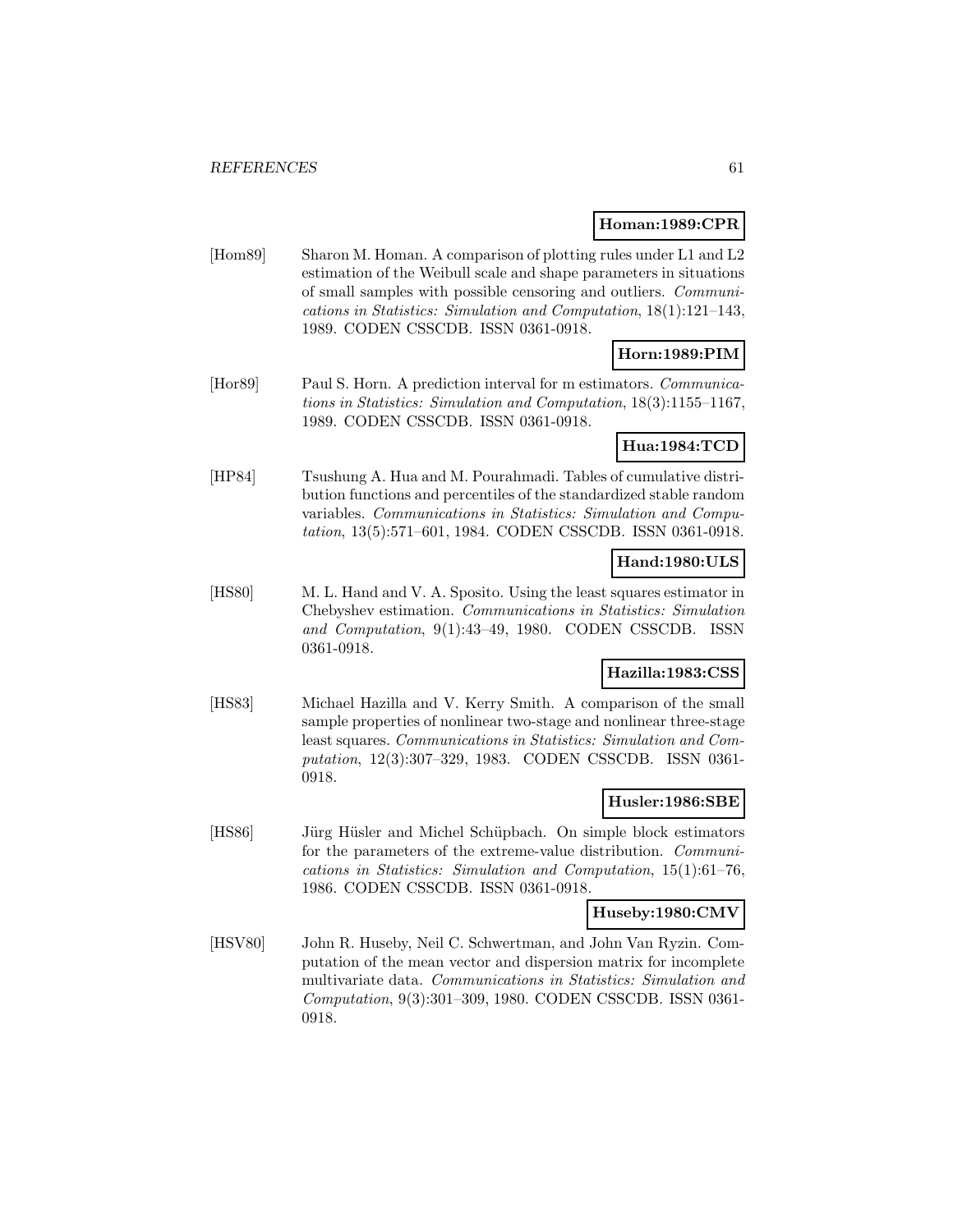#### **Homan:1989:CPR**

[Hom89] Sharon M. Homan. A comparison of plotting rules under L1 and L2 estimation of the Weibull scale and shape parameters in situations of small samples with possible censoring and outliers. Communications in Statistics: Simulation and Computation, 18(1):121–143, 1989. CODEN CSSCDB. ISSN 0361-0918.

# **Horn:1989:PIM**

[Hor89] Paul S. Horn. A prediction interval for m estimators. Communications in Statistics: Simulation and Computation, 18(3):1155–1167, 1989. CODEN CSSCDB. ISSN 0361-0918.

### **Hua:1984:TCD**

[HP84] Tsushung A. Hua and M. Pourahmadi. Tables of cumulative distribution functions and percentiles of the standardized stable random variables. Communications in Statistics: Simulation and Computation, 13(5):571–601, 1984. CODEN CSSCDB. ISSN 0361-0918.

### **Hand:1980:ULS**

[HS80] M. L. Hand and V. A. Sposito. Using the least squares estimator in Chebyshev estimation. Communications in Statistics: Simulation and Computation, 9(1):43–49, 1980. CODEN CSSCDB. ISSN 0361-0918.

## **Hazilla:1983:CSS**

[HS83] Michael Hazilla and V. Kerry Smith. A comparison of the small sample properties of nonlinear two-stage and nonlinear three-stage least squares. Communications in Statistics: Simulation and Computation, 12(3):307–329, 1983. CODEN CSSCDB. ISSN 0361- 0918.

### **Husler:1986:SBE**

[HS86] Jürg Hüsler and Michel Schüpbach. On simple block estimators for the parameters of the extreme-value distribution. Communications in Statistics: Simulation and Computation, 15(1):61–76, 1986. CODEN CSSCDB. ISSN 0361-0918.

#### **Huseby:1980:CMV**

[HSV80] John R. Huseby, Neil C. Schwertman, and John Van Ryzin. Computation of the mean vector and dispersion matrix for incomplete multivariate data. Communications in Statistics: Simulation and Computation, 9(3):301–309, 1980. CODEN CSSCDB. ISSN 0361- 0918.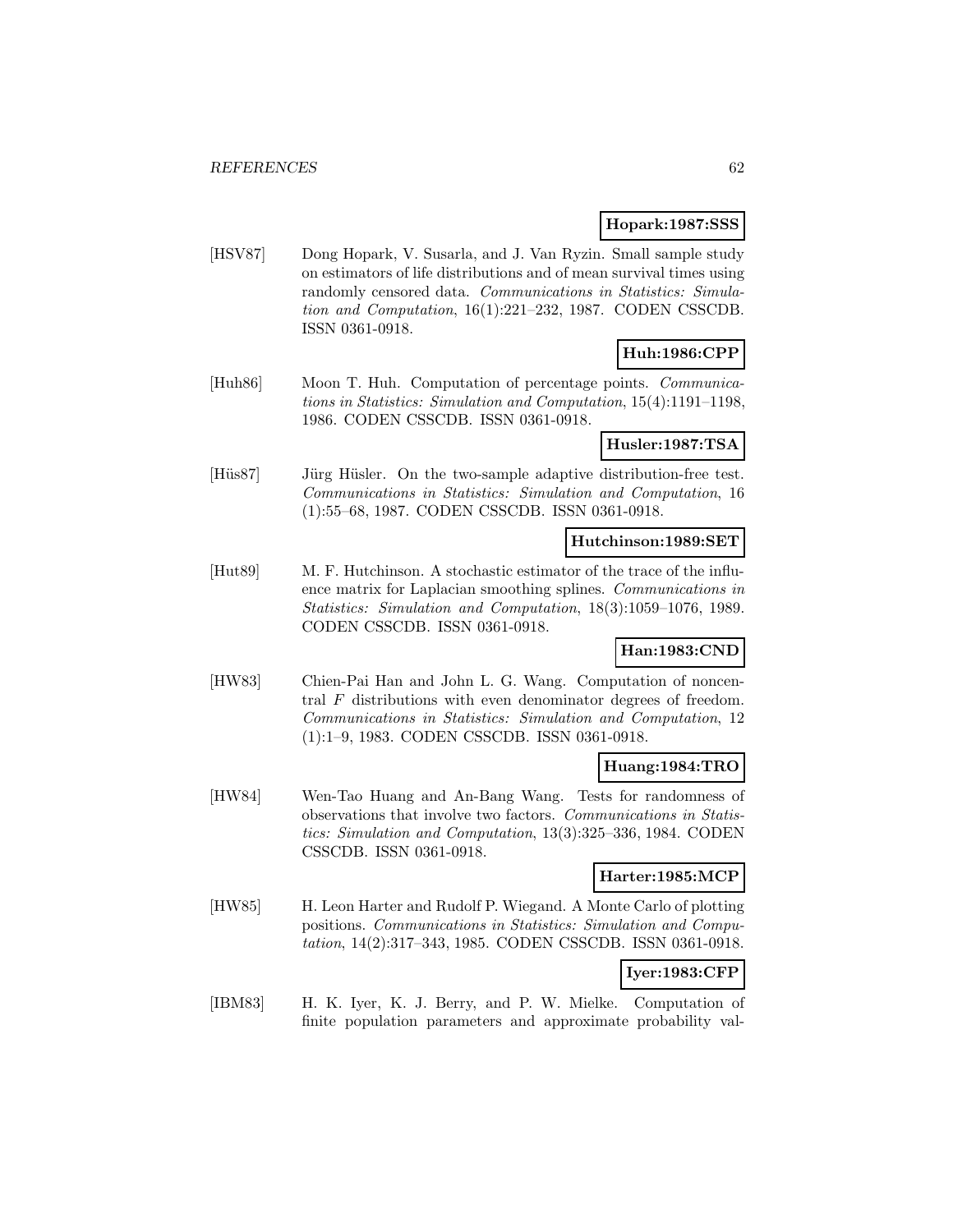#### **Hopark:1987:SSS**

[HSV87] Dong Hopark, V. Susarla, and J. Van Ryzin. Small sample study on estimators of life distributions and of mean survival times using randomly censored data. Communications in Statistics: Simulation and Computation, 16(1):221–232, 1987. CODEN CSSCDB. ISSN 0361-0918.

## **Huh:1986:CPP**

[Huh86] Moon T. Huh. Computation of percentage points. Communications in Statistics: Simulation and Computation, 15(4):1191–1198, 1986. CODEN CSSCDB. ISSN 0361-0918.

### **Husler:1987:TSA**

[Hüs87] Jürg Hüsler. On the two-sample adaptive distribution-free test. Communications in Statistics: Simulation and Computation, 16 (1):55–68, 1987. CODEN CSSCDB. ISSN 0361-0918.

### **Hutchinson:1989:SET**

[Hut89] M. F. Hutchinson. A stochastic estimator of the trace of the influence matrix for Laplacian smoothing splines. Communications in Statistics: Simulation and Computation, 18(3):1059–1076, 1989. CODEN CSSCDB. ISSN 0361-0918.

#### **Han:1983:CND**

[HW83] Chien-Pai Han and John L. G. Wang. Computation of noncentral  $F$  distributions with even denominator degrees of freedom. Communications in Statistics: Simulation and Computation, 12 (1):1–9, 1983. CODEN CSSCDB. ISSN 0361-0918.

#### **Huang:1984:TRO**

[HW84] Wen-Tao Huang and An-Bang Wang. Tests for randomness of observations that involve two factors. Communications in Statistics: Simulation and Computation, 13(3):325–336, 1984. CODEN CSSCDB. ISSN 0361-0918.

## **Harter:1985:MCP**

[HW85] H. Leon Harter and Rudolf P. Wiegand. A Monte Carlo of plotting positions. Communications in Statistics: Simulation and Computation, 14(2):317–343, 1985. CODEN CSSCDB. ISSN 0361-0918.

## **Iyer:1983:CFP**

[IBM83] H. K. Iyer, K. J. Berry, and P. W. Mielke. Computation of finite population parameters and approximate probability val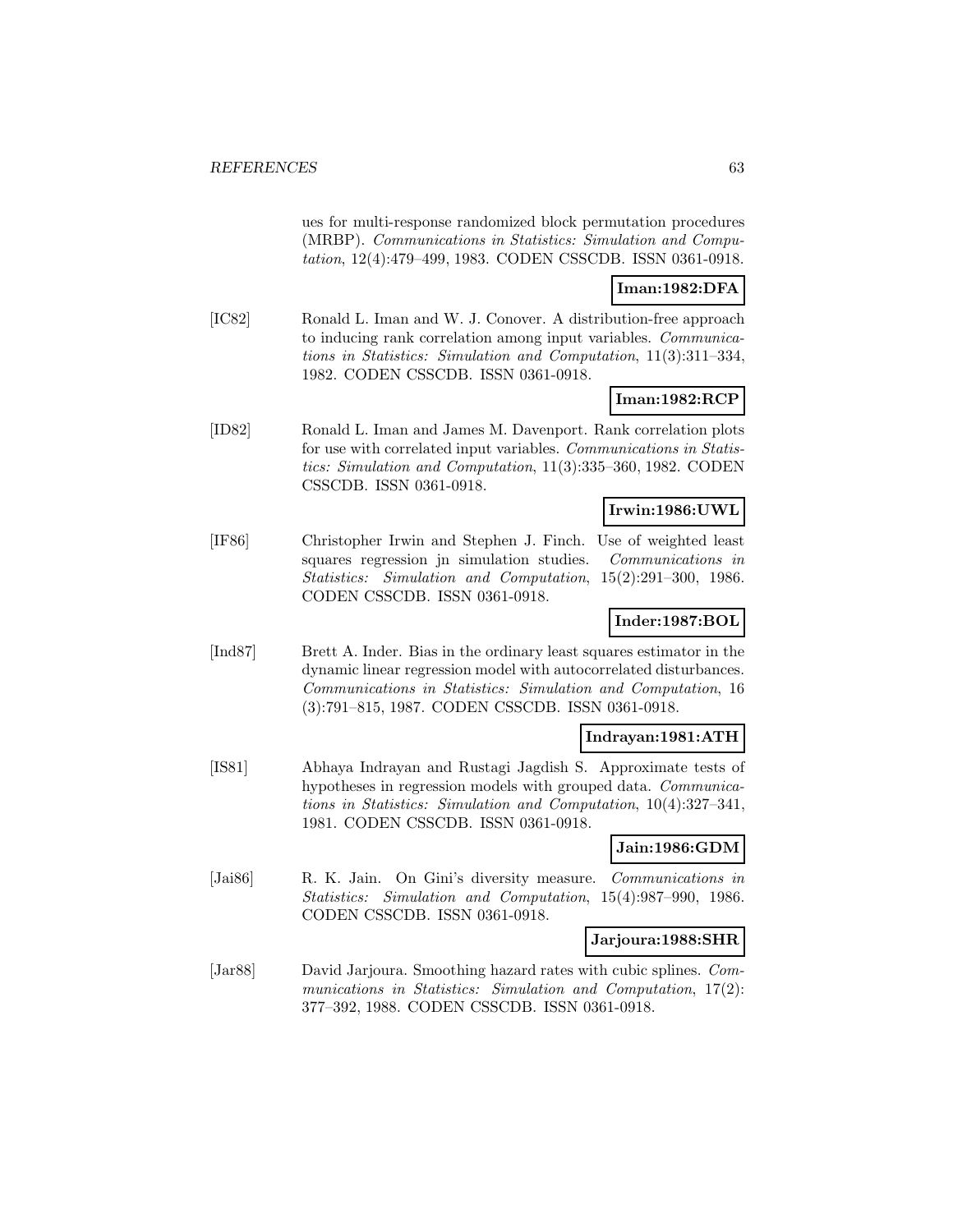ues for multi-response randomized block permutation procedures (MRBP). Communications in Statistics: Simulation and Computation, 12(4):479–499, 1983. CODEN CSSCDB. ISSN 0361-0918.

### **Iman:1982:DFA**

[IC82] Ronald L. Iman and W. J. Conover. A distribution-free approach to inducing rank correlation among input variables. Communications in Statistics: Simulation and Computation, 11(3):311–334, 1982. CODEN CSSCDB. ISSN 0361-0918.

# **Iman:1982:RCP**

[ID82] Ronald L. Iman and James M. Davenport. Rank correlation plots for use with correlated input variables. Communications in Statistics: Simulation and Computation, 11(3):335–360, 1982. CODEN CSSCDB. ISSN 0361-0918.

## **Irwin:1986:UWL**

[IF86] Christopher Irwin and Stephen J. Finch. Use of weighted least squares regression jn simulation studies. Communications in Statistics: Simulation and Computation, 15(2):291–300, 1986. CODEN CSSCDB. ISSN 0361-0918.

### **Inder:1987:BOL**

[Ind87] Brett A. Inder. Bias in the ordinary least squares estimator in the dynamic linear regression model with autocorrelated disturbances. Communications in Statistics: Simulation and Computation, 16 (3):791–815, 1987. CODEN CSSCDB. ISSN 0361-0918.

#### **Indrayan:1981:ATH**

[IS81] Abhaya Indrayan and Rustagi Jagdish S. Approximate tests of hypotheses in regression models with grouped data. Communications in Statistics: Simulation and Computation, 10(4):327–341, 1981. CODEN CSSCDB. ISSN 0361-0918.

#### **Jain:1986:GDM**

[Jai86] R. K. Jain. On Gini's diversity measure. Communications in Statistics: Simulation and Computation, 15(4):987–990, 1986. CODEN CSSCDB. ISSN 0361-0918.

#### **Jarjoura:1988:SHR**

[Jar88] David Jarjoura. Smoothing hazard rates with cubic splines. Communications in Statistics: Simulation and Computation, 17(2): 377–392, 1988. CODEN CSSCDB. ISSN 0361-0918.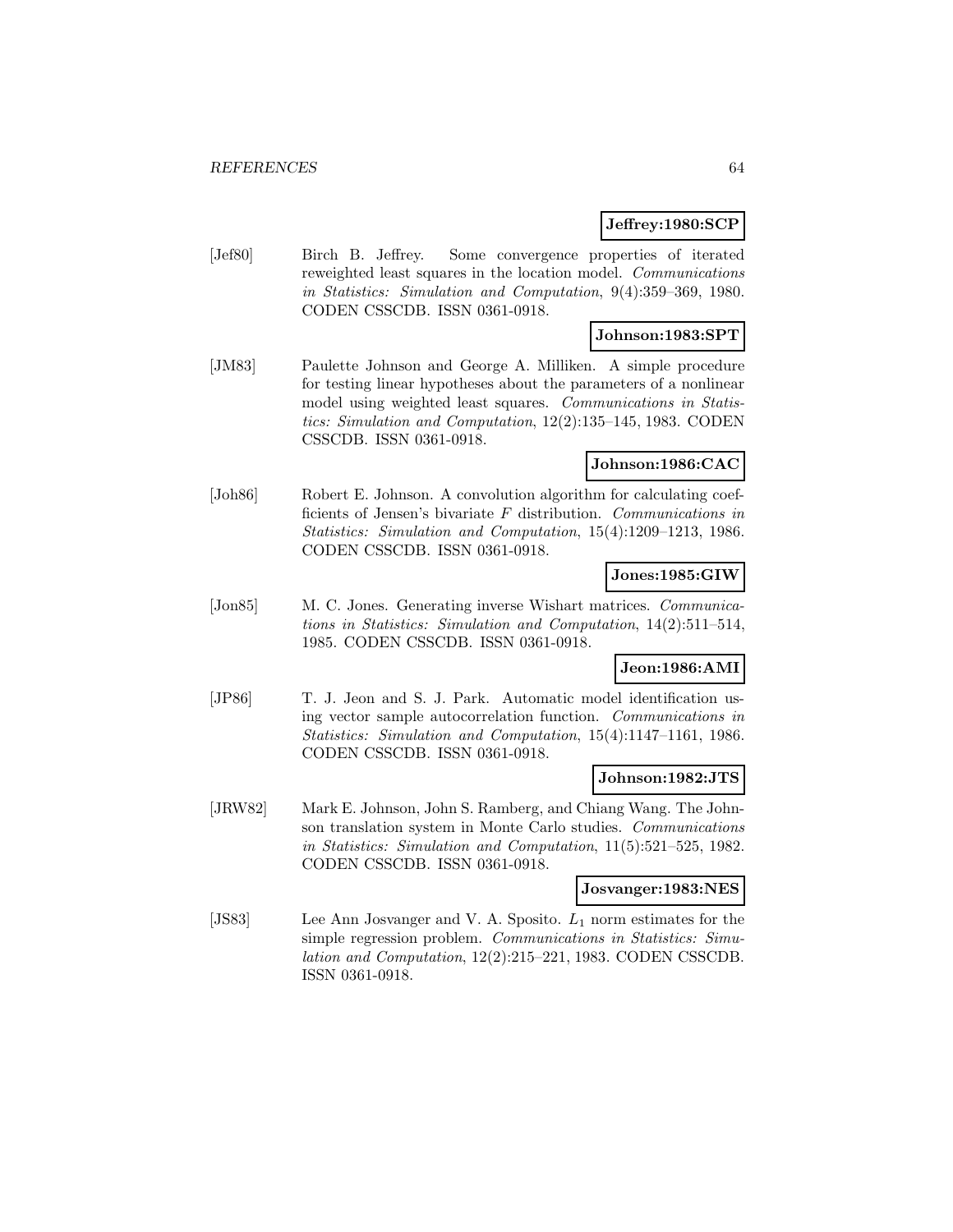#### **Jeffrey:1980:SCP**

[Jef80] Birch B. Jeffrey. Some convergence properties of iterated reweighted least squares in the location model. Communications in Statistics: Simulation and Computation, 9(4):359–369, 1980. CODEN CSSCDB. ISSN 0361-0918.

# **Johnson:1983:SPT**

[JM83] Paulette Johnson and George A. Milliken. A simple procedure for testing linear hypotheses about the parameters of a nonlinear model using weighted least squares. Communications in Statistics: Simulation and Computation, 12(2):135–145, 1983. CODEN CSSCDB. ISSN 0361-0918.

# **Johnson:1986:CAC**

[Joh86] Robert E. Johnson. A convolution algorithm for calculating coefficients of Jensen's bivariate  $F$  distribution. Communications in Statistics: Simulation and Computation, 15(4):1209–1213, 1986. CODEN CSSCDB. ISSN 0361-0918.

## **Jones:1985:GIW**

[Jon85] M. C. Jones. Generating inverse Wishart matrices. *Communica*tions in Statistics: Simulation and Computation, 14(2):511–514, 1985. CODEN CSSCDB. ISSN 0361-0918.

## **Jeon:1986:AMI**

[JP86] T. J. Jeon and S. J. Park. Automatic model identification using vector sample autocorrelation function. Communications in Statistics: Simulation and Computation, 15(4):1147–1161, 1986. CODEN CSSCDB. ISSN 0361-0918.

#### **Johnson:1982:JTS**

[JRW82] Mark E. Johnson, John S. Ramberg, and Chiang Wang. The Johnson translation system in Monte Carlo studies. Communications in Statistics: Simulation and Computation, 11(5):521–525, 1982. CODEN CSSCDB. ISSN 0361-0918.

#### **Josvanger:1983:NES**

[JS83] Lee Ann Josvanger and V. A. Sposito.  $L_1$  norm estimates for the simple regression problem. Communications in Statistics: Simulation and Computation, 12(2):215–221, 1983. CODEN CSSCDB. ISSN 0361-0918.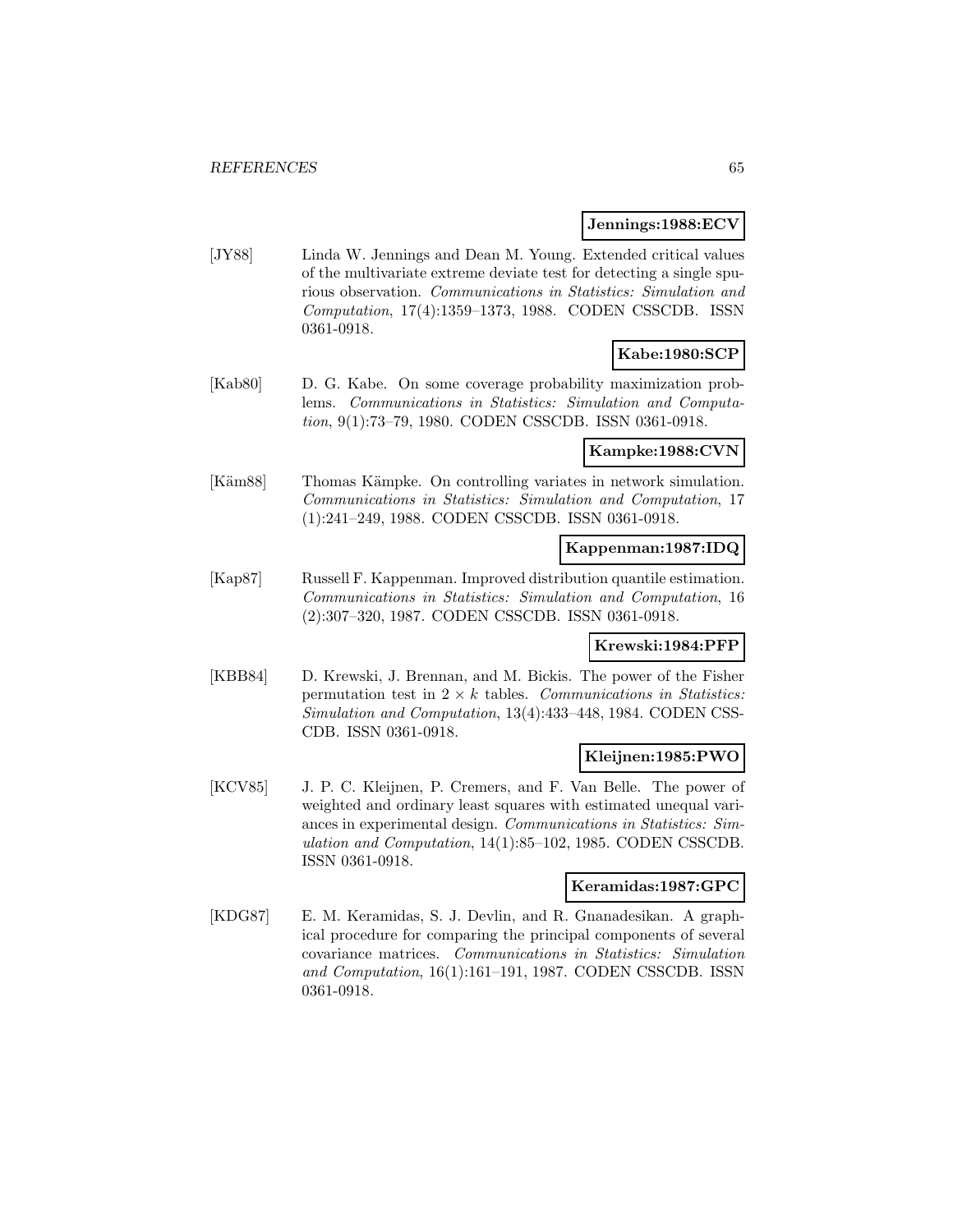#### **Jennings:1988:ECV**

[JY88] Linda W. Jennings and Dean M. Young. Extended critical values of the multivariate extreme deviate test for detecting a single spurious observation. Communications in Statistics: Simulation and Computation, 17(4):1359–1373, 1988. CODEN CSSCDB. ISSN 0361-0918.

# **Kabe:1980:SCP**

[Kab80] D. G. Kabe. On some coverage probability maximization problems. Communications in Statistics: Simulation and Computation, 9(1):73–79, 1980. CODEN CSSCDB. ISSN 0361-0918.

#### **Kampke:1988:CVN**

[Käm88] Thomas Kämpke. On controlling variates in network simulation. Communications in Statistics: Simulation and Computation, 17 (1):241–249, 1988. CODEN CSSCDB. ISSN 0361-0918.

#### **Kappenman:1987:IDQ**

[Kap87] Russell F. Kappenman. Improved distribution quantile estimation. Communications in Statistics: Simulation and Computation, 16 (2):307–320, 1987. CODEN CSSCDB. ISSN 0361-0918.

## **Krewski:1984:PFP**

[KBB84] D. Krewski, J. Brennan, and M. Bickis. The power of the Fisher permutation test in  $2 \times k$  tables. Communications in Statistics: Simulation and Computation, 13(4):433–448, 1984. CODEN CSS-CDB. ISSN 0361-0918.

#### **Kleijnen:1985:PWO**

[KCV85] J. P. C. Kleijnen, P. Cremers, and F. Van Belle. The power of weighted and ordinary least squares with estimated unequal variances in experimental design. Communications in Statistics: Simulation and Computation, 14(1):85–102, 1985. CODEN CSSCDB. ISSN 0361-0918.

#### **Keramidas:1987:GPC**

[KDG87] E. M. Keramidas, S. J. Devlin, and R. Gnanadesikan. A graphical procedure for comparing the principal components of several covariance matrices. Communications in Statistics: Simulation and Computation, 16(1):161–191, 1987. CODEN CSSCDB. ISSN 0361-0918.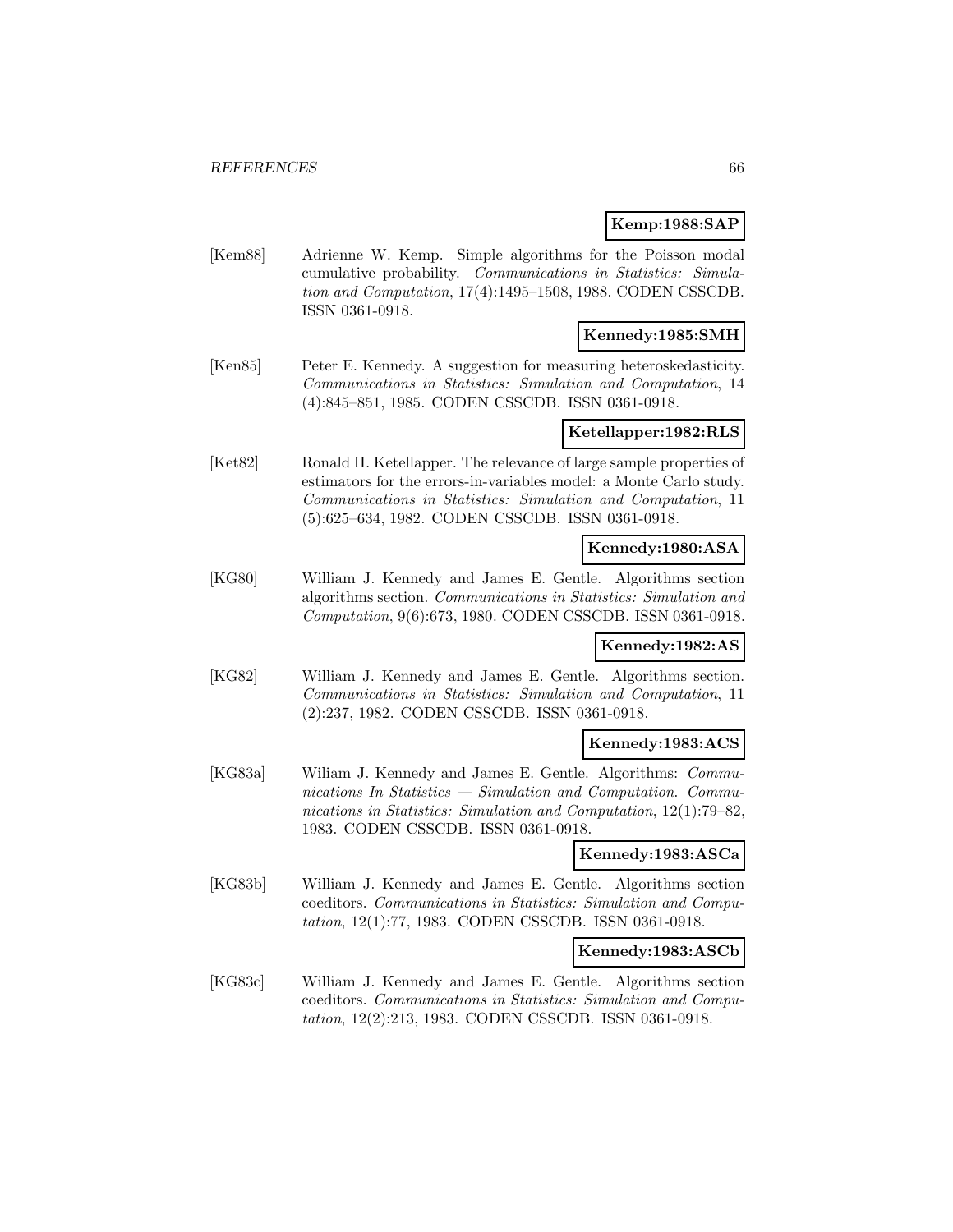#### **Kemp:1988:SAP**

[Kem88] Adrienne W. Kemp. Simple algorithms for the Poisson modal cumulative probability. Communications in Statistics: Simulation and Computation, 17(4):1495–1508, 1988. CODEN CSSCDB. ISSN 0361-0918.

### **Kennedy:1985:SMH**

[Ken85] Peter E. Kennedy. A suggestion for measuring heteroskedasticity. Communications in Statistics: Simulation and Computation, 14 (4):845–851, 1985. CODEN CSSCDB. ISSN 0361-0918.

### **Ketellapper:1982:RLS**

[Ket82] Ronald H. Ketellapper. The relevance of large sample properties of estimators for the errors-in-variables model: a Monte Carlo study. Communications in Statistics: Simulation and Computation, 11 (5):625–634, 1982. CODEN CSSCDB. ISSN 0361-0918.

### **Kennedy:1980:ASA**

[KG80] William J. Kennedy and James E. Gentle. Algorithms section algorithms section. Communications in Statistics: Simulation and Computation, 9(6):673, 1980. CODEN CSSCDB. ISSN 0361-0918.

### **Kennedy:1982:AS**

[KG82] William J. Kennedy and James E. Gentle. Algorithms section. Communications in Statistics: Simulation and Computation, 11 (2):237, 1982. CODEN CSSCDB. ISSN 0361-0918.

#### **Kennedy:1983:ACS**

[KG83a] Wiliam J. Kennedy and James E. Gentle. Algorithms: Communications In Statistics — Simulation and Computation. Communications in Statistics: Simulation and Computation, 12(1):79–82, 1983. CODEN CSSCDB. ISSN 0361-0918.

## **Kennedy:1983:ASCa**

[KG83b] William J. Kennedy and James E. Gentle. Algorithms section coeditors. Communications in Statistics: Simulation and Computation, 12(1):77, 1983. CODEN CSSCDB. ISSN 0361-0918.

#### **Kennedy:1983:ASCb**

[KG83c] William J. Kennedy and James E. Gentle. Algorithms section coeditors. Communications in Statistics: Simulation and Computation, 12(2):213, 1983. CODEN CSSCDB. ISSN 0361-0918.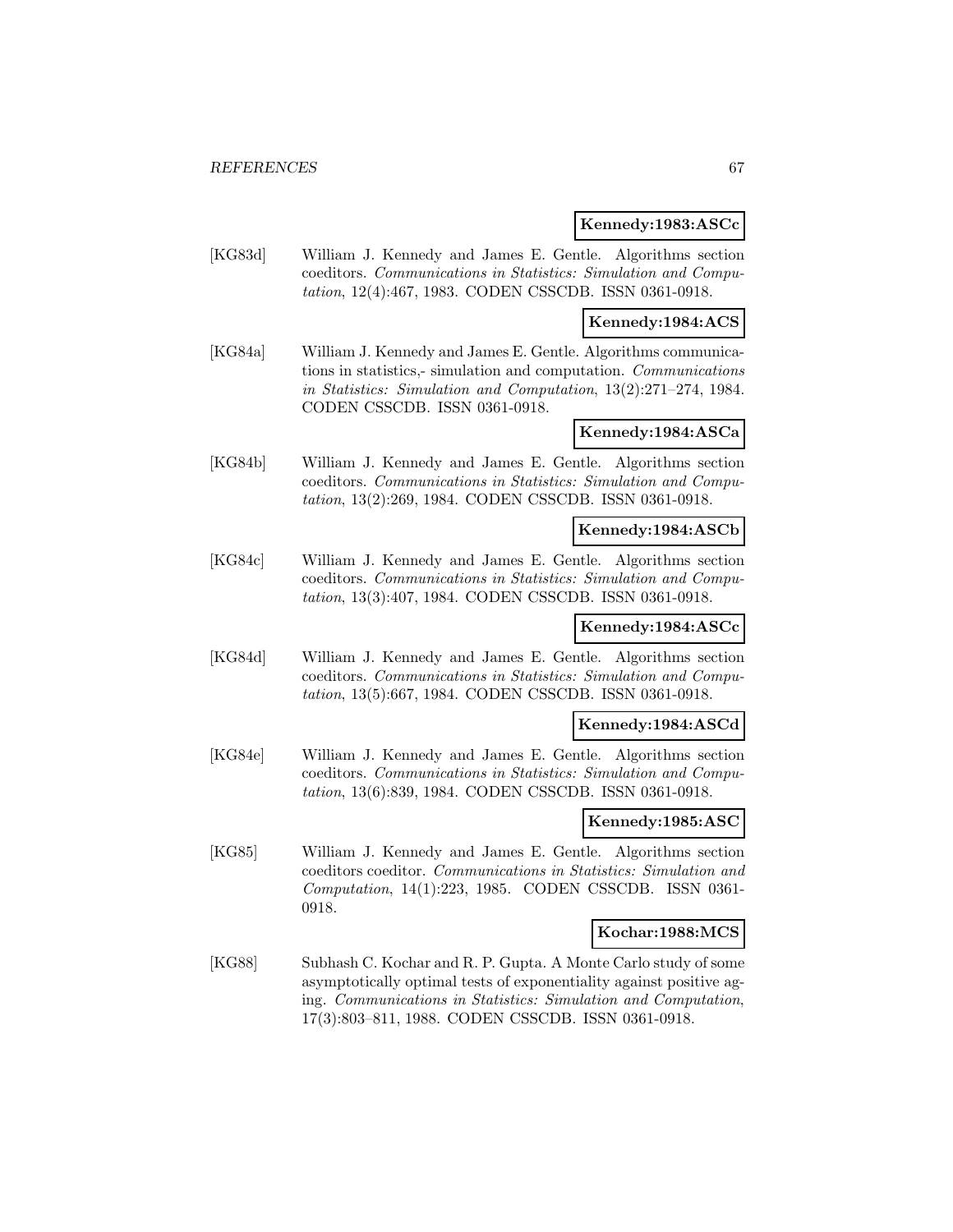#### **Kennedy:1983:ASCc**

[KG83d] William J. Kennedy and James E. Gentle. Algorithms section coeditors. Communications in Statistics: Simulation and Computation, 12(4):467, 1983. CODEN CSSCDB. ISSN 0361-0918.

### **Kennedy:1984:ACS**

[KG84a] William J. Kennedy and James E. Gentle. Algorithms communications in statistics,- simulation and computation. Communications in Statistics: Simulation and Computation, 13(2):271–274, 1984. CODEN CSSCDB. ISSN 0361-0918.

### **Kennedy:1984:ASCa**

[KG84b] William J. Kennedy and James E. Gentle. Algorithms section coeditors. Communications in Statistics: Simulation and Computation, 13(2):269, 1984. CODEN CSSCDB. ISSN 0361-0918.

### **Kennedy:1984:ASCb**

[KG84c] William J. Kennedy and James E. Gentle. Algorithms section coeditors. Communications in Statistics: Simulation and Computation, 13(3):407, 1984. CODEN CSSCDB. ISSN 0361-0918.

## **Kennedy:1984:ASCc**

[KG84d] William J. Kennedy and James E. Gentle. Algorithms section coeditors. Communications in Statistics: Simulation and Computation, 13(5):667, 1984. CODEN CSSCDB. ISSN 0361-0918.

#### **Kennedy:1984:ASCd**

[KG84e] William J. Kennedy and James E. Gentle. Algorithms section coeditors. Communications in Statistics: Simulation and Computation, 13(6):839, 1984. CODEN CSSCDB. ISSN 0361-0918.

## **Kennedy:1985:ASC**

[KG85] William J. Kennedy and James E. Gentle. Algorithms section coeditors coeditor. Communications in Statistics: Simulation and Computation, 14(1):223, 1985. CODEN CSSCDB. ISSN 0361- 0918.

#### **Kochar:1988:MCS**

[KG88] Subhash C. Kochar and R. P. Gupta. A Monte Carlo study of some asymptotically optimal tests of exponentiality against positive aging. Communications in Statistics: Simulation and Computation, 17(3):803–811, 1988. CODEN CSSCDB. ISSN 0361-0918.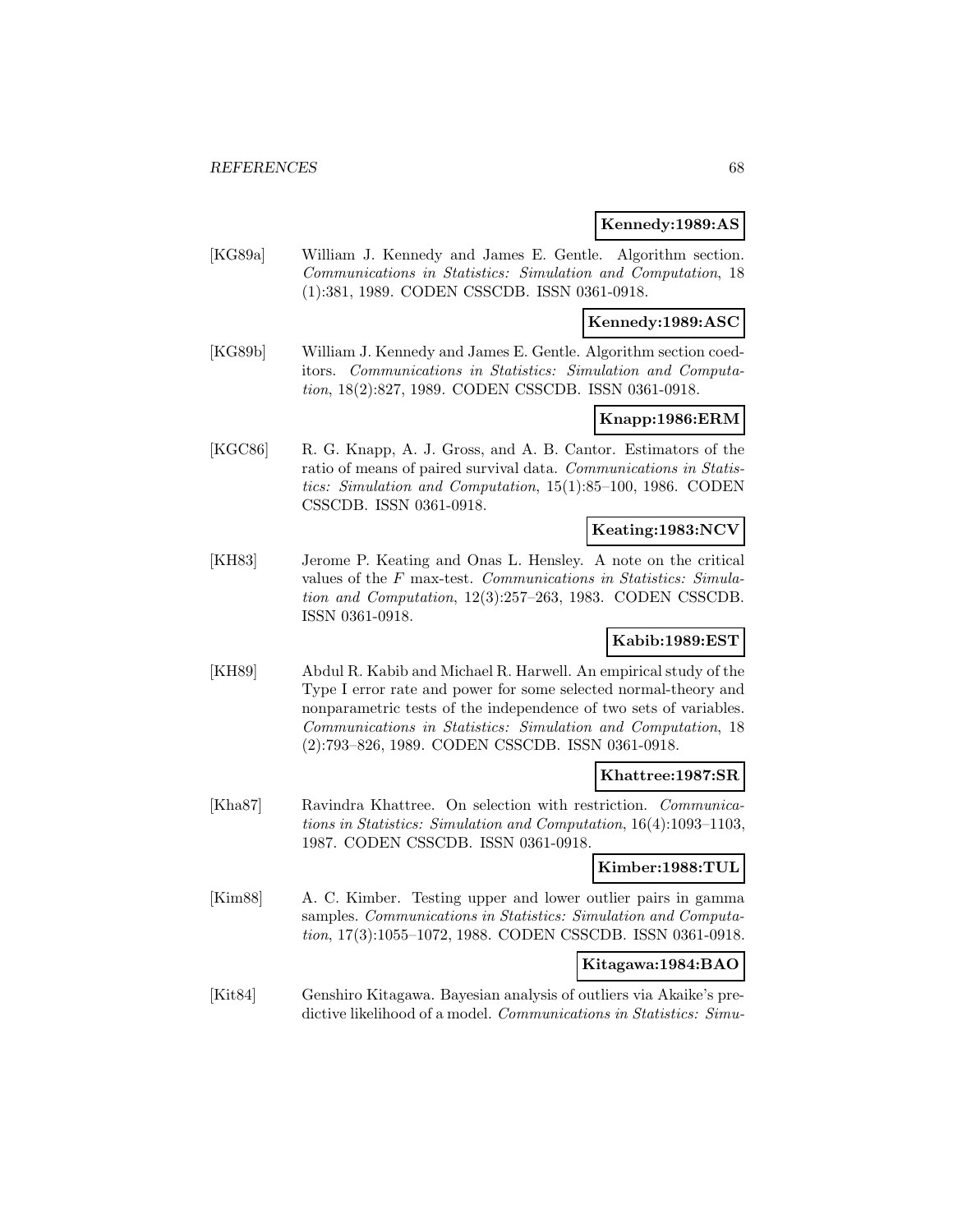### **Kennedy:1989:AS**

[KG89a] William J. Kennedy and James E. Gentle. Algorithm section. Communications in Statistics: Simulation and Computation, 18 (1):381, 1989. CODEN CSSCDB. ISSN 0361-0918.

## **Kennedy:1989:ASC**

[KG89b] William J. Kennedy and James E. Gentle. Algorithm section coeditors. Communications in Statistics: Simulation and Computation, 18(2):827, 1989. CODEN CSSCDB. ISSN 0361-0918.

## **Knapp:1986:ERM**

[KGC86] R. G. Knapp, A. J. Gross, and A. B. Cantor. Estimators of the ratio of means of paired survival data. Communications in Statistics: Simulation and Computation, 15(1):85–100, 1986. CODEN CSSCDB. ISSN 0361-0918.

# **Keating:1983:NCV**

[KH83] Jerome P. Keating and Onas L. Hensley. A note on the critical values of the F max-test. Communications in Statistics: Simulation and Computation, 12(3):257–263, 1983. CODEN CSSCDB. ISSN 0361-0918.

# **Kabib:1989:EST**

[KH89] Abdul R. Kabib and Michael R. Harwell. An empirical study of the Type I error rate and power for some selected normal-theory and nonparametric tests of the independence of two sets of variables. Communications in Statistics: Simulation and Computation, 18 (2):793–826, 1989. CODEN CSSCDB. ISSN 0361-0918.

#### **Khattree:1987:SR**

[Kha87] Ravindra Khattree. On selection with restriction. Communications in Statistics: Simulation and Computation, 16(4):1093–1103, 1987. CODEN CSSCDB. ISSN 0361-0918.

### **Kimber:1988:TUL**

[Kim88] A. C. Kimber. Testing upper and lower outlier pairs in gamma samples. Communications in Statistics: Simulation and Computation, 17(3):1055–1072, 1988. CODEN CSSCDB. ISSN 0361-0918.

#### **Kitagawa:1984:BAO**

[Kit84] Genshiro Kitagawa. Bayesian analysis of outliers via Akaike's predictive likelihood of a model. *Communications in Statistics: Simu-*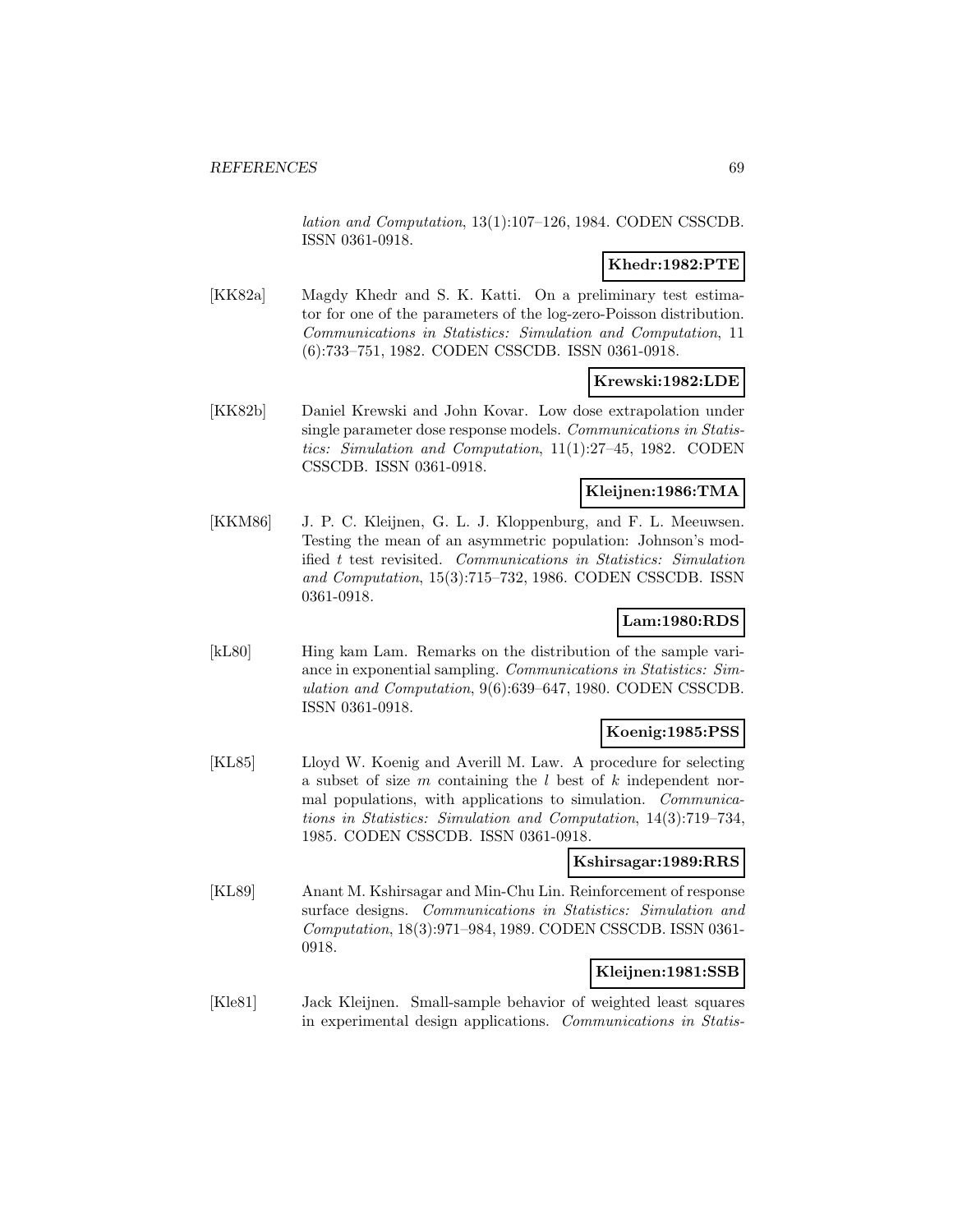lation and Computation, 13(1):107–126, 1984. CODEN CSSCDB. ISSN 0361-0918.

#### **Khedr:1982:PTE**

[KK82a] Magdy Khedr and S. K. Katti. On a preliminary test estimator for one of the parameters of the log-zero-Poisson distribution. Communications in Statistics: Simulation and Computation, 11 (6):733–751, 1982. CODEN CSSCDB. ISSN 0361-0918.

### **Krewski:1982:LDE**

[KK82b] Daniel Krewski and John Kovar. Low dose extrapolation under single parameter dose response models. *Communications in Statis*tics: Simulation and Computation, 11(1):27–45, 1982. CODEN CSSCDB. ISSN 0361-0918.

### **Kleijnen:1986:TMA**

[KKM86] J. P. C. Kleijnen, G. L. J. Kloppenburg, and F. L. Meeuwsen. Testing the mean of an asymmetric population: Johnson's modified t test revisited. Communications in Statistics: Simulation and Computation, 15(3):715–732, 1986. CODEN CSSCDB. ISSN 0361-0918.

# **Lam:1980:RDS**

[kL80] Hing kam Lam. Remarks on the distribution of the sample variance in exponential sampling. Communications in Statistics: Simulation and Computation, 9(6):639–647, 1980. CODEN CSSCDB. ISSN 0361-0918.

## **Koenig:1985:PSS**

[KL85] Lloyd W. Koenig and Averill M. Law. A procedure for selecting a subset of size  $m$  containing the  $l$  best of  $k$  independent normal populations, with applications to simulation. Communications in Statistics: Simulation and Computation, 14(3):719–734, 1985. CODEN CSSCDB. ISSN 0361-0918.

#### **Kshirsagar:1989:RRS**

[KL89] Anant M. Kshirsagar and Min-Chu Lin. Reinforcement of response surface designs. Communications in Statistics: Simulation and Computation, 18(3):971–984, 1989. CODEN CSSCDB. ISSN 0361- 0918.

## **Kleijnen:1981:SSB**

[Kle81] Jack Kleijnen. Small-sample behavior of weighted least squares in experimental design applications. Communications in Statis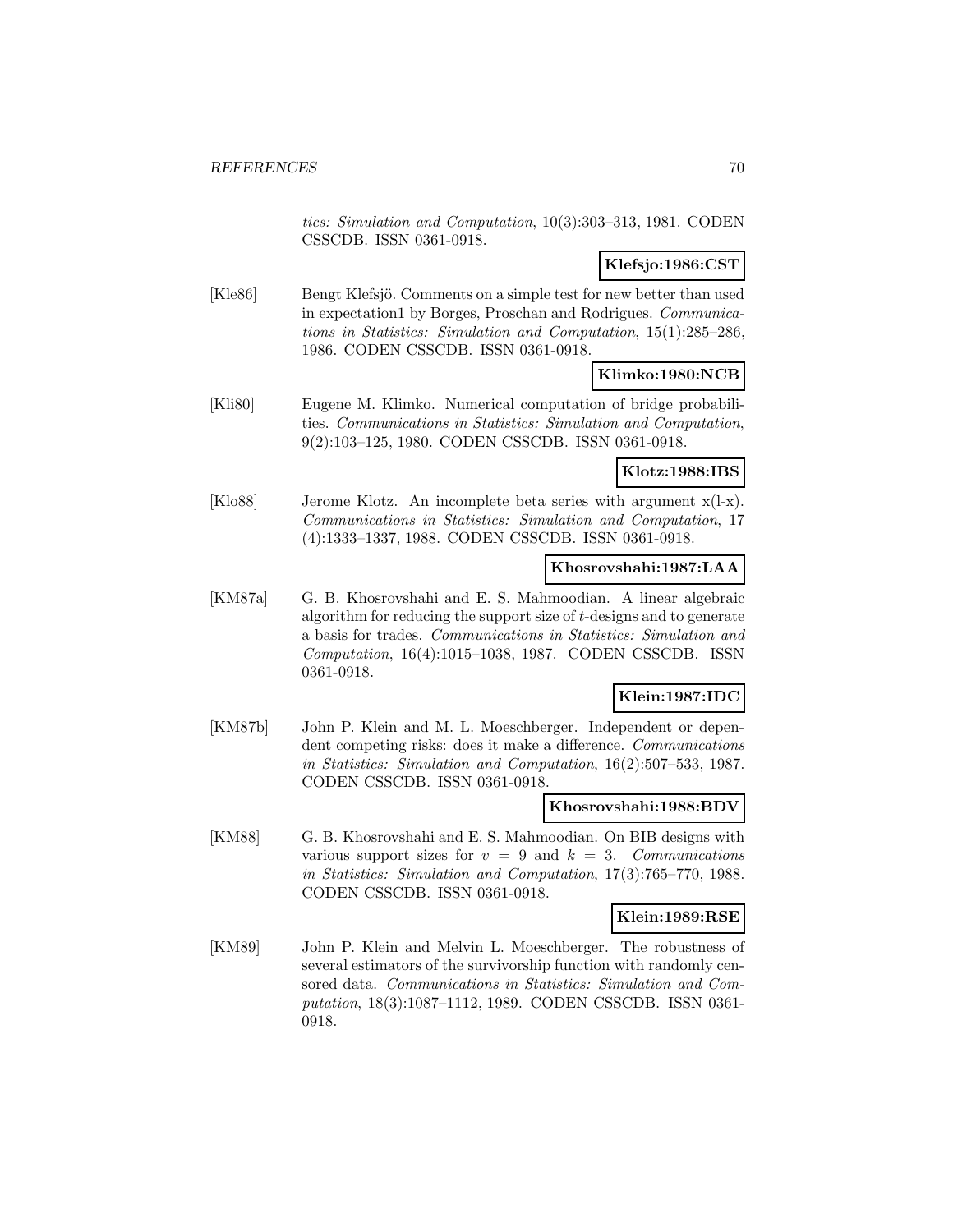tics: Simulation and Computation, 10(3):303–313, 1981. CODEN CSSCDB. ISSN 0361-0918.

# **Klefsjo:1986:CST**

[Kle86] Bengt Klefsjö. Comments on a simple test for new better than used in expectation1 by Borges, Proschan and Rodrigues. Communications in Statistics: Simulation and Computation, 15(1):285–286, 1986. CODEN CSSCDB. ISSN 0361-0918.

## **Klimko:1980:NCB**

[Kli80] Eugene M. Klimko. Numerical computation of bridge probabilities. Communications in Statistics: Simulation and Computation, 9(2):103–125, 1980. CODEN CSSCDB. ISSN 0361-0918.

### **Klotz:1988:IBS**

[Klo88] Jerome Klotz. An incomplete beta series with argument x(l-x). Communications in Statistics: Simulation and Computation, 17 (4):1333–1337, 1988. CODEN CSSCDB. ISSN 0361-0918.

## **Khosrovshahi:1987:LAA**

[KM87a] G. B. Khosrovshahi and E. S. Mahmoodian. A linear algebraic algorithm for reducing the support size of t-designs and to generate a basis for trades. Communications in Statistics: Simulation and Computation, 16(4):1015–1038, 1987. CODEN CSSCDB. ISSN 0361-0918.

## **Klein:1987:IDC**

[KM87b] John P. Klein and M. L. Moeschberger. Independent or dependent competing risks: does it make a difference. Communications in Statistics: Simulation and Computation, 16(2):507–533, 1987. CODEN CSSCDB. ISSN 0361-0918.

#### **Khosrovshahi:1988:BDV**

[KM88] G. B. Khosrovshahi and E. S. Mahmoodian. On BIB designs with various support sizes for  $v = 9$  and  $k = 3$ . Communications in Statistics: Simulation and Computation, 17(3):765–770, 1988. CODEN CSSCDB. ISSN 0361-0918.

#### **Klein:1989:RSE**

[KM89] John P. Klein and Melvin L. Moeschberger. The robustness of several estimators of the survivorship function with randomly censored data. Communications in Statistics: Simulation and Computation, 18(3):1087–1112, 1989. CODEN CSSCDB. ISSN 0361- 0918.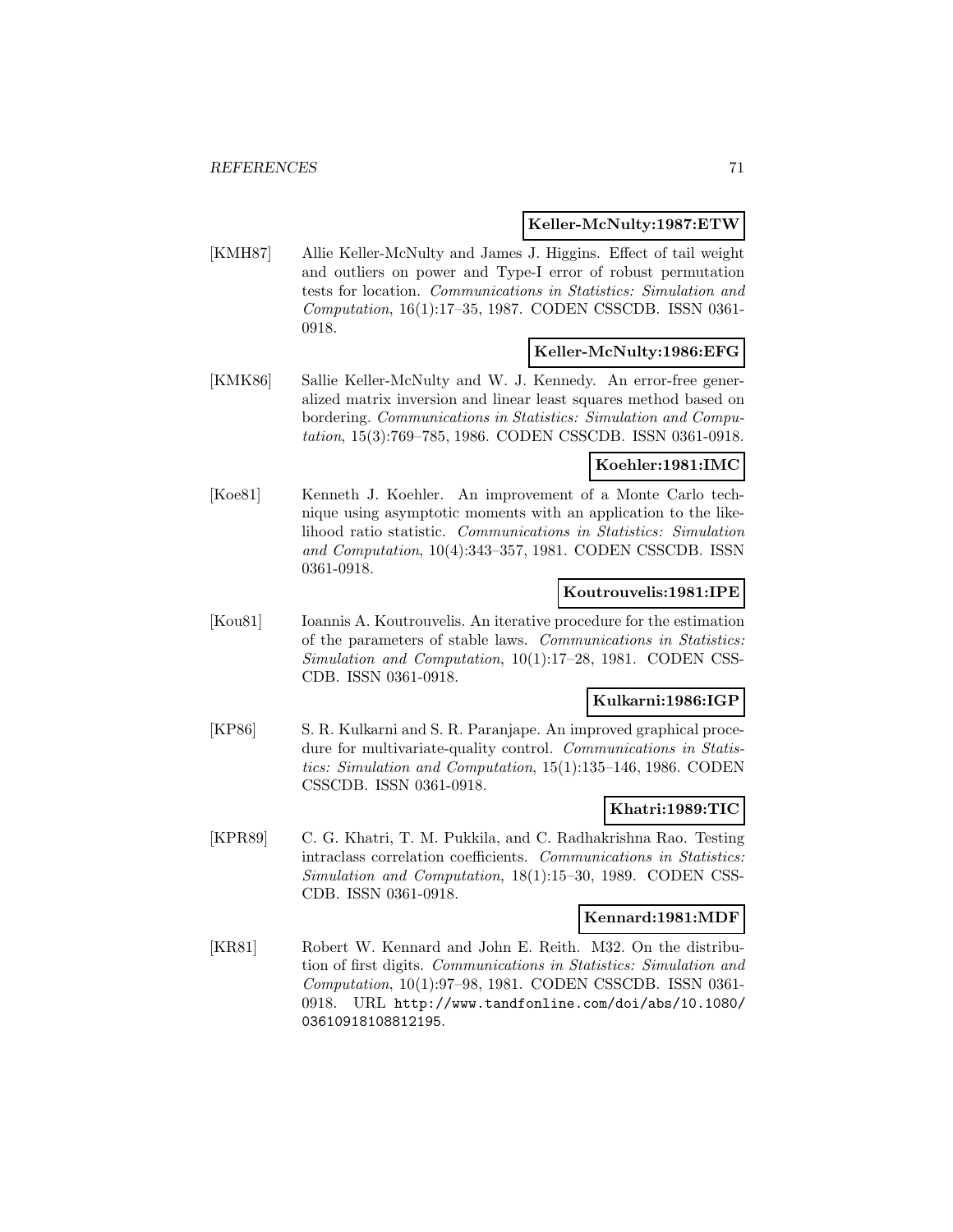#### **Keller-McNulty:1987:ETW**

[KMH87] Allie Keller-McNulty and James J. Higgins. Effect of tail weight and outliers on power and Type-I error of robust permutation tests for location. Communications in Statistics: Simulation and Computation, 16(1):17–35, 1987. CODEN CSSCDB. ISSN 0361- 0918.

### **Keller-McNulty:1986:EFG**

[KMK86] Sallie Keller-McNulty and W. J. Kennedy. An error-free generalized matrix inversion and linear least squares method based on bordering. Communications in Statistics: Simulation and Computation, 15(3):769–785, 1986. CODEN CSSCDB. ISSN 0361-0918.

### **Koehler:1981:IMC**

[Koe81] Kenneth J. Koehler. An improvement of a Monte Carlo technique using asymptotic moments with an application to the likelihood ratio statistic. Communications in Statistics: Simulation and Computation, 10(4):343–357, 1981. CODEN CSSCDB. ISSN 0361-0918.

### **Koutrouvelis:1981:IPE**

[Kou81] Ioannis A. Koutrouvelis. An iterative procedure for the estimation of the parameters of stable laws. Communications in Statistics: Simulation and Computation, 10(1):17–28, 1981. CODEN CSS-CDB. ISSN 0361-0918.

#### **Kulkarni:1986:IGP**

[KP86] S. R. Kulkarni and S. R. Paranjape. An improved graphical procedure for multivariate-quality control. Communications in Statistics: Simulation and Computation, 15(1):135–146, 1986. CODEN CSSCDB. ISSN 0361-0918.

#### **Khatri:1989:TIC**

[KPR89] C. G. Khatri, T. M. Pukkila, and C. Radhakrishna Rao. Testing intraclass correlation coefficients. Communications in Statistics: Simulation and Computation, 18(1):15–30, 1989. CODEN CSS-CDB. ISSN 0361-0918.

#### **Kennard:1981:MDF**

[KR81] Robert W. Kennard and John E. Reith. M32. On the distribution of first digits. Communications in Statistics: Simulation and Computation, 10(1):97–98, 1981. CODEN CSSCDB. ISSN 0361- 0918. URL http://www.tandfonline.com/doi/abs/10.1080/ 03610918108812195.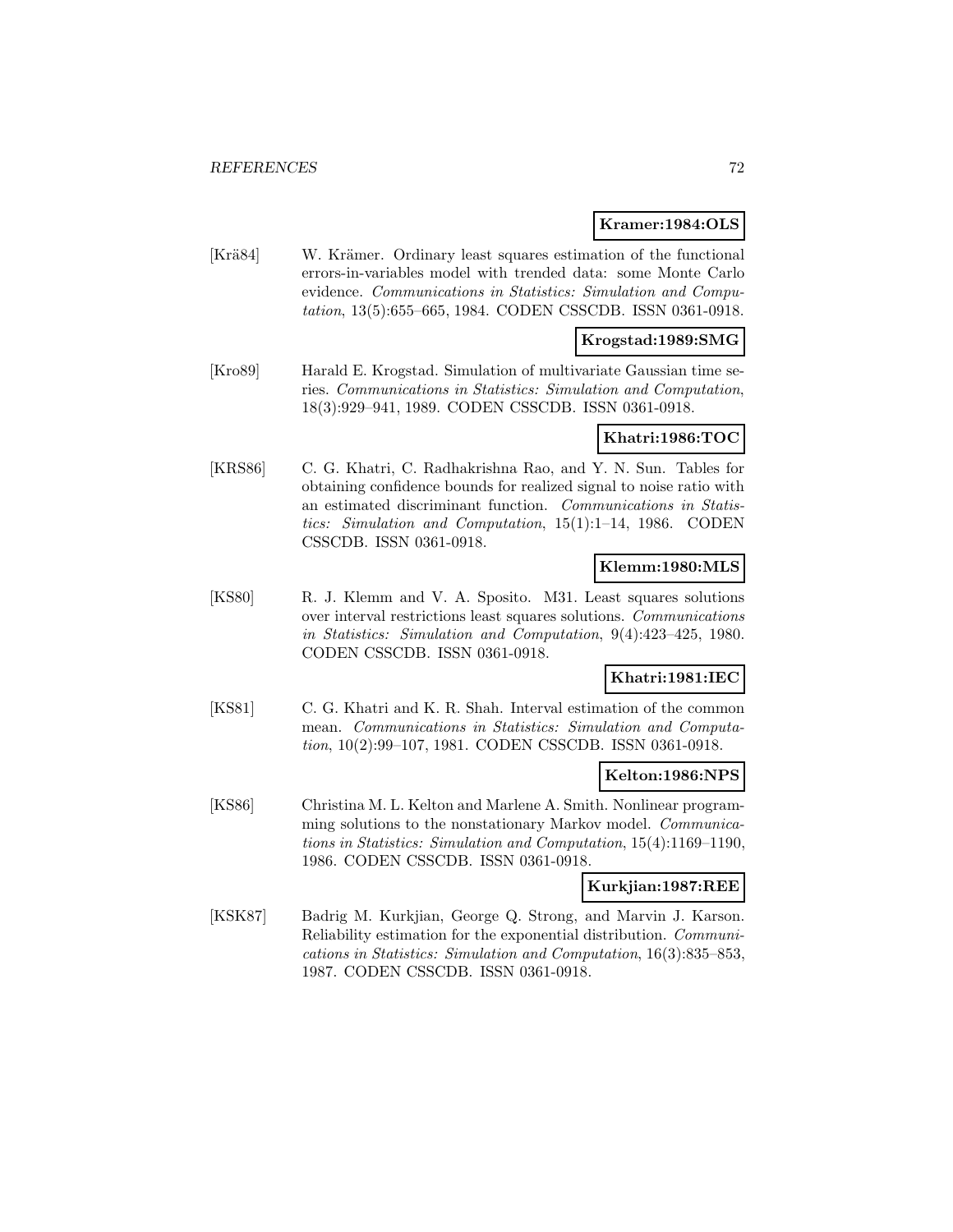#### **Kramer:1984:OLS**

[Krä84] W. Krämer. Ordinary least squares estimation of the functional errors-in-variables model with trended data: some Monte Carlo evidence. Communications in Statistics: Simulation and Computation, 13(5):655–665, 1984. CODEN CSSCDB. ISSN 0361-0918.

#### **Krogstad:1989:SMG**

[Kro89] Harald E. Krogstad. Simulation of multivariate Gaussian time series. Communications in Statistics: Simulation and Computation, 18(3):929–941, 1989. CODEN CSSCDB. ISSN 0361-0918.

#### **Khatri:1986:TOC**

[KRS86] C. G. Khatri, C. Radhakrishna Rao, and Y. N. Sun. Tables for obtaining confidence bounds for realized signal to noise ratio with an estimated discriminant function. Communications in Statistics: Simulation and Computation, 15(1):1–14, 1986. CODEN CSSCDB. ISSN 0361-0918.

# **Klemm:1980:MLS**

[KS80] R. J. Klemm and V. A. Sposito. M31. Least squares solutions over interval restrictions least squares solutions. Communications in Statistics: Simulation and Computation, 9(4):423–425, 1980. CODEN CSSCDB. ISSN 0361-0918.

## **Khatri:1981:IEC**

[KS81] C. G. Khatri and K. R. Shah. Interval estimation of the common mean. Communications in Statistics: Simulation and Computation, 10(2):99–107, 1981. CODEN CSSCDB. ISSN 0361-0918.

#### **Kelton:1986:NPS**

[KS86] Christina M. L. Kelton and Marlene A. Smith. Nonlinear programming solutions to the nonstationary Markov model. *Communica*tions in Statistics: Simulation and Computation, 15(4):1169–1190, 1986. CODEN CSSCDB. ISSN 0361-0918.

#### **Kurkjian:1987:REE**

[KSK87] Badrig M. Kurkjian, George Q. Strong, and Marvin J. Karson. Reliability estimation for the exponential distribution. Communications in Statistics: Simulation and Computation, 16(3):835–853, 1987. CODEN CSSCDB. ISSN 0361-0918.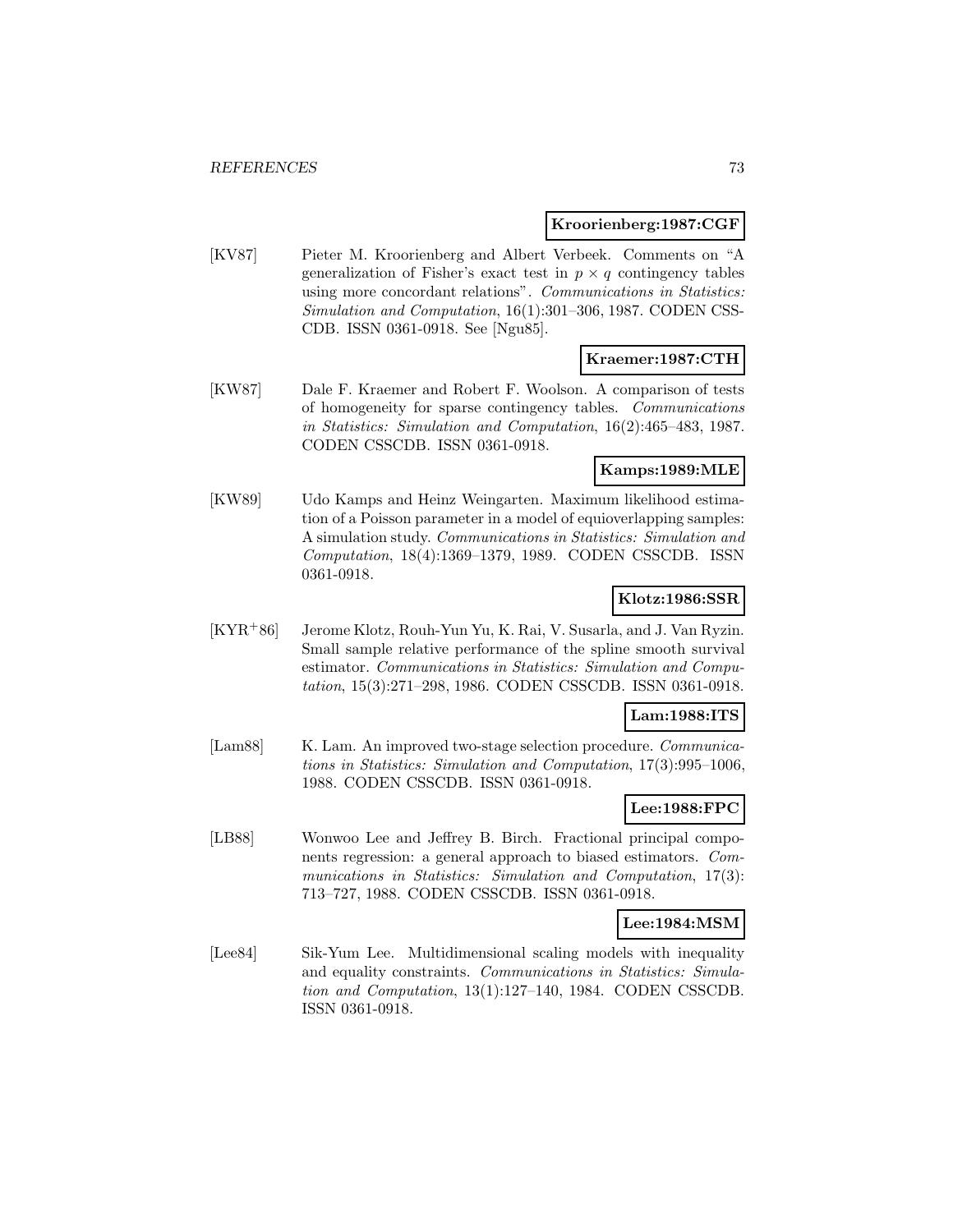#### **Kroorienberg:1987:CGF**

[KV87] Pieter M. Kroorienberg and Albert Verbeek. Comments on "A generalization of Fisher's exact test in  $p \times q$  contingency tables using more concordant relations". Communications in Statistics: Simulation and Computation, 16(1):301–306, 1987. CODEN CSS-CDB. ISSN 0361-0918. See [Ngu85].

# **Kraemer:1987:CTH**

[KW87] Dale F. Kraemer and Robert F. Woolson. A comparison of tests of homogeneity for sparse contingency tables. Communications in Statistics: Simulation and Computation, 16(2):465–483, 1987. CODEN CSSCDB. ISSN 0361-0918.

### **Kamps:1989:MLE**

[KW89] Udo Kamps and Heinz Weingarten. Maximum likelihood estimation of a Poisson parameter in a model of equioverlapping samples: A simulation study. Communications in Statistics: Simulation and Computation, 18(4):1369–1379, 1989. CODEN CSSCDB. ISSN 0361-0918.

# **Klotz:1986:SSR**

[KYR<sup>+</sup>86] Jerome Klotz, Rouh-Yun Yu, K. Rai, V. Susarla, and J. Van Ryzin. Small sample relative performance of the spline smooth survival estimator. Communications in Statistics: Simulation and Computation, 15(3):271–298, 1986. CODEN CSSCDB. ISSN 0361-0918.

#### **Lam:1988:ITS**

[Lam88] K. Lam. An improved two-stage selection procedure. *Communica*tions in Statistics: Simulation and Computation, 17(3):995–1006, 1988. CODEN CSSCDB. ISSN 0361-0918.

# **Lee:1988:FPC**

[LB88] Wonwoo Lee and Jeffrey B. Birch. Fractional principal components regression: a general approach to biased estimators. Communications in Statistics: Simulation and Computation, 17(3): 713–727, 1988. CODEN CSSCDB. ISSN 0361-0918.

### **Lee:1984:MSM**

[Lee84] Sik-Yum Lee. Multidimensional scaling models with inequality and equality constraints. Communications in Statistics: Simulation and Computation, 13(1):127–140, 1984. CODEN CSSCDB. ISSN 0361-0918.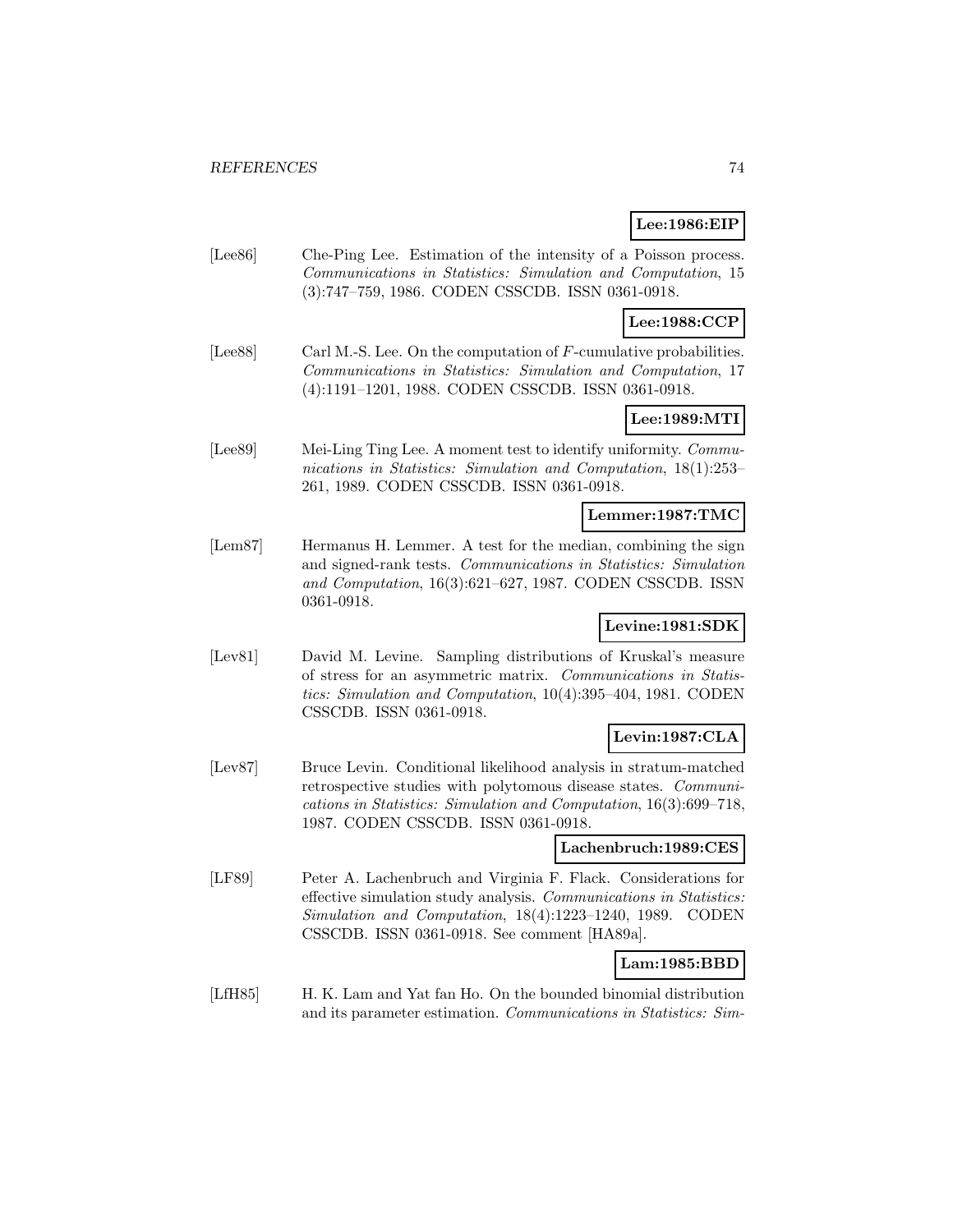### **Lee:1986:EIP**

[Lee86] Che-Ping Lee. Estimation of the intensity of a Poisson process. Communications in Statistics: Simulation and Computation, 15 (3):747–759, 1986. CODEN CSSCDB. ISSN 0361-0918.

### **Lee:1988:CCP**

[Lee88] Carl M.-S. Lee. On the computation of F-cumulative probabilities. Communications in Statistics: Simulation and Computation, 17 (4):1191–1201, 1988. CODEN CSSCDB. ISSN 0361-0918.

### **Lee:1989:MTI**

[Lee89] Mei-Ling Ting Lee. A moment test to identify uniformity. Communications in Statistics: Simulation and Computation, 18(1):253– 261, 1989. CODEN CSSCDB. ISSN 0361-0918.

### **Lemmer:1987:TMC**

[Lem87] Hermanus H. Lemmer. A test for the median, combining the sign and signed-rank tests. Communications in Statistics: Simulation and Computation, 16(3):621–627, 1987. CODEN CSSCDB. ISSN 0361-0918.

# **Levine:1981:SDK**

[Lev81] David M. Levine. Sampling distributions of Kruskal's measure of stress for an asymmetric matrix. Communications in Statistics: Simulation and Computation, 10(4):395–404, 1981. CODEN CSSCDB. ISSN 0361-0918.

### **Levin:1987:CLA**

[Lev87] Bruce Levin. Conditional likelihood analysis in stratum-matched retrospective studies with polytomous disease states. Communications in Statistics: Simulation and Computation, 16(3):699–718, 1987. CODEN CSSCDB. ISSN 0361-0918.

#### **Lachenbruch:1989:CES**

[LF89] Peter A. Lachenbruch and Virginia F. Flack. Considerations for effective simulation study analysis. Communications in Statistics: Simulation and Computation, 18(4):1223–1240, 1989. CODEN CSSCDB. ISSN 0361-0918. See comment [HA89a].

#### **Lam:1985:BBD**

[LfH85] H. K. Lam and Yat fan Ho. On the bounded binomial distribution and its parameter estimation. Communications in Statistics: Sim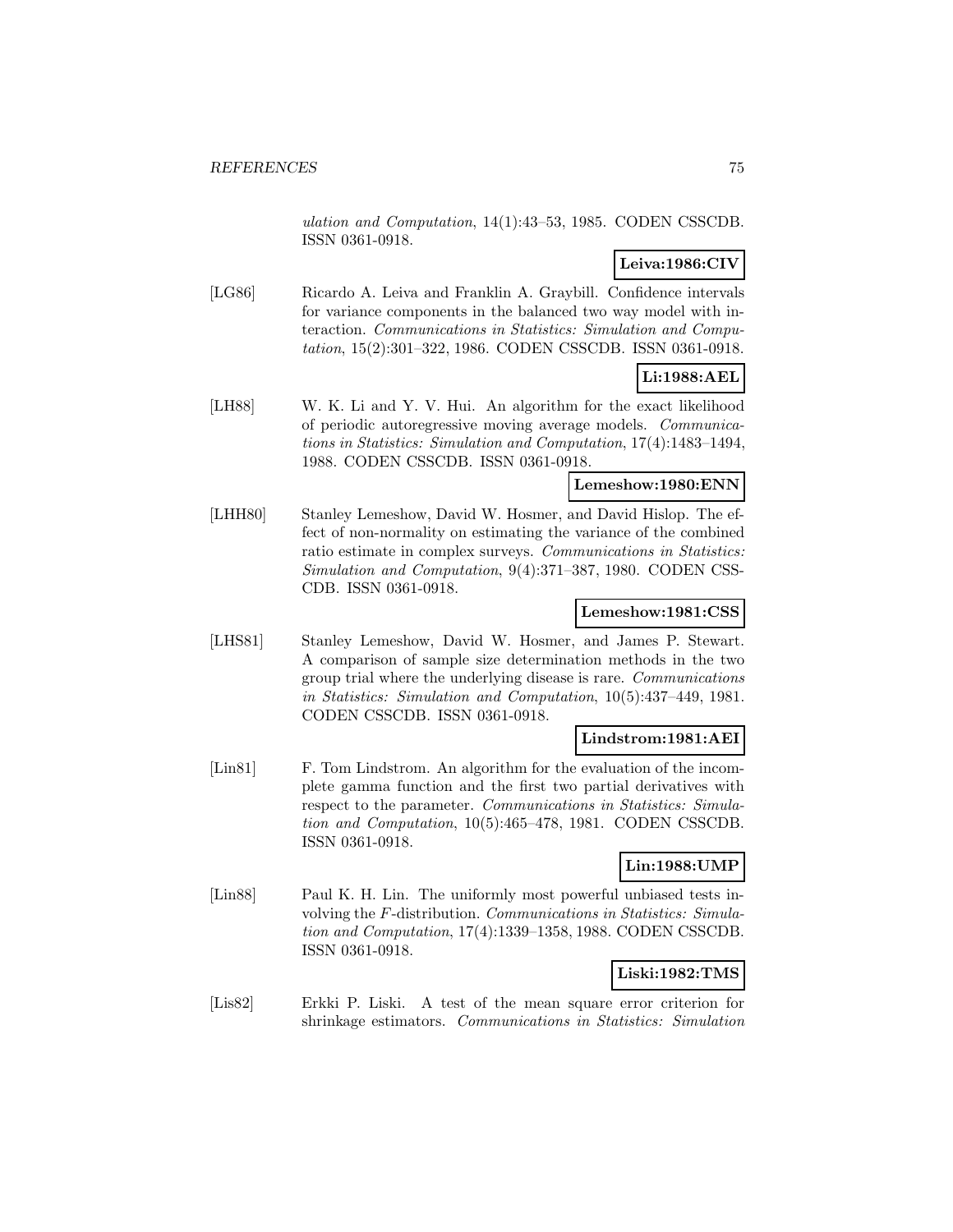ulation and Computation, 14(1):43–53, 1985. CODEN CSSCDB. ISSN 0361-0918.

# **Leiva:1986:CIV**

[LG86] Ricardo A. Leiva and Franklin A. Graybill. Confidence intervals for variance components in the balanced two way model with interaction. Communications in Statistics: Simulation and Computation, 15(2):301–322, 1986. CODEN CSSCDB. ISSN 0361-0918.

# **Li:1988:AEL**

[LH88] W. K. Li and Y. V. Hui. An algorithm for the exact likelihood of periodic autoregressive moving average models. Communications in Statistics: Simulation and Computation, 17(4):1483–1494, 1988. CODEN CSSCDB. ISSN 0361-0918.

#### **Lemeshow:1980:ENN**

[LHH80] Stanley Lemeshow, David W. Hosmer, and David Hislop. The effect of non-normality on estimating the variance of the combined ratio estimate in complex surveys. Communications in Statistics: Simulation and Computation, 9(4):371–387, 1980. CODEN CSS-CDB. ISSN 0361-0918.

### **Lemeshow:1981:CSS**

[LHS81] Stanley Lemeshow, David W. Hosmer, and James P. Stewart. A comparison of sample size determination methods in the two group trial where the underlying disease is rare. Communications in Statistics: Simulation and Computation, 10(5):437–449, 1981. CODEN CSSCDB. ISSN 0361-0918.

#### **Lindstrom:1981:AEI**

[Lin81] F. Tom Lindstrom. An algorithm for the evaluation of the incomplete gamma function and the first two partial derivatives with respect to the parameter. Communications in Statistics: Simulation and Computation, 10(5):465–478, 1981. CODEN CSSCDB. ISSN 0361-0918.

#### **Lin:1988:UMP**

[Lin88] Paul K. H. Lin. The uniformly most powerful unbiased tests involving the F-distribution. Communications in Statistics: Simulation and Computation, 17(4):1339–1358, 1988. CODEN CSSCDB. ISSN 0361-0918.

# **Liski:1982:TMS**

[Lis82] Erkki P. Liski. A test of the mean square error criterion for shrinkage estimators. Communications in Statistics: Simulation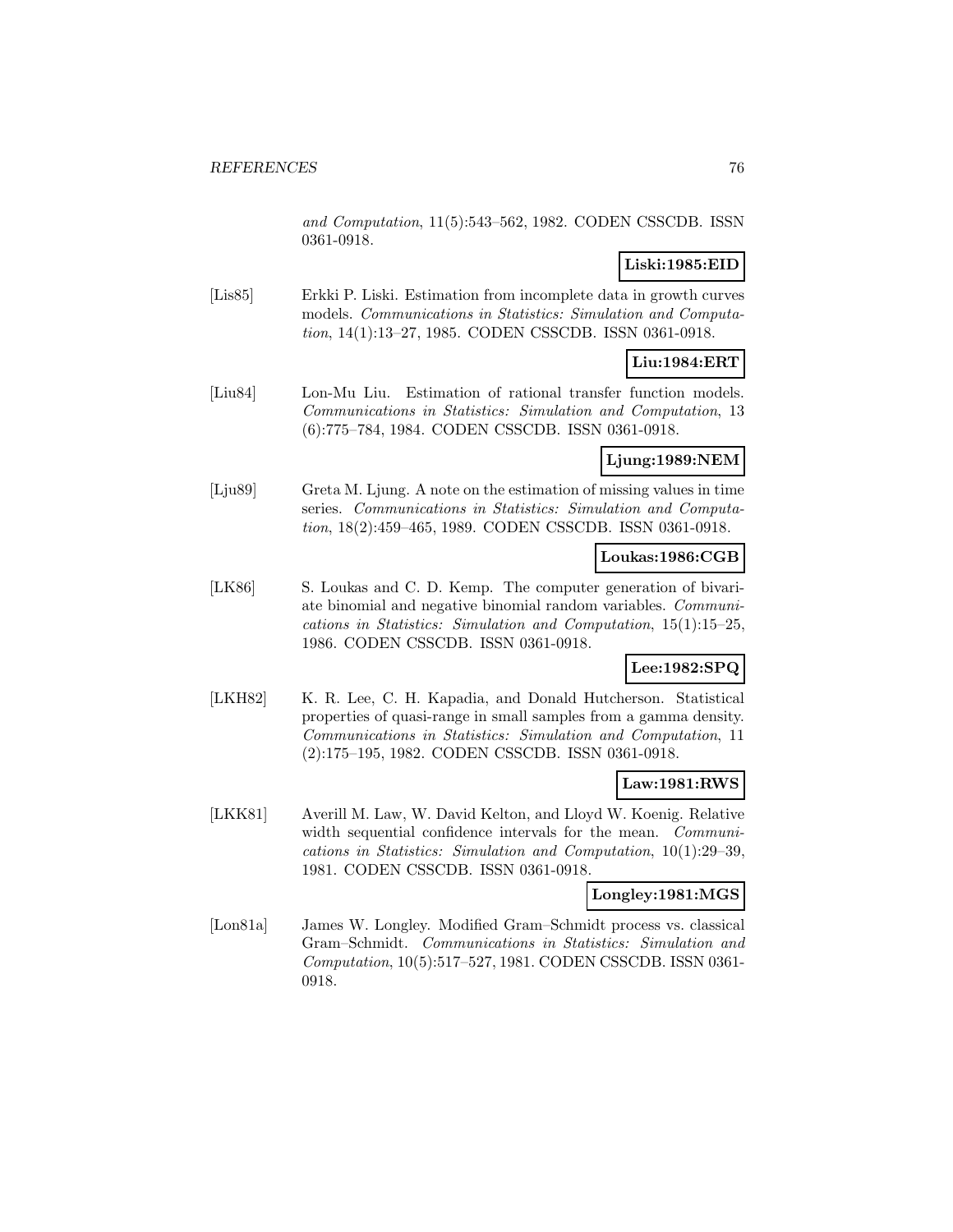and Computation, 11(5):543–562, 1982. CODEN CSSCDB. ISSN 0361-0918.

# **Liski:1985:EID**

[Lis85] Erkki P. Liski. Estimation from incomplete data in growth curves models. Communications in Statistics: Simulation and Computation, 14(1):13–27, 1985. CODEN CSSCDB. ISSN 0361-0918.

# **Liu:1984:ERT**

[Liu84] Lon-Mu Liu. Estimation of rational transfer function models. Communications in Statistics: Simulation and Computation, 13 (6):775–784, 1984. CODEN CSSCDB. ISSN 0361-0918.

# **Ljung:1989:NEM**

[Lju89] Greta M. Ljung. A note on the estimation of missing values in time series. Communications in Statistics: Simulation and Computation, 18(2):459–465, 1989. CODEN CSSCDB. ISSN 0361-0918.

### **Loukas:1986:CGB**

[LK86] S. Loukas and C. D. Kemp. The computer generation of bivariate binomial and negative binomial random variables. Communications in Statistics: Simulation and Computation, 15(1):15–25, 1986. CODEN CSSCDB. ISSN 0361-0918.

# **Lee:1982:SPQ**

[LKH82] K. R. Lee, C. H. Kapadia, and Donald Hutcherson. Statistical properties of quasi-range in small samples from a gamma density. Communications in Statistics: Simulation and Computation, 11 (2):175–195, 1982. CODEN CSSCDB. ISSN 0361-0918.

### **Law:1981:RWS**

[LKK81] Averill M. Law, W. David Kelton, and Lloyd W. Koenig. Relative width sequential confidence intervals for the mean. *Communi*cations in Statistics: Simulation and Computation, 10(1):29–39, 1981. CODEN CSSCDB. ISSN 0361-0918.

#### **Longley:1981:MGS**

[Lon81a] James W. Longley. Modified Gram–Schmidt process vs. classical Gram–Schmidt. Communications in Statistics: Simulation and Computation, 10(5):517–527, 1981. CODEN CSSCDB. ISSN 0361- 0918.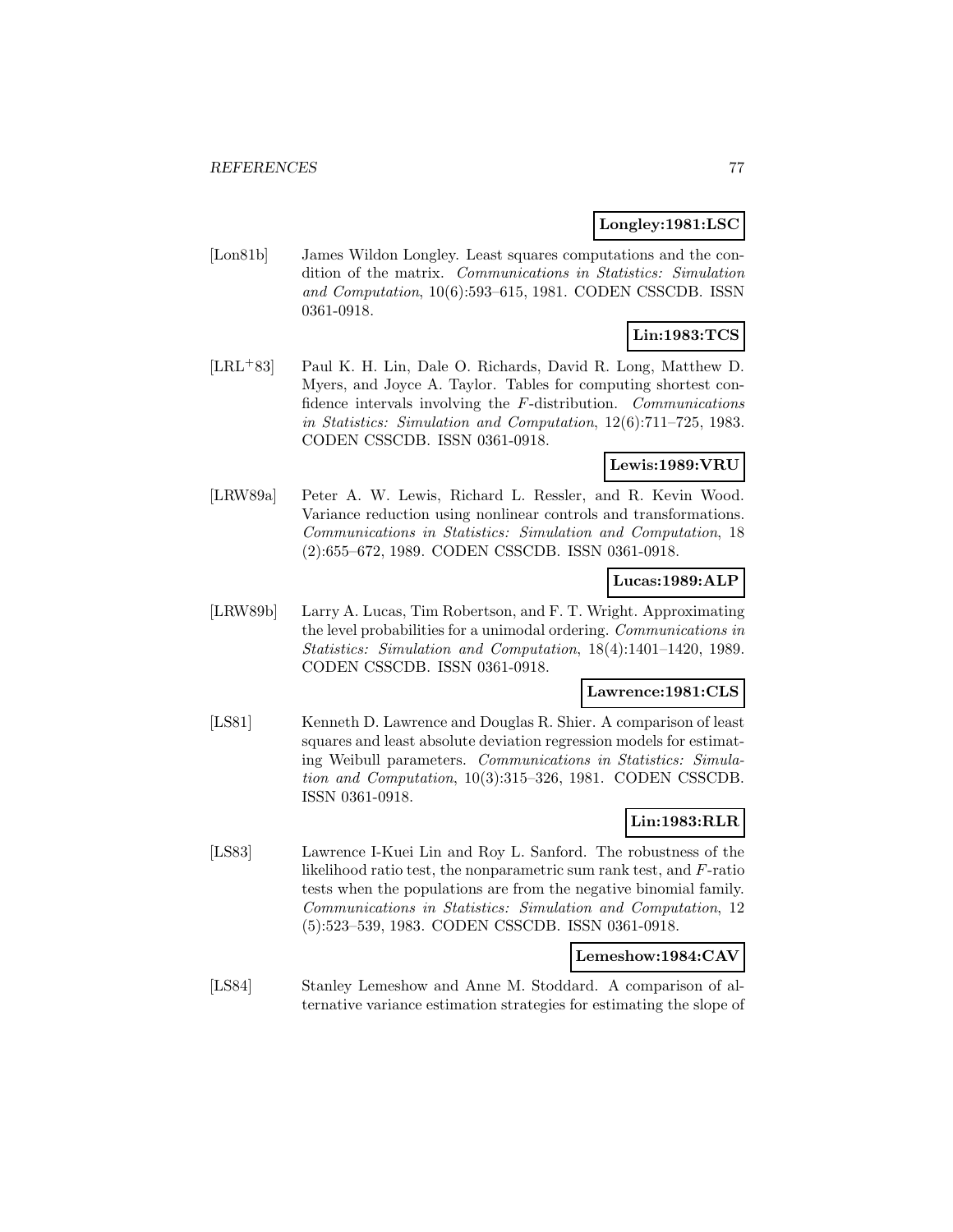#### **Longley:1981:LSC**

[Lon81b] James Wildon Longley. Least squares computations and the condition of the matrix. Communications in Statistics: Simulation and Computation, 10(6):593–615, 1981. CODEN CSSCDB. ISSN 0361-0918.

# **Lin:1983:TCS**

[LRL<sup>+</sup>83] Paul K. H. Lin, Dale O. Richards, David R. Long, Matthew D. Myers, and Joyce A. Taylor. Tables for computing shortest confidence intervals involving the F-distribution. Communications in Statistics: Simulation and Computation, 12(6):711–725, 1983. CODEN CSSCDB. ISSN 0361-0918.

### **Lewis:1989:VRU**

[LRW89a] Peter A. W. Lewis, Richard L. Ressler, and R. Kevin Wood. Variance reduction using nonlinear controls and transformations. Communications in Statistics: Simulation and Computation, 18 (2):655–672, 1989. CODEN CSSCDB. ISSN 0361-0918.

### **Lucas:1989:ALP**

[LRW89b] Larry A. Lucas, Tim Robertson, and F. T. Wright. Approximating the level probabilities for a unimodal ordering. Communications in Statistics: Simulation and Computation, 18(4):1401–1420, 1989. CODEN CSSCDB. ISSN 0361-0918.

### **Lawrence:1981:CLS**

[LS81] Kenneth D. Lawrence and Douglas R. Shier. A comparison of least squares and least absolute deviation regression models for estimating Weibull parameters. Communications in Statistics: Simulation and Computation, 10(3):315–326, 1981. CODEN CSSCDB. ISSN 0361-0918.

# **Lin:1983:RLR**

[LS83] Lawrence I-Kuei Lin and Roy L. Sanford. The robustness of the likelihood ratio test, the nonparametric sum rank test, and F-ratio tests when the populations are from the negative binomial family. Communications in Statistics: Simulation and Computation, 12 (5):523–539, 1983. CODEN CSSCDB. ISSN 0361-0918.

#### **Lemeshow:1984:CAV**

[LS84] Stanley Lemeshow and Anne M. Stoddard. A comparison of alternative variance estimation strategies for estimating the slope of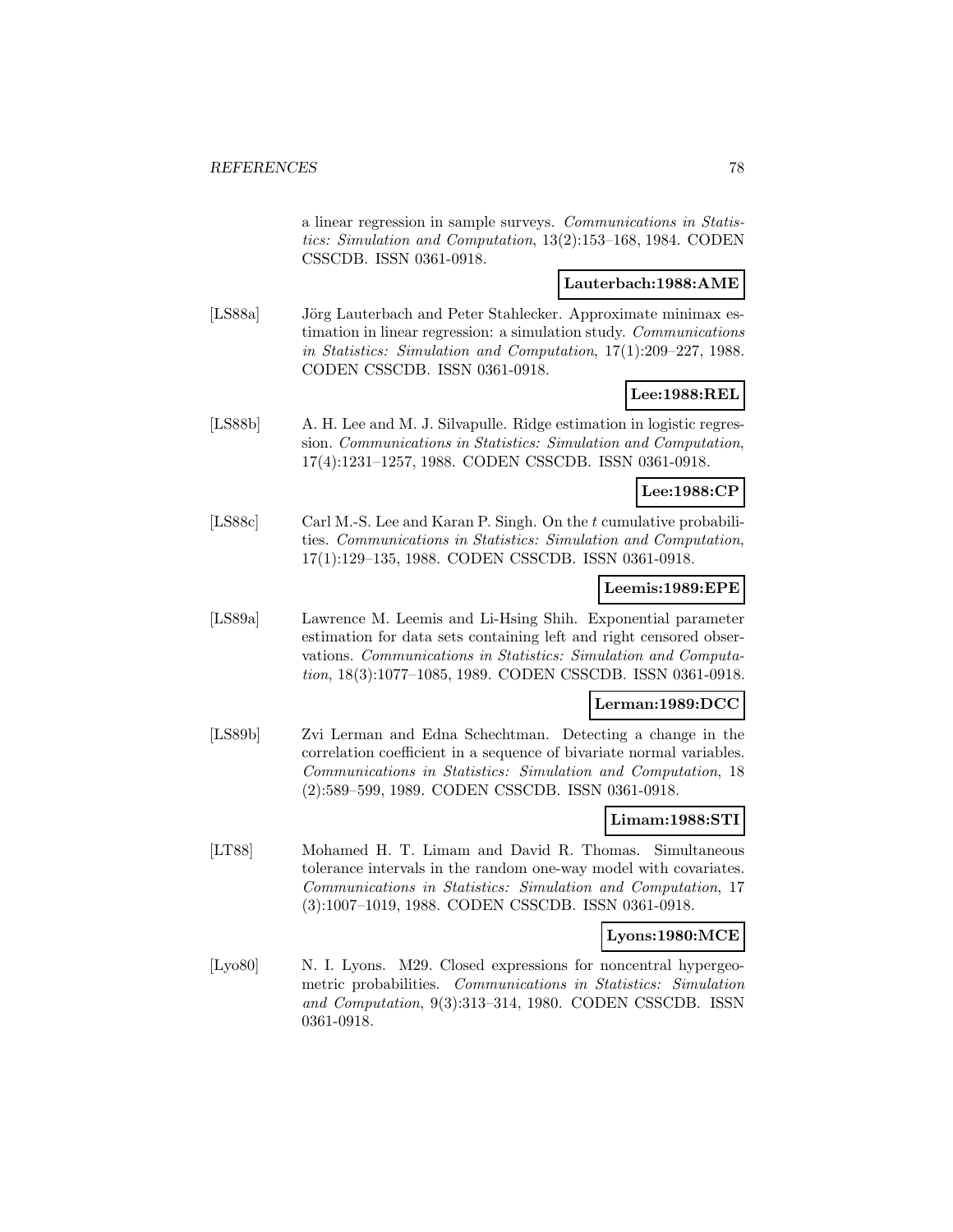a linear regression in sample surveys. Communications in Statistics: Simulation and Computation, 13(2):153–168, 1984. CODEN CSSCDB. ISSN 0361-0918.

### **Lauterbach:1988:AME**

[LS88a] Jörg Lauterbach and Peter Stahlecker. Approximate minimax estimation in linear regression: a simulation study. Communications in Statistics: Simulation and Computation, 17(1):209–227, 1988. CODEN CSSCDB. ISSN 0361-0918.

### **Lee:1988:REL**

[LS88b] A. H. Lee and M. J. Silvapulle. Ridge estimation in logistic regression. Communications in Statistics: Simulation and Computation, 17(4):1231–1257, 1988. CODEN CSSCDB. ISSN 0361-0918.

#### **Lee:1988:CP**

[LS88c] Carl M.-S. Lee and Karan P. Singh. On the t cumulative probabilities. Communications in Statistics: Simulation and Computation, 17(1):129–135, 1988. CODEN CSSCDB. ISSN 0361-0918.

#### **Leemis:1989:EPE**

[LS89a] Lawrence M. Leemis and Li-Hsing Shih. Exponential parameter estimation for data sets containing left and right censored observations. Communications in Statistics: Simulation and Computation, 18(3):1077–1085, 1989. CODEN CSSCDB. ISSN 0361-0918.

#### **Lerman:1989:DCC**

[LS89b] Zvi Lerman and Edna Schechtman. Detecting a change in the correlation coefficient in a sequence of bivariate normal variables. Communications in Statistics: Simulation and Computation, 18 (2):589–599, 1989. CODEN CSSCDB. ISSN 0361-0918.

### **Limam:1988:STI**

[LT88] Mohamed H. T. Limam and David R. Thomas. Simultaneous tolerance intervals in the random one-way model with covariates. Communications in Statistics: Simulation and Computation, 17 (3):1007–1019, 1988. CODEN CSSCDB. ISSN 0361-0918.

#### **Lyons:1980:MCE**

[Lyo80] N. I. Lyons. M29. Closed expressions for noncentral hypergeometric probabilities. Communications in Statistics: Simulation and Computation, 9(3):313–314, 1980. CODEN CSSCDB. ISSN 0361-0918.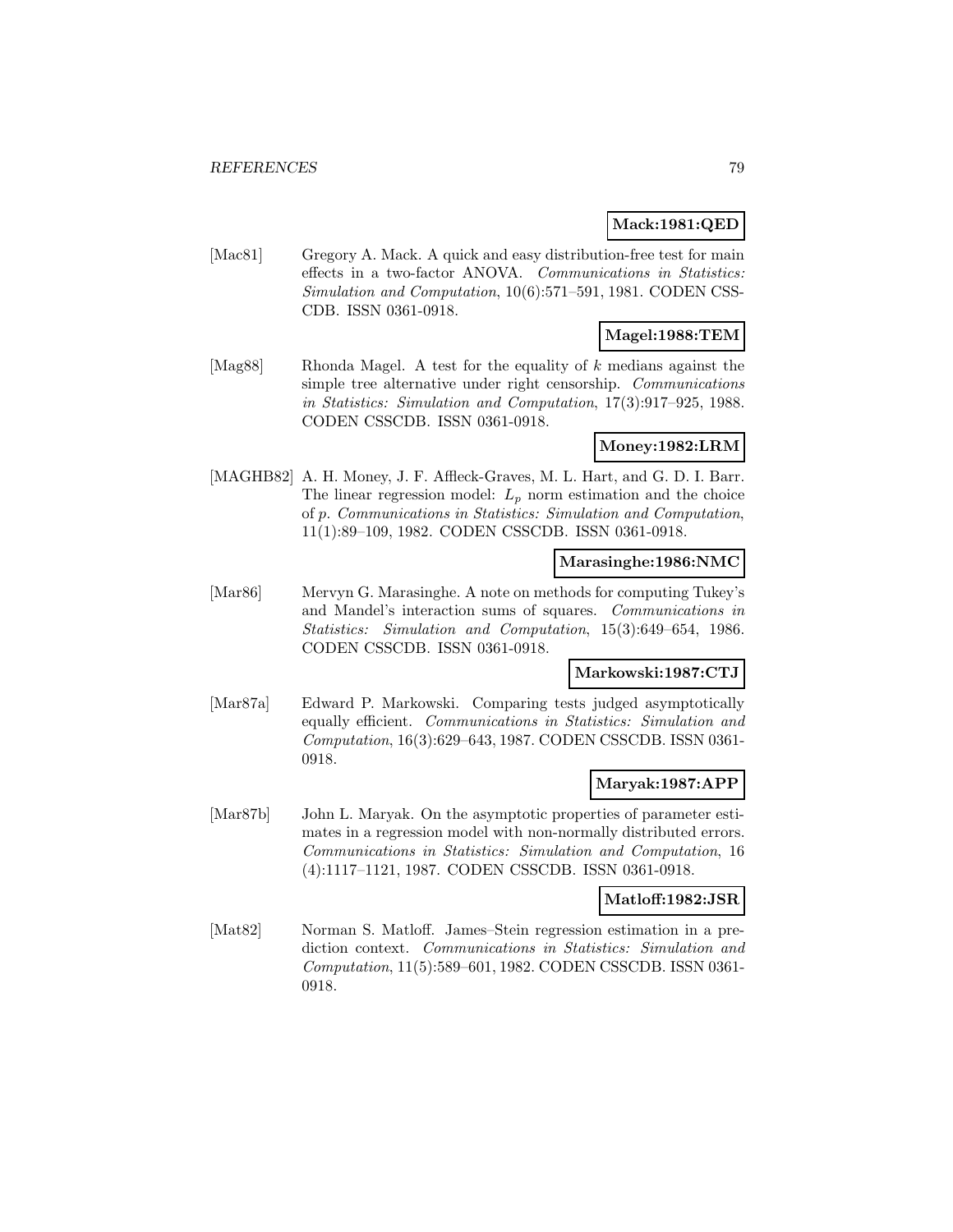### **Mack:1981:QED**

[Mac81] Gregory A. Mack. A quick and easy distribution-free test for main effects in a two-factor ANOVA. Communications in Statistics: Simulation and Computation, 10(6):571–591, 1981. CODEN CSS-CDB. ISSN 0361-0918.

# **Magel:1988:TEM**

[Mag88] Rhonda Magel. A test for the equality of k medians against the simple tree alternative under right censorship. Communications in Statistics: Simulation and Computation, 17(3):917–925, 1988. CODEN CSSCDB. ISSN 0361-0918.

#### **Money:1982:LRM**

[MAGHB82] A. H. Money, J. F. Affleck-Graves, M. L. Hart, and G. D. I. Barr. The linear regression model:  $L_p$  norm estimation and the choice of p. Communications in Statistics: Simulation and Computation, 11(1):89–109, 1982. CODEN CSSCDB. ISSN 0361-0918.

#### **Marasinghe:1986:NMC**

[Mar86] Mervyn G. Marasinghe. A note on methods for computing Tukey's and Mandel's interaction sums of squares. Communications in Statistics: Simulation and Computation, 15(3):649–654, 1986. CODEN CSSCDB. ISSN 0361-0918.

### **Markowski:1987:CTJ**

[Mar87a] Edward P. Markowski. Comparing tests judged asymptotically equally efficient. Communications in Statistics: Simulation and Computation, 16(3):629–643, 1987. CODEN CSSCDB. ISSN 0361- 0918.

### **Maryak:1987:APP**

[Mar87b] John L. Maryak. On the asymptotic properties of parameter estimates in a regression model with non-normally distributed errors. Communications in Statistics: Simulation and Computation, 16 (4):1117–1121, 1987. CODEN CSSCDB. ISSN 0361-0918.

#### **Matloff:1982:JSR**

[Mat82] Norman S. Matloff. James–Stein regression estimation in a prediction context. Communications in Statistics: Simulation and Computation, 11(5):589–601, 1982. CODEN CSSCDB. ISSN 0361- 0918.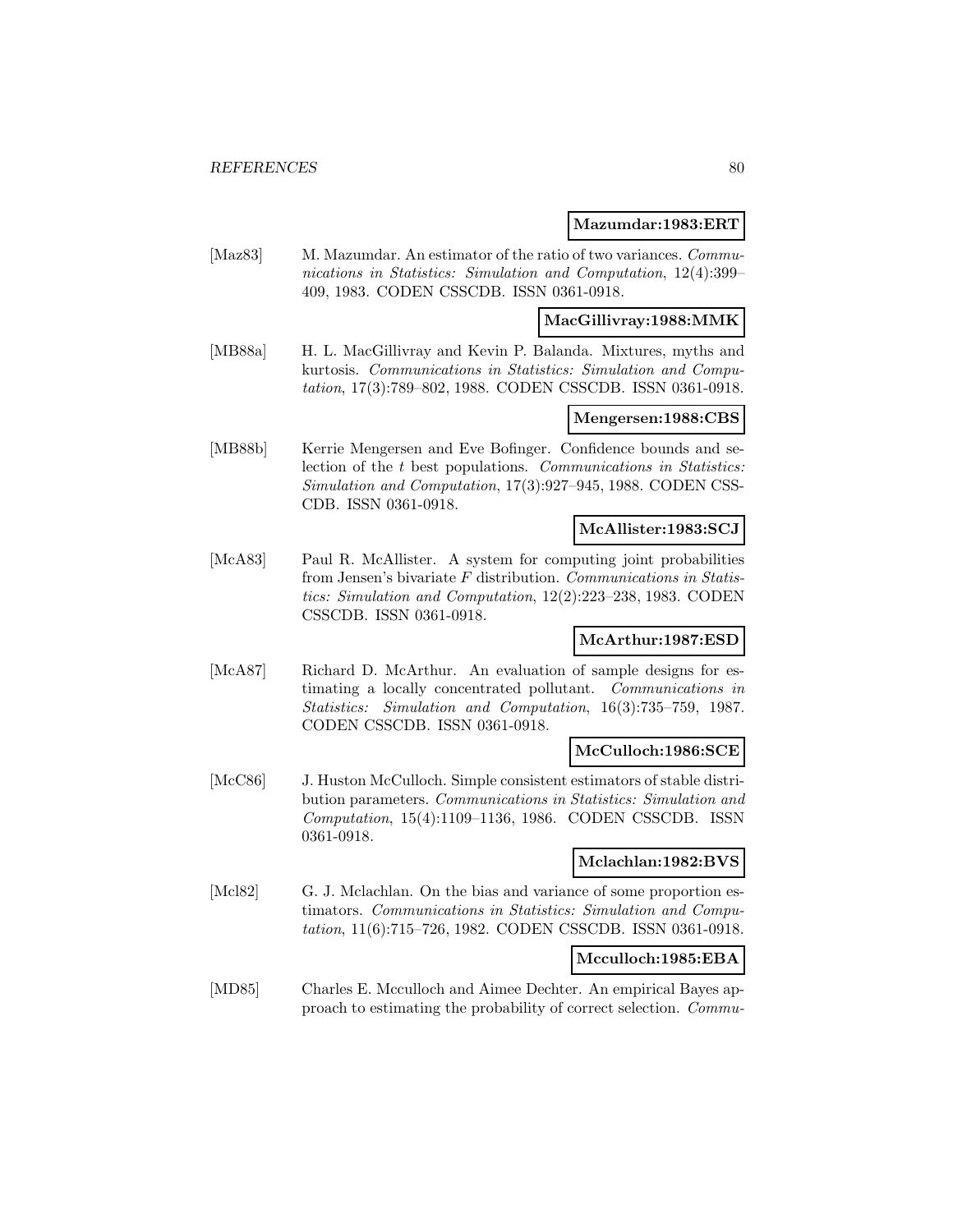#### **Mazumdar:1983:ERT**

[Maz83] M. Mazumdar. An estimator of the ratio of two variances. *Commu*nications in Statistics: Simulation and Computation, 12(4):399– 409, 1983. CODEN CSSCDB. ISSN 0361-0918.

#### **MacGillivray:1988:MMK**

[MB88a] H. L. MacGillivray and Kevin P. Balanda. Mixtures, myths and kurtosis. Communications in Statistics: Simulation and Computation, 17(3):789–802, 1988. CODEN CSSCDB. ISSN 0361-0918.

### **Mengersen:1988:CBS**

[MB88b] Kerrie Mengersen and Eve Bofinger. Confidence bounds and selection of the t best populations. Communications in Statistics: Simulation and Computation, 17(3):927–945, 1988. CODEN CSS-CDB. ISSN 0361-0918.

#### **McAllister:1983:SCJ**

[McA83] Paul R. McAllister. A system for computing joint probabilities from Jensen's bivariate F distribution. Communications in Statistics: Simulation and Computation, 12(2):223–238, 1983. CODEN CSSCDB. ISSN 0361-0918.

### **McArthur:1987:ESD**

[McA87] Richard D. McArthur. An evaluation of sample designs for estimating a locally concentrated pollutant. Communications in Statistics: Simulation and Computation, 16(3):735–759, 1987. CODEN CSSCDB. ISSN 0361-0918.

#### **McCulloch:1986:SCE**

[McC86] J. Huston McCulloch. Simple consistent estimators of stable distribution parameters. Communications in Statistics: Simulation and Computation, 15(4):1109–1136, 1986. CODEN CSSCDB. ISSN 0361-0918.

#### **Mclachlan:1982:BVS**

[Mcl82] G. J. Mclachlan. On the bias and variance of some proportion estimators. Communications in Statistics: Simulation and Computation, 11(6):715–726, 1982. CODEN CSSCDB. ISSN 0361-0918.

### **Mcculloch:1985:EBA**

[MD85] Charles E. Mcculloch and Aimee Dechter. An empirical Bayes approach to estimating the probability of correct selection. Commu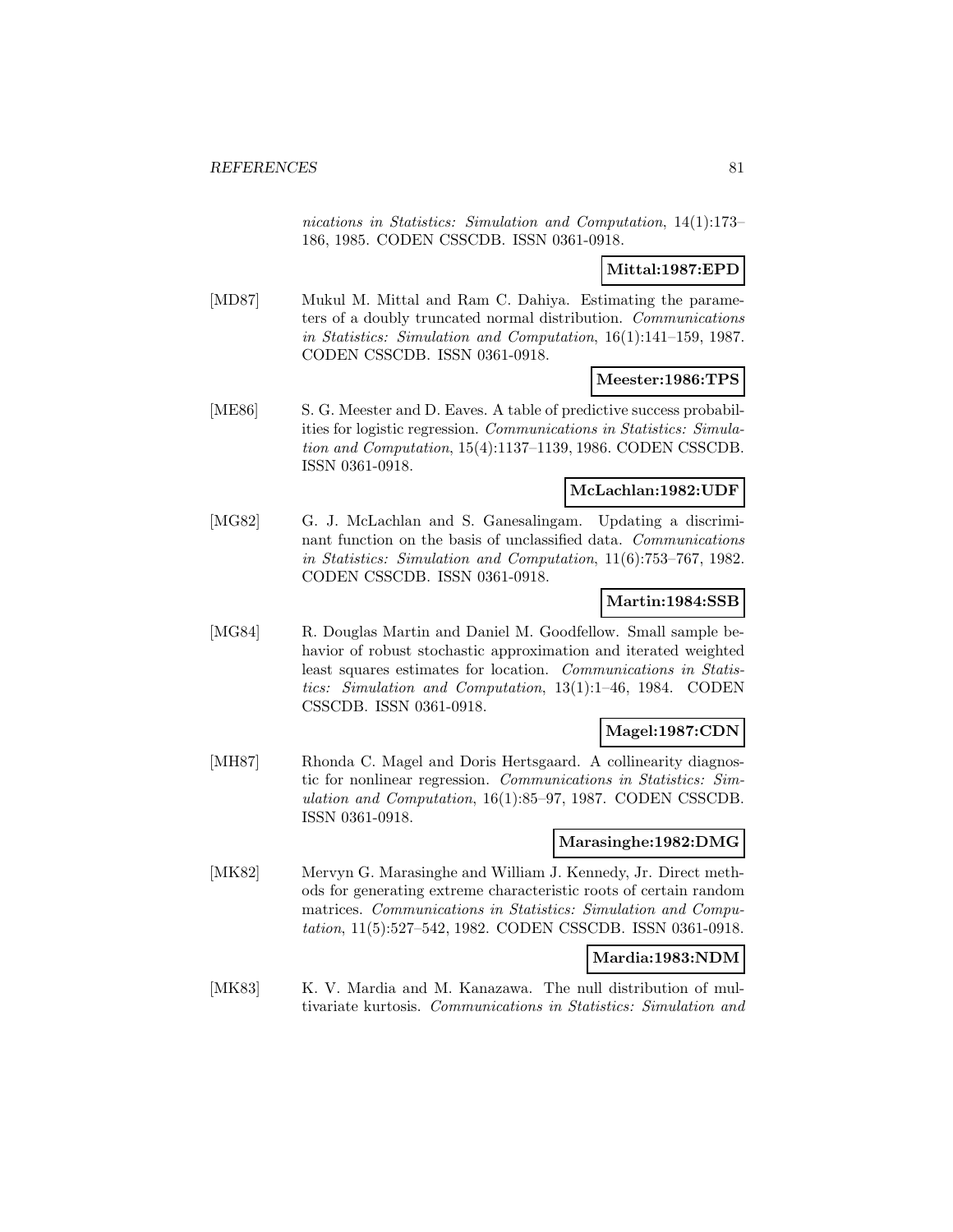nications in Statistics: Simulation and Computation, 14(1):173– 186, 1985. CODEN CSSCDB. ISSN 0361-0918.

### **Mittal:1987:EPD**

[MD87] Mukul M. Mittal and Ram C. Dahiya. Estimating the parameters of a doubly truncated normal distribution. Communications in Statistics: Simulation and Computation, 16(1):141–159, 1987. CODEN CSSCDB. ISSN 0361-0918.

#### **Meester:1986:TPS**

[ME86] S. G. Meester and D. Eaves. A table of predictive success probabilities for logistic regression. Communications in Statistics: Simulation and Computation, 15(4):1137–1139, 1986. CODEN CSSCDB. ISSN 0361-0918.

#### **McLachlan:1982:UDF**

[MG82] G. J. McLachlan and S. Ganesalingam. Updating a discriminant function on the basis of unclassified data. Communications in Statistics: Simulation and Computation, 11(6):753–767, 1982. CODEN CSSCDB. ISSN 0361-0918.

#### **Martin:1984:SSB**

[MG84] R. Douglas Martin and Daniel M. Goodfellow. Small sample behavior of robust stochastic approximation and iterated weighted least squares estimates for location. Communications in Statistics: Simulation and Computation, 13(1):1–46, 1984. CODEN CSSCDB. ISSN 0361-0918.

### **Magel:1987:CDN**

[MH87] Rhonda C. Magel and Doris Hertsgaard. A collinearity diagnostic for nonlinear regression. Communications in Statistics: Simulation and Computation, 16(1):85–97, 1987. CODEN CSSCDB. ISSN 0361-0918.

#### **Marasinghe:1982:DMG**

[MK82] Mervyn G. Marasinghe and William J. Kennedy, Jr. Direct methods for generating extreme characteristic roots of certain random matrices. Communications in Statistics: Simulation and Computation, 11(5):527–542, 1982. CODEN CSSCDB. ISSN 0361-0918.

### **Mardia:1983:NDM**

[MK83] K. V. Mardia and M. Kanazawa. The null distribution of multivariate kurtosis. Communications in Statistics: Simulation and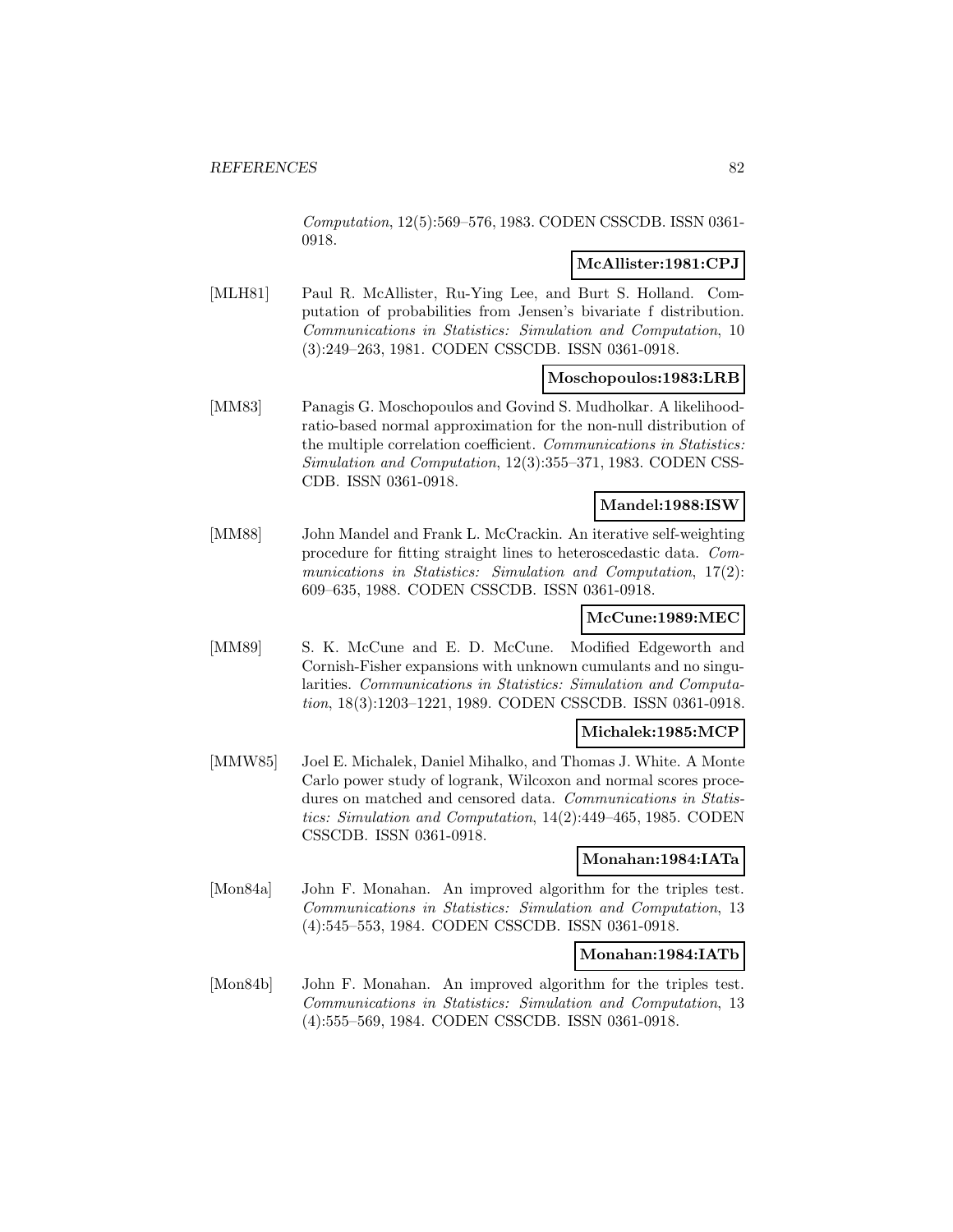Computation, 12(5):569–576, 1983. CODEN CSSCDB. ISSN 0361- 0918.

### **McAllister:1981:CPJ**

[MLH81] Paul R. McAllister, Ru-Ying Lee, and Burt S. Holland. Computation of probabilities from Jensen's bivariate f distribution. Communications in Statistics: Simulation and Computation, 10 (3):249–263, 1981. CODEN CSSCDB. ISSN 0361-0918.

### **Moschopoulos:1983:LRB**

[MM83] Panagis G. Moschopoulos and Govind S. Mudholkar. A likelihoodratio-based normal approximation for the non-null distribution of the multiple correlation coefficient. Communications in Statistics: Simulation and Computation, 12(3):355–371, 1983. CODEN CSS-CDB. ISSN 0361-0918.

# **Mandel:1988:ISW**

[MM88] John Mandel and Frank L. McCrackin. An iterative self-weighting procedure for fitting straight lines to heteroscedastic data. Communications in Statistics: Simulation and Computation, 17(2): 609–635, 1988. CODEN CSSCDB. ISSN 0361-0918.

# **McCune:1989:MEC**

[MM89] S. K. McCune and E. D. McCune. Modified Edgeworth and Cornish-Fisher expansions with unknown cumulants and no singularities. Communications in Statistics: Simulation and Computation, 18(3):1203–1221, 1989. CODEN CSSCDB. ISSN 0361-0918.

### **Michalek:1985:MCP**

[MMW85] Joel E. Michalek, Daniel Mihalko, and Thomas J. White. A Monte Carlo power study of logrank, Wilcoxon and normal scores procedures on matched and censored data. Communications in Statistics: Simulation and Computation, 14(2):449–465, 1985. CODEN CSSCDB. ISSN 0361-0918.

#### **Monahan:1984:IATa**

[Mon84a] John F. Monahan. An improved algorithm for the triples test. Communications in Statistics: Simulation and Computation, 13 (4):545–553, 1984. CODEN CSSCDB. ISSN 0361-0918.

#### **Monahan:1984:IATb**

[Mon84b] John F. Monahan. An improved algorithm for the triples test. Communications in Statistics: Simulation and Computation, 13 (4):555–569, 1984. CODEN CSSCDB. ISSN 0361-0918.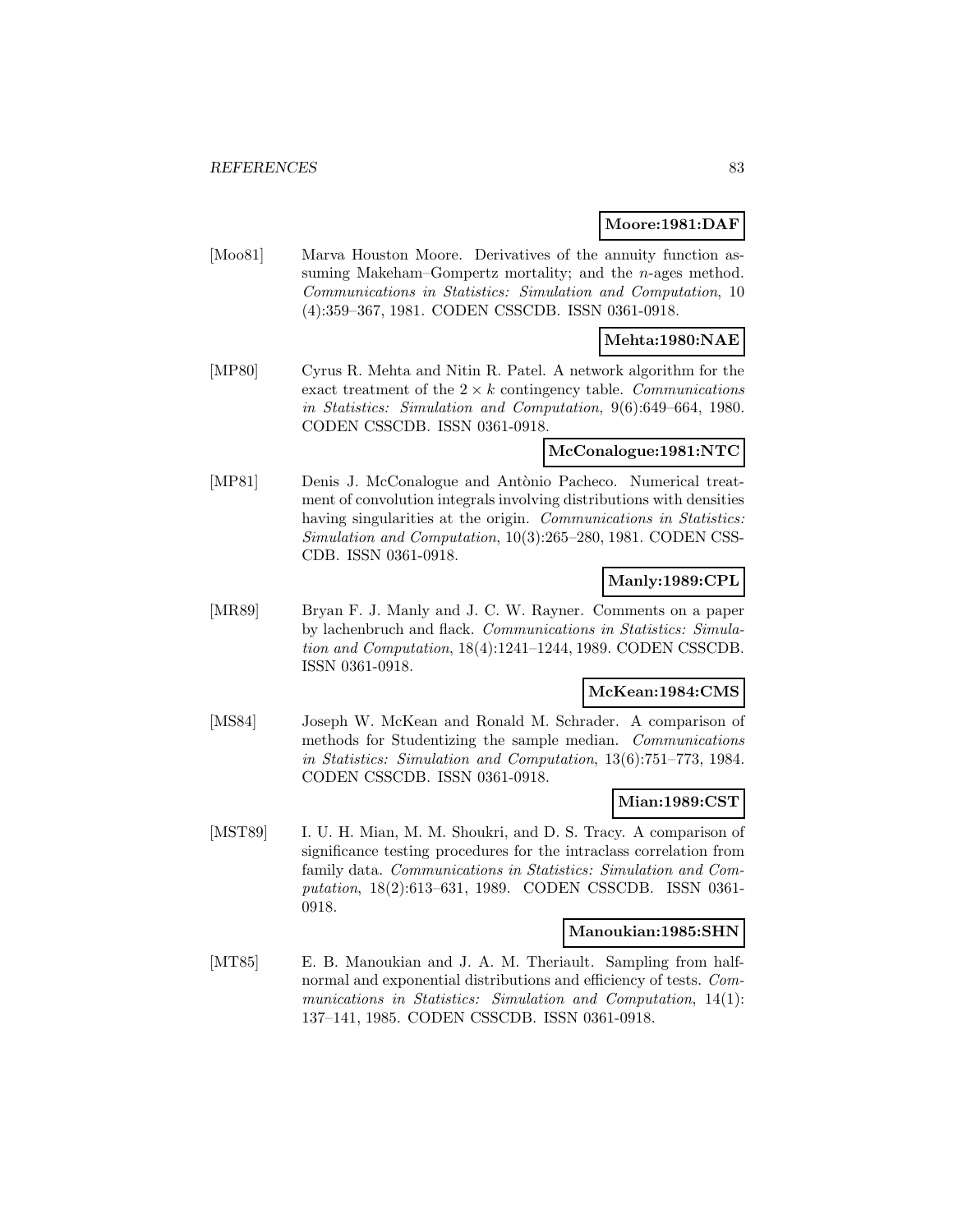#### **Moore:1981:DAF**

[Moo81] Marva Houston Moore. Derivatives of the annuity function assuming Makeham–Gompertz mortality; and the *n*-ages method. Communications in Statistics: Simulation and Computation, 10 (4):359–367, 1981. CODEN CSSCDB. ISSN 0361-0918.

### **Mehta:1980:NAE**

[MP80] Cyrus R. Mehta and Nitin R. Patel. A network algorithm for the exact treatment of the  $2 \times k$  contingency table. Communications in Statistics: Simulation and Computation, 9(6):649–664, 1980. CODEN CSSCDB. ISSN 0361-0918.

### **McConalogue:1981:NTC**

[MP81] Denis J. McConalogue and Antònio Pacheco. Numerical treatment of convolution integrals involving distributions with densities having singularities at the origin. Communications in Statistics: Simulation and Computation, 10(3):265–280, 1981. CODEN CSS-CDB. ISSN 0361-0918.

### **Manly:1989:CPL**

[MR89] Bryan F. J. Manly and J. C. W. Rayner. Comments on a paper by lachenbruch and flack. Communications in Statistics: Simulation and Computation, 18(4):1241–1244, 1989. CODEN CSSCDB. ISSN 0361-0918.

#### **McKean:1984:CMS**

[MS84] Joseph W. McKean and Ronald M. Schrader. A comparison of methods for Studentizing the sample median. Communications in Statistics: Simulation and Computation, 13(6):751–773, 1984. CODEN CSSCDB. ISSN 0361-0918.

### **Mian:1989:CST**

[MST89] I. U. H. Mian, M. M. Shoukri, and D. S. Tracy. A comparison of significance testing procedures for the intraclass correlation from family data. Communications in Statistics: Simulation and Computation, 18(2):613–631, 1989. CODEN CSSCDB. ISSN 0361- 0918.

#### **Manoukian:1985:SHN**

[MT85] E. B. Manoukian and J. A. M. Theriault. Sampling from halfnormal and exponential distributions and efficiency of tests. Communications in Statistics: Simulation and Computation, 14(1): 137–141, 1985. CODEN CSSCDB. ISSN 0361-0918.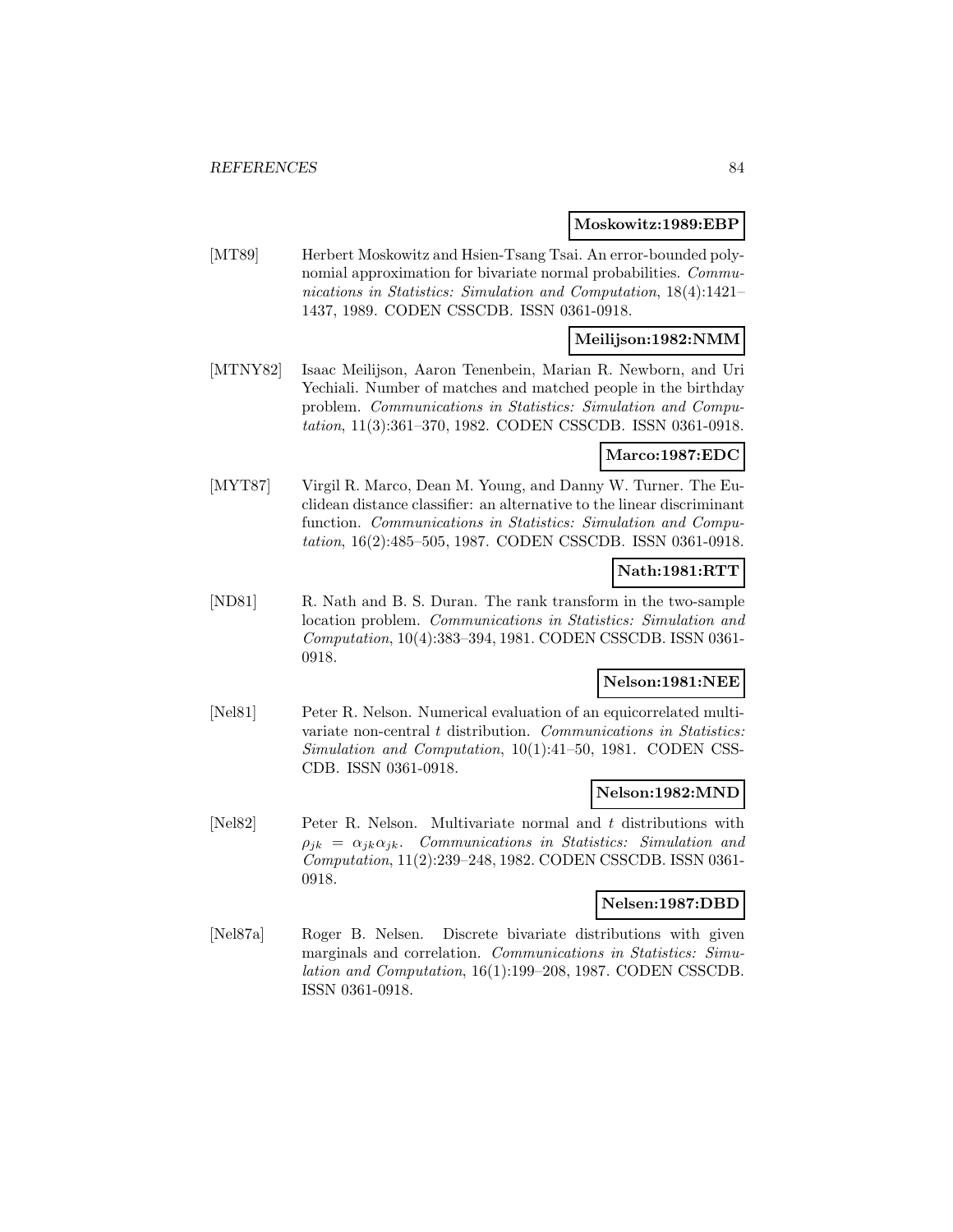#### **Moskowitz:1989:EBP**

[MT89] Herbert Moskowitz and Hsien-Tsang Tsai. An error-bounded polynomial approximation for bivariate normal probabilities. Communications in Statistics: Simulation and Computation, 18(4):1421– 1437, 1989. CODEN CSSCDB. ISSN 0361-0918.

# **Meilijson:1982:NMM**

[MTNY82] Isaac Meilijson, Aaron Tenenbein, Marian R. Newborn, and Uri Yechiali. Number of matches and matched people in the birthday problem. Communications in Statistics: Simulation and Computation, 11(3):361–370, 1982. CODEN CSSCDB. ISSN 0361-0918.

#### **Marco:1987:EDC**

[MYT87] Virgil R. Marco, Dean M. Young, and Danny W. Turner. The Euclidean distance classifier: an alternative to the linear discriminant function. Communications in Statistics: Simulation and Computation, 16(2):485–505, 1987. CODEN CSSCDB. ISSN 0361-0918.

### **Nath:1981:RTT**

[ND81] R. Nath and B. S. Duran. The rank transform in the two-sample location problem. Communications in Statistics: Simulation and Computation, 10(4):383–394, 1981. CODEN CSSCDB. ISSN 0361- 0918.

# **Nelson:1981:NEE**

[Nel81] Peter R. Nelson. Numerical evaluation of an equicorrelated multivariate non-central t distribution. Communications in Statistics: Simulation and Computation, 10(1):41–50, 1981. CODEN CSS-CDB. ISSN 0361-0918.

#### **Nelson:1982:MND**

[Nel82] Peter R. Nelson. Multivariate normal and t distributions with  $\rho_{ik} = \alpha_{ik}\alpha_{jk}$ . Communications in Statistics: Simulation and Computation, 11(2):239–248, 1982. CODEN CSSCDB. ISSN 0361- 0918.

#### **Nelsen:1987:DBD**

[Nel87a] Roger B. Nelsen. Discrete bivariate distributions with given marginals and correlation. Communications in Statistics: Simulation and Computation, 16(1):199–208, 1987. CODEN CSSCDB. ISSN 0361-0918.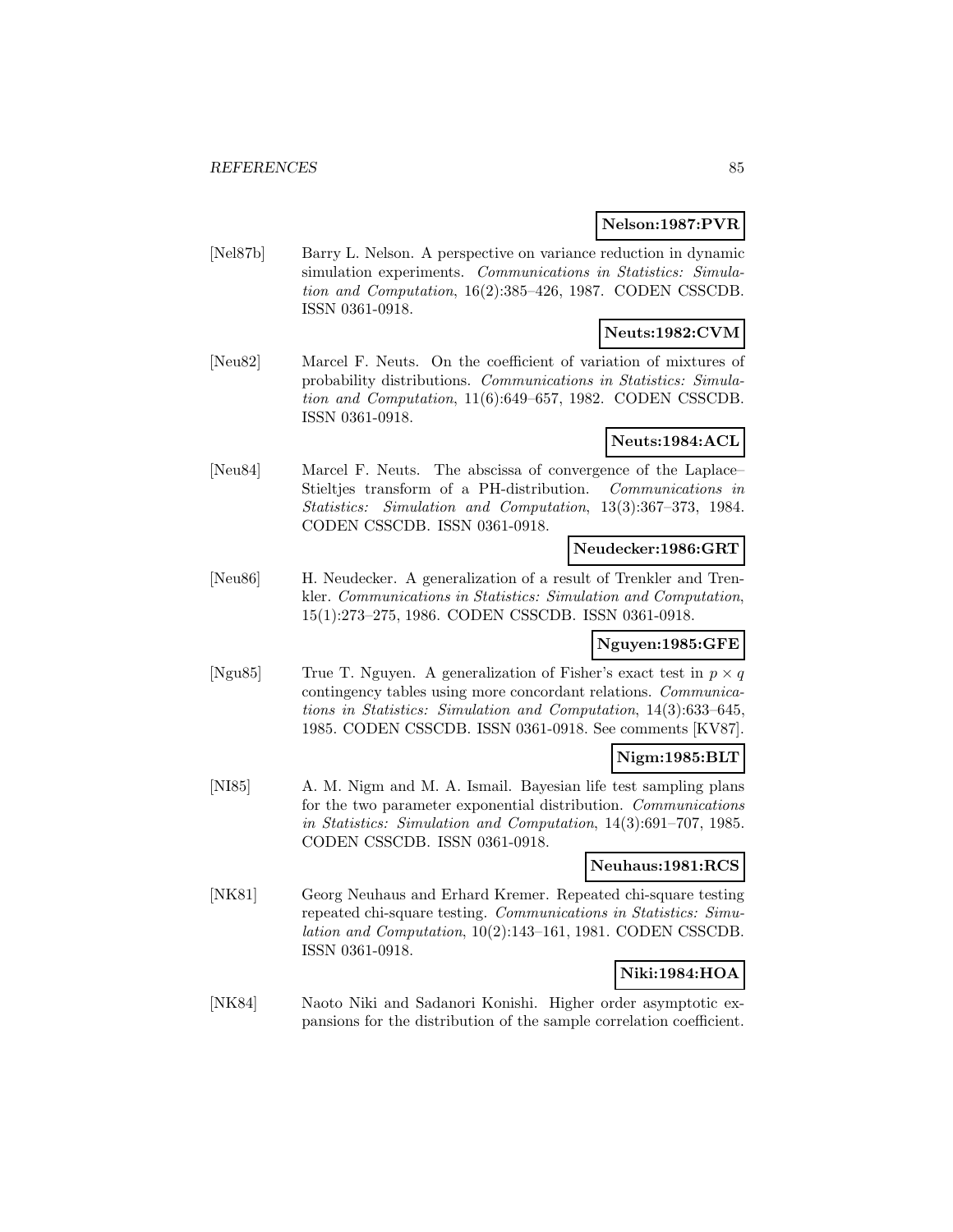#### **Nelson:1987:PVR**

[Nel87b] Barry L. Nelson. A perspective on variance reduction in dynamic simulation experiments. Communications in Statistics: Simulation and Computation, 16(2):385–426, 1987. CODEN CSSCDB. ISSN 0361-0918.

# **Neuts:1982:CVM**

[Neu82] Marcel F. Neuts. On the coefficient of variation of mixtures of probability distributions. Communications in Statistics: Simulation and Computation, 11(6):649–657, 1982. CODEN CSSCDB. ISSN 0361-0918.

### **Neuts:1984:ACL**

[Neu84] Marcel F. Neuts. The abscissa of convergence of the Laplace– Stieltjes transform of a PH-distribution. Communications in Statistics: Simulation and Computation, 13(3):367–373, 1984. CODEN CSSCDB. ISSN 0361-0918.

### **Neudecker:1986:GRT**

[Neu86] H. Neudecker. A generalization of a result of Trenkler and Trenkler. Communications in Statistics: Simulation and Computation, 15(1):273–275, 1986. CODEN CSSCDB. ISSN 0361-0918.

### **Nguyen:1985:GFE**

[Ngu85] True T. Nguyen. A generalization of Fisher's exact test in  $p \times q$ contingency tables using more concordant relations. Communications in Statistics: Simulation and Computation, 14(3):633–645, 1985. CODEN CSSCDB. ISSN 0361-0918. See comments [KV87].

### **Nigm:1985:BLT**

[NI85] A. M. Nigm and M. A. Ismail. Bayesian life test sampling plans for the two parameter exponential distribution. Communications in Statistics: Simulation and Computation, 14(3):691–707, 1985. CODEN CSSCDB. ISSN 0361-0918.

#### **Neuhaus:1981:RCS**

[NK81] Georg Neuhaus and Erhard Kremer. Repeated chi-square testing repeated chi-square testing. Communications in Statistics: Simulation and Computation, 10(2):143–161, 1981. CODEN CSSCDB. ISSN 0361-0918.

# **Niki:1984:HOA**

[NK84] Naoto Niki and Sadanori Konishi. Higher order asymptotic expansions for the distribution of the sample correlation coefficient.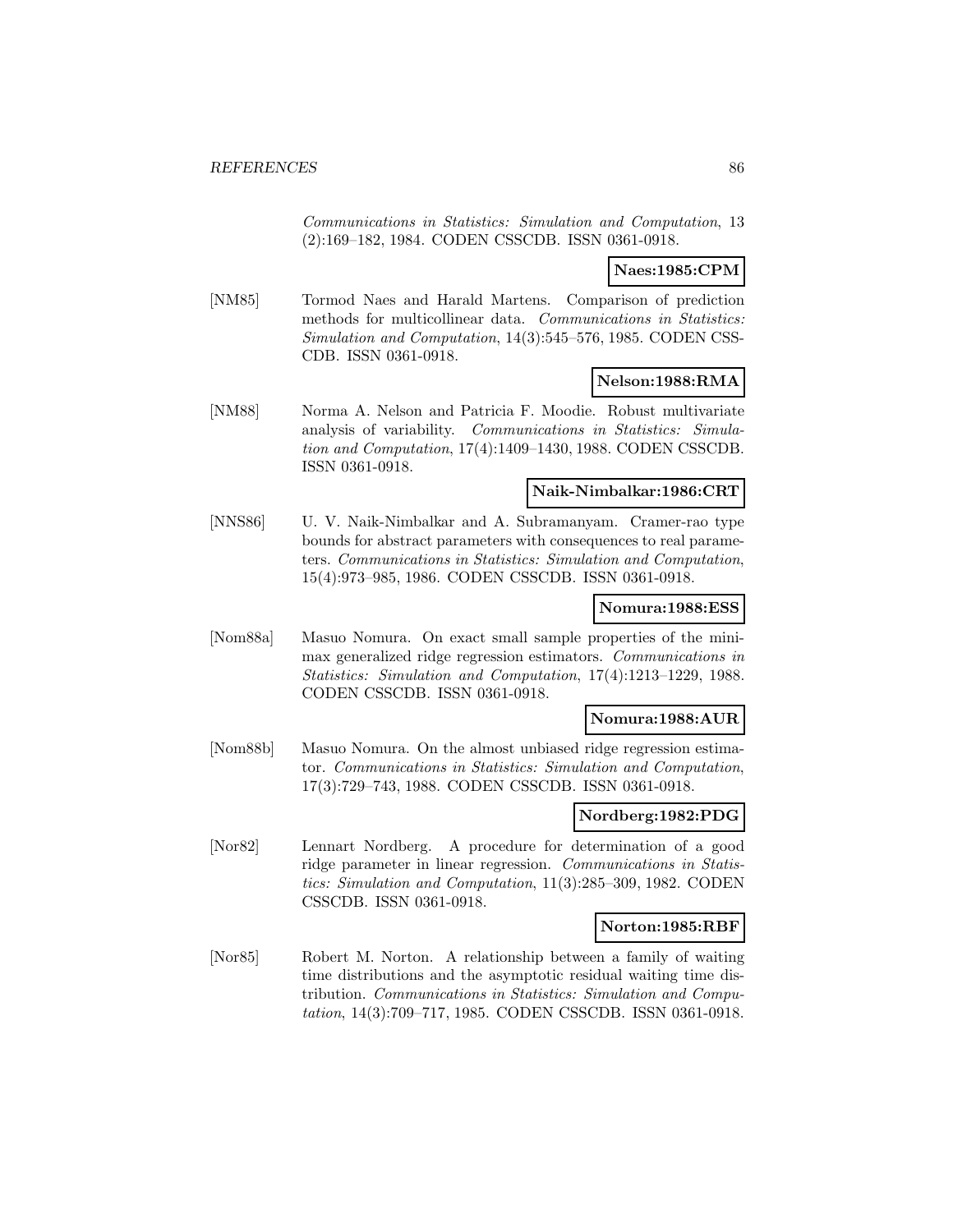Communications in Statistics: Simulation and Computation, 13 (2):169–182, 1984. CODEN CSSCDB. ISSN 0361-0918.

### **Naes:1985:CPM**

[NM85] Tormod Naes and Harald Martens. Comparison of prediction methods for multicollinear data. Communications in Statistics: Simulation and Computation, 14(3):545–576, 1985. CODEN CSS-CDB. ISSN 0361-0918.

#### **Nelson:1988:RMA**

[NM88] Norma A. Nelson and Patricia F. Moodie. Robust multivariate analysis of variability. Communications in Statistics: Simulation and Computation, 17(4):1409–1430, 1988. CODEN CSSCDB. ISSN 0361-0918.

#### **Naik-Nimbalkar:1986:CRT**

[NNS86] U. V. Naik-Nimbalkar and A. Subramanyam. Cramer-rao type bounds for abstract parameters with consequences to real parameters. Communications in Statistics: Simulation and Computation, 15(4):973–985, 1986. CODEN CSSCDB. ISSN 0361-0918.

#### **Nomura:1988:ESS**

[Nom88a] Masuo Nomura. On exact small sample properties of the minimax generalized ridge regression estimators. Communications in Statistics: Simulation and Computation, 17(4):1213–1229, 1988. CODEN CSSCDB. ISSN 0361-0918.

### **Nomura:1988:AUR**

[Nom88b] Masuo Nomura. On the almost unbiased ridge regression estimator. Communications in Statistics: Simulation and Computation, 17(3):729–743, 1988. CODEN CSSCDB. ISSN 0361-0918.

#### **Nordberg:1982:PDG**

[Nor82] Lennart Nordberg. A procedure for determination of a good ridge parameter in linear regression. Communications in Statistics: Simulation and Computation, 11(3):285–309, 1982. CODEN CSSCDB. ISSN 0361-0918.

#### **Norton:1985:RBF**

[Nor85] Robert M. Norton. A relationship between a family of waiting time distributions and the asymptotic residual waiting time distribution. Communications in Statistics: Simulation and Computation, 14(3):709–717, 1985. CODEN CSSCDB. ISSN 0361-0918.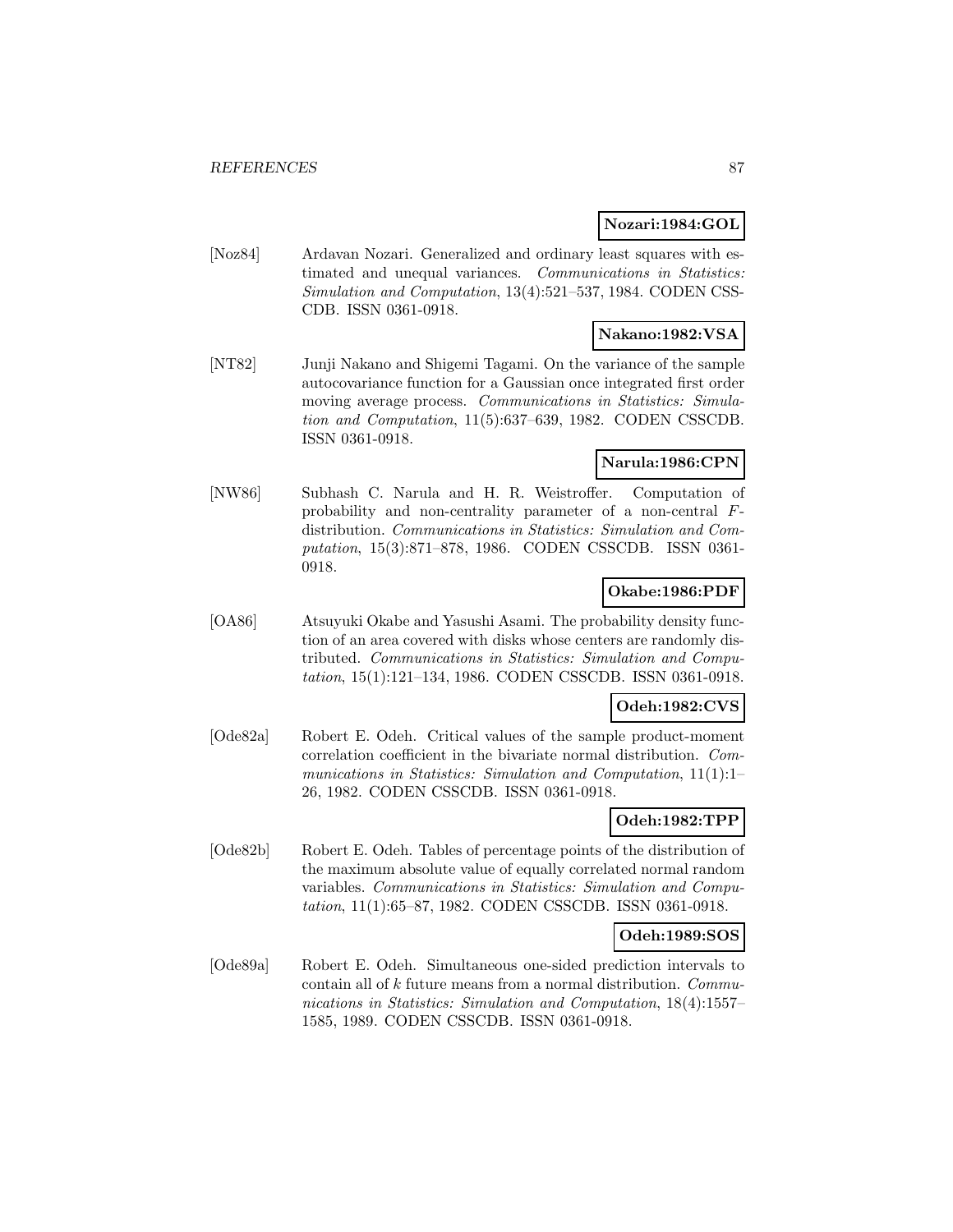### **Nozari:1984:GOL**

[Noz84] Ardavan Nozari. Generalized and ordinary least squares with estimated and unequal variances. Communications in Statistics: Simulation and Computation, 13(4):521–537, 1984. CODEN CSS-CDB. ISSN 0361-0918.

# **Nakano:1982:VSA**

[NT82] Junji Nakano and Shigemi Tagami. On the variance of the sample autocovariance function for a Gaussian once integrated first order moving average process. Communications in Statistics: Simulation and Computation, 11(5):637–639, 1982. CODEN CSSCDB. ISSN 0361-0918.

# **Narula:1986:CPN**

[NW86] Subhash C. Narula and H. R. Weistroffer. Computation of probability and non-centrality parameter of a non-central Fdistribution. Communications in Statistics: Simulation and Computation, 15(3):871–878, 1986. CODEN CSSCDB. ISSN 0361- 0918.

### **Okabe:1986:PDF**

[OA86] Atsuyuki Okabe and Yasushi Asami. The probability density function of an area covered with disks whose centers are randomly distributed. Communications in Statistics: Simulation and Computation, 15(1):121–134, 1986. CODEN CSSCDB. ISSN 0361-0918.

#### **Odeh:1982:CVS**

[Ode82a] Robert E. Odeh. Critical values of the sample product-moment correlation coefficient in the bivariate normal distribution. Communications in Statistics: Simulation and Computation, 11(1):1– 26, 1982. CODEN CSSCDB. ISSN 0361-0918.

### **Odeh:1982:TPP**

[Ode82b] Robert E. Odeh. Tables of percentage points of the distribution of the maximum absolute value of equally correlated normal random variables. Communications in Statistics: Simulation and Computation, 11(1):65–87, 1982. CODEN CSSCDB. ISSN 0361-0918.

#### **Odeh:1989:SOS**

[Ode89a] Robert E. Odeh. Simultaneous one-sided prediction intervals to contain all of k future means from a normal distribution. Communications in Statistics: Simulation and Computation, 18(4):1557– 1585, 1989. CODEN CSSCDB. ISSN 0361-0918.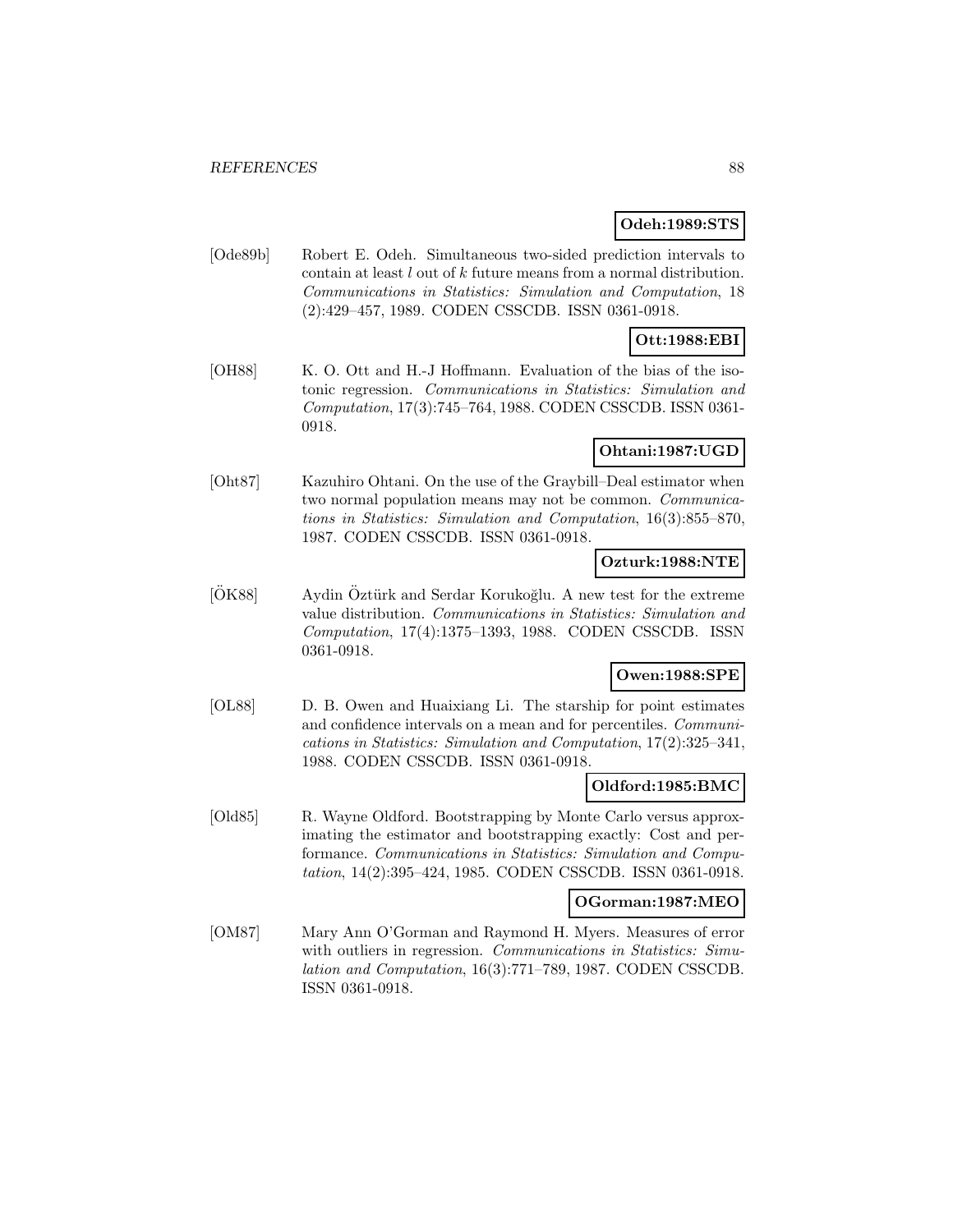### **Odeh:1989:STS**

[Ode89b] Robert E. Odeh. Simultaneous two-sided prediction intervals to contain at least l out of k future means from a normal distribution. Communications in Statistics: Simulation and Computation, 18 (2):429–457, 1989. CODEN CSSCDB. ISSN 0361-0918.

### **Ott:1988:EBI**

[OH88] K. O. Ott and H.-J Hoffmann. Evaluation of the bias of the isotonic regression. Communications in Statistics: Simulation and Computation, 17(3):745–764, 1988. CODEN CSSCDB. ISSN 0361- 0918.

### **Ohtani:1987:UGD**

[Oht87] Kazuhiro Ohtani. On the use of the Graybill–Deal estimator when two normal population means may not be common. Communications in Statistics: Simulation and Computation, 16(3):855–870, 1987. CODEN CSSCDB. ISSN 0361-0918.

### **Ozturk:1988:NTE**

 $[OK88]$  Aydin Öztürk and Serdar Korukoğlu. A new test for the extreme value distribution. Communications in Statistics: Simulation and Computation, 17(4):1375–1393, 1988. CODEN CSSCDB. ISSN 0361-0918.

# **Owen:1988:SPE**

[OL88] D. B. Owen and Huaixiang Li. The starship for point estimates and confidence intervals on a mean and for percentiles. Communications in Statistics: Simulation and Computation, 17(2):325–341, 1988. CODEN CSSCDB. ISSN 0361-0918.

#### **Oldford:1985:BMC**

[Old85] R. Wayne Oldford. Bootstrapping by Monte Carlo versus approximating the estimator and bootstrapping exactly: Cost and performance. Communications in Statistics: Simulation and Computation, 14(2):395–424, 1985. CODEN CSSCDB. ISSN 0361-0918.

#### **OGorman:1987:MEO**

[OM87] Mary Ann O'Gorman and Raymond H. Myers. Measures of error with outliers in regression. Communications in Statistics: Simulation and Computation, 16(3):771–789, 1987. CODEN CSSCDB. ISSN 0361-0918.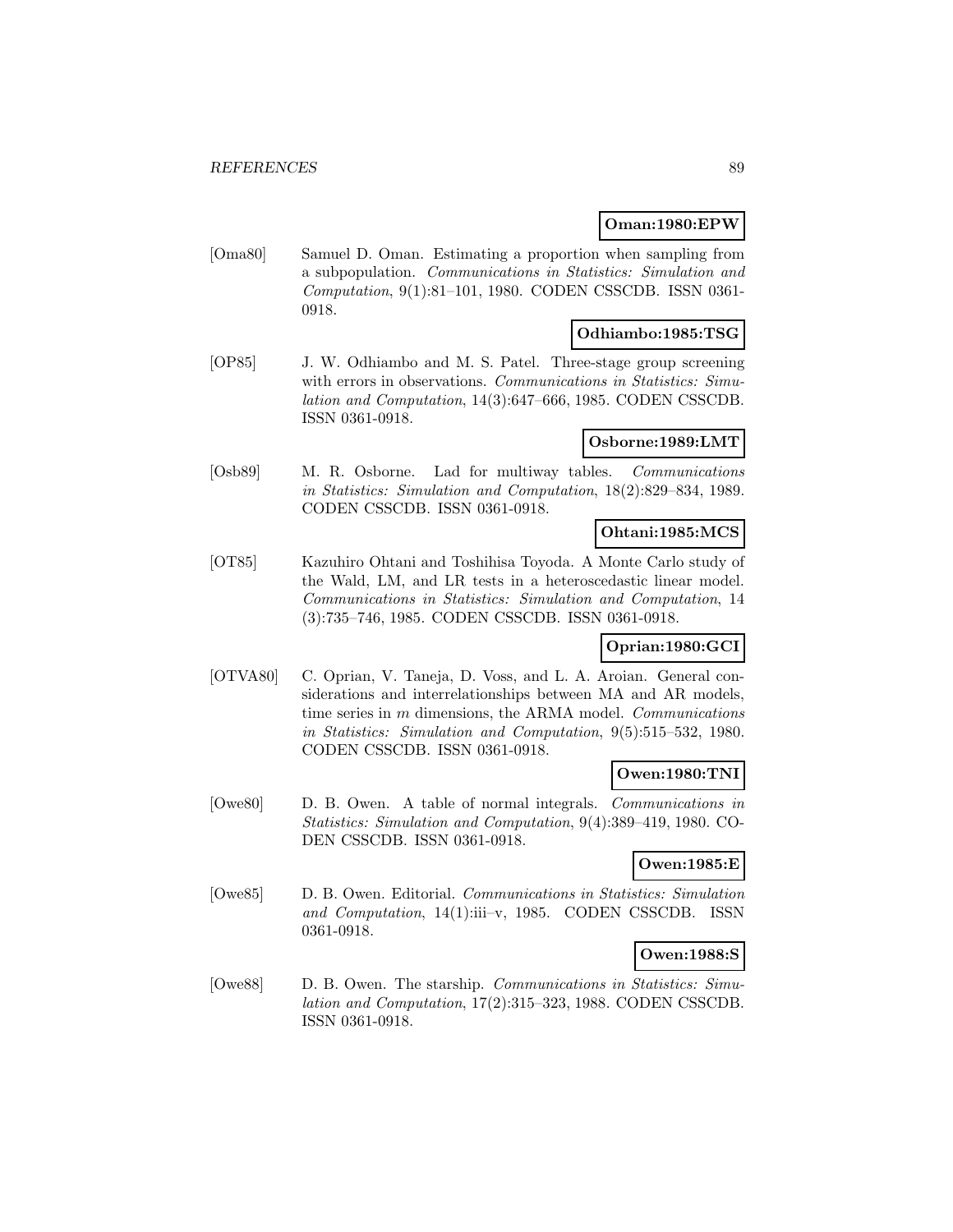#### **Oman:1980:EPW**

[Oma80] Samuel D. Oman. Estimating a proportion when sampling from a subpopulation. Communications in Statistics: Simulation and Computation, 9(1):81–101, 1980. CODEN CSSCDB. ISSN 0361- 0918.

### **Odhiambo:1985:TSG**

[OP85] J. W. Odhiambo and M. S. Patel. Three-stage group screening with errors in observations. Communications in Statistics: Simulation and Computation, 14(3):647–666, 1985. CODEN CSSCDB. ISSN 0361-0918.

### **Osborne:1989:LMT**

[Osb89] M. R. Osborne. Lad for multiway tables. Communications in Statistics: Simulation and Computation, 18(2):829–834, 1989. CODEN CSSCDB. ISSN 0361-0918.

#### **Ohtani:1985:MCS**

[OT85] Kazuhiro Ohtani and Toshihisa Toyoda. A Monte Carlo study of the Wald, LM, and LR tests in a heteroscedastic linear model. Communications in Statistics: Simulation and Computation, 14 (3):735–746, 1985. CODEN CSSCDB. ISSN 0361-0918.

### **Oprian:1980:GCI**

[OTVA80] C. Oprian, V. Taneja, D. Voss, and L. A. Aroian. General considerations and interrelationships between MA and AR models, time series in m dimensions, the ARMA model. *Communications* in Statistics: Simulation and Computation, 9(5):515–532, 1980. CODEN CSSCDB. ISSN 0361-0918.

#### **Owen:1980:TNI**

[Owe80] D. B. Owen. A table of normal integrals. Communications in Statistics: Simulation and Computation, 9(4):389–419, 1980. CO-DEN CSSCDB. ISSN 0361-0918.

### **Owen:1985:E**

[Owe85] D. B. Owen. Editorial. Communications in Statistics: Simulation and Computation, 14(1):iii–v, 1985. CODEN CSSCDB. ISSN 0361-0918.

### **Owen:1988:S**

[Owe88] D. B. Owen. The starship. Communications in Statistics: Simulation and Computation, 17(2):315–323, 1988. CODEN CSSCDB. ISSN 0361-0918.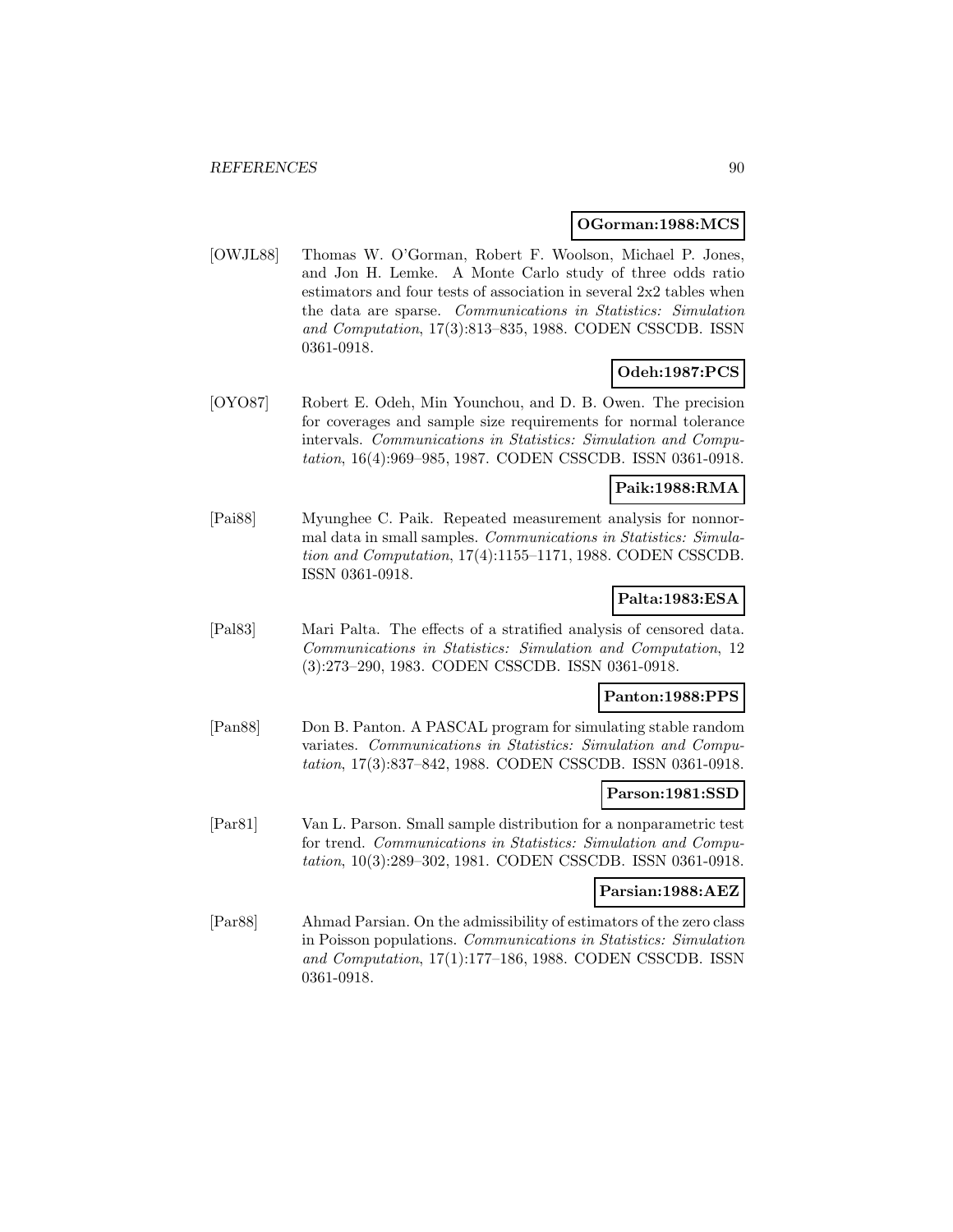#### **OGorman:1988:MCS**

[OWJL88] Thomas W. O'Gorman, Robert F. Woolson, Michael P. Jones, and Jon H. Lemke. A Monte Carlo study of three odds ratio estimators and four tests of association in several 2x2 tables when the data are sparse. Communications in Statistics: Simulation and Computation, 17(3):813–835, 1988. CODEN CSSCDB. ISSN 0361-0918.

# **Odeh:1987:PCS**

[OYO87] Robert E. Odeh, Min Younchou, and D. B. Owen. The precision for coverages and sample size requirements for normal tolerance intervals. Communications in Statistics: Simulation and Computation, 16(4):969–985, 1987. CODEN CSSCDB. ISSN 0361-0918.

### **Paik:1988:RMA**

[Pai88] Myunghee C. Paik. Repeated measurement analysis for nonnormal data in small samples. Communications in Statistics: Simulation and Computation, 17(4):1155–1171, 1988. CODEN CSSCDB. ISSN 0361-0918.

### **Palta:1983:ESA**

[Pal83] Mari Palta. The effects of a stratified analysis of censored data. Communications in Statistics: Simulation and Computation, 12 (3):273–290, 1983. CODEN CSSCDB. ISSN 0361-0918.

### **Panton:1988:PPS**

[Pan88] Don B. Panton. A PASCAL program for simulating stable random variates. Communications in Statistics: Simulation and Computation, 17(3):837–842, 1988. CODEN CSSCDB. ISSN 0361-0918.

### **Parson:1981:SSD**

[Par81] Van L. Parson. Small sample distribution for a nonparametric test for trend. Communications in Statistics: Simulation and Computation, 10(3):289–302, 1981. CODEN CSSCDB. ISSN 0361-0918.

#### **Parsian:1988:AEZ**

[Par88] Ahmad Parsian. On the admissibility of estimators of the zero class in Poisson populations. Communications in Statistics: Simulation and Computation, 17(1):177–186, 1988. CODEN CSSCDB. ISSN 0361-0918.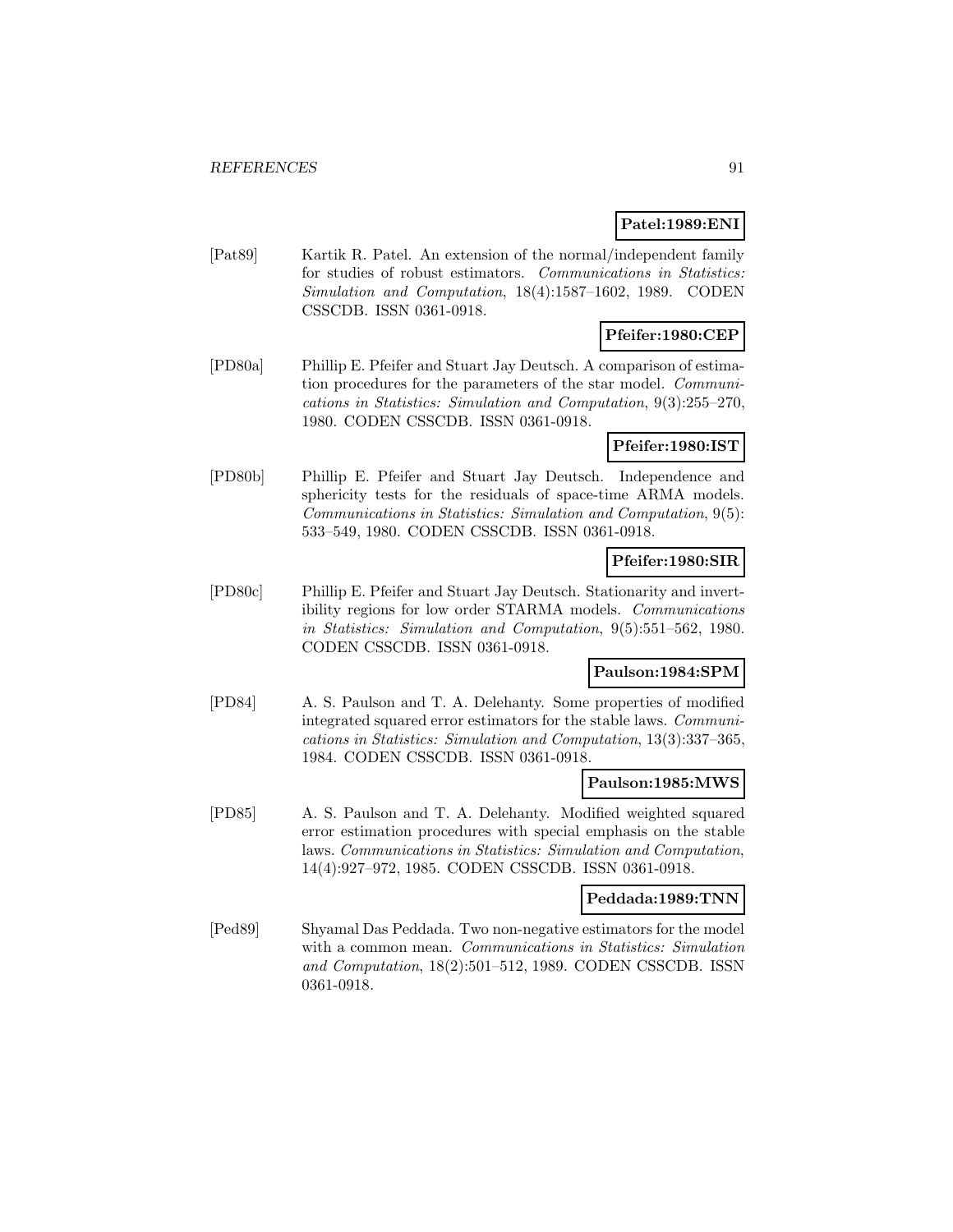# **Patel:1989:ENI**

[Pat89] Kartik R. Patel. An extension of the normal/independent family for studies of robust estimators. Communications in Statistics: Simulation and Computation, 18(4):1587–1602, 1989. CODEN CSSCDB. ISSN 0361-0918.

# **Pfeifer:1980:CEP**

[PD80a] Phillip E. Pfeifer and Stuart Jay Deutsch. A comparison of estimation procedures for the parameters of the star model. Communications in Statistics: Simulation and Computation, 9(3):255–270, 1980. CODEN CSSCDB. ISSN 0361-0918.

#### **Pfeifer:1980:IST**

[PD80b] Phillip E. Pfeifer and Stuart Jay Deutsch. Independence and sphericity tests for the residuals of space-time ARMA models. Communications in Statistics: Simulation and Computation, 9(5): 533–549, 1980. CODEN CSSCDB. ISSN 0361-0918.

# **Pfeifer:1980:SIR**

[PD80c] Phillip E. Pfeifer and Stuart Jay Deutsch. Stationarity and invertibility regions for low order STARMA models. Communications in Statistics: Simulation and Computation, 9(5):551–562, 1980. CODEN CSSCDB. ISSN 0361-0918.

### **Paulson:1984:SPM**

[PD84] A. S. Paulson and T. A. Delehanty. Some properties of modified integrated squared error estimators for the stable laws. Communications in Statistics: Simulation and Computation, 13(3):337–365, 1984. CODEN CSSCDB. ISSN 0361-0918.

#### **Paulson:1985:MWS**

[PD85] A. S. Paulson and T. A. Delehanty. Modified weighted squared error estimation procedures with special emphasis on the stable laws. Communications in Statistics: Simulation and Computation, 14(4):927–972, 1985. CODEN CSSCDB. ISSN 0361-0918.

# **Peddada:1989:TNN**

[Ped89] Shyamal Das Peddada. Two non-negative estimators for the model with a common mean. Communications in Statistics: Simulation and Computation, 18(2):501–512, 1989. CODEN CSSCDB. ISSN 0361-0918.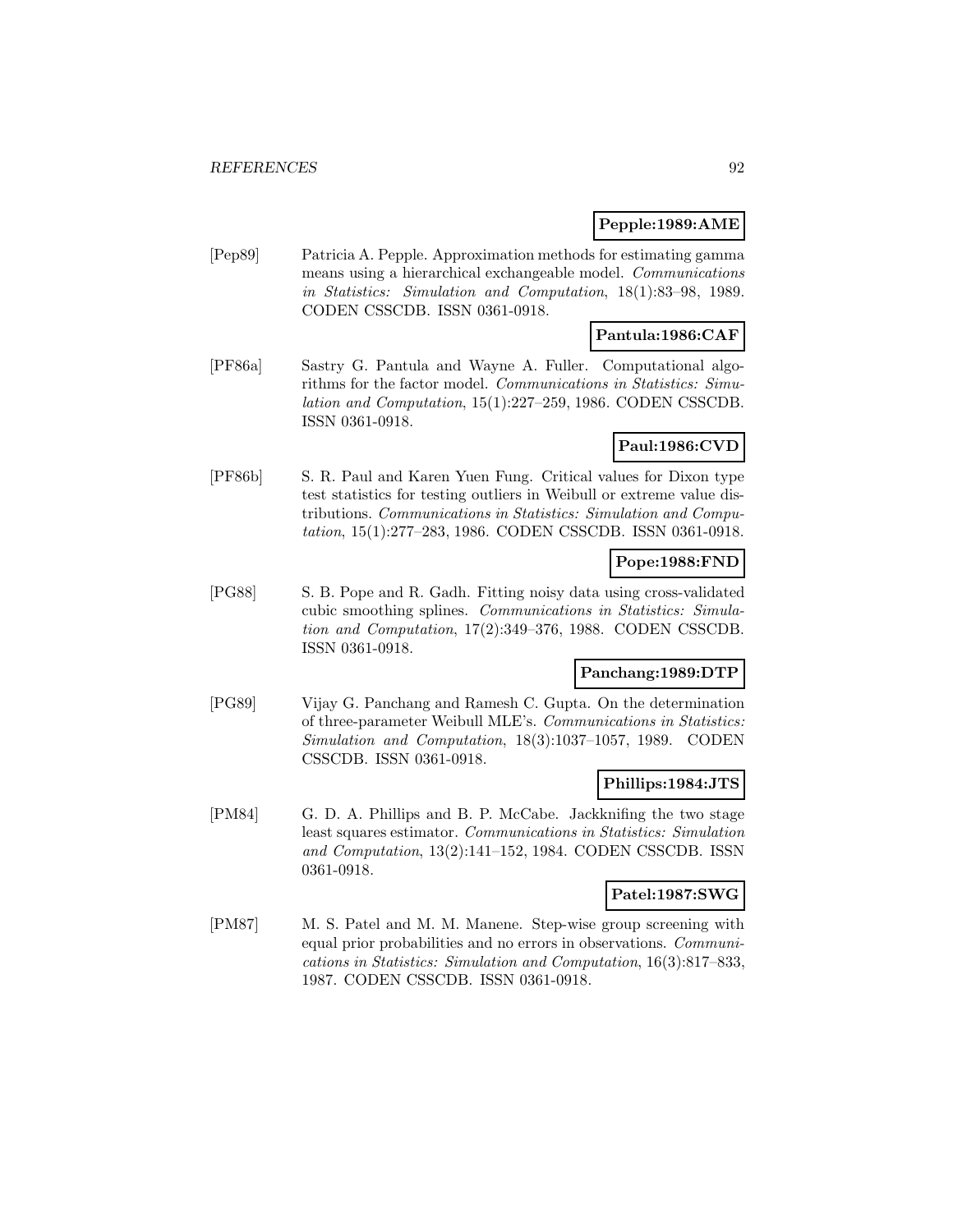#### **Pepple:1989:AME**

[Pep89] Patricia A. Pepple. Approximation methods for estimating gamma means using a hierarchical exchangeable model. Communications in Statistics: Simulation and Computation, 18(1):83–98, 1989. CODEN CSSCDB. ISSN 0361-0918.

### **Pantula:1986:CAF**

[PF86a] Sastry G. Pantula and Wayne A. Fuller. Computational algorithms for the factor model. Communications in Statistics: Simulation and Computation, 15(1):227–259, 1986. CODEN CSSCDB. ISSN 0361-0918.

# **Paul:1986:CVD**

[PF86b] S. R. Paul and Karen Yuen Fung. Critical values for Dixon type test statistics for testing outliers in Weibull or extreme value distributions. Communications in Statistics: Simulation and Computation, 15(1):277–283, 1986. CODEN CSSCDB. ISSN 0361-0918.

#### **Pope:1988:FND**

[PG88] S. B. Pope and R. Gadh. Fitting noisy data using cross-validated cubic smoothing splines. Communications in Statistics: Simulation and Computation, 17(2):349–376, 1988. CODEN CSSCDB. ISSN 0361-0918.

### **Panchang:1989:DTP**

[PG89] Vijay G. Panchang and Ramesh C. Gupta. On the determination of three-parameter Weibull MLE's. Communications in Statistics: Simulation and Computation, 18(3):1037–1057, 1989. CODEN CSSCDB. ISSN 0361-0918.

### **Phillips:1984:JTS**

[PM84] G. D. A. Phillips and B. P. McCabe. Jackknifing the two stage least squares estimator. Communications in Statistics: Simulation and Computation, 13(2):141–152, 1984. CODEN CSSCDB. ISSN 0361-0918.

### **Patel:1987:SWG**

[PM87] M. S. Patel and M. M. Manene. Step-wise group screening with equal prior probabilities and no errors in observations. Communications in Statistics: Simulation and Computation, 16(3):817–833, 1987. CODEN CSSCDB. ISSN 0361-0918.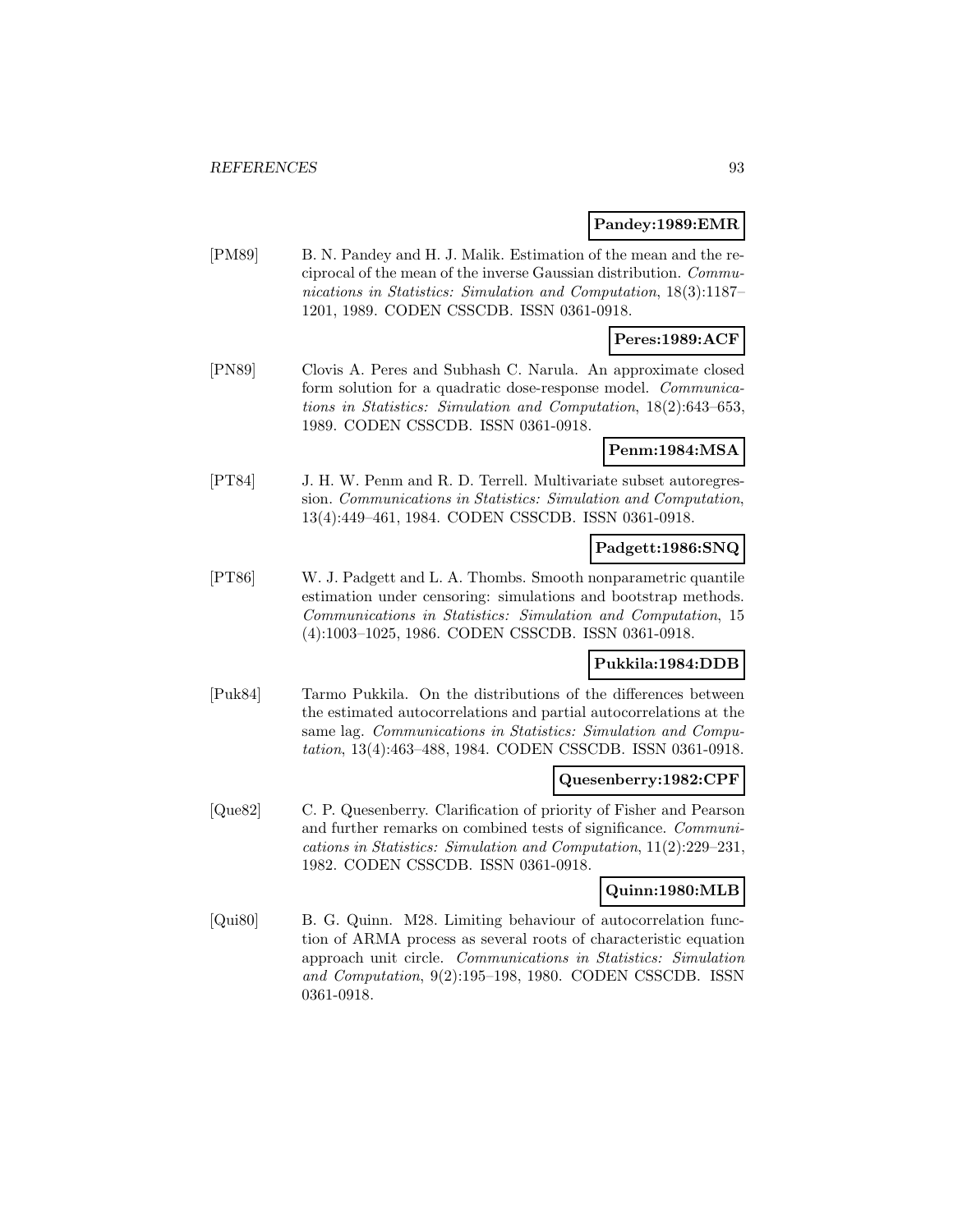#### **Pandey:1989:EMR**

[PM89] B. N. Pandey and H. J. Malik. Estimation of the mean and the reciprocal of the mean of the inverse Gaussian distribution. Communications in Statistics: Simulation and Computation, 18(3):1187– 1201, 1989. CODEN CSSCDB. ISSN 0361-0918.

### **Peres:1989:ACF**

[PN89] Clovis A. Peres and Subhash C. Narula. An approximate closed form solution for a quadratic dose-response model. *Communica*tions in Statistics: Simulation and Computation, 18(2):643–653, 1989. CODEN CSSCDB. ISSN 0361-0918.

**Penm:1984:MSA**

[PT84] J. H. W. Penm and R. D. Terrell. Multivariate subset autoregression. Communications in Statistics: Simulation and Computation, 13(4):449–461, 1984. CODEN CSSCDB. ISSN 0361-0918.

### **Padgett:1986:SNQ**

[PT86] W. J. Padgett and L. A. Thombs. Smooth nonparametric quantile estimation under censoring: simulations and bootstrap methods. Communications in Statistics: Simulation and Computation, 15 (4):1003–1025, 1986. CODEN CSSCDB. ISSN 0361-0918.

#### **Pukkila:1984:DDB**

[Puk84] Tarmo Pukkila. On the distributions of the differences between the estimated autocorrelations and partial autocorrelations at the same lag. Communications in Statistics: Simulation and Computation, 13(4):463–488, 1984. CODEN CSSCDB. ISSN 0361-0918.

#### **Quesenberry:1982:CPF**

[Que82] C. P. Quesenberry. Clarification of priority of Fisher and Pearson and further remarks on combined tests of significance. Communications in Statistics: Simulation and Computation, 11(2):229–231, 1982. CODEN CSSCDB. ISSN 0361-0918.

#### **Quinn:1980:MLB**

[Qui80] B. G. Quinn. M28. Limiting behaviour of autocorrelation function of ARMA process as several roots of characteristic equation approach unit circle. Communications in Statistics: Simulation and Computation, 9(2):195–198, 1980. CODEN CSSCDB. ISSN 0361-0918.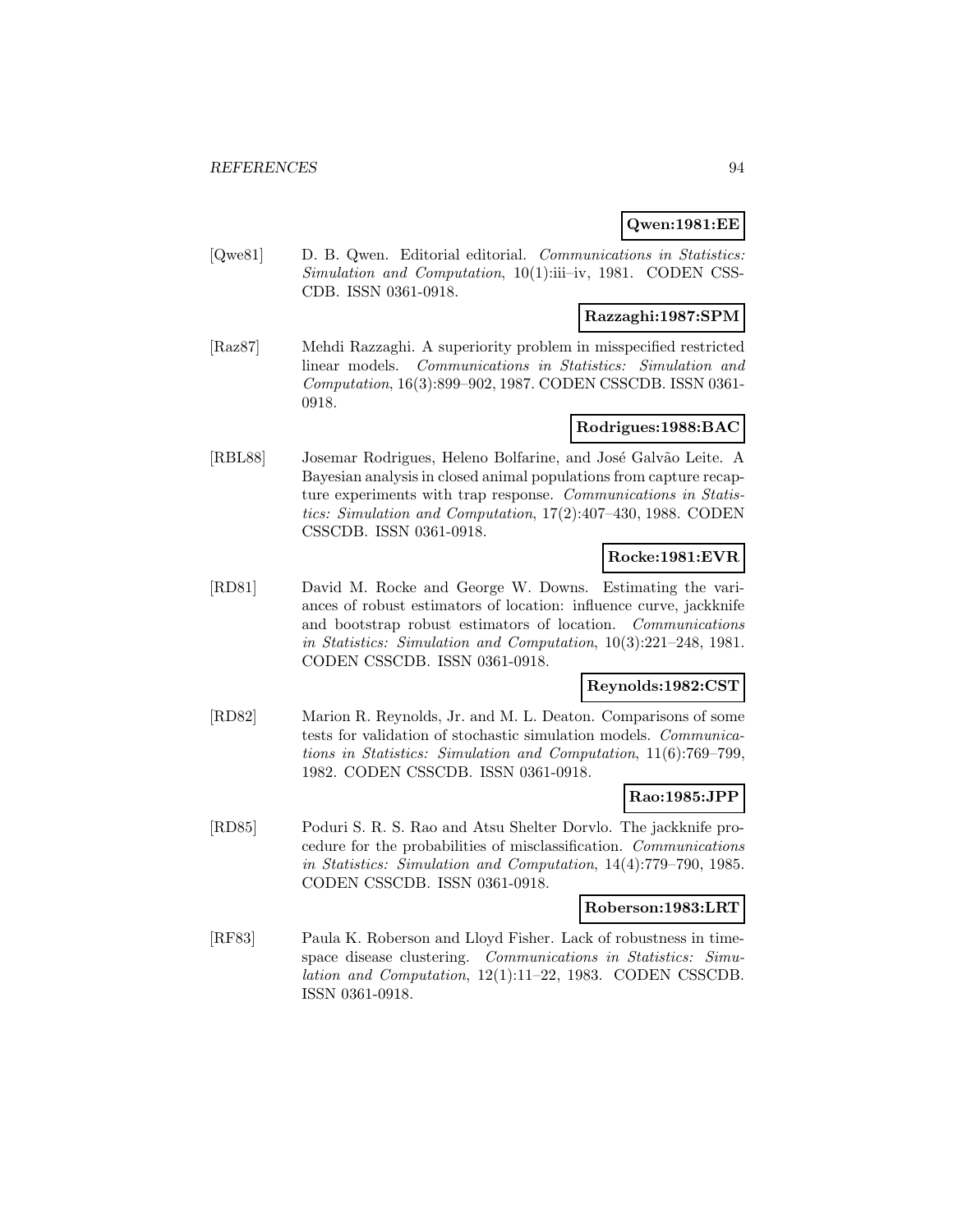### **Qwen:1981:EE**

[Qwe81] D. B. Qwen. Editorial editorial. Communications in Statistics: Simulation and Computation, 10(1):iii–iv, 1981. CODEN CSS-CDB. ISSN 0361-0918.

### **Razzaghi:1987:SPM**

[Raz87] Mehdi Razzaghi. A superiority problem in misspecified restricted linear models. Communications in Statistics: Simulation and Computation, 16(3):899–902, 1987. CODEN CSSCDB. ISSN 0361- 0918.

### **Rodrigues:1988:BAC**

[RBL88] Josemar Rodrigues, Heleno Bolfarine, and José Galvão Leite. A Bayesian analysis in closed animal populations from capture recapture experiments with trap response. Communications in Statistics: Simulation and Computation, 17(2):407–430, 1988. CODEN CSSCDB. ISSN 0361-0918.

### **Rocke:1981:EVR**

[RD81] David M. Rocke and George W. Downs. Estimating the variances of robust estimators of location: influence curve, jackknife and bootstrap robust estimators of location. Communications in Statistics: Simulation and Computation, 10(3):221–248, 1981. CODEN CSSCDB. ISSN 0361-0918.

#### **Reynolds:1982:CST**

[RD82] Marion R. Reynolds, Jr. and M. L. Deaton. Comparisons of some tests for validation of stochastic simulation models. Communications in Statistics: Simulation and Computation, 11(6):769–799, 1982. CODEN CSSCDB. ISSN 0361-0918.

### **Rao:1985:JPP**

[RD85] Poduri S. R. S. Rao and Atsu Shelter Dorvlo. The jackknife procedure for the probabilities of misclassification. Communications in Statistics: Simulation and Computation, 14(4):779–790, 1985. CODEN CSSCDB. ISSN 0361-0918.

#### **Roberson:1983:LRT**

[RF83] Paula K. Roberson and Lloyd Fisher. Lack of robustness in timespace disease clustering. Communications in Statistics: Simulation and Computation, 12(1):11–22, 1983. CODEN CSSCDB. ISSN 0361-0918.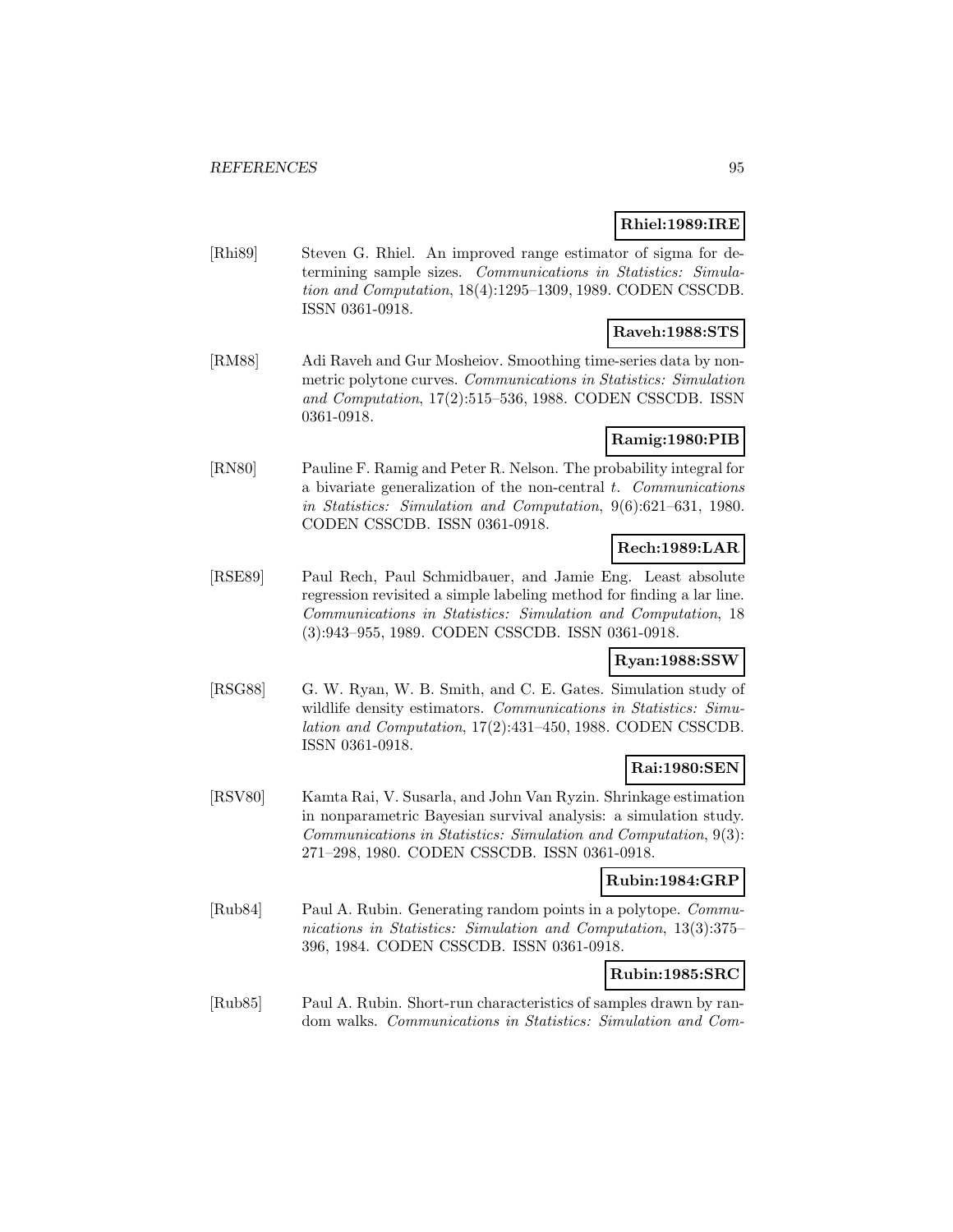### **Rhiel:1989:IRE**

[Rhi89] Steven G. Rhiel. An improved range estimator of sigma for determining sample sizes. Communications in Statistics: Simulation and Computation, 18(4):1295–1309, 1989. CODEN CSSCDB. ISSN 0361-0918.

### **Raveh:1988:STS**

[RM88] Adi Raveh and Gur Mosheiov. Smoothing time-series data by nonmetric polytone curves. Communications in Statistics: Simulation and Computation, 17(2):515–536, 1988. CODEN CSSCDB. ISSN 0361-0918.

## **Ramig:1980:PIB**

[RN80] Pauline F. Ramig and Peter R. Nelson. The probability integral for a bivariate generalization of the non-central  $t$ . Communications in Statistics: Simulation and Computation, 9(6):621–631, 1980. CODEN CSSCDB. ISSN 0361-0918.

# **Rech:1989:LAR**

[RSE89] Paul Rech, Paul Schmidbauer, and Jamie Eng. Least absolute regression revisited a simple labeling method for finding a lar line. Communications in Statistics: Simulation and Computation, 18 (3):943–955, 1989. CODEN CSSCDB. ISSN 0361-0918.

### **Ryan:1988:SSW**

[RSG88] G. W. Ryan, W. B. Smith, and C. E. Gates. Simulation study of wildlife density estimators. Communications in Statistics: Simulation and Computation, 17(2):431–450, 1988. CODEN CSSCDB. ISSN 0361-0918.

# **Rai:1980:SEN**

[RSV80] Kamta Rai, V. Susarla, and John Van Ryzin. Shrinkage estimation in nonparametric Bayesian survival analysis: a simulation study. Communications in Statistics: Simulation and Computation, 9(3): 271–298, 1980. CODEN CSSCDB. ISSN 0361-0918.

### **Rubin:1984:GRP**

[Rub84] Paul A. Rubin. Generating random points in a polytope. Communications in Statistics: Simulation and Computation, 13(3):375– 396, 1984. CODEN CSSCDB. ISSN 0361-0918.

# **Rubin:1985:SRC**

[Rub85] Paul A. Rubin. Short-run characteristics of samples drawn by random walks. Communications in Statistics: Simulation and Com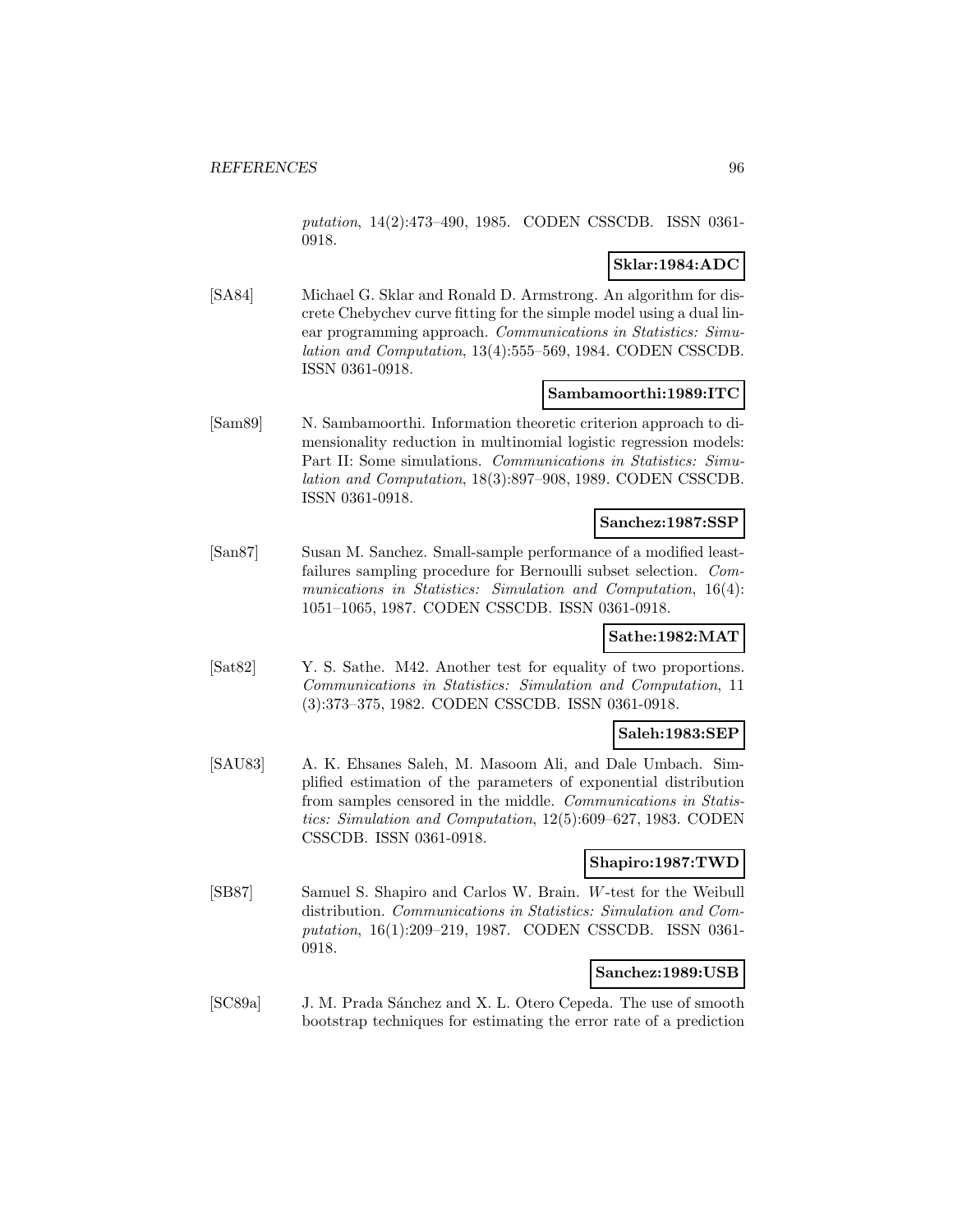putation, 14(2):473–490, 1985. CODEN CSSCDB. ISSN 0361- 0918.

# **Sklar:1984:ADC**

[SA84] Michael G. Sklar and Ronald D. Armstrong. An algorithm for discrete Chebychev curve fitting for the simple model using a dual linear programming approach. Communications in Statistics: Simulation and Computation, 13(4):555–569, 1984. CODEN CSSCDB. ISSN 0361-0918.

### **Sambamoorthi:1989:ITC**

[Sam89] N. Sambamoorthi. Information theoretic criterion approach to dimensionality reduction in multinomial logistic regression models: Part II: Some simulations. Communications in Statistics: Simulation and Computation, 18(3):897–908, 1989. CODEN CSSCDB. ISSN 0361-0918.

### **Sanchez:1987:SSP**

[San87] Susan M. Sanchez. Small-sample performance of a modified leastfailures sampling procedure for Bernoulli subset selection. Communications in Statistics: Simulation and Computation, 16(4): 1051–1065, 1987. CODEN CSSCDB. ISSN 0361-0918.

#### **Sathe:1982:MAT**

[Sat82] Y. S. Sathe. M42. Another test for equality of two proportions. Communications in Statistics: Simulation and Computation, 11 (3):373–375, 1982. CODEN CSSCDB. ISSN 0361-0918.

### **Saleh:1983:SEP**

[SAU83] A. K. Ehsanes Saleh, M. Masoom Ali, and Dale Umbach. Simplified estimation of the parameters of exponential distribution from samples censored in the middle. Communications in Statistics: Simulation and Computation, 12(5):609–627, 1983. CODEN CSSCDB. ISSN 0361-0918.

### **Shapiro:1987:TWD**

[SB87] Samuel S. Shapiro and Carlos W. Brain. W-test for the Weibull distribution. Communications in Statistics: Simulation and Computation, 16(1):209–219, 1987. CODEN CSSCDB. ISSN 0361- 0918.

#### **Sanchez:1989:USB**

[SC89a] J. M. Prada Sánchez and X. L. Otero Cepeda. The use of smooth bootstrap techniques for estimating the error rate of a prediction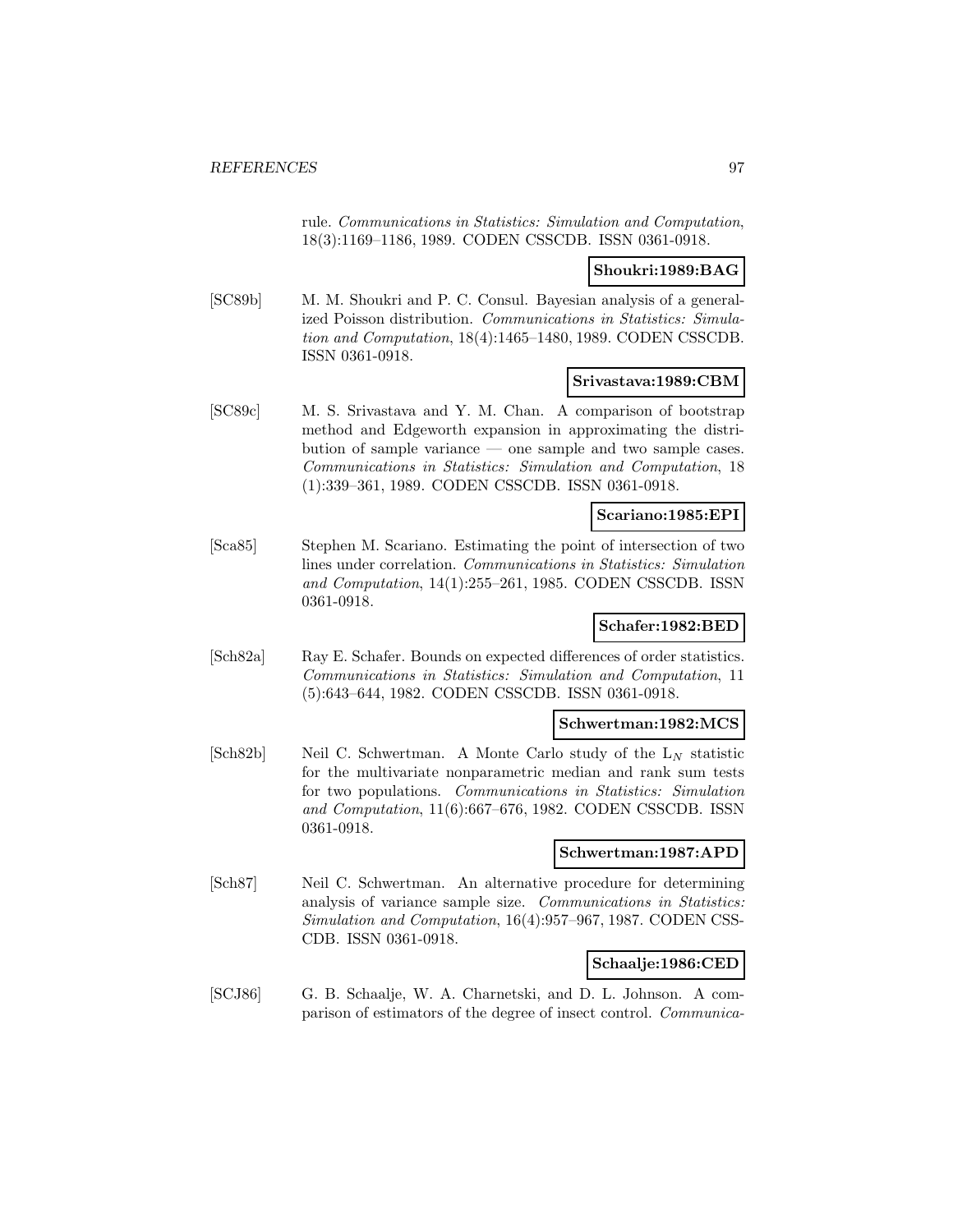rule. Communications in Statistics: Simulation and Computation, 18(3):1169–1186, 1989. CODEN CSSCDB. ISSN 0361-0918.

#### **Shoukri:1989:BAG**

[SC89b] M. M. Shoukri and P. C. Consul. Bayesian analysis of a generalized Poisson distribution. Communications in Statistics: Simulation and Computation, 18(4):1465–1480, 1989. CODEN CSSCDB. ISSN 0361-0918.

#### **Srivastava:1989:CBM**

[SC89c] M. S. Srivastava and Y. M. Chan. A comparison of bootstrap method and Edgeworth expansion in approximating the distribution of sample variance — one sample and two sample cases. Communications in Statistics: Simulation and Computation, 18 (1):339–361, 1989. CODEN CSSCDB. ISSN 0361-0918.

### **Scariano:1985:EPI**

[Sca85] Stephen M. Scariano. Estimating the point of intersection of two lines under correlation. Communications in Statistics: Simulation and Computation, 14(1):255–261, 1985. CODEN CSSCDB. ISSN 0361-0918.

### **Schafer:1982:BED**

[Sch82a] Ray E. Schafer. Bounds on expected differences of order statistics. Communications in Statistics: Simulation and Computation, 11 (5):643–644, 1982. CODEN CSSCDB. ISSN 0361-0918.

#### **Schwertman:1982:MCS**

[Sch82b] Neil C. Schwertman. A Monte Carlo study of the  $L_N$  statistic for the multivariate nonparametric median and rank sum tests for two populations. Communications in Statistics: Simulation and Computation, 11(6):667–676, 1982. CODEN CSSCDB. ISSN 0361-0918.

#### **Schwertman:1987:APD**

[Sch87] Neil C. Schwertman. An alternative procedure for determining analysis of variance sample size. Communications in Statistics: Simulation and Computation, 16(4):957–967, 1987. CODEN CSS-CDB. ISSN 0361-0918.

#### **Schaalje:1986:CED**

[SCJ86] G. B. Schaalje, W. A. Charnetski, and D. L. Johnson. A comparison of estimators of the degree of insect control. Communica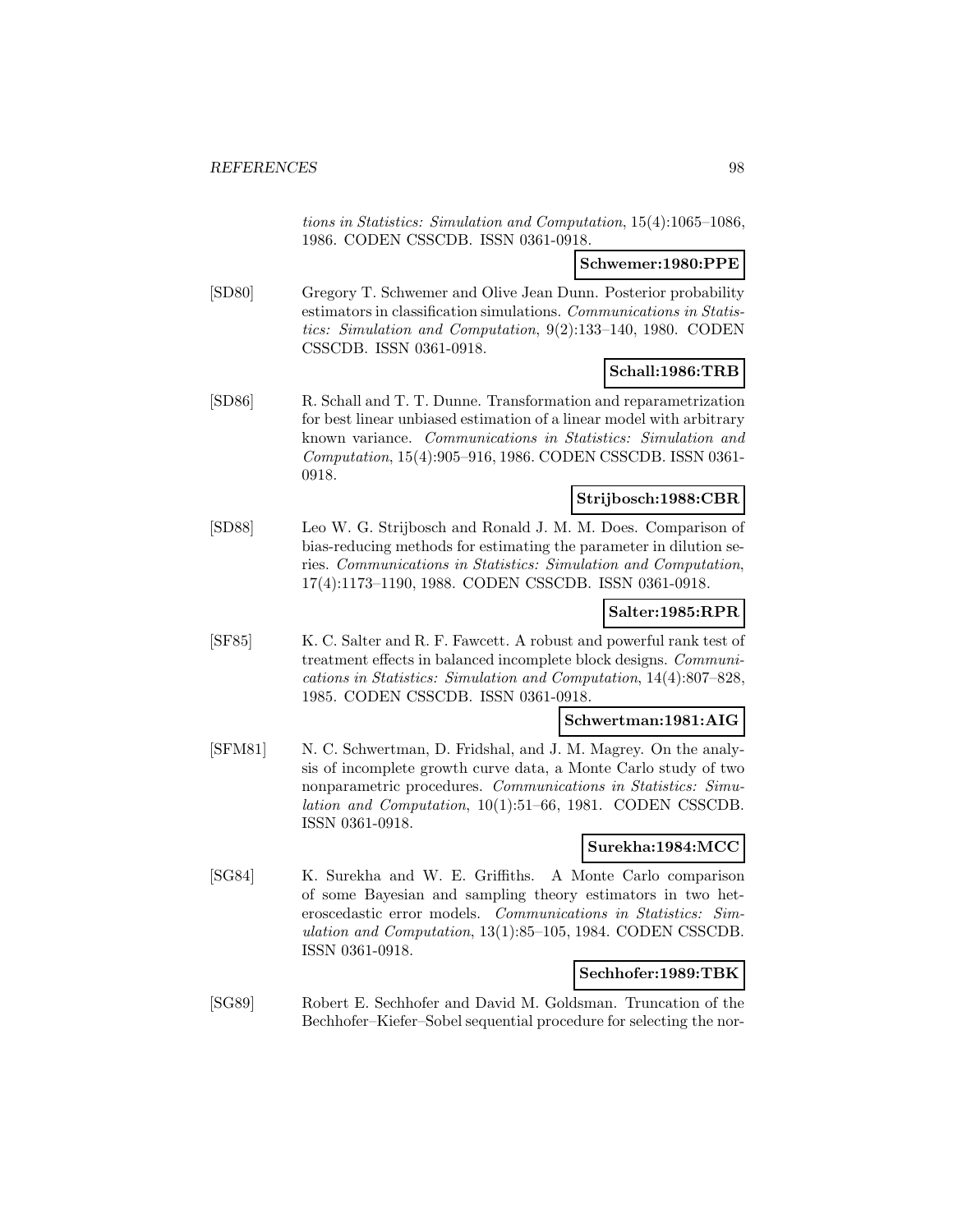tions in Statistics: Simulation and Computation, 15(4):1065–1086, 1986. CODEN CSSCDB. ISSN 0361-0918.

### **Schwemer:1980:PPE**

[SD80] Gregory T. Schwemer and Olive Jean Dunn. Posterior probability estimators in classification simulations. Communications in Statistics: Simulation and Computation, 9(2):133–140, 1980. CODEN CSSCDB. ISSN 0361-0918.

# **Schall:1986:TRB**

[SD86] R. Schall and T. T. Dunne. Transformation and reparametrization for best linear unbiased estimation of a linear model with arbitrary known variance. Communications in Statistics: Simulation and Computation, 15(4):905–916, 1986. CODEN CSSCDB. ISSN 0361- 0918.

#### **Strijbosch:1988:CBR**

[SD88] Leo W. G. Strijbosch and Ronald J. M. M. Does. Comparison of bias-reducing methods for estimating the parameter in dilution series. Communications in Statistics: Simulation and Computation, 17(4):1173–1190, 1988. CODEN CSSCDB. ISSN 0361-0918.

# **Salter:1985:RPR**

[SF85] K. C. Salter and R. F. Fawcett. A robust and powerful rank test of treatment effects in balanced incomplete block designs. Communications in Statistics: Simulation and Computation, 14(4):807–828, 1985. CODEN CSSCDB. ISSN 0361-0918.

### **Schwertman:1981:AIG**

[SFM81] N. C. Schwertman, D. Fridshal, and J. M. Magrey. On the analysis of incomplete growth curve data, a Monte Carlo study of two nonparametric procedures. Communications in Statistics: Simulation and Computation, 10(1):51–66, 1981. CODEN CSSCDB. ISSN 0361-0918.

### **Surekha:1984:MCC**

[SG84] K. Surekha and W. E. Griffiths. A Monte Carlo comparison of some Bayesian and sampling theory estimators in two heteroscedastic error models. Communications in Statistics: Simulation and Computation, 13(1):85–105, 1984. CODEN CSSCDB. ISSN 0361-0918.

### **Sechhofer:1989:TBK**

[SG89] Robert E. Sechhofer and David M. Goldsman. Truncation of the Bechhofer–Kiefer–Sobel sequential procedure for selecting the nor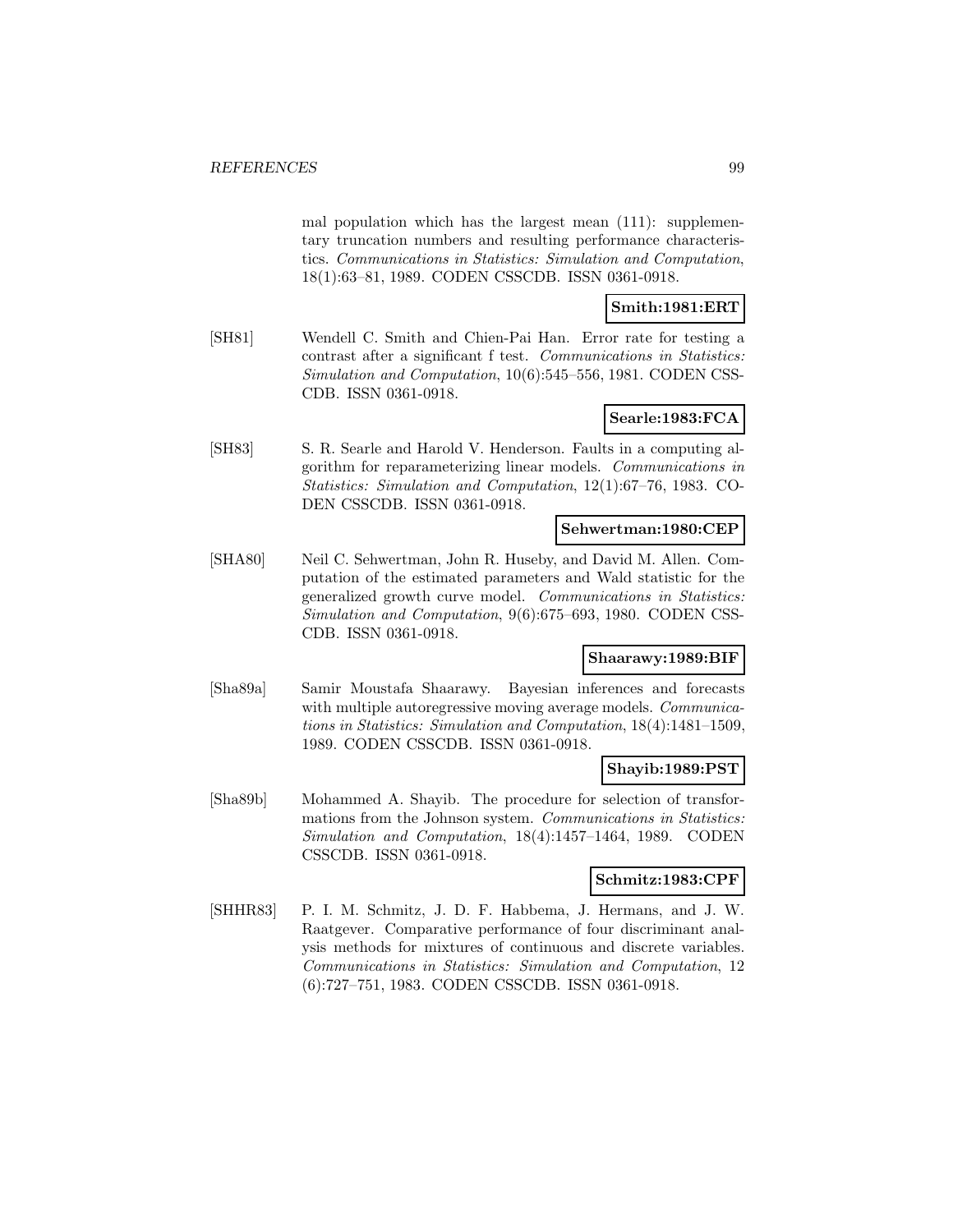mal population which has the largest mean (111): supplementary truncation numbers and resulting performance characteristics. Communications in Statistics: Simulation and Computation, 18(1):63–81, 1989. CODEN CSSCDB. ISSN 0361-0918.

# **Smith:1981:ERT**

[SH81] Wendell C. Smith and Chien-Pai Han. Error rate for testing a contrast after a significant f test. Communications in Statistics: Simulation and Computation, 10(6):545–556, 1981. CODEN CSS-CDB. ISSN 0361-0918.

### **Searle:1983:FCA**

[SH83] S. R. Searle and Harold V. Henderson. Faults in a computing algorithm for reparameterizing linear models. Communications in Statistics: Simulation and Computation, 12(1):67–76, 1983. CO-DEN CSSCDB. ISSN 0361-0918.

#### **Sehwertman:1980:CEP**

[SHA80] Neil C. Sehwertman, John R. Huseby, and David M. Allen. Computation of the estimated parameters and Wald statistic for the generalized growth curve model. Communications in Statistics: Simulation and Computation, 9(6):675–693, 1980. CODEN CSS-CDB. ISSN 0361-0918.

#### **Shaarawy:1989:BIF**

[Sha89a] Samir Moustafa Shaarawy. Bayesian inferences and forecasts with multiple autoregressive moving average models. *Communica*tions in Statistics: Simulation and Computation, 18(4):1481–1509, 1989. CODEN CSSCDB. ISSN 0361-0918.

### **Shayib:1989:PST**

[Sha89b] Mohammed A. Shayib. The procedure for selection of transformations from the Johnson system. Communications in Statistics: Simulation and Computation, 18(4):1457–1464, 1989. CODEN CSSCDB. ISSN 0361-0918.

### **Schmitz:1983:CPF**

[SHHR83] P. I. M. Schmitz, J. D. F. Habbema, J. Hermans, and J. W. Raatgever. Comparative performance of four discriminant analysis methods for mixtures of continuous and discrete variables. Communications in Statistics: Simulation and Computation, 12 (6):727–751, 1983. CODEN CSSCDB. ISSN 0361-0918.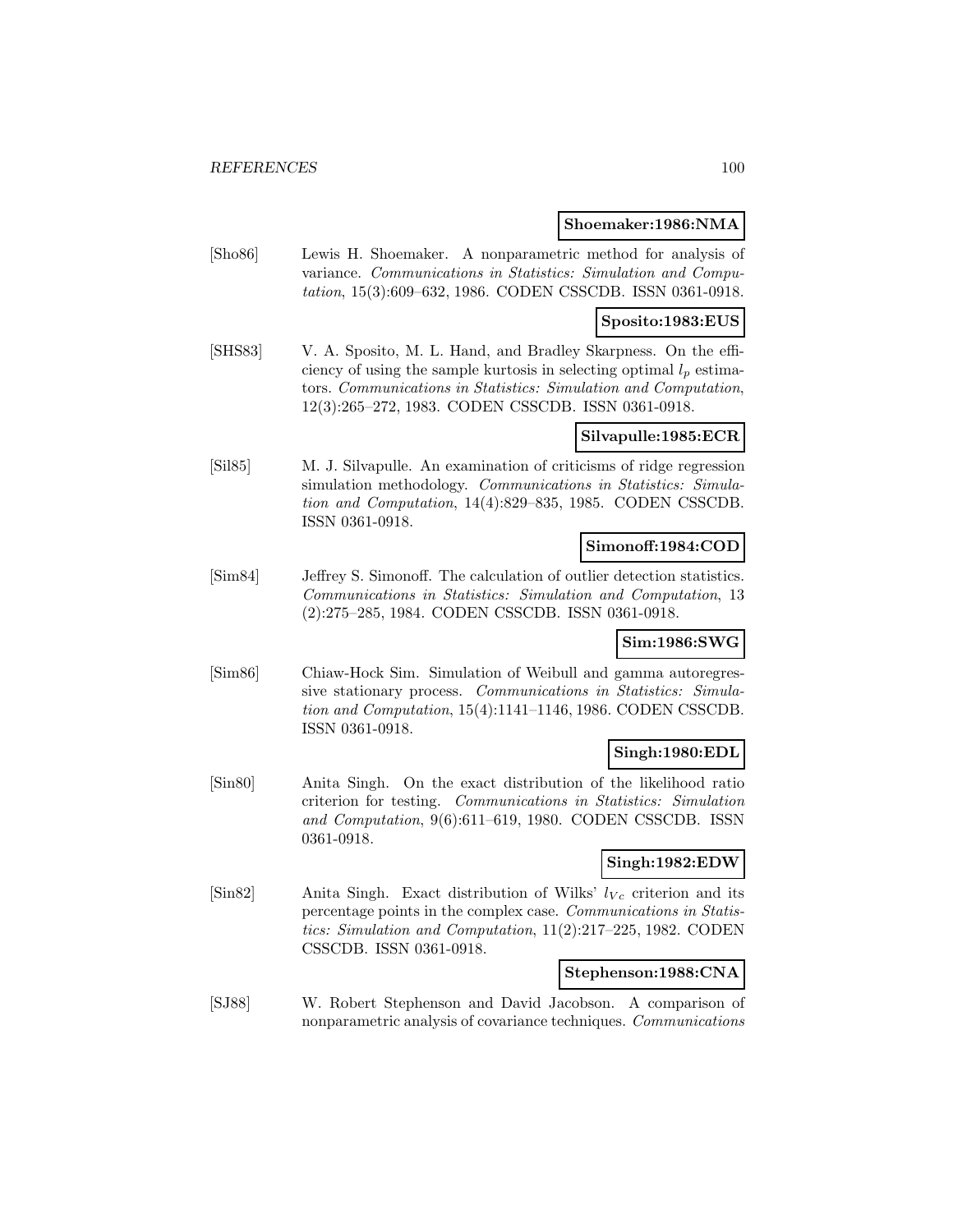#### **Shoemaker:1986:NMA**

[Sho86] Lewis H. Shoemaker. A nonparametric method for analysis of variance. Communications in Statistics: Simulation and Computation, 15(3):609–632, 1986. CODEN CSSCDB. ISSN 0361-0918.

### **Sposito:1983:EUS**

[SHS83] V. A. Sposito, M. L. Hand, and Bradley Skarpness. On the efficiency of using the sample kurtosis in selecting optimal  $l_p$  estimators. Communications in Statistics: Simulation and Computation, 12(3):265–272, 1983. CODEN CSSCDB. ISSN 0361-0918.

### **Silvapulle:1985:ECR**

[Sil85] M. J. Silvapulle. An examination of criticisms of ridge regression simulation methodology. Communications in Statistics: Simulation and Computation, 14(4):829–835, 1985. CODEN CSSCDB. ISSN 0361-0918.

### **Simonoff:1984:COD**

[Sim84] Jeffrey S. Simonoff. The calculation of outlier detection statistics. Communications in Statistics: Simulation and Computation, 13 (2):275–285, 1984. CODEN CSSCDB. ISSN 0361-0918.

# **Sim:1986:SWG**

[Sim86] Chiaw-Hock Sim. Simulation of Weibull and gamma autoregressive stationary process. Communications in Statistics: Simulation and Computation, 15(4):1141–1146, 1986. CODEN CSSCDB. ISSN 0361-0918.

### **Singh:1980:EDL**

[Sin80] Anita Singh. On the exact distribution of the likelihood ratio criterion for testing. Communications in Statistics: Simulation and Computation, 9(6):611–619, 1980. CODEN CSSCDB. ISSN 0361-0918.

### **Singh:1982:EDW**

 $[\text{Sin}82]$  Anita Singh. Exact distribution of Wilks'  $l_{V_c}$  criterion and its percentage points in the complex case. Communications in Statistics: Simulation and Computation, 11(2):217–225, 1982. CODEN CSSCDB. ISSN 0361-0918.

### **Stephenson:1988:CNA**

[SJ88] W. Robert Stephenson and David Jacobson. A comparison of nonparametric analysis of covariance techniques. Communications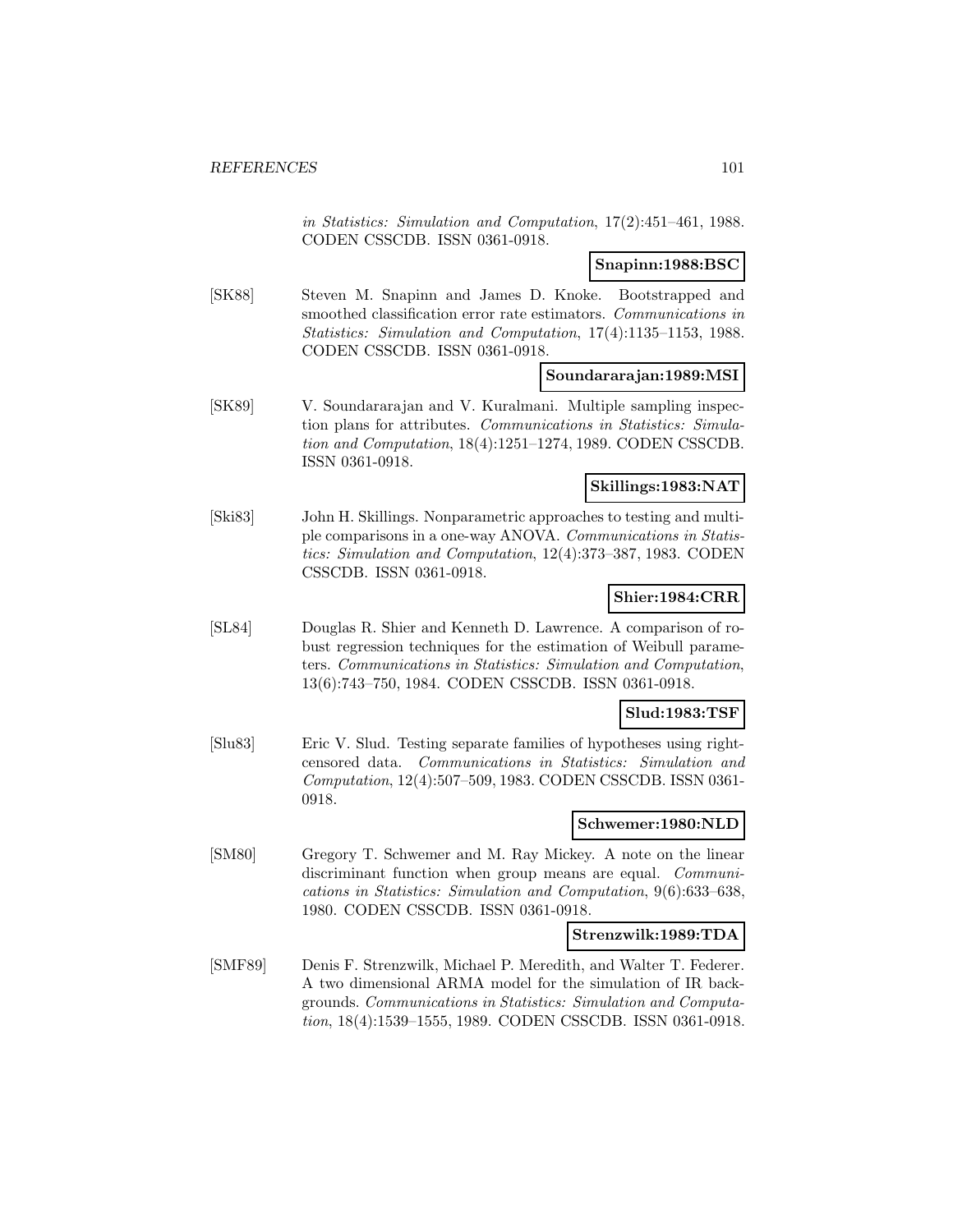in Statistics: Simulation and Computation, 17(2):451–461, 1988. CODEN CSSCDB. ISSN 0361-0918.

#### **Snapinn:1988:BSC**

[SK88] Steven M. Snapinn and James D. Knoke. Bootstrapped and smoothed classification error rate estimators. Communications in Statistics: Simulation and Computation, 17(4):1135–1153, 1988. CODEN CSSCDB. ISSN 0361-0918.

#### **Soundararajan:1989:MSI**

[SK89] V. Soundararajan and V. Kuralmani. Multiple sampling inspection plans for attributes. Communications in Statistics: Simulation and Computation, 18(4):1251–1274, 1989. CODEN CSSCDB. ISSN 0361-0918.

### **Skillings:1983:NAT**

[Ski83] John H. Skillings. Nonparametric approaches to testing and multiple comparisons in a one-way ANOVA. Communications in Statistics: Simulation and Computation, 12(4):373–387, 1983. CODEN CSSCDB. ISSN 0361-0918.

# **Shier:1984:CRR**

[SL84] Douglas R. Shier and Kenneth D. Lawrence. A comparison of robust regression techniques for the estimation of Weibull parameters. Communications in Statistics: Simulation and Computation, 13(6):743–750, 1984. CODEN CSSCDB. ISSN 0361-0918.

#### **Slud:1983:TSF**

[Slu83] Eric V. Slud. Testing separate families of hypotheses using rightcensored data. Communications in Statistics: Simulation and Computation, 12(4):507–509, 1983. CODEN CSSCDB. ISSN 0361- 0918.

#### **Schwemer:1980:NLD**

[SM80] Gregory T. Schwemer and M. Ray Mickey. A note on the linear discriminant function when group means are equal. *Communi*cations in Statistics: Simulation and Computation, 9(6):633–638, 1980. CODEN CSSCDB. ISSN 0361-0918.

#### **Strenzwilk:1989:TDA**

[SMF89] Denis F. Strenzwilk, Michael P. Meredith, and Walter T. Federer. A two dimensional ARMA model for the simulation of IR backgrounds. Communications in Statistics: Simulation and Computation, 18(4):1539–1555, 1989. CODEN CSSCDB. ISSN 0361-0918.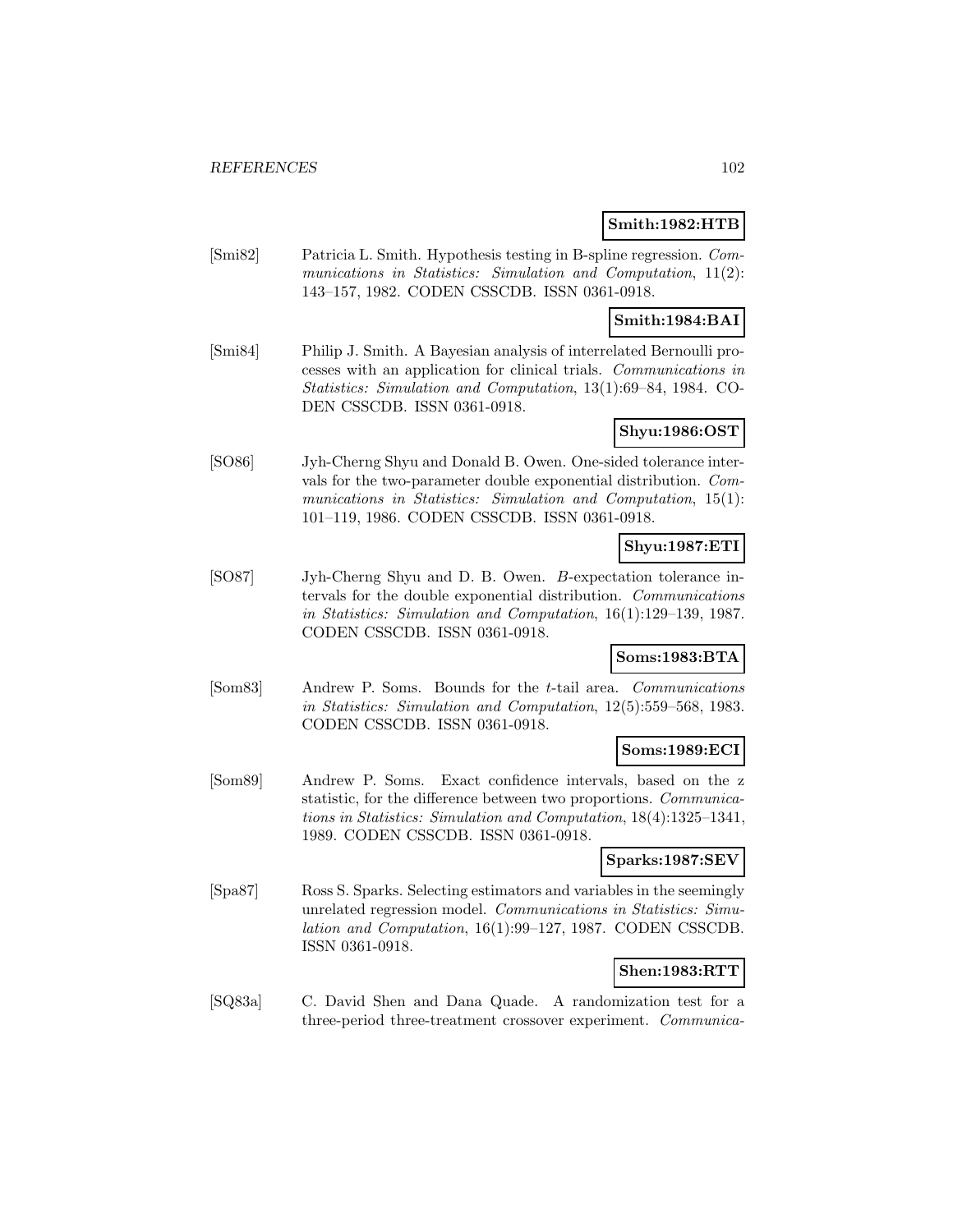### **Smith:1982:HTB**

[Smi82] Patricia L. Smith. Hypothesis testing in B-spline regression. Communications in Statistics: Simulation and Computation, 11(2): 143–157, 1982. CODEN CSSCDB. ISSN 0361-0918.

### **Smith:1984:BAI**

[Smi84] Philip J. Smith. A Bayesian analysis of interrelated Bernoulli processes with an application for clinical trials. Communications in Statistics: Simulation and Computation, 13(1):69–84, 1984. CO-DEN CSSCDB. ISSN 0361-0918.

#### **Shyu:1986:OST**

[SO86] Jyh-Cherng Shyu and Donald B. Owen. One-sided tolerance intervals for the two-parameter double exponential distribution. Communications in Statistics: Simulation and Computation, 15(1): 101–119, 1986. CODEN CSSCDB. ISSN 0361-0918.

# **Shyu:1987:ETI**

[SO87] Jyh-Cherng Shyu and D. B. Owen. B-expectation tolerance intervals for the double exponential distribution. Communications in Statistics: Simulation and Computation, 16(1):129–139, 1987. CODEN CSSCDB. ISSN 0361-0918.

### **Soms:1983:BTA**

[Som83] Andrew P. Soms. Bounds for the t-tail area. Communications in Statistics: Simulation and Computation, 12(5):559–568, 1983. CODEN CSSCDB. ISSN 0361-0918.

#### **Soms:1989:ECI**

[Som89] Andrew P. Soms. Exact confidence intervals, based on the z statistic, for the difference between two proportions. Communications in Statistics: Simulation and Computation, 18(4):1325–1341, 1989. CODEN CSSCDB. ISSN 0361-0918.

#### **Sparks:1987:SEV**

[Spa87] Ross S. Sparks. Selecting estimators and variables in the seemingly unrelated regression model. Communications in Statistics: Simulation and Computation, 16(1):99–127, 1987. CODEN CSSCDB. ISSN 0361-0918.

#### **Shen:1983:RTT**

[SQ83a] C. David Shen and Dana Quade. A randomization test for a three-period three-treatment crossover experiment. Communica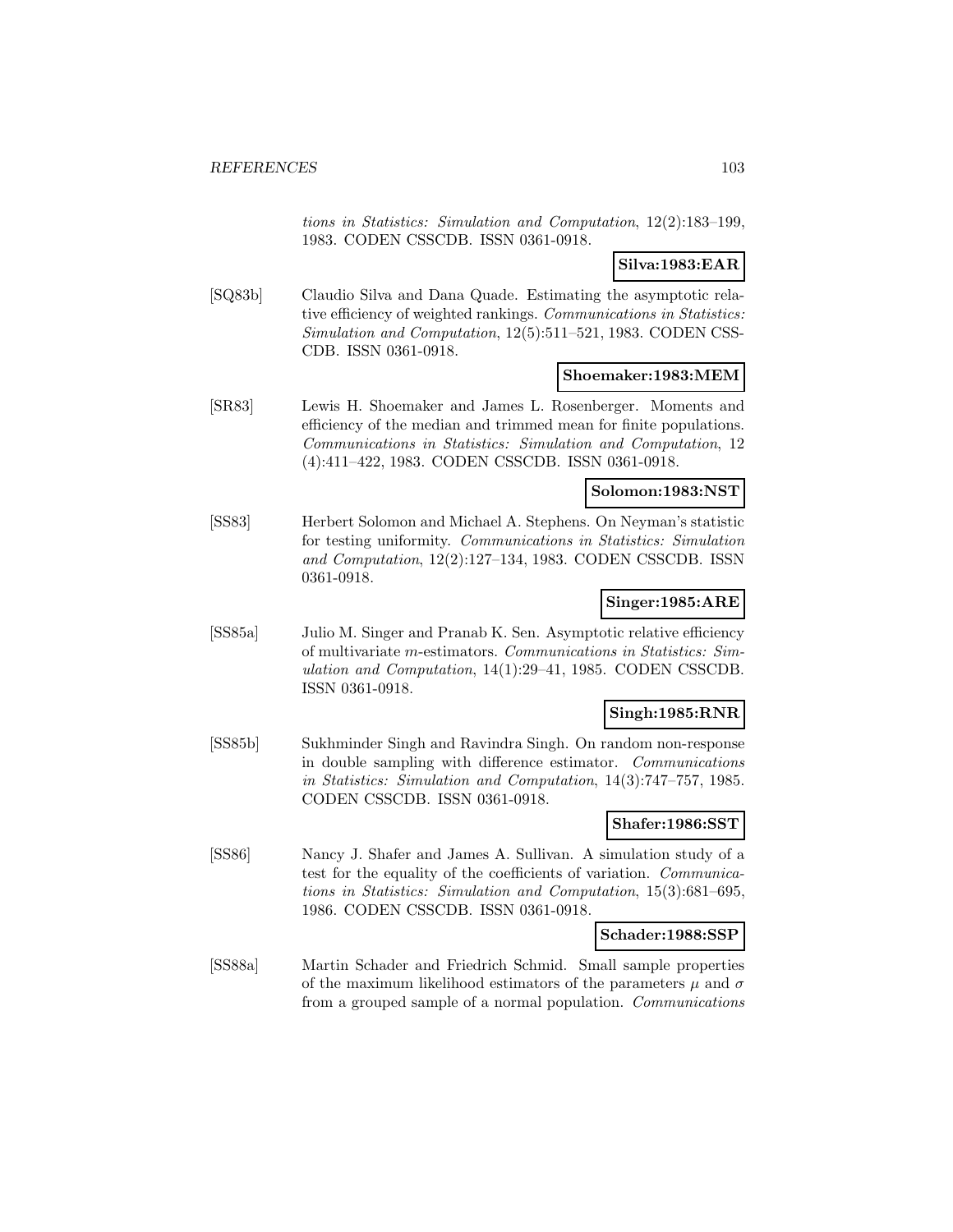tions in Statistics: Simulation and Computation, 12(2):183–199, 1983. CODEN CSSCDB. ISSN 0361-0918.

**Silva:1983:EAR**

[SQ83b] Claudio Silva and Dana Quade. Estimating the asymptotic relative efficiency of weighted rankings. Communications in Statistics: Simulation and Computation, 12(5):511–521, 1983. CODEN CSS-CDB. ISSN 0361-0918.

#### **Shoemaker:1983:MEM**

[SR83] Lewis H. Shoemaker and James L. Rosenberger. Moments and efficiency of the median and trimmed mean for finite populations. Communications in Statistics: Simulation and Computation, 12 (4):411–422, 1983. CODEN CSSCDB. ISSN 0361-0918.

#### **Solomon:1983:NST**

[SS83] Herbert Solomon and Michael A. Stephens. On Neyman's statistic for testing uniformity. Communications in Statistics: Simulation and Computation, 12(2):127–134, 1983. CODEN CSSCDB. ISSN 0361-0918.

### **Singer:1985:ARE**

[SS85a] Julio M. Singer and Pranab K. Sen. Asymptotic relative efficiency of multivariate m-estimators. Communications in Statistics: Simulation and Computation, 14(1):29–41, 1985. CODEN CSSCDB. ISSN 0361-0918.

#### **Singh:1985:RNR**

[SS85b] Sukhminder Singh and Ravindra Singh. On random non-response in double sampling with difference estimator. Communications in Statistics: Simulation and Computation, 14(3):747–757, 1985. CODEN CSSCDB. ISSN 0361-0918.

### **Shafer:1986:SST**

[SS86] Nancy J. Shafer and James A. Sullivan. A simulation study of a test for the equality of the coefficients of variation. Communications in Statistics: Simulation and Computation, 15(3):681–695, 1986. CODEN CSSCDB. ISSN 0361-0918.

#### **Schader:1988:SSP**

[SS88a] Martin Schader and Friedrich Schmid. Small sample properties of the maximum likelihood estimators of the parameters  $\mu$  and  $\sigma$ from a grouped sample of a normal population. Communications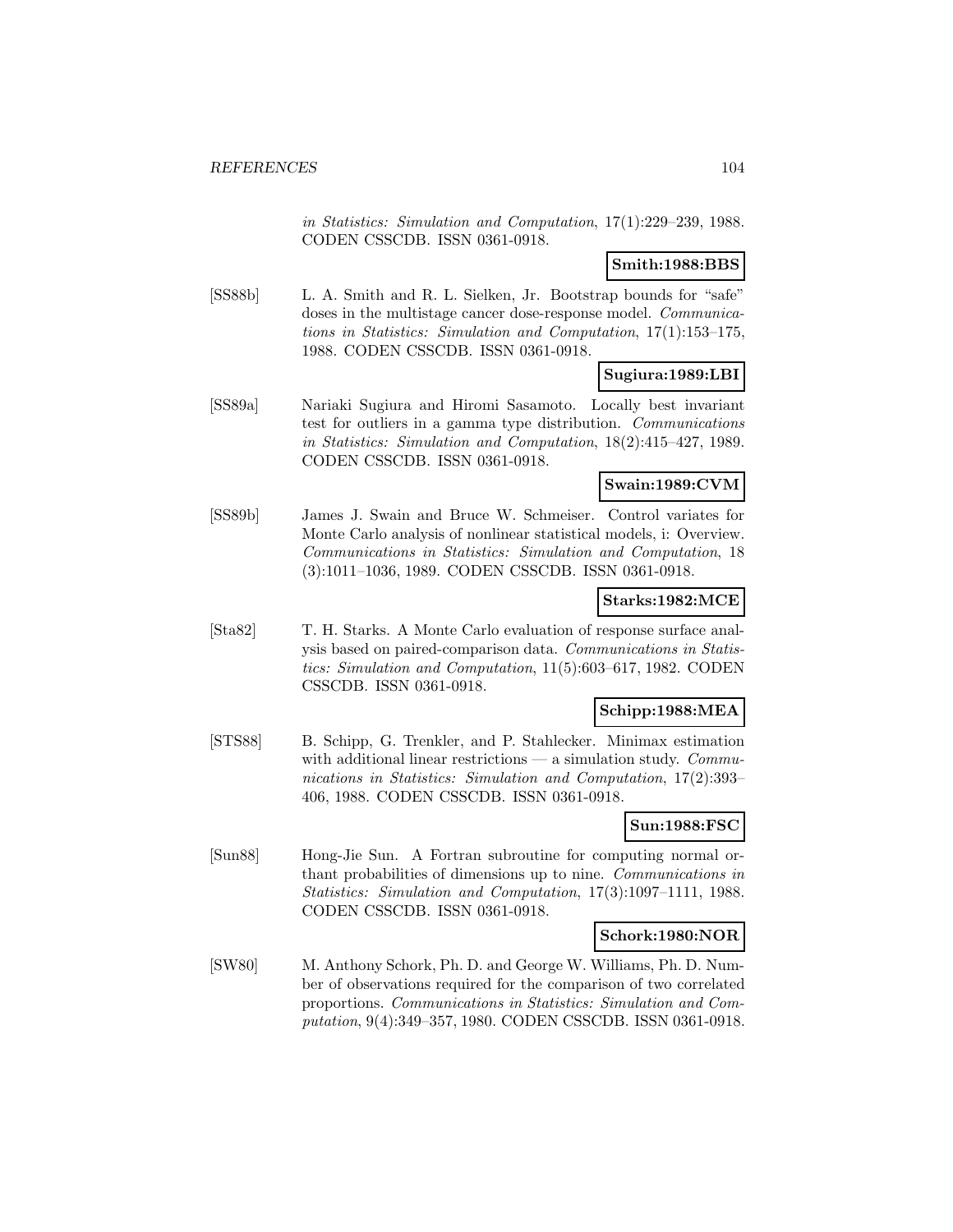in Statistics: Simulation and Computation, 17(1):229–239, 1988. CODEN CSSCDB. ISSN 0361-0918.

# **Smith:1988:BBS**

[SS88b] L. A. Smith and R. L. Sielken, Jr. Bootstrap bounds for "safe" doses in the multistage cancer dose-response model. *Communica*tions in Statistics: Simulation and Computation, 17(1):153–175, 1988. CODEN CSSCDB. ISSN 0361-0918.

# **Sugiura:1989:LBI**

[SS89a] Nariaki Sugiura and Hiromi Sasamoto. Locally best invariant test for outliers in a gamma type distribution. Communications in Statistics: Simulation and Computation, 18(2):415–427, 1989. CODEN CSSCDB. ISSN 0361-0918.

#### **Swain:1989:CVM**

[SS89b] James J. Swain and Bruce W. Schmeiser. Control variates for Monte Carlo analysis of nonlinear statistical models, i: Overview. Communications in Statistics: Simulation and Computation, 18 (3):1011–1036, 1989. CODEN CSSCDB. ISSN 0361-0918.

### **Starks:1982:MCE**

[Sta82] T. H. Starks. A Monte Carlo evaluation of response surface analysis based on paired-comparison data. Communications in Statistics: Simulation and Computation, 11(5):603–617, 1982. CODEN CSSCDB. ISSN 0361-0918.

### **Schipp:1988:MEA**

[STS88] B. Schipp, G. Trenkler, and P. Stahlecker. Minimax estimation with additional linear restrictions — a simulation study.  $Commu$ nications in Statistics: Simulation and Computation, 17(2):393– 406, 1988. CODEN CSSCDB. ISSN 0361-0918.

### **Sun:1988:FSC**

[Sun88] Hong-Jie Sun. A Fortran subroutine for computing normal orthant probabilities of dimensions up to nine. Communications in Statistics: Simulation and Computation, 17(3):1097–1111, 1988. CODEN CSSCDB. ISSN 0361-0918.

#### **Schork:1980:NOR**

[SW80] M. Anthony Schork, Ph. D. and George W. Williams, Ph. D. Number of observations required for the comparison of two correlated proportions. Communications in Statistics: Simulation and Computation, 9(4):349–357, 1980. CODEN CSSCDB. ISSN 0361-0918.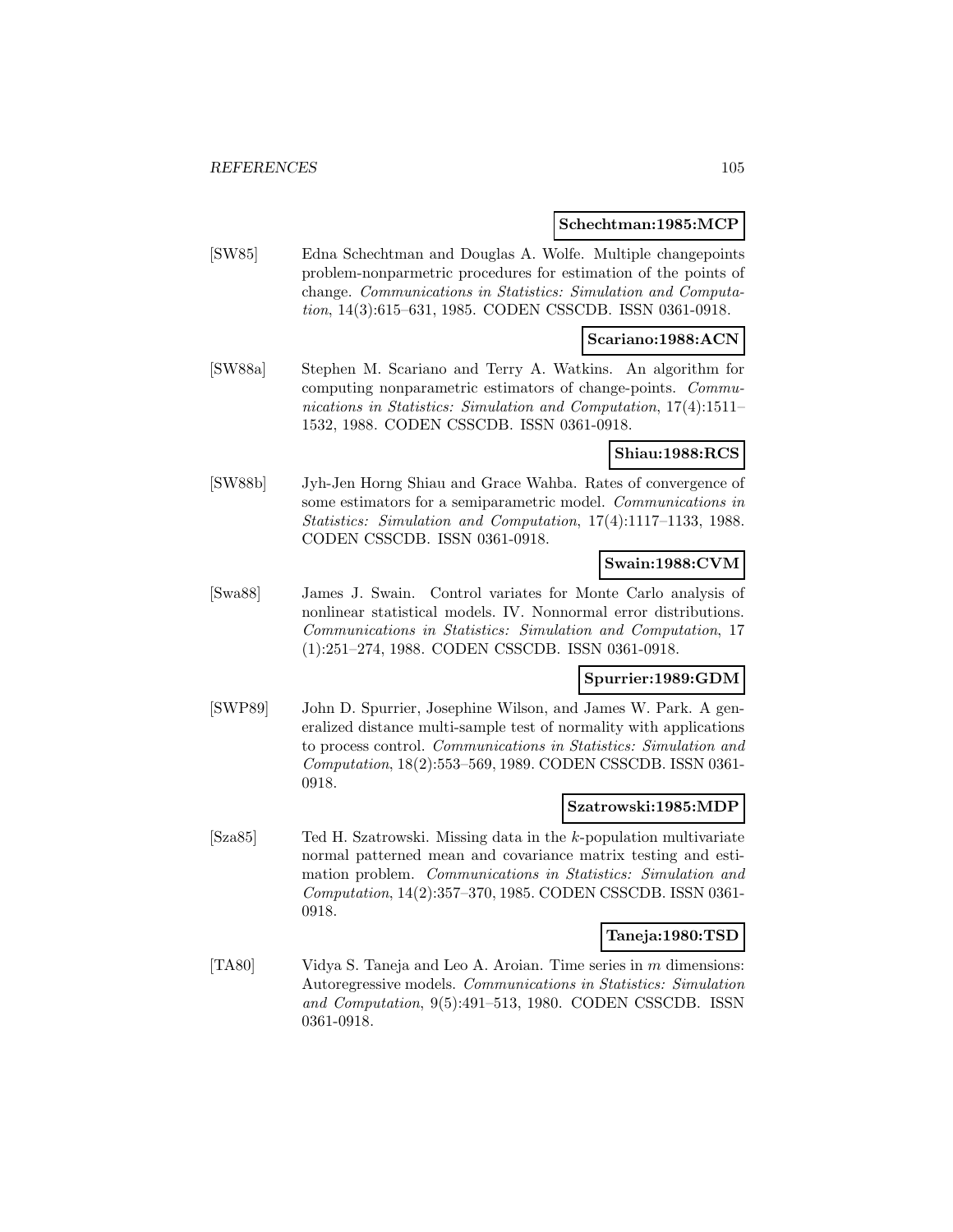#### **Schechtman:1985:MCP**

[SW85] Edna Schechtman and Douglas A. Wolfe. Multiple changepoints problem-nonparmetric procedures for estimation of the points of change. Communications in Statistics: Simulation and Computation, 14(3):615–631, 1985. CODEN CSSCDB. ISSN 0361-0918.

#### **Scariano:1988:ACN**

[SW88a] Stephen M. Scariano and Terry A. Watkins. An algorithm for computing nonparametric estimators of change-points. Communications in Statistics: Simulation and Computation, 17(4):1511– 1532, 1988. CODEN CSSCDB. ISSN 0361-0918.

#### **Shiau:1988:RCS**

[SW88b] Jyh-Jen Horng Shiau and Grace Wahba. Rates of convergence of some estimators for a semiparametric model. Communications in Statistics: Simulation and Computation, 17(4):1117–1133, 1988. CODEN CSSCDB. ISSN 0361-0918.

# **Swain:1988:CVM**

[Swa88] James J. Swain. Control variates for Monte Carlo analysis of nonlinear statistical models. IV. Nonnormal error distributions. Communications in Statistics: Simulation and Computation, 17 (1):251–274, 1988. CODEN CSSCDB. ISSN 0361-0918.

### **Spurrier:1989:GDM**

[SWP89] John D. Spurrier, Josephine Wilson, and James W. Park. A generalized distance multi-sample test of normality with applications to process control. Communications in Statistics: Simulation and Computation, 18(2):553–569, 1989. CODEN CSSCDB. ISSN 0361- 0918.

#### **Szatrowski:1985:MDP**

[Sza85] Ted H. Szatrowski. Missing data in the k-population multivariate normal patterned mean and covariance matrix testing and estimation problem. Communications in Statistics: Simulation and Computation, 14(2):357–370, 1985. CODEN CSSCDB. ISSN 0361- 0918.

#### **Taneja:1980:TSD**

[TA80] Vidya S. Taneja and Leo A. Aroian. Time series in m dimensions: Autoregressive models. Communications in Statistics: Simulation and Computation, 9(5):491–513, 1980. CODEN CSSCDB. ISSN 0361-0918.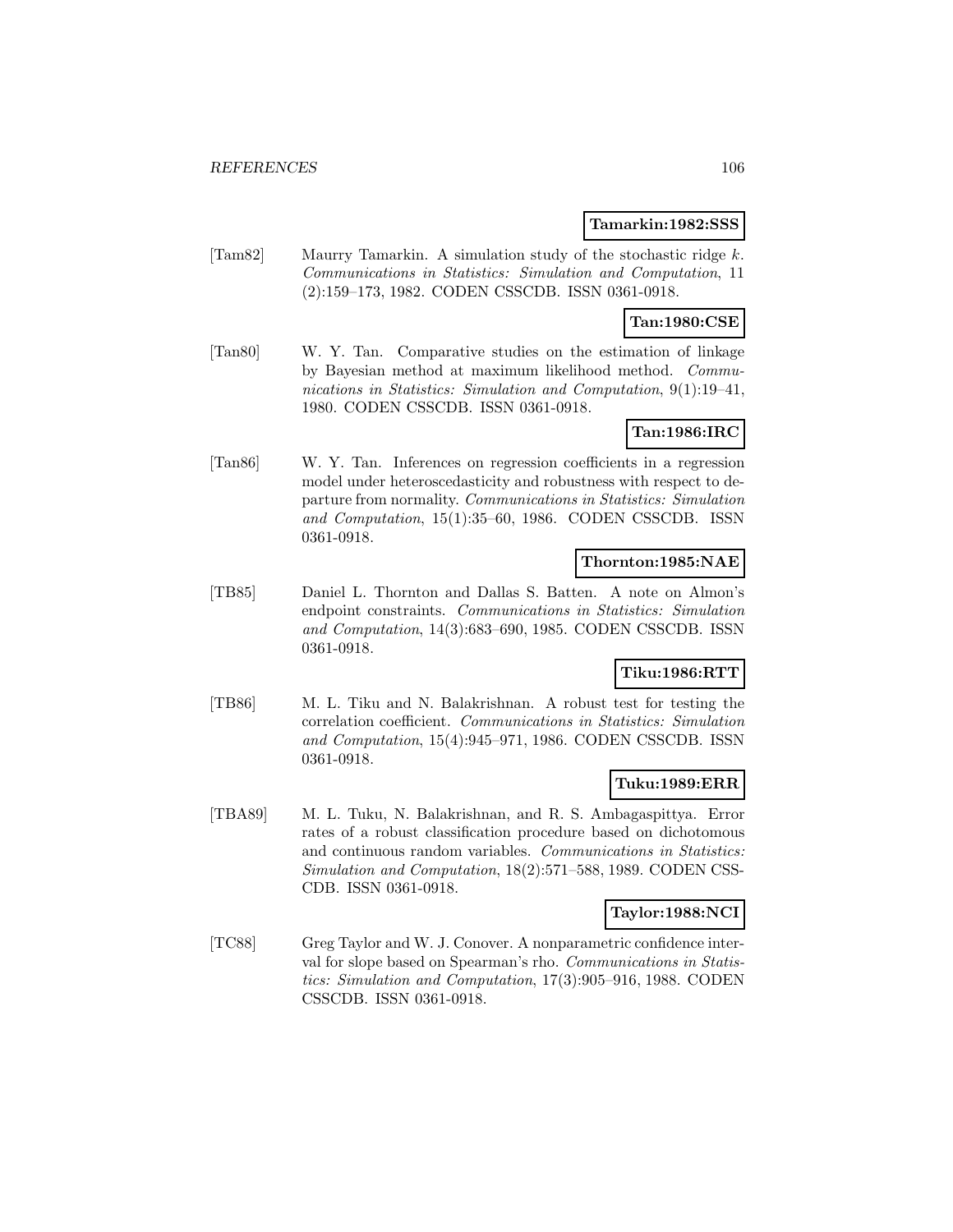#### **Tamarkin:1982:SSS**

[Tam82] Maurry Tamarkin. A simulation study of the stochastic ridge k. Communications in Statistics: Simulation and Computation, 11 (2):159–173, 1982. CODEN CSSCDB. ISSN 0361-0918.

# **Tan:1980:CSE**

[Tan80] W. Y. Tan. Comparative studies on the estimation of linkage by Bayesian method at maximum likelihood method. Communications in Statistics: Simulation and Computation, 9(1):19–41, 1980. CODEN CSSCDB. ISSN 0361-0918.

# **Tan:1986:IRC**

[Tan86] W. Y. Tan. Inferences on regression coefficients in a regression model under heteroscedasticity and robustness with respect to departure from normality. Communications in Statistics: Simulation and Computation, 15(1):35–60, 1986. CODEN CSSCDB. ISSN 0361-0918.

### **Thornton:1985:NAE**

[TB85] Daniel L. Thornton and Dallas S. Batten. A note on Almon's endpoint constraints. Communications in Statistics: Simulation and Computation, 14(3):683–690, 1985. CODEN CSSCDB. ISSN 0361-0918.

### **Tiku:1986:RTT**

[TB86] M. L. Tiku and N. Balakrishnan. A robust test for testing the correlation coefficient. Communications in Statistics: Simulation and Computation, 15(4):945–971, 1986. CODEN CSSCDB. ISSN 0361-0918.

### **Tuku:1989:ERR**

[TBA89] M. L. Tuku, N. Balakrishnan, and R. S. Ambagaspittya. Error rates of a robust classification procedure based on dichotomous and continuous random variables. Communications in Statistics: Simulation and Computation, 18(2):571–588, 1989. CODEN CSS-CDB. ISSN 0361-0918.

#### **Taylor:1988:NCI**

[TC88] Greg Taylor and W. J. Conover. A nonparametric confidence interval for slope based on Spearman's rho. Communications in Statistics: Simulation and Computation, 17(3):905–916, 1988. CODEN CSSCDB. ISSN 0361-0918.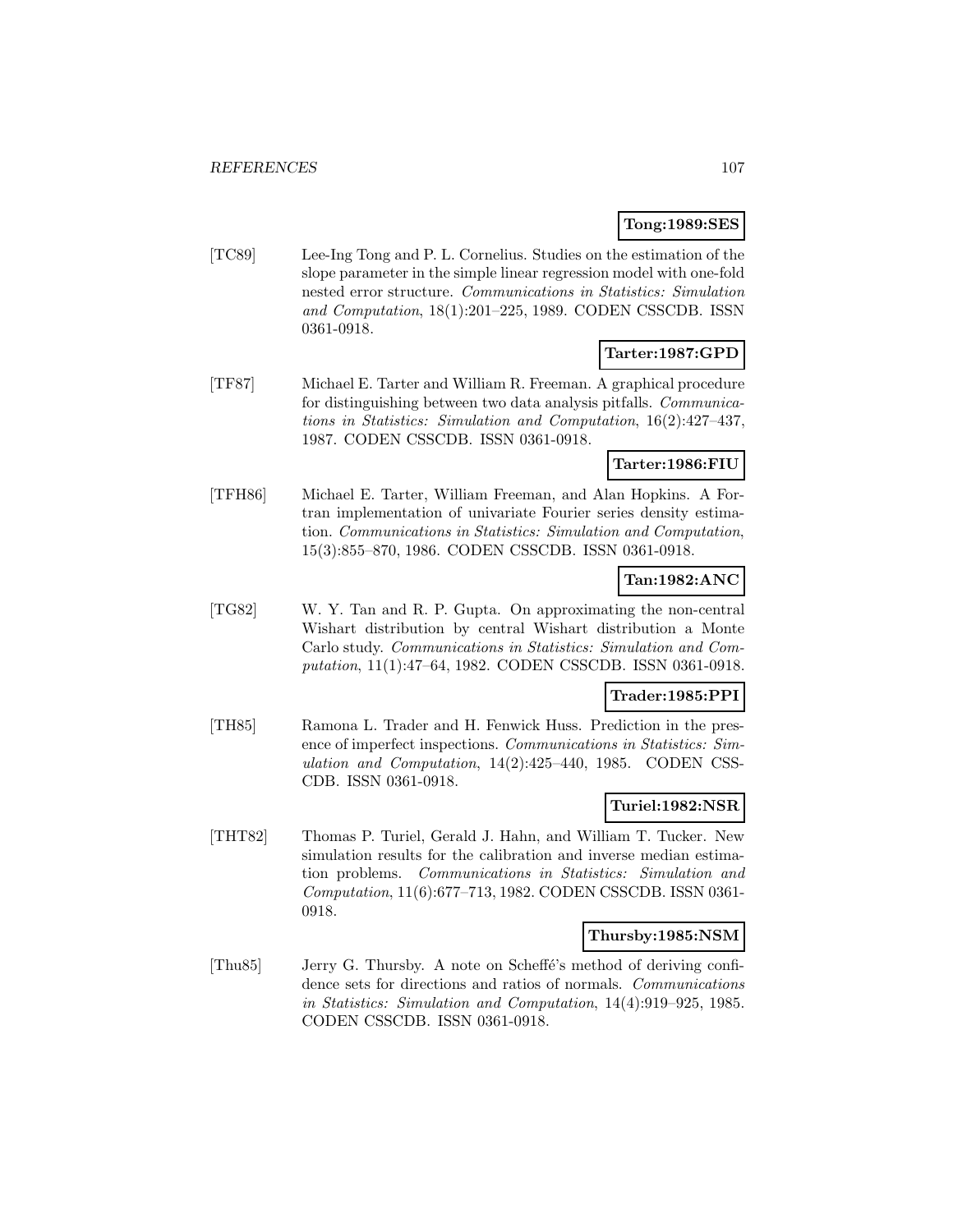# **Tong:1989:SES**

[TC89] Lee-Ing Tong and P. L. Cornelius. Studies on the estimation of the slope parameter in the simple linear regression model with one-fold nested error structure. Communications in Statistics: Simulation and Computation, 18(1):201–225, 1989. CODEN CSSCDB. ISSN 0361-0918.

### **Tarter:1987:GPD**

[TF87] Michael E. Tarter and William R. Freeman. A graphical procedure for distinguishing between two data analysis pitfalls. Communications in Statistics: Simulation and Computation, 16(2):427–437, 1987. CODEN CSSCDB. ISSN 0361-0918.

# **Tarter:1986:FIU**

[TFH86] Michael E. Tarter, William Freeman, and Alan Hopkins. A Fortran implementation of univariate Fourier series density estimation. Communications in Statistics: Simulation and Computation, 15(3):855–870, 1986. CODEN CSSCDB. ISSN 0361-0918.

### **Tan:1982:ANC**

[TG82] W. Y. Tan and R. P. Gupta. On approximating the non-central Wishart distribution by central Wishart distribution a Monte Carlo study. Communications in Statistics: Simulation and Computation, 11(1):47–64, 1982. CODEN CSSCDB. ISSN 0361-0918.

### **Trader:1985:PPI**

[TH85] Ramona L. Trader and H. Fenwick Huss. Prediction in the presence of imperfect inspections. Communications in Statistics: Simulation and Computation, 14(2):425–440, 1985. CODEN CSS-CDB. ISSN 0361-0918.

### **Turiel:1982:NSR**

[THT82] Thomas P. Turiel, Gerald J. Hahn, and William T. Tucker. New simulation results for the calibration and inverse median estimation problems. Communications in Statistics: Simulation and Computation, 11(6):677–713, 1982. CODEN CSSCDB. ISSN 0361- 0918.

#### **Thursby:1985:NSM**

[Thu85] Jerry G. Thursby. A note on Scheffé's method of deriving confidence sets for directions and ratios of normals. Communications in Statistics: Simulation and Computation, 14(4):919–925, 1985. CODEN CSSCDB. ISSN 0361-0918.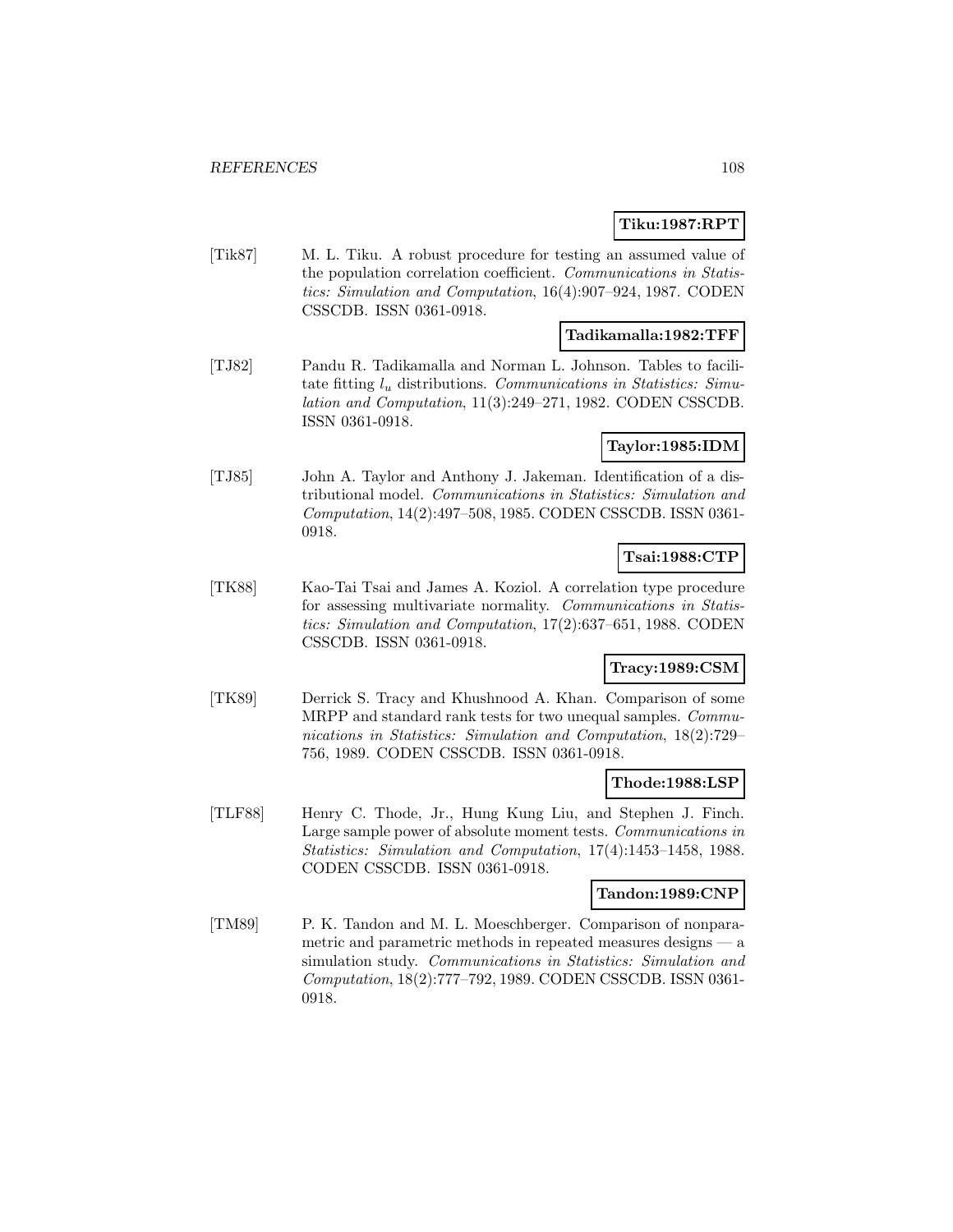### **Tiku:1987:RPT**

[Tik87] M. L. Tiku. A robust procedure for testing an assumed value of the population correlation coefficient. Communications in Statistics: Simulation and Computation, 16(4):907–924, 1987. CODEN CSSCDB. ISSN 0361-0918.

# **Tadikamalla:1982:TFF**

[TJ82] Pandu R. Tadikamalla and Norman L. Johnson. Tables to facilitate fitting  $l_u$  distributions. Communications in Statistics: Simulation and Computation, 11(3):249–271, 1982. CODEN CSSCDB. ISSN 0361-0918.

### **Taylor:1985:IDM**

[TJ85] John A. Taylor and Anthony J. Jakeman. Identification of a distributional model. Communications in Statistics: Simulation and Computation, 14(2):497–508, 1985. CODEN CSSCDB. ISSN 0361- 0918.

# **Tsai:1988:CTP**

[TK88] Kao-Tai Tsai and James A. Koziol. A correlation type procedure for assessing multivariate normality. Communications in Statistics: Simulation and Computation, 17(2):637–651, 1988. CODEN CSSCDB. ISSN 0361-0918.

# **Tracy:1989:CSM**

[TK89] Derrick S. Tracy and Khushnood A. Khan. Comparison of some MRPP and standard rank tests for two unequal samples. Communications in Statistics: Simulation and Computation, 18(2):729– 756, 1989. CODEN CSSCDB. ISSN 0361-0918.

#### **Thode:1988:LSP**

[TLF88] Henry C. Thode, Jr., Hung Kung Liu, and Stephen J. Finch. Large sample power of absolute moment tests. Communications in Statistics: Simulation and Computation, 17(4):1453–1458, 1988. CODEN CSSCDB. ISSN 0361-0918.

#### **Tandon:1989:CNP**

[TM89] P. K. Tandon and M. L. Moeschberger. Comparison of nonparametric and parametric methods in repeated measures designs — a simulation study. Communications in Statistics: Simulation and Computation, 18(2):777–792, 1989. CODEN CSSCDB. ISSN 0361- 0918.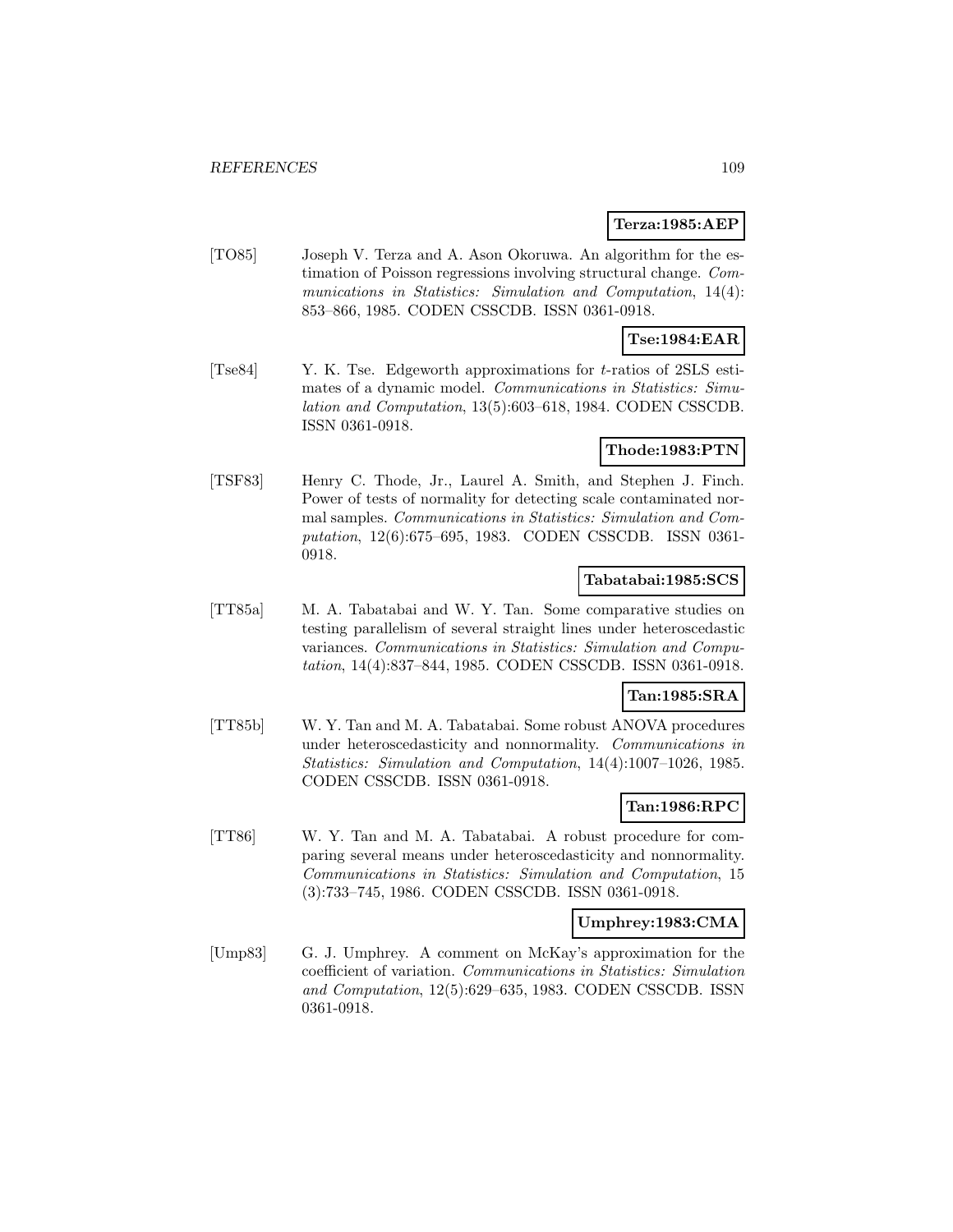#### **Terza:1985:AEP**

[TO85] Joseph V. Terza and A. Ason Okoruwa. An algorithm for the estimation of Poisson regressions involving structural change. Communications in Statistics: Simulation and Computation, 14(4): 853–866, 1985. CODEN CSSCDB. ISSN 0361-0918.

### **Tse:1984:EAR**

[Tse84] Y. K. Tse. Edgeworth approximations for t-ratios of 2SLS estimates of a dynamic model. Communications in Statistics: Simulation and Computation, 13(5):603–618, 1984. CODEN CSSCDB. ISSN 0361-0918.

#### **Thode:1983:PTN**

[TSF83] Henry C. Thode, Jr., Laurel A. Smith, and Stephen J. Finch. Power of tests of normality for detecting scale contaminated normal samples. Communications in Statistics: Simulation and Computation, 12(6):675–695, 1983. CODEN CSSCDB. ISSN 0361- 0918.

#### **Tabatabai:1985:SCS**

[TT85a] M. A. Tabatabai and W. Y. Tan. Some comparative studies on testing parallelism of several straight lines under heteroscedastic variances. Communications in Statistics: Simulation and Computation, 14(4):837–844, 1985. CODEN CSSCDB. ISSN 0361-0918.

### **Tan:1985:SRA**

[TT85b] W. Y. Tan and M. A. Tabatabai. Some robust ANOVA procedures under heteroscedasticity and nonnormality. Communications in Statistics: Simulation and Computation, 14(4):1007–1026, 1985. CODEN CSSCDB. ISSN 0361-0918.

### **Tan:1986:RPC**

[TT86] W. Y. Tan and M. A. Tabatabai. A robust procedure for comparing several means under heteroscedasticity and nonnormality. Communications in Statistics: Simulation and Computation, 15 (3):733–745, 1986. CODEN CSSCDB. ISSN 0361-0918.

#### **Umphrey:1983:CMA**

[Ump83] G. J. Umphrey. A comment on McKay's approximation for the coefficient of variation. Communications in Statistics: Simulation and Computation, 12(5):629–635, 1983. CODEN CSSCDB. ISSN 0361-0918.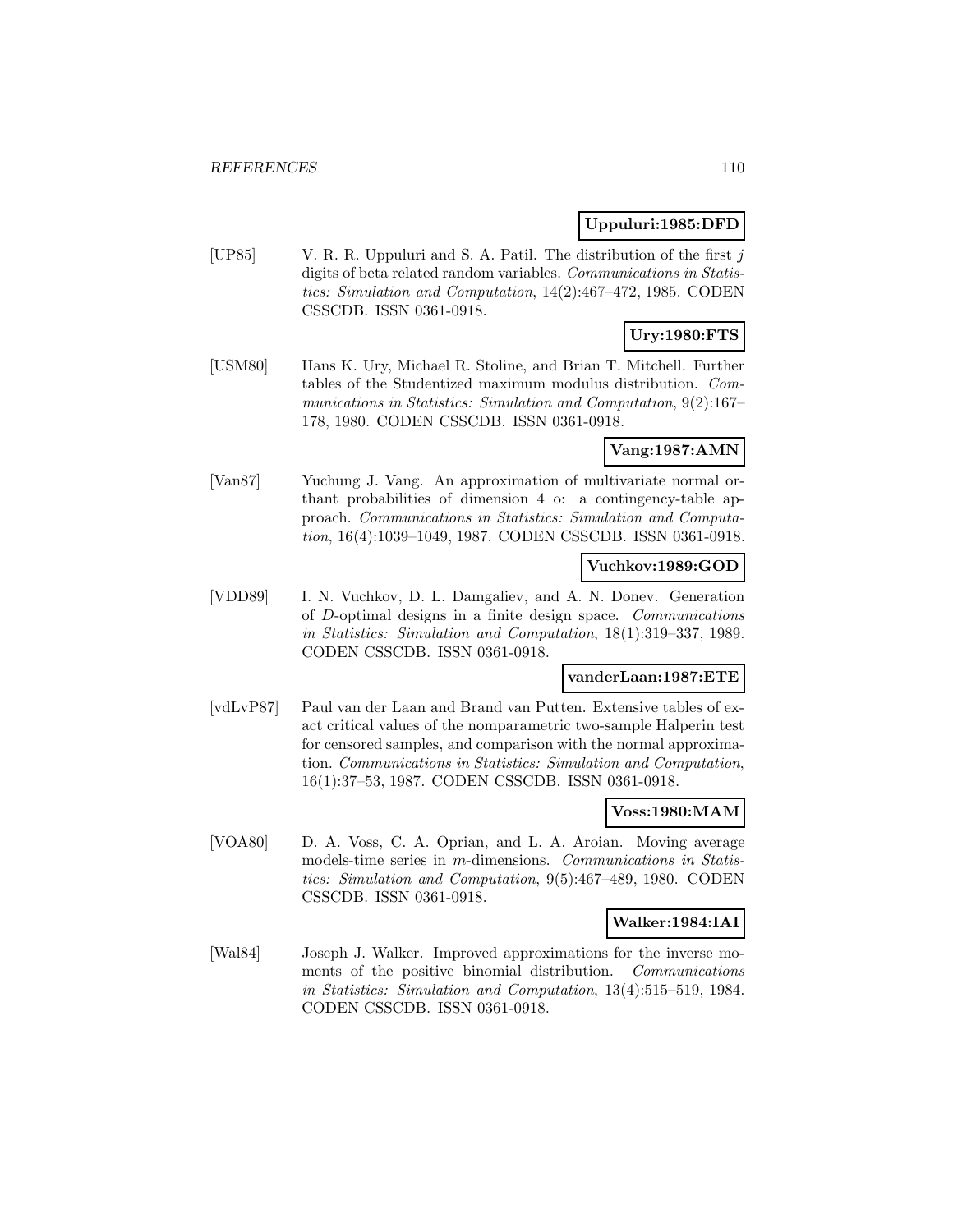#### **Uppuluri:1985:DFD**

[UP85] V. R. R. Uppuluri and S. A. Patil. The distribution of the first  $j$ digits of beta related random variables. Communications in Statistics: Simulation and Computation, 14(2):467–472, 1985. CODEN CSSCDB. ISSN 0361-0918.

# **Ury:1980:FTS**

[USM80] Hans K. Ury, Michael R. Stoline, and Brian T. Mitchell. Further tables of the Studentized maximum modulus distribution. Communications in Statistics: Simulation and Computation, 9(2):167– 178, 1980. CODEN CSSCDB. ISSN 0361-0918.

## **Vang:1987:AMN**

[Van87] Yuchung J. Vang. An approximation of multivariate normal orthant probabilities of dimension 4 o: a contingency-table approach. Communications in Statistics: Simulation and Computation, 16(4):1039–1049, 1987. CODEN CSSCDB. ISSN 0361-0918.

### **Vuchkov:1989:GOD**

[VDD89] I. N. Vuchkov, D. L. Damgaliev, and A. N. Donev. Generation of D-optimal designs in a finite design space. Communications in Statistics: Simulation and Computation, 18(1):319–337, 1989. CODEN CSSCDB. ISSN 0361-0918.

#### **vanderLaan:1987:ETE**

[vdLvP87] Paul van der Laan and Brand van Putten. Extensive tables of exact critical values of the nomparametric two-sample Halperin test for censored samples, and comparison with the normal approximation. Communications in Statistics: Simulation and Computation, 16(1):37–53, 1987. CODEN CSSCDB. ISSN 0361-0918.

#### **Voss:1980:MAM**

[VOA80] D. A. Voss, C. A. Oprian, and L. A. Aroian. Moving average models-time series in m-dimensions. Communications in Statistics: Simulation and Computation, 9(5):467–489, 1980. CODEN CSSCDB. ISSN 0361-0918.

## **Walker:1984:IAI**

[Wal84] Joseph J. Walker. Improved approximations for the inverse moments of the positive binomial distribution. Communications in Statistics: Simulation and Computation, 13(4):515–519, 1984. CODEN CSSCDB. ISSN 0361-0918.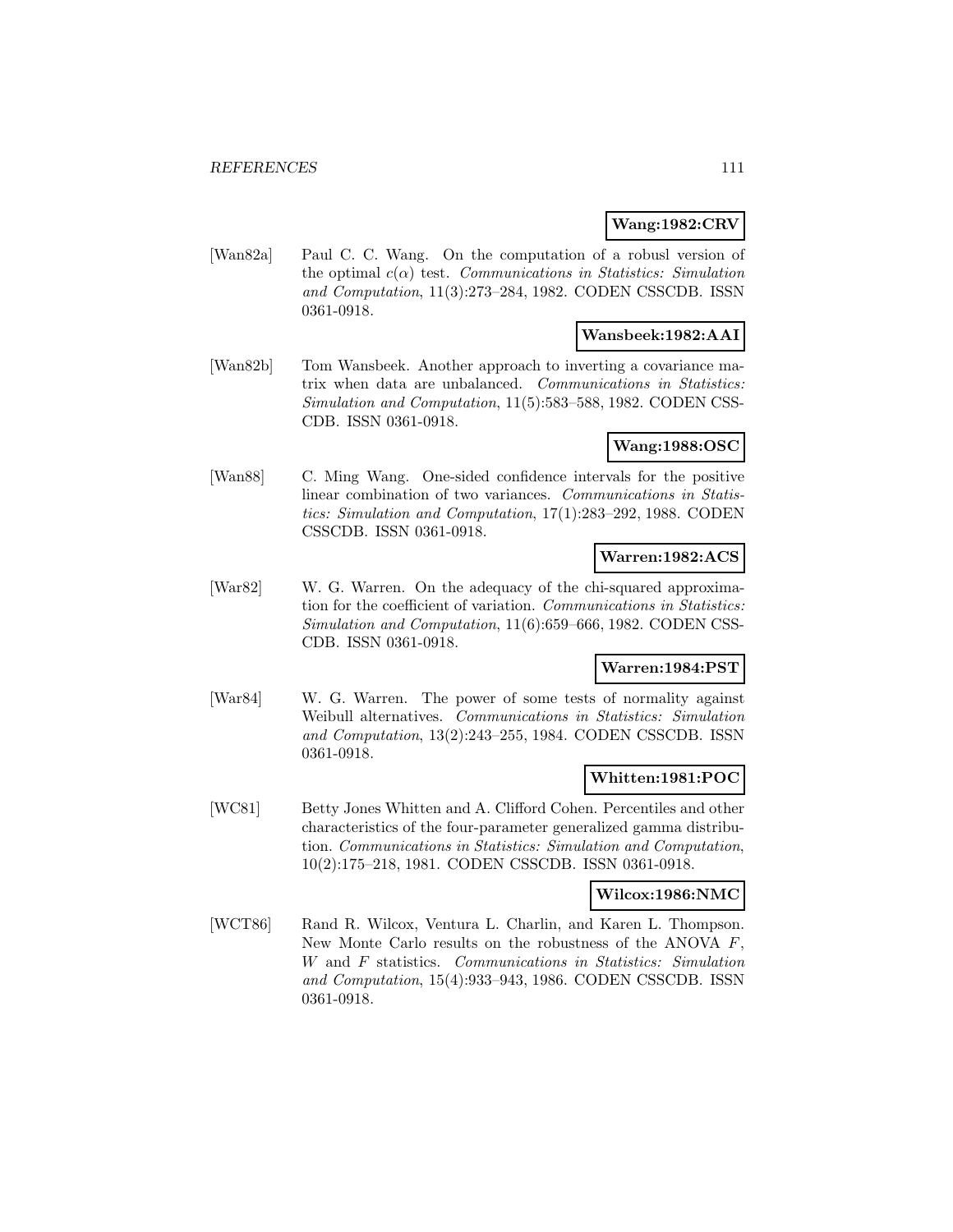### **Wang:1982:CRV**

[Wan82a] Paul C. C. Wang. On the computation of a robusl version of the optimal  $c(\alpha)$  test. Communications in Statistics: Simulation and Computation, 11(3):273–284, 1982. CODEN CSSCDB. ISSN 0361-0918.

## **Wansbeek:1982:AAI**

[Wan82b] Tom Wansbeek. Another approach to inverting a covariance matrix when data are unbalanced. Communications in Statistics: Simulation and Computation, 11(5):583–588, 1982. CODEN CSS-CDB. ISSN 0361-0918.

### **Wang:1988:OSC**

[Wan88] C. Ming Wang. One-sided confidence intervals for the positive linear combination of two variances. Communications in Statistics: Simulation and Computation, 17(1):283–292, 1988. CODEN CSSCDB. ISSN 0361-0918.

#### **Warren:1982:ACS**

[War82] W. G. Warren. On the adequacy of the chi-squared approximation for the coefficient of variation. Communications in Statistics: Simulation and Computation, 11(6):659–666, 1982. CODEN CSS-CDB. ISSN 0361-0918.

## **Warren:1984:PST**

[War84] W. G. Warren. The power of some tests of normality against Weibull alternatives. Communications in Statistics: Simulation and Computation, 13(2):243–255, 1984. CODEN CSSCDB. ISSN 0361-0918.

### **Whitten:1981:POC**

[WC81] Betty Jones Whitten and A. Clifford Cohen. Percentiles and other characteristics of the four-parameter generalized gamma distribution. Communications in Statistics: Simulation and Computation, 10(2):175–218, 1981. CODEN CSSCDB. ISSN 0361-0918.

#### **Wilcox:1986:NMC**

[WCT86] Rand R. Wilcox, Ventura L. Charlin, and Karen L. Thompson. New Monte Carlo results on the robustness of the ANOVA F, W and F statistics. Communications in Statistics: Simulation and Computation, 15(4):933–943, 1986. CODEN CSSCDB. ISSN 0361-0918.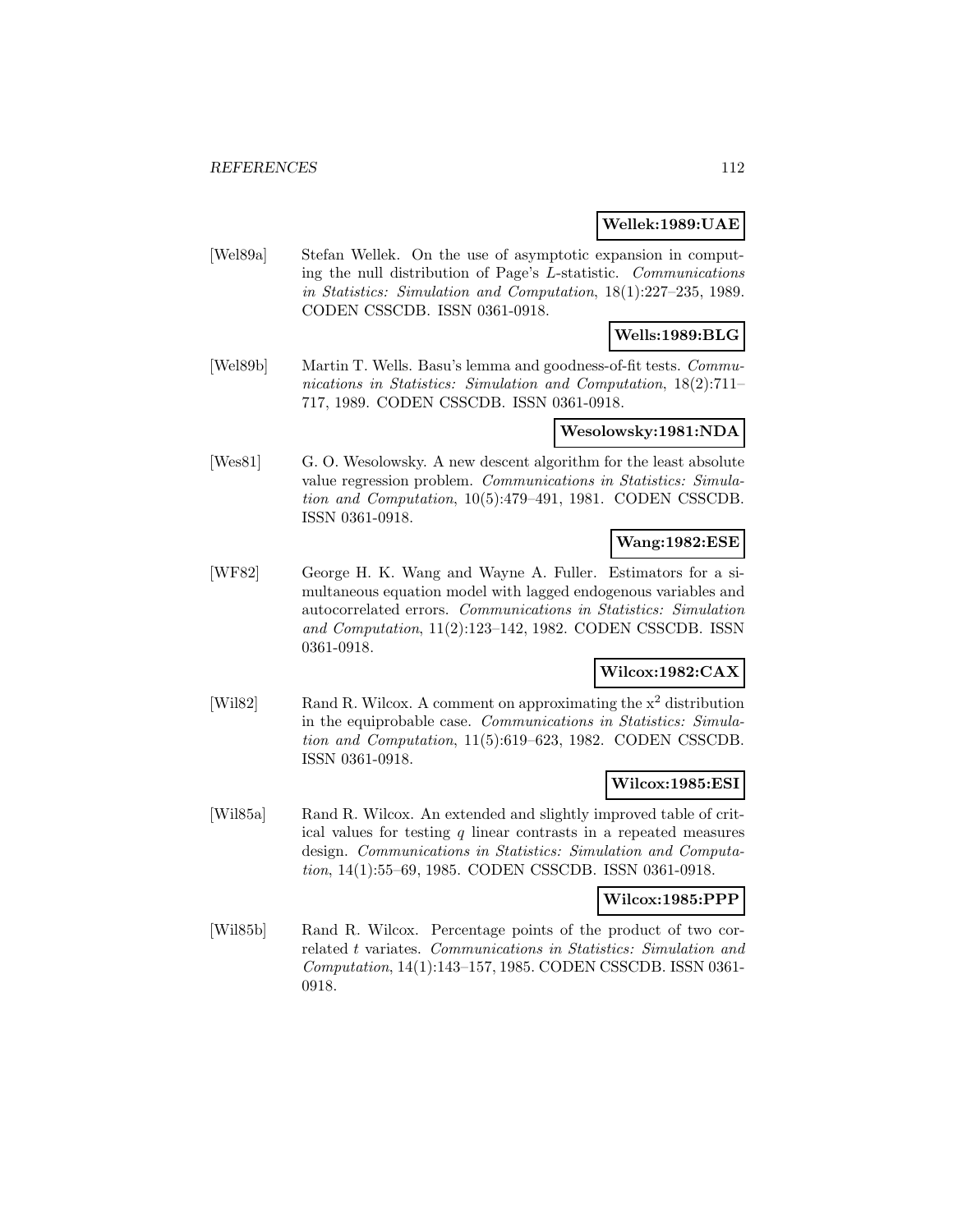#### **Wellek:1989:UAE**

[Wel89a] Stefan Wellek. On the use of asymptotic expansion in computing the null distribution of Page's L-statistic. Communications in Statistics: Simulation and Computation, 18(1):227–235, 1989. CODEN CSSCDB. ISSN 0361-0918.

## **Wells:1989:BLG**

[Wel89b] Martin T. Wells. Basu's lemma and goodness-of-fit tests. *Commu*nications in Statistics: Simulation and Computation, 18(2):711– 717, 1989. CODEN CSSCDB. ISSN 0361-0918.

#### **Wesolowsky:1981:NDA**

[Wes81] G. O. Wesolowsky. A new descent algorithm for the least absolute value regression problem. Communications in Statistics: Simulation and Computation, 10(5):479–491, 1981. CODEN CSSCDB. ISSN 0361-0918.

### **Wang:1982:ESE**

[WF82] George H. K. Wang and Wayne A. Fuller. Estimators for a simultaneous equation model with lagged endogenous variables and autocorrelated errors. Communications in Statistics: Simulation and Computation, 11(2):123–142, 1982. CODEN CSSCDB. ISSN 0361-0918.

### **Wilcox:1982:CAX**

[Wil82] Rand R. Wilcox. A comment on approximating the x<sup>2</sup> distribution in the equiprobable case. Communications in Statistics: Simulation and Computation, 11(5):619–623, 1982. CODEN CSSCDB. ISSN 0361-0918.

#### **Wilcox:1985:ESI**

[Wil85a] Rand R. Wilcox. An extended and slightly improved table of critical values for testing  $q$  linear contrasts in a repeated measures design. Communications in Statistics: Simulation and Computation, 14(1):55–69, 1985. CODEN CSSCDB. ISSN 0361-0918.

#### **Wilcox:1985:PPP**

[Wil85b] Rand R. Wilcox. Percentage points of the product of two correlated t variates. Communications in Statistics: Simulation and Computation, 14(1):143–157, 1985. CODEN CSSCDB. ISSN 0361- 0918.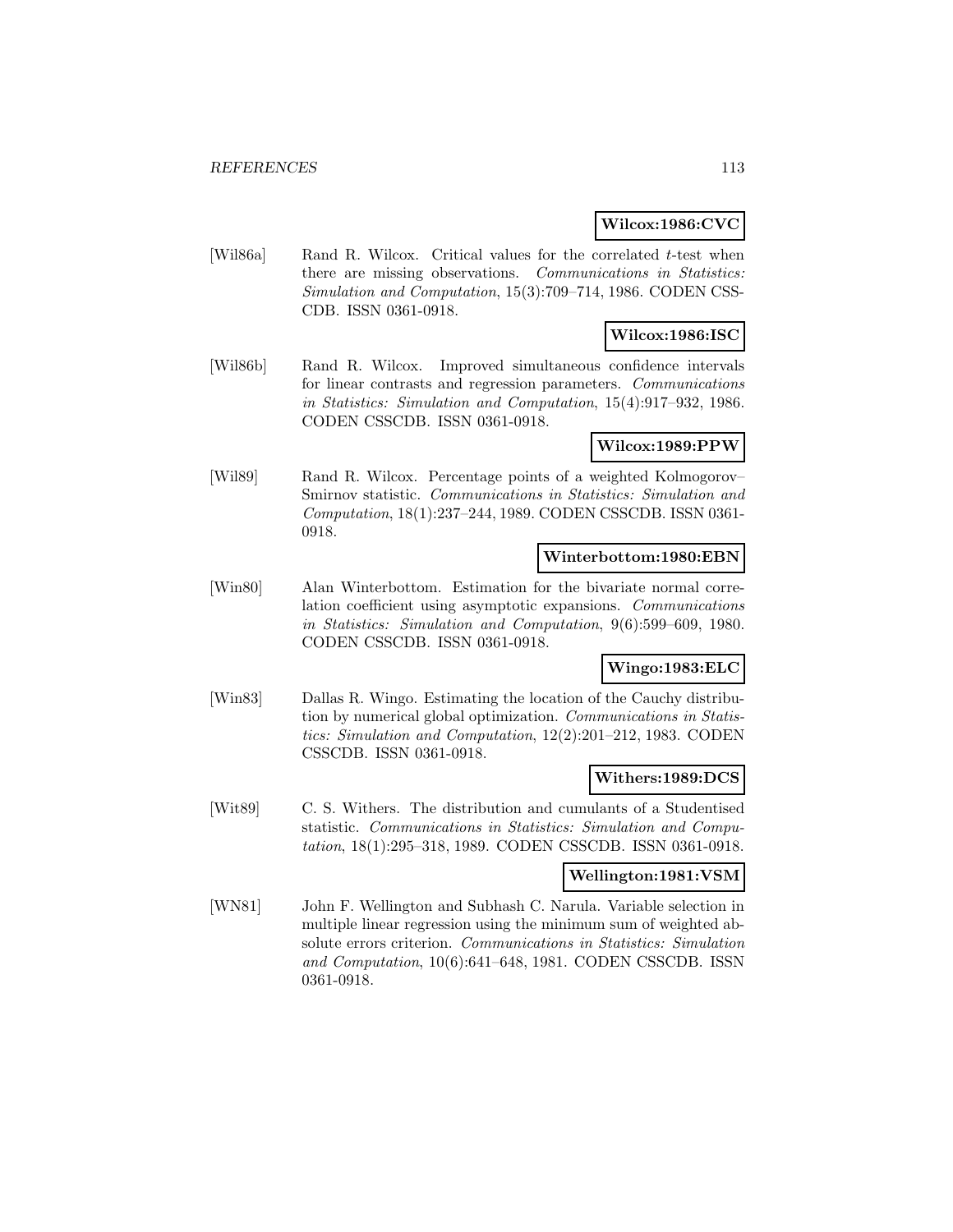#### **Wilcox:1986:CVC**

[Wil86a] Rand R. Wilcox. Critical values for the correlated t-test when there are missing observations. Communications in Statistics: Simulation and Computation, 15(3):709–714, 1986. CODEN CSS-CDB. ISSN 0361-0918.

## **Wilcox:1986:ISC**

[Wil86b] Rand R. Wilcox. Improved simultaneous confidence intervals for linear contrasts and regression parameters. Communications in Statistics: Simulation and Computation, 15(4):917–932, 1986. CODEN CSSCDB. ISSN 0361-0918.

#### **Wilcox:1989:PPW**

[Wil89] Rand R. Wilcox. Percentage points of a weighted Kolmogorov– Smirnov statistic. Communications in Statistics: Simulation and Computation, 18(1):237–244, 1989. CODEN CSSCDB. ISSN 0361- 0918.

#### **Winterbottom:1980:EBN**

[Win80] Alan Winterbottom. Estimation for the bivariate normal correlation coefficient using asymptotic expansions. Communications in Statistics: Simulation and Computation, 9(6):599–609, 1980. CODEN CSSCDB. ISSN 0361-0918.

## **Wingo:1983:ELC**

[Win83] Dallas R. Wingo. Estimating the location of the Cauchy distribution by numerical global optimization. Communications in Statistics: Simulation and Computation, 12(2):201–212, 1983. CODEN CSSCDB. ISSN 0361-0918.

### **Withers:1989:DCS**

[Wit89] C. S. Withers. The distribution and cumulants of a Studentised statistic. Communications in Statistics: Simulation and Computation, 18(1):295–318, 1989. CODEN CSSCDB. ISSN 0361-0918.

### **Wellington:1981:VSM**

[WN81] John F. Wellington and Subhash C. Narula. Variable selection in multiple linear regression using the minimum sum of weighted absolute errors criterion. Communications in Statistics: Simulation and Computation, 10(6):641–648, 1981. CODEN CSSCDB. ISSN 0361-0918.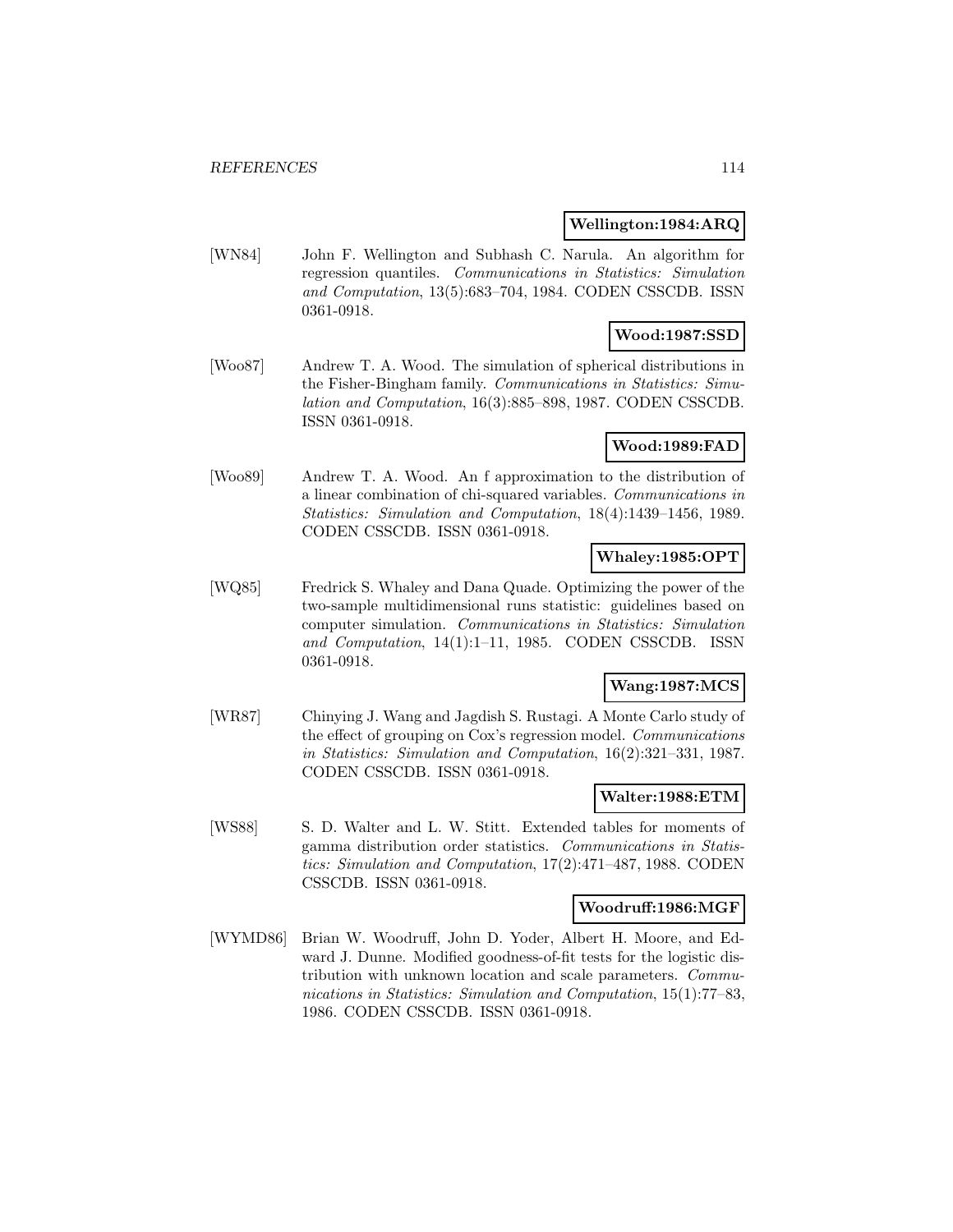#### **Wellington:1984:ARQ**

[WN84] John F. Wellington and Subhash C. Narula. An algorithm for regression quantiles. Communications in Statistics: Simulation and Computation, 13(5):683–704, 1984. CODEN CSSCDB. ISSN 0361-0918.

## **Wood:1987:SSD**

[Woo87] Andrew T. A. Wood. The simulation of spherical distributions in the Fisher-Bingham family. Communications in Statistics: Simulation and Computation, 16(3):885–898, 1987. CODEN CSSCDB. ISSN 0361-0918.

## **Wood:1989:FAD**

[Woo89] Andrew T. A. Wood. An f approximation to the distribution of a linear combination of chi-squared variables. Communications in Statistics: Simulation and Computation, 18(4):1439–1456, 1989. CODEN CSSCDB. ISSN 0361-0918.

#### **Whaley:1985:OPT**

[WQ85] Fredrick S. Whaley and Dana Quade. Optimizing the power of the two-sample multidimensional runs statistic: guidelines based on computer simulation. Communications in Statistics: Simulation and Computation, 14(1):1–11, 1985. CODEN CSSCDB. ISSN 0361-0918.

### **Wang:1987:MCS**

[WR87] Chinying J. Wang and Jagdish S. Rustagi. A Monte Carlo study of the effect of grouping on Cox's regression model. Communications in Statistics: Simulation and Computation, 16(2):321–331, 1987. CODEN CSSCDB. ISSN 0361-0918.

#### **Walter:1988:ETM**

[WS88] S. D. Walter and L. W. Stitt. Extended tables for moments of gamma distribution order statistics. Communications in Statistics: Simulation and Computation, 17(2):471–487, 1988. CODEN CSSCDB. ISSN 0361-0918.

#### **Woodruff:1986:MGF**

[WYMD86] Brian W. Woodruff, John D. Yoder, Albert H. Moore, and Edward J. Dunne. Modified goodness-of-fit tests for the logistic distribution with unknown location and scale parameters. Communications in Statistics: Simulation and Computation, 15(1):77–83, 1986. CODEN CSSCDB. ISSN 0361-0918.